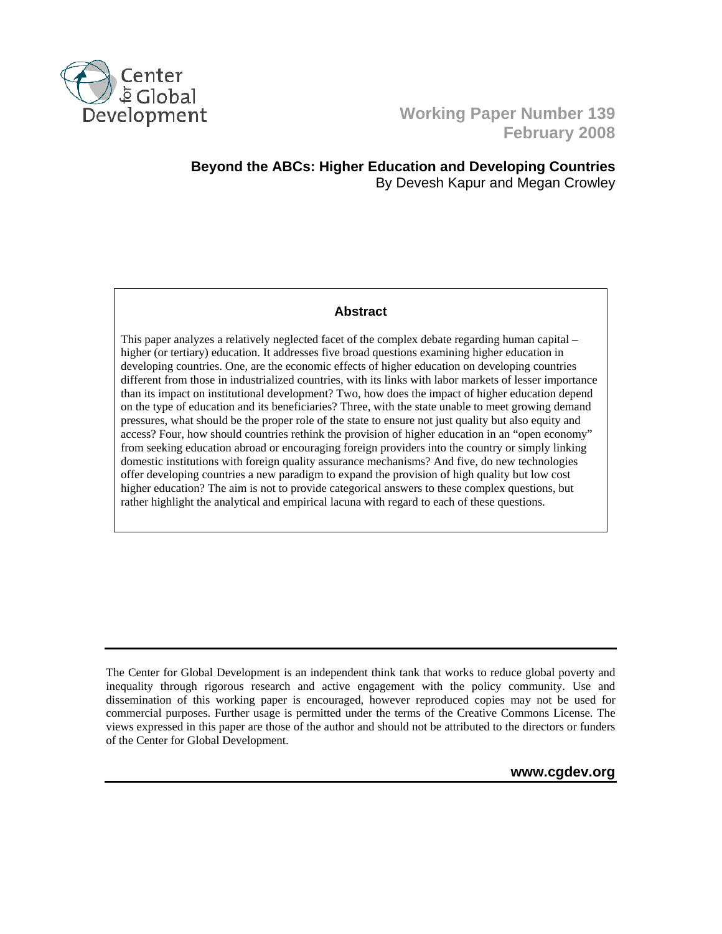

# **Working Paper Number 139 February 2008**

# **Beyond the ABCs: Higher Education and Developing Countries**  By Devesh Kapur and Megan Crowley

### **Abstract**

This paper analyzes a relatively neglected facet of the complex debate regarding human capital – higher (or tertiary) education. It addresses five broad questions examining higher education in developing countries. One, are the economic effects of higher education on developing countries different from those in industrialized countries, with its links with labor markets of lesser importance than its impact on institutional development? Two, how does the impact of higher education depend on the type of education and its beneficiaries? Three, with the state unable to meet growing demand pressures, what should be the proper role of the state to ensure not just quality but also equity and access? Four, how should countries rethink the provision of higher education in an "open economy" from seeking education abroad or encouraging foreign providers into the country or simply linking domestic institutions with foreign quality assurance mechanisms? And five, do new technologies offer developing countries a new paradigm to expand the provision of high quality but low cost higher education? The aim is not to provide categorical answers to these complex questions, but rather highlight the analytical and empirical lacuna with regard to each of these questions.

The Center for Global Development is an independent think tank that works to reduce global poverty and inequality through rigorous research and active engagement with the policy community. Use and dissemination of this working paper is encouraged, however reproduced copies may not be used for commercial purposes. Further usage is permitted under the terms of the Creative Commons License. The views expressed in this paper are those of the author and should not be attributed to the directors or funders of the Center for Global Development.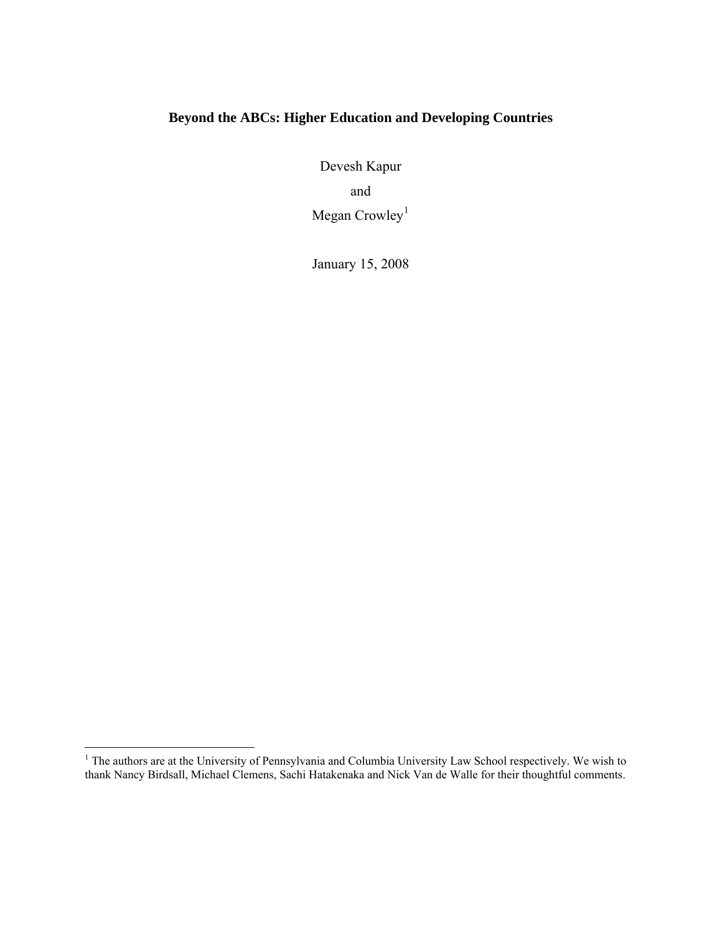# **Beyond the ABCs: Higher Education and Developing Countries**

Devesh Kapur and  $M$ egan Crowley $^{\rm l}$ 

January 15, 2008

<span id="page-1-0"></span><sup>&</sup>lt;sup>1</sup> The authors are at the University of Pennsylvania and Columbia University Law School respectively. We wish to thank Nancy Birdsall, Michael Clemens, Sachi Hatakenaka and Nick Van de Walle for their thoughtful comments.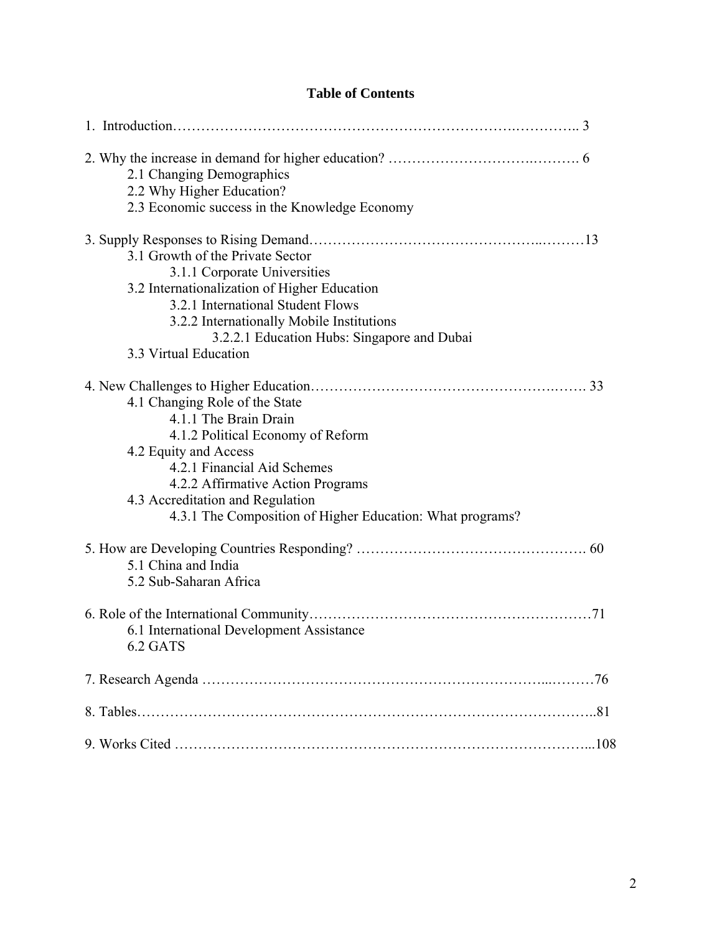# **Table of Contents**

| 2.1 Changing Demographics<br>2.2 Why Higher Education?<br>2.3 Economic success in the Knowledge Economy                                                                                                                                                                                    |
|--------------------------------------------------------------------------------------------------------------------------------------------------------------------------------------------------------------------------------------------------------------------------------------------|
| 3.1 Growth of the Private Sector<br>3.1.1 Corporate Universities<br>3.2 Internationalization of Higher Education<br>3.2.1 International Student Flows<br>3.2.2 Internationally Mobile Institutions<br>3.2.2.1 Education Hubs: Singapore and Dubai<br>3.3 Virtual Education                 |
| 4.1 Changing Role of the State<br>4.1.1 The Brain Drain<br>4.1.2 Political Economy of Reform<br>4.2 Equity and Access<br>4.2.1 Financial Aid Schemes<br>4.2.2 Affirmative Action Programs<br>4.3 Accreditation and Regulation<br>4.3.1 The Composition of Higher Education: What programs? |
| 5.1 China and India<br>5.2 Sub-Saharan Africa                                                                                                                                                                                                                                              |
| 6.1 International Development Assistance<br>6.2 GATS                                                                                                                                                                                                                                       |
|                                                                                                                                                                                                                                                                                            |
|                                                                                                                                                                                                                                                                                            |
|                                                                                                                                                                                                                                                                                            |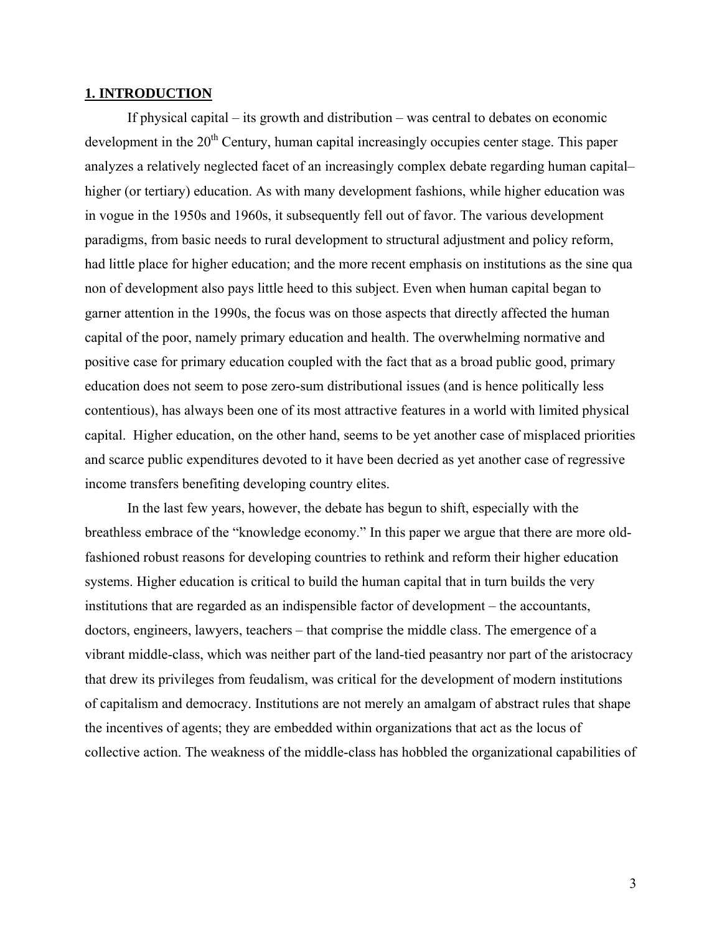### **1. INTRODUCTION**

If physical capital – its growth and distribution – was central to debates on economic development in the  $20<sup>th</sup>$  Century, human capital increasingly occupies center stage. This paper analyzes a relatively neglected facet of an increasingly complex debate regarding human capital– higher (or tertiary) education. As with many development fashions, while higher education was in vogue in the 1950s and 1960s, it subsequently fell out of favor. The various development paradigms, from basic needs to rural development to structural adjustment and policy reform, had little place for higher education; and the more recent emphasis on institutions as the sine qua non of development also pays little heed to this subject. Even when human capital began to garner attention in the 1990s, the focus was on those aspects that directly affected the human capital of the poor, namely primary education and health. The overwhelming normative and positive case for primary education coupled with the fact that as a broad public good, primary education does not seem to pose zero-sum distributional issues (and is hence politically less contentious), has always been one of its most attractive features in a world with limited physical capital. Higher education, on the other hand, seems to be yet another case of misplaced priorities and scarce public expenditures devoted to it have been decried as yet another case of regressive income transfers benefiting developing country elites.

In the last few years, however, the debate has begun to shift, especially with the breathless embrace of the "knowledge economy." In this paper we argue that there are more oldfashioned robust reasons for developing countries to rethink and reform their higher education systems. Higher education is critical to build the human capital that in turn builds the very institutions that are regarded as an indispensible factor of development – the accountants, doctors, engineers, lawyers, teachers – that comprise the middle class. The emergence of a vibrant middle-class, which was neither part of the land-tied peasantry nor part of the aristocracy that drew its privileges from feudalism, was critical for the development of modern institutions of capitalism and democracy. Institutions are not merely an amalgam of abstract rules that shape the incentives of agents; they are embedded within organizations that act as the locus of collective action. The weakness of the middle-class has hobbled the organizational capabilities of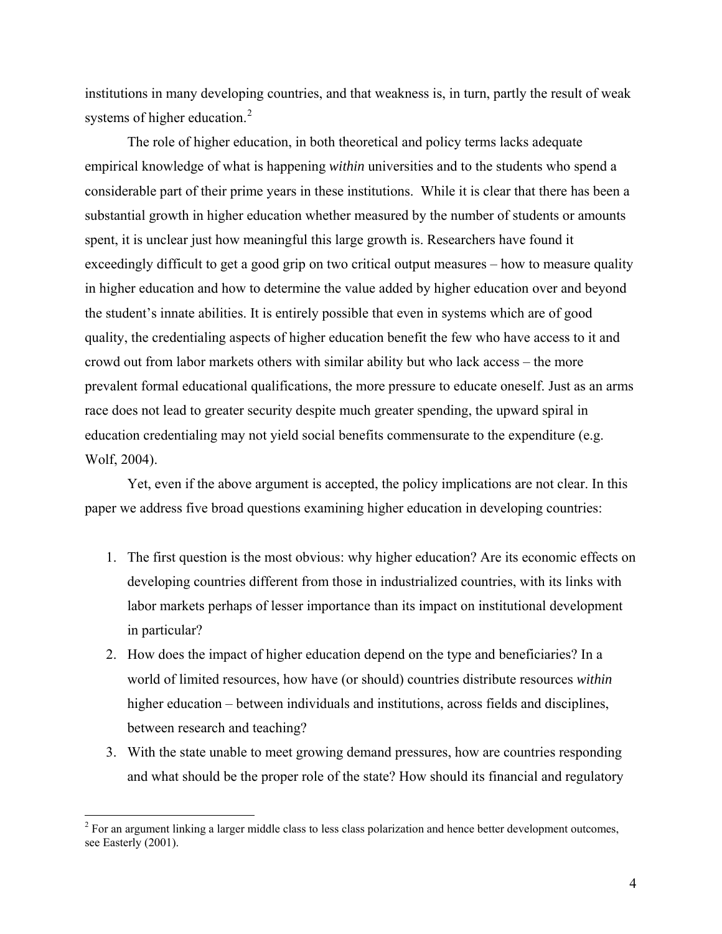institutions in many developing countries, and that weakness is, in turn, partly the result of weak systems of higher education. $2$ 

The role of higher education, in both theoretical and policy terms lacks adequate empirical knowledge of what is happening *within* universities and to the students who spend a considerable part of their prime years in these institutions. While it is clear that there has been a substantial growth in higher education whether measured by the number of students or amounts spent, it is unclear just how meaningful this large growth is. Researchers have found it exceedingly difficult to get a good grip on two critical output measures – how to measure quality in higher education and how to determine the value added by higher education over and beyond the student's innate abilities. It is entirely possible that even in systems which are of good quality, the credentialing aspects of higher education benefit the few who have access to it and crowd out from labor markets others with similar ability but who lack access – the more prevalent formal educational qualifications, the more pressure to educate oneself. Just as an arms race does not lead to greater security despite much greater spending, the upward spiral in education credentialing may not yield social benefits commensurate to the expenditure (e.g. Wolf, 2004).

Yet, even if the above argument is accepted, the policy implications are not clear. In this paper we address five broad questions examining higher education in developing countries:

- 1. The first question is the most obvious: why higher education? Are its economic effects on developing countries different from those in industrialized countries, with its links with labor markets perhaps of lesser importance than its impact on institutional development in particular?
- 2. How does the impact of higher education depend on the type and beneficiaries? In a world of limited resources, how have (or should) countries distribute resources *within* higher education – between individuals and institutions, across fields and disciplines, between research and teaching?
- 3. With the state unable to meet growing demand pressures, how are countries responding and what should be the proper role of the state? How should its financial and regulatory

<span id="page-4-0"></span> $2^{2}$  For an argument linking a larger middle class to less class polarization and hence better development outcomes, see Easterly (2001).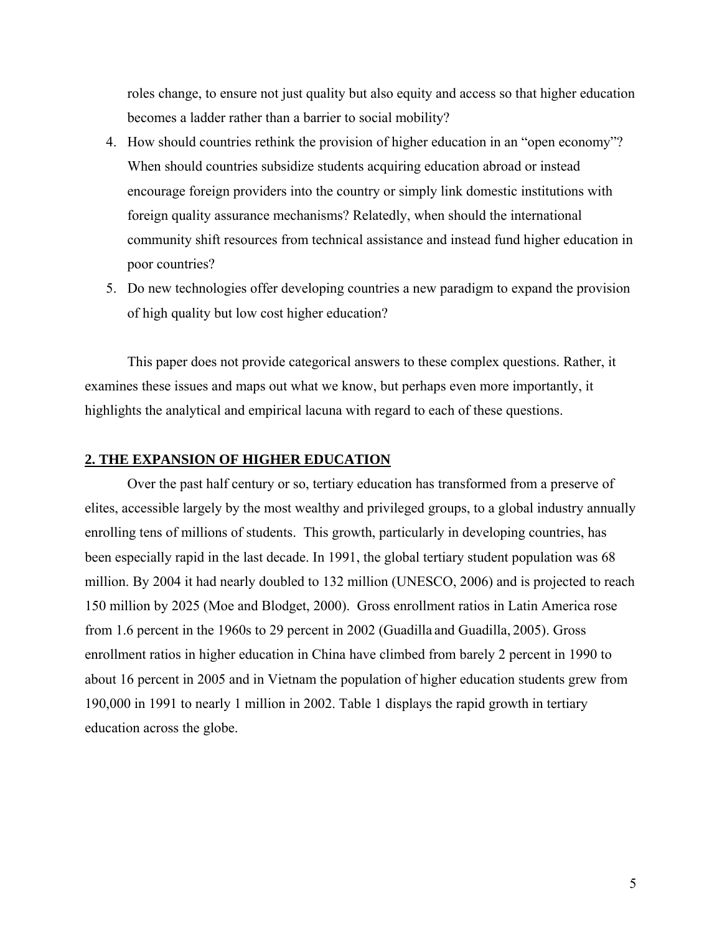roles change, to ensure not just quality but also equity and access so that higher education becomes a ladder rather than a barrier to social mobility?

- 4. How should countries rethink the provision of higher education in an "open economy"? When should countries subsidize students acquiring education abroad or instead encourage foreign providers into the country or simply link domestic institutions with foreign quality assurance mechanisms? Relatedly, when should the international community shift resources from technical assistance and instead fund higher education in poor countries?
- 5. Do new technologies offer developing countries a new paradigm to expand the provision of high quality but low cost higher education?

This paper does not provide categorical answers to these complex questions. Rather, it examines these issues and maps out what we know, but perhaps even more importantly, it highlights the analytical and empirical lacuna with regard to each of these questions.

#### **2. THE EXPANSION OF HIGHER EDUCATION**

Over the past half century or so, tertiary education has transformed from a preserve of elites, accessible largely by the most wealthy and privileged groups, to a global industry annually enrolling tens of millions of students. This growth, particularly in developing countries, has been especially rapid in the last decade. In 1991, the global tertiary student population was 68 million. By 2004 it had nearly doubled to 132 million (UNESCO, 2006) and is projected to reach 150 million by 2025 (Moe and Blodget, 2000). Gross enrollment ratios in Latin America rose from 1.6 percent in the 1960s to 29 percent in 2002 (Guadilla and Guadilla, 2005). Gross enrollment ratios in higher education in China have climbed from barely 2 percent in 1990 to about 16 percent in 2005 and in Vietnam the population of higher education students grew from 190,000 in 1991 to nearly 1 million in 2002. Table 1 displays the rapid growth in tertiary education across the globe.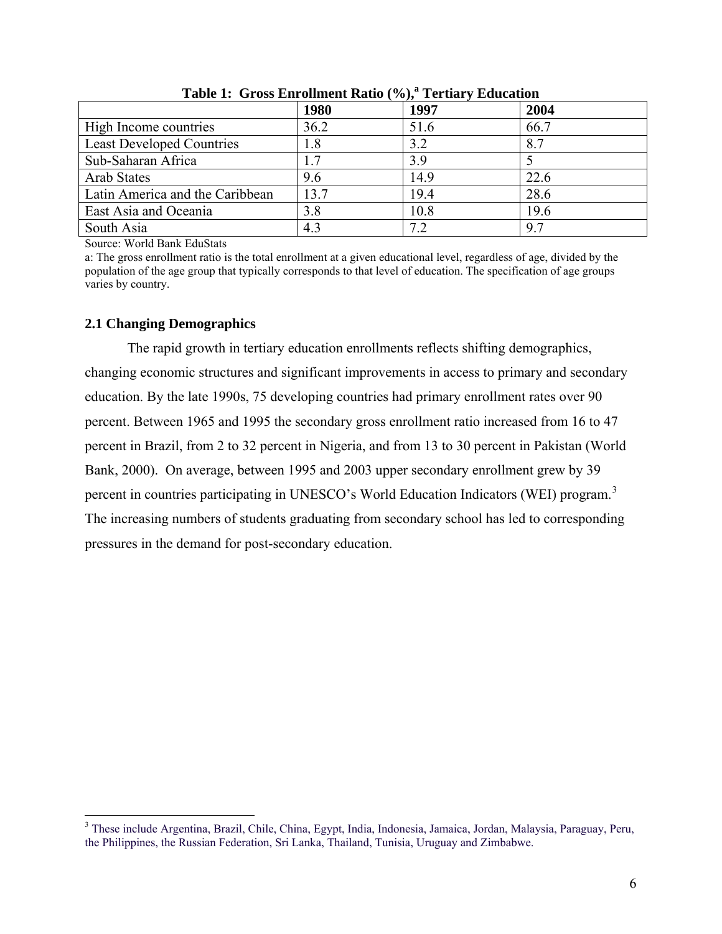|                                  | 1980 | 1997 | 2004 |
|----------------------------------|------|------|------|
| High Income countries            | 36.2 | 51.6 | 66.7 |
| <b>Least Developed Countries</b> | 1.8  | 3.2  | 8.7  |
| Sub-Saharan Africa               |      | 3.9  |      |
| <b>Arab States</b>               | 9.6  | 14.9 | 22.6 |
| Latin America and the Caribbean  | 13.7 | 19.4 | 28.6 |
| East Asia and Oceania            | 3.8  | 10.8 | 19.6 |
| South Asia                       | 4.3  | 7.2  | 9.7  |

Table 1: Gross Enrollment Ratio (%),<sup>a</sup> Tertiary Education

Source: World Bank EduStats

a: The gross enrollment ratio is the total enrollment at a given educational level, regardless of age, divided by the population of the age group that typically corresponds to that level of education. The specification of age groups varies by country.

# **2.1 Changing Demographics**

 $\overline{a}$ 

The rapid growth in tertiary education enrollments reflects shifting demographics, changing economic structures and significant improvements in access to primary and secondary education. By the late 1990s, 75 developing countries had primary enrollment rates over 90 percent. Between 1965 and 1995 the secondary gross enrollment ratio increased from 16 to 47 percent in Brazil, from 2 to 32 percent in Nigeria, and from 13 to 30 percent in Pakistan (World Bank, 2000). On average, between 1995 and 2003 upper secondary enrollment grew by 39 percent in countries participating in UNESCO's World Education Indicators (WEI) program.<sup>[3](#page-6-0)</sup> The increasing numbers of students graduating from secondary school has led to corresponding pressures in the demand for post-secondary education.

<span id="page-6-0"></span><sup>3</sup> These include Argentina, Brazil, Chile, China, Egypt, India, Indonesia, Jamaica, Jordan, Malaysia, Paraguay, Peru, the Philippines, the Russian Federation, Sri Lanka, Thailand, Tunisia, Uruguay and Zimbabwe.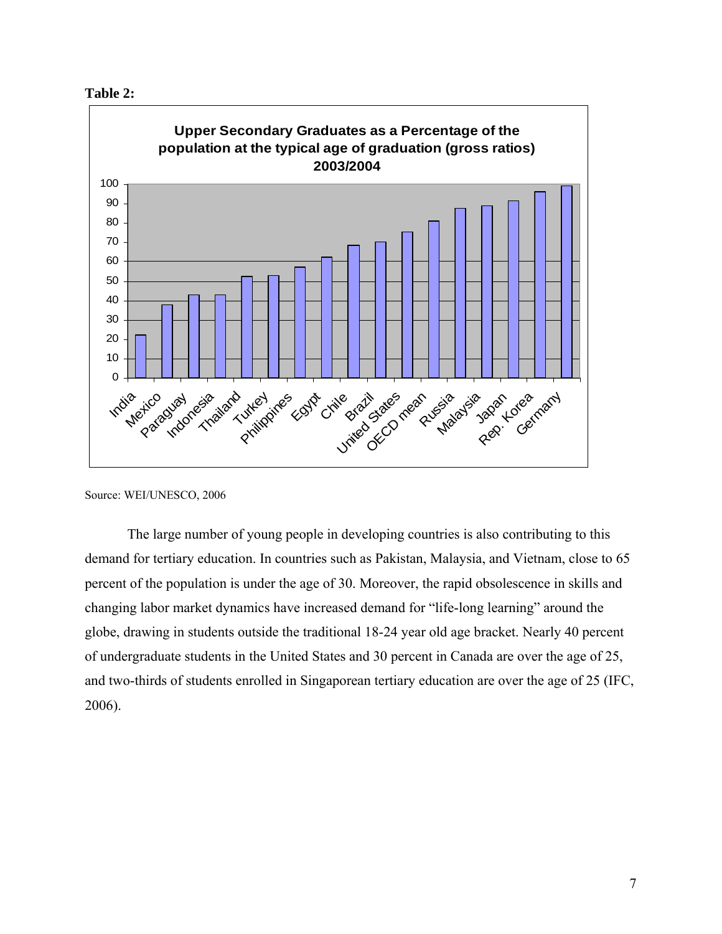



Source: WEI/UNESCO, 2006

The large number of young people in developing countries is also contributing to this demand for tertiary education. In countries such as Pakistan, Malaysia, and Vietnam, close to 65 percent of the population is under the age of 30. Moreover, the rapid obsolescence in skills and changing labor market dynamics have increased demand for "life-long learning" around the globe, drawing in students outside the traditional 18-24 year old age bracket. Nearly 40 percent of undergraduate students in the United States and 30 percent in Canada are over the age of 25, and two-thirds of students enrolled in Singaporean tertiary education are over the age of 25 (IFC, 2006).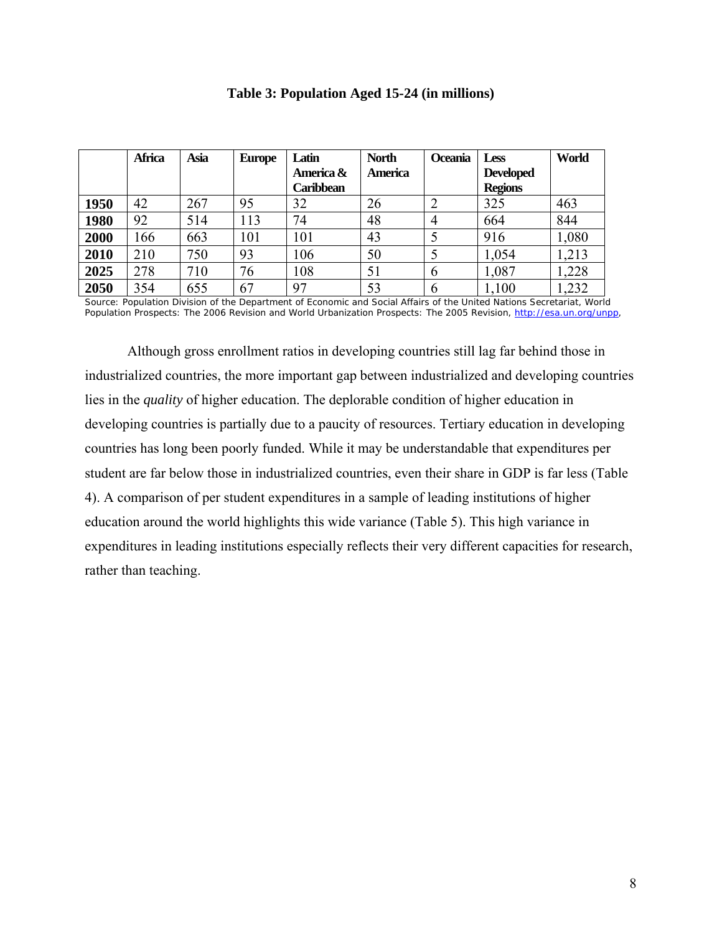|      | Africa | Asia | <b>Europe</b> | Latin<br>America & | <b>North</b><br>America | <b>Oceania</b> | <b>Less</b><br><b>Developed</b> | World |
|------|--------|------|---------------|--------------------|-------------------------|----------------|---------------------------------|-------|
|      |        |      |               | Caribbean          |                         |                | <b>Regions</b>                  |       |
| 1950 | 42     | 267  | 95            | 32                 | 26                      | $\overline{2}$ | 325                             | 463   |
| 1980 | 92     | 514  | 113           | 74                 | 48                      | 4              | 664                             | 844   |
| 2000 | 166    | 663  | 101           | 101                | 43                      |                | 916                             | 1,080 |
| 2010 | 210    | 750  | 93            | 106                | 50                      |                | 1,054                           | 1,213 |
| 2025 | 278    | 710  | 76            | 108                | 51                      | 6              | 1,087                           | 1,228 |
| 2050 | 354    | 655  | 67            | 97                 | 53                      | $\mathfrak b$  | 1,100                           | 1,232 |

### **Table 3: Population Aged 15-24 (in millions)**

*Source*: Population Division of the Department of Economic and Social Affairs of the United Nations Secretariat, *World Population Prospects: The 2006 Revision* and *World Urbanization Prospects: The 2005 Revision*, [http://esa.un.org/unpp,](http://esa.un.org/unpp)

Although gross enrollment ratios in developing countries still lag far behind those in industrialized countries, the more important gap between industrialized and developing countries lies in the *quality* of higher education. The deplorable condition of higher education in developing countries is partially due to a paucity of resources. Tertiary education in developing countries has long been poorly funded. While it may be understandable that expenditures per student are far below those in industrialized countries, even their share in GDP is far less (Table 4). A comparison of per student expenditures in a sample of leading institutions of higher education around the world highlights this wide variance (Table 5). This high variance in expenditures in leading institutions especially reflects their very different capacities for research, rather than teaching.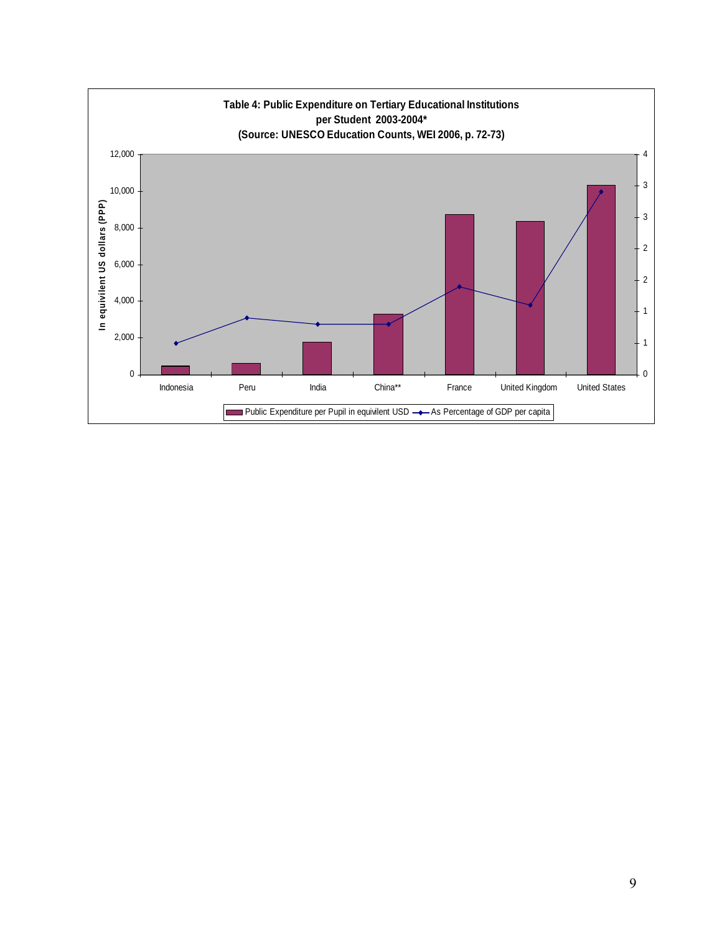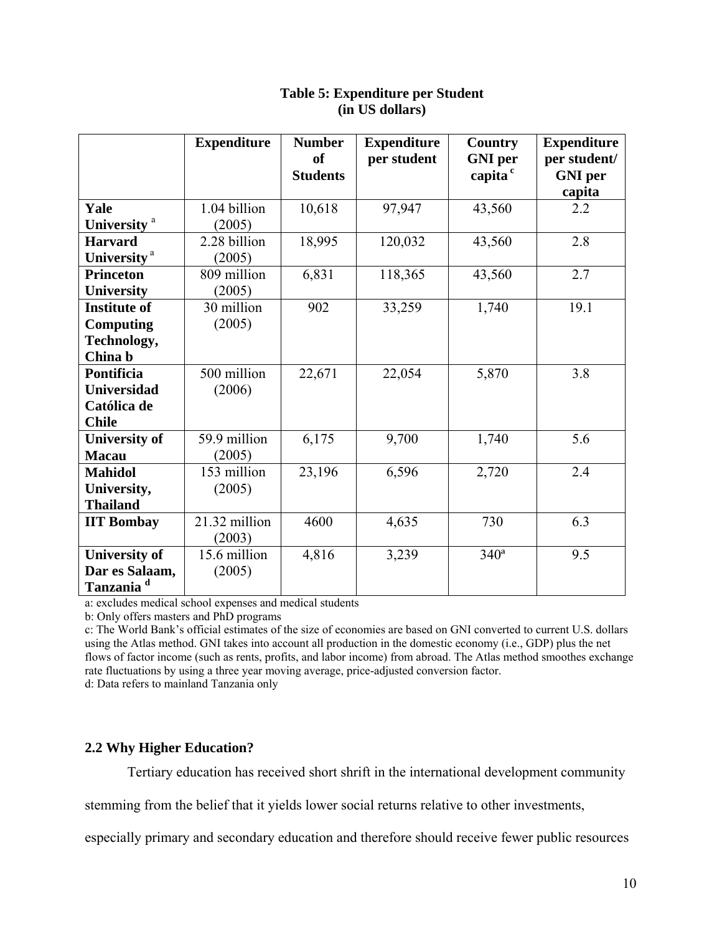# **Table 5: Expenditure per Student (in US dollars)**

|                         | <b>Expenditure</b> | <b>Number</b>   | <b>Expenditure</b> | <b>Country</b>      | <b>Expenditure</b> |
|-------------------------|--------------------|-----------------|--------------------|---------------------|--------------------|
|                         |                    | <sub>of</sub>   | per student        | <b>GNI</b> per      | per student/       |
|                         |                    | <b>Students</b> |                    | capita <sup>c</sup> | <b>GNI</b> per     |
|                         |                    |                 |                    |                     | capita             |
| Yale                    | 1.04 billion       | 10,618          | 97,947             | 43,560              | 2.2                |
| University <sup>a</sup> | (2005)             |                 |                    |                     |                    |
| <b>Harvard</b>          | 2.28 billion       | 18,995          | 120,032            | 43,560              | 2.8                |
| University <sup>a</sup> | (2005)             |                 |                    |                     |                    |
| <b>Princeton</b>        | 809 million        | 6,831           | 118,365            | 43,560              | 2.7                |
| University              | (2005)             |                 |                    |                     |                    |
| <b>Institute of</b>     | 30 million         | 902             | 33,259             | 1,740               | 19.1               |
| <b>Computing</b>        | (2005)             |                 |                    |                     |                    |
| Technology,             |                    |                 |                    |                     |                    |
| China b                 |                    |                 |                    |                     |                    |
| Pontificia              | 500 million        | 22,671          | 22,054             | 5,870               | 3.8                |
| <b>Universidad</b>      | (2006)             |                 |                    |                     |                    |
| Católica de             |                    |                 |                    |                     |                    |
| <b>Chile</b>            |                    |                 |                    |                     |                    |
| <b>University of</b>    | 59.9 million       | 6,175           | 9,700              | 1,740               | 5.6                |
| <b>Macau</b>            | (2005)             |                 |                    |                     |                    |
| <b>Mahidol</b>          | 153 million        | 23,196          | 6,596              | 2,720               | 2.4                |
| University,             | (2005)             |                 |                    |                     |                    |
| <b>Thailand</b>         |                    |                 |                    |                     |                    |
| <b>IIT Bombay</b>       | 21.32 million      | 4600            | 4,635              | 730                 | 6.3                |
|                         | (2003)             |                 |                    |                     |                    |
| <b>University of</b>    | 15.6 million       | 4,816           | 3,239              | 340 <sup>a</sup>    | 9.5                |
| Dar es Salaam,          | (2005)             |                 |                    |                     |                    |
| Tanzania <sup>d</sup>   |                    |                 |                    |                     |                    |

a: excludes medical school expenses and medical students

b: Only offers masters and PhD programs

c: The World Bank's official estimates of the size of economies are based on GNI converted to current U.S. dollars using the Atlas method. GNI takes into account all production in the domestic economy (i.e., GDP) plus the net flows of factor income (such as rents, profits, and labor income) from abroad. The Atlas method smoothes exchange rate fluctuations by using a three year moving average, price-adjusted conversion factor.

d: Data refers to mainland Tanzania only

## **2.2 Why Higher Education?**

Tertiary education has received short shrift in the international development community

stemming from the belief that it yields lower social returns relative to other investments,

especially primary and secondary education and therefore should receive fewer public resources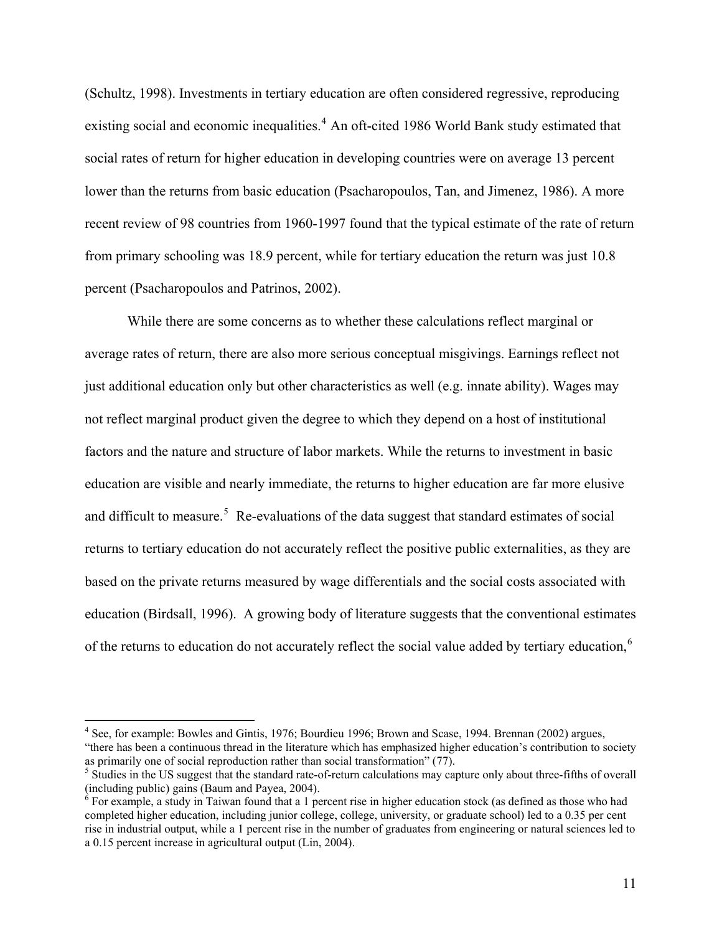(Schultz, 1998). Investments in tertiary education are often considered regressive, reproducing existing social and economic inequalities.<sup>[4](#page-11-0)</sup> An oft-cited 1986 World Bank study estimated that social rates of return for higher education in developing countries were on average 13 percent lower than the returns from basic education (Psacharopoulos, Tan, and Jimenez, 1986). A more recent review of 98 countries from 1960-1997 found that the typical estimate of the rate of return from primary schooling was 18.9 percent, while for tertiary education the return was just 10.8 percent (Psacharopoulos and Patrinos, 2002).

 While there are some concerns as to whether these calculations reflect marginal or average rates of return, there are also more serious conceptual misgivings. Earnings reflect not just additional education only but other characteristics as well (e.g. innate ability). Wages may not reflect marginal product given the degree to which they depend on a host of institutional factors and the nature and structure of labor markets. While the returns to investment in basic education are visible and nearly immediate, the returns to higher education are far more elusive and difficult to measure.<sup>[5](#page-11-1)</sup> Re-evaluations of the data suggest that standard estimates of social returns to tertiary education do not accurately reflect the positive public externalities, as they are based on the private returns measured by wage differentials and the social costs associated with education (Birdsall, 1996). A growing body of literature suggests that the conventional estimates of the returns to education do not accurately reflect the social value added by tertiary education.<sup>[6](#page-11-2)</sup>

<span id="page-11-0"></span> 4 See, for example: Bowles and Gintis, 1976; Bourdieu 1996; Brown and Scase, 1994. Brennan (2002) argues, "there has been a continuous thread in the literature which has emphasized higher education's contribution to society as primarily one of social reproduction rather than social transformation" (77).

<span id="page-11-1"></span><sup>&</sup>lt;sup>5</sup> Studies in the US suggest that the standard rate-of-return calculations may capture only about three-fifths of overall (including public) gains (Baum and Payea, 2004).

<span id="page-11-2"></span> $6$  For example, a study in Taiwan found that a 1 percent rise in higher education stock (as defined as those who had completed higher education, including junior college, college, university, or graduate school) led to a 0.35 per cent rise in industrial output, while a 1 percent rise in the number of graduates from engineering or natural sciences led to a 0.15 percent increase in agricultural output (Lin, 2004).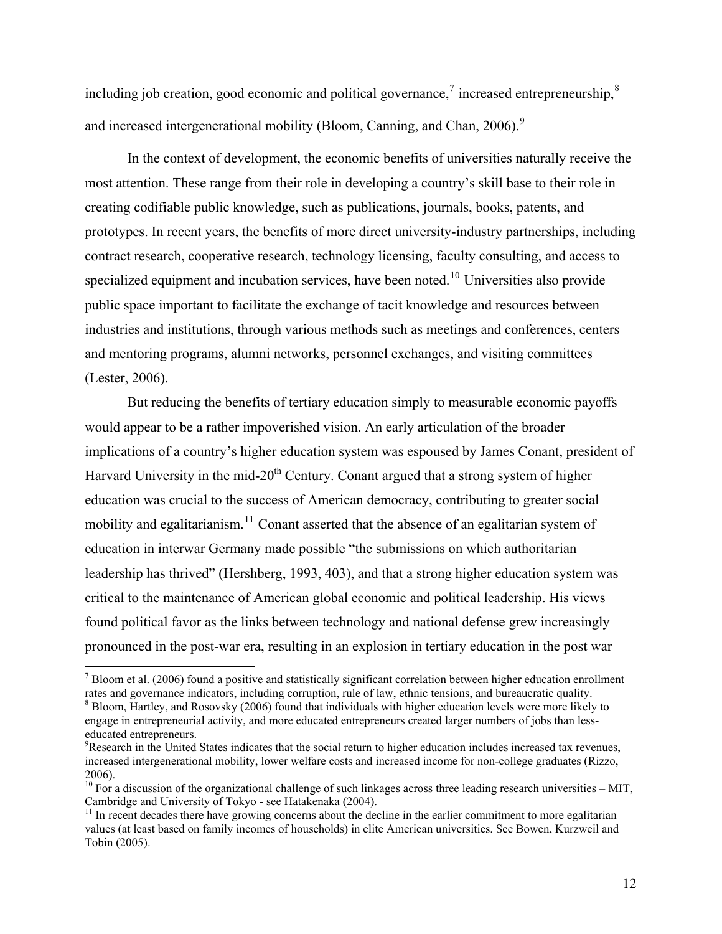including job creation, good economic and political governance,<sup>[7](#page-12-0)</sup> increased entrepreneurship,<sup>[8](#page-12-1)</sup> and increased intergenerational mobility (Bloom, Canning, and Chan, 2006).<sup>[9](#page-12-2)</sup>

In the context of development, the economic benefits of universities naturally receive the most attention. These range from their role in developing a country's skill base to their role in creating codifiable public knowledge, such as publications, journals, books, patents, and prototypes. In recent years, the benefits of more direct university-industry partnerships, including contract research, cooperative research, technology licensing, faculty consulting, and access to specialized equipment and incubation services, have been noted.<sup>[10](#page-12-3)</sup> Universities also provide public space important to facilitate the exchange of tacit knowledge and resources between industries and institutions, through various methods such as meetings and conferences, centers and mentoring programs, alumni networks, personnel exchanges, and visiting committees (Lester, 2006).

 But reducing the benefits of tertiary education simply to measurable economic payoffs would appear to be a rather impoverished vision. An early articulation of the broader implications of a country's higher education system was espoused by James Conant, president of Harvard University in the mid- $20<sup>th</sup>$  Century. Conant argued that a strong system of higher education was crucial to the success of American democracy, contributing to greater social mobility and egalitarianism.<sup>[11](#page-12-4)</sup> Conant asserted that the absence of an egalitarian system of education in interwar Germany made possible "the submissions on which authoritarian leadership has thrived" (Hershberg, 1993, 403), and that a strong higher education system was critical to the maintenance of American global economic and political leadership. His views found political favor as the links between technology and national defense grew increasingly pronounced in the post-war era, resulting in an explosion in tertiary education in the post war

<span id="page-12-0"></span> $<sup>7</sup>$  Bloom et al. (2006) found a positive and statistically significant correlation between higher education enrollment</sup> rates and governance indicators, including corruption, rule of law, ethnic tensions, and bureaucratic quality.

<span id="page-12-1"></span><sup>&</sup>lt;sup>8</sup> Bloom, Hartley, and Rosovsky (2006) found that individuals with higher education levels were more likely to engage in entrepreneurial activity, and more educated entrepreneurs created larger numbers of jobs than lesseducated entrepreneurs.

<span id="page-12-2"></span><sup>&</sup>lt;sup>9</sup>Research in the United States indicates that the social return to higher education includes increased tax revenues, increased intergenerational mobility, lower welfare costs and increased income for non-college graduates (Rizzo, 2006).

<span id="page-12-3"></span> $10$  For a discussion of the organizational challenge of such linkages across three leading research universities – MIT, Cambridge and University of Tokyo - see Hatakenaka (2004).

<span id="page-12-4"></span><sup>&</sup>lt;sup>11</sup> In recent decades there have growing concerns about the decline in the earlier commitment to more egalitarian values (at least based on family incomes of households) in elite American universities. See Bowen, Kurzweil and Tobin (2005).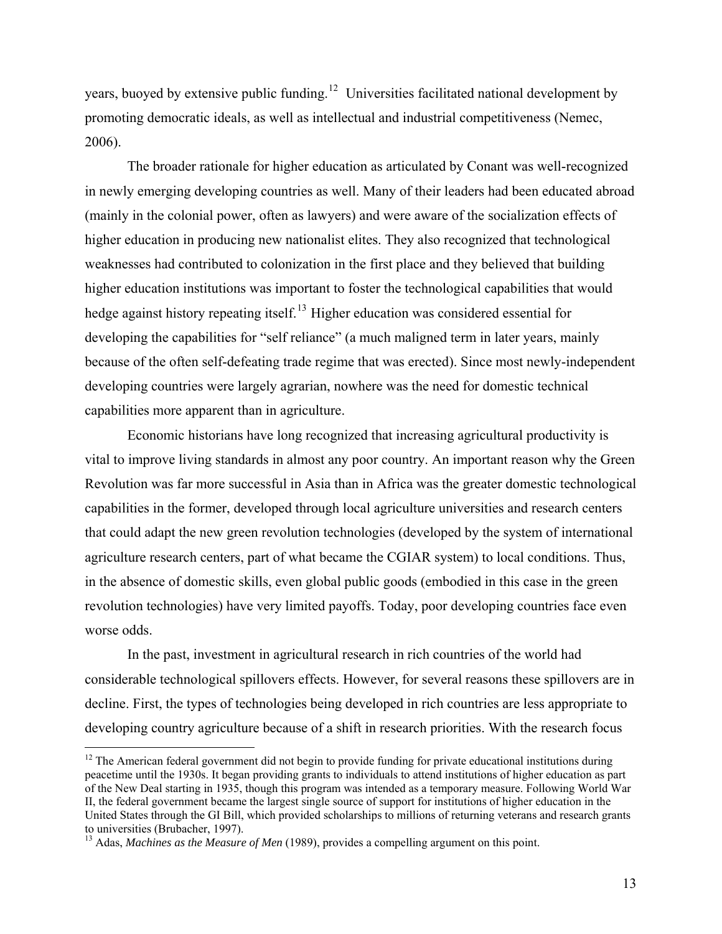years, buoyed by extensive public funding.<sup>[12](#page-13-0)</sup> Universities facilitated national development by promoting democratic ideals, as well as intellectual and industrial competitiveness (Nemec, 2006).

The broader rationale for higher education as articulated by Conant was well-recognized in newly emerging developing countries as well. Many of their leaders had been educated abroad (mainly in the colonial power, often as lawyers) and were aware of the socialization effects of higher education in producing new nationalist elites. They also recognized that technological weaknesses had contributed to colonization in the first place and they believed that building higher education institutions was important to foster the technological capabilities that would hedge against history repeating itself.<sup>[13](#page-13-1)</sup> Higher education was considered essential for developing the capabilities for "self reliance" (a much maligned term in later years, mainly because of the often self-defeating trade regime that was erected). Since most newly-independent developing countries were largely agrarian, nowhere was the need for domestic technical capabilities more apparent than in agriculture.

Economic historians have long recognized that increasing agricultural productivity is vital to improve living standards in almost any poor country. An important reason why the Green Revolution was far more successful in Asia than in Africa was the greater domestic technological capabilities in the former, developed through local agriculture universities and research centers that could adapt the new green revolution technologies (developed by the system of international agriculture research centers, part of what became the CGIAR system) to local conditions. Thus, in the absence of domestic skills, even global public goods (embodied in this case in the green revolution technologies) have very limited payoffs. Today, poor developing countries face even worse odds.

In the past, investment in agricultural research in rich countries of the world had considerable technological spillovers effects. However, for several reasons these spillovers are in decline. First, the types of technologies being developed in rich countries are less appropriate to developing country agriculture because of a shift in research priorities. With the research focus

<span id="page-13-0"></span> $12$  The American federal government did not begin to provide funding for private educational institutions during peacetime until the 1930s. It began providing grants to individuals to attend institutions of higher education as part of the New Deal starting in 1935, though this program was intended as a temporary measure. Following World War II, the federal government became the largest single source of support for institutions of higher education in the United States through the GI Bill, which provided scholarships to millions of returning veterans and research grants to universities (Brubacher, 1997).

<span id="page-13-1"></span><sup>&</sup>lt;sup>13</sup> Adas, *Machines as the Measure of Men* (1989), provides a compelling argument on this point.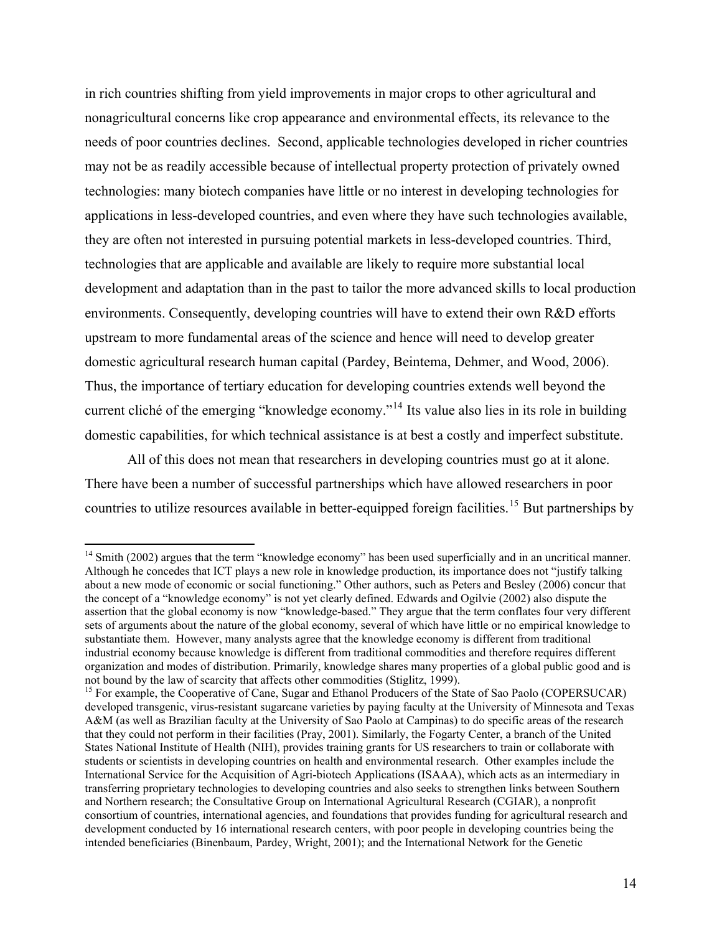in rich countries shifting from yield improvements in major crops to other agricultural and nonagricultural concerns like crop appearance and environmental effects, its relevance to the needs of poor countries declines. Second, applicable technologies developed in richer countries may not be as readily accessible because of intellectual property protection of privately owned technologies: many biotech companies have little or no interest in developing technologies for applications in less-developed countries, and even where they have such technologies available, they are often not interested in pursuing potential markets in less-developed countries. Third, technologies that are applicable and available are likely to require more substantial local development and adaptation than in the past to tailor the more advanced skills to local production environments. Consequently, developing countries will have to extend their own R&D efforts upstream to more fundamental areas of the science and hence will need to develop greater domestic agricultural research human capital (Pardey, Beintema, Dehmer, and Wood, 2006). Thus, the importance of tertiary education for developing countries extends well beyond the current cliché of the emerging "knowledge economy."<sup>[14](#page-14-0)</sup> Its value also lies in its role in building domestic capabilities, for which technical assistance is at best a costly and imperfect substitute.

All of this does not mean that researchers in developing countries must go at it alone. There have been a number of successful partnerships which have allowed researchers in poor countries to utilize resources available in better-equipped foreign facilities.<sup>[15](#page-14-1)</sup> But partnerships by

<span id="page-14-0"></span> $14$  Smith (2002) argues that the term "knowledge economy" has been used superficially and in an uncritical manner. Although he concedes that ICT plays a new role in knowledge production, its importance does not "justify talking about a new mode of economic or social functioning." Other authors, such as Peters and Besley (2006) concur that the concept of a "knowledge economy" is not yet clearly defined. Edwards and Ogilvie (2002) also dispute the assertion that the global economy is now "knowledge-based." They argue that the term conflates four very different sets of arguments about the nature of the global economy, several of which have little or no empirical knowledge to substantiate them. However, many analysts agree that the knowledge economy is different from traditional industrial economy because knowledge is different from traditional commodities and therefore requires different organization and modes of distribution. Primarily, knowledge shares many properties of a global public good and is not bound by the law of scarcity that affects other commodities (Stiglitz, 1999).<br><sup>15</sup> For example, the Cooperative of Cane, Sugar and Ethanol Producers of the State of Sao Paolo (COPERSUCAR)

<span id="page-14-1"></span>developed transgenic, virus-resistant sugarcane varieties by paying faculty at the University of Minnesota and Texas A&M (as well as Brazilian faculty at the University of Sao Paolo at Campinas) to do specific areas of the research that they could not perform in their facilities (Pray, 2001). Similarly, the Fogarty Center, a branch of the United States National Institute of Health (NIH), provides training grants for US researchers to train or collaborate with students or scientists in developing countries on health and environmental research. Other examples include the International Service for the Acquisition of Agri-biotech Applications (ISAAA), which acts as an intermediary in transferring proprietary technologies to developing countries and also seeks to strengthen links between Southern and Northern research; the Consultative Group on International Agricultural Research (CGIAR), a nonprofit consortium of countries, international agencies, and foundations that provides funding for agricultural research and development conducted by 16 international research centers, with poor people in developing countries being the intended beneficiaries (Binenbaum, Pardey, Wright, 2001); and the International Network for the Genetic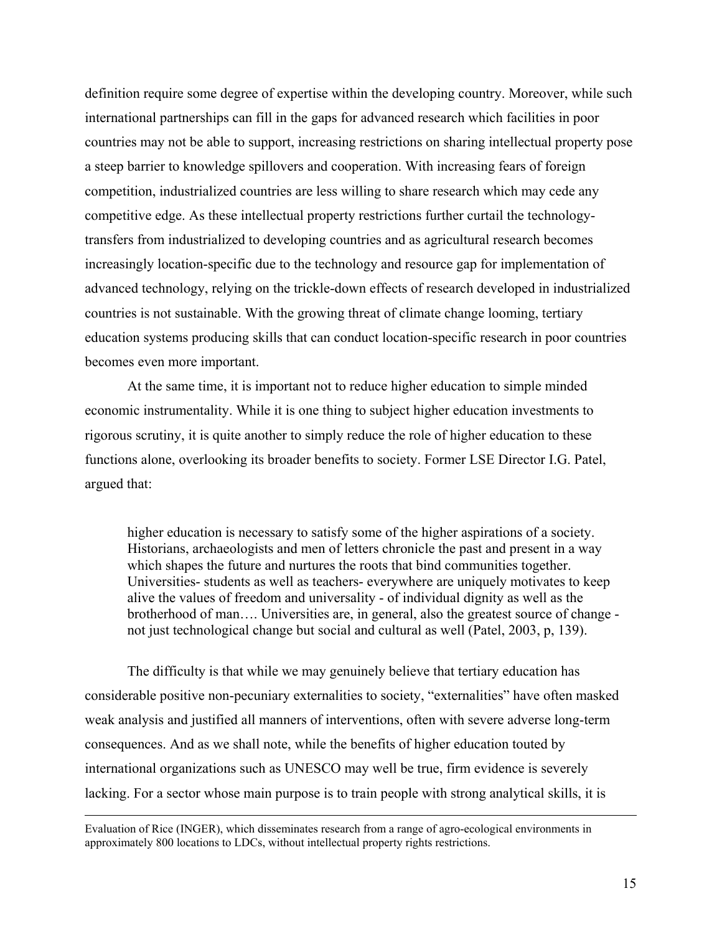definition require some degree of expertise within the developing country. Moreover, while such international partnerships can fill in the gaps for advanced research which facilities in poor countries may not be able to support, increasing restrictions on sharing intellectual property pose a steep barrier to knowledge spillovers and cooperation. With increasing fears of foreign competition, industrialized countries are less willing to share research which may cede any competitive edge. As these intellectual property restrictions further curtail the technologytransfers from industrialized to developing countries and as agricultural research becomes increasingly location-specific due to the technology and resource gap for implementation of advanced technology, relying on the trickle-down effects of research developed in industrialized countries is not sustainable. With the growing threat of climate change looming, tertiary education systems producing skills that can conduct location-specific research in poor countries becomes even more important.

At the same time, it is important not to reduce higher education to simple minded economic instrumentality. While it is one thing to subject higher education investments to rigorous scrutiny, it is quite another to simply reduce the role of higher education to these functions alone, overlooking its broader benefits to society. Former LSE Director I.G. Patel, argued that:

higher education is necessary to satisfy some of the higher aspirations of a society. Historians, archaeologists and men of letters chronicle the past and present in a way which shapes the future and nurtures the roots that bind communities together. Universities- students as well as teachers- everywhere are uniquely motivates to keep alive the values of freedom and universality - of individual dignity as well as the brotherhood of man…. Universities are, in general, also the greatest source of change not just technological change but social and cultural as well (Patel, 2003, p, 139).

The difficulty is that while we may genuinely believe that tertiary education has considerable positive non-pecuniary externalities to society, "externalities" have often masked weak analysis and justified all manners of interventions, often with severe adverse long-term consequences. And as we shall note, while the benefits of higher education touted by international organizations such as UNESCO may well be true, firm evidence is severely lacking. For a sector whose main purpose is to train people with strong analytical skills, it is

 Evaluation of Rice (INGER), which disseminates research from a range of agro-ecological environments in approximately 800 locations to LDCs, without intellectual property rights restrictions.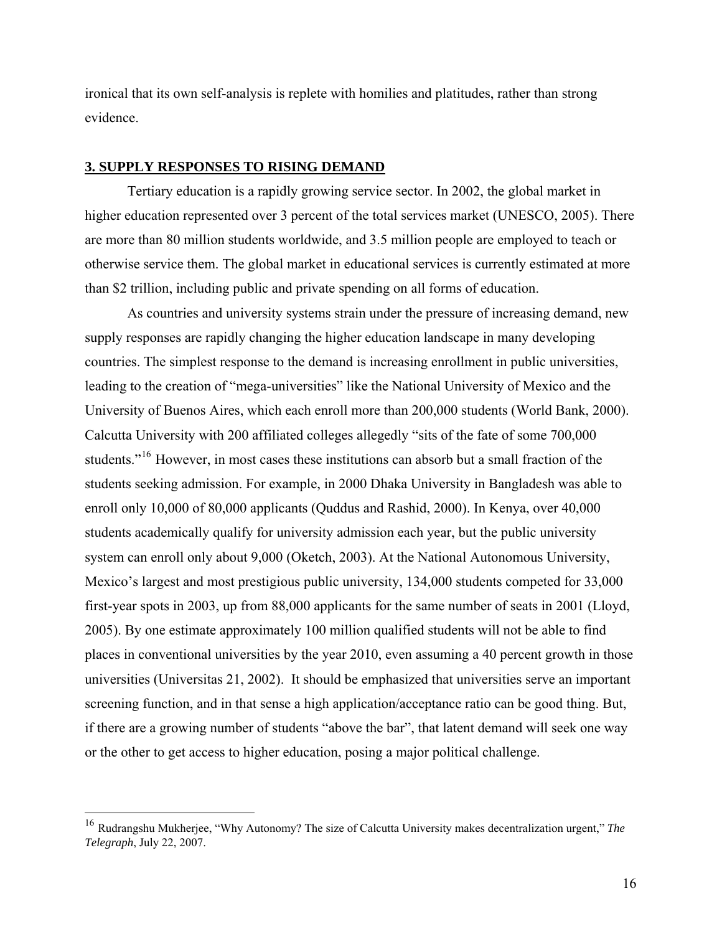ironical that its own self-analysis is replete with homilies and platitudes, rather than strong evidence.

#### **3. SUPPLY RESPONSES TO RISING DEMAND**

Tertiary education is a rapidly growing service sector. In 2002, the global market in higher education represented over 3 percent of the total services market (UNESCO, 2005). There are more than 80 million students worldwide, and 3.5 million people are employed to teach or otherwise service them. The global market in educational services is currently estimated at more than \$2 trillion, including public and private spending on all forms of education.

As countries and university systems strain under the pressure of increasing demand, new supply responses are rapidly changing the higher education landscape in many developing countries. The simplest response to the demand is increasing enrollment in public universities, leading to the creation of "mega-universities" like the National University of Mexico and the University of Buenos Aires, which each enroll more than 200,000 students (World Bank, 2000). Calcutta University with 200 affiliated colleges allegedly "sits of the fate of some 700,000 students."<sup>[16](#page-16-0)</sup> However, in most cases these institutions can absorb but a small fraction of the students seeking admission. For example, in 2000 Dhaka University in Bangladesh was able to enroll only 10,000 of 80,000 applicants (Quddus and Rashid, 2000). In Kenya, over 40,000 students academically qualify for university admission each year, but the public university system can enroll only about 9,000 (Oketch, 2003). At the National Autonomous University, Mexico's largest and most prestigious public university, 134,000 students competed for 33,000 first-year spots in 2003, up from 88,000 applicants for the same number of seats in 2001 (Lloyd, 2005). By one estimate approximately 100 million qualified students will not be able to find places in conventional universities by the year 2010, even assuming a 40 percent growth in those universities (Universitas 21, 2002). It should be emphasized that universities serve an important screening function, and in that sense a high application/acceptance ratio can be good thing. But, if there are a growing number of students "above the bar", that latent demand will seek one way or the other to get access to higher education, posing a major political challenge.

<span id="page-16-0"></span><sup>16</sup> Rudrangshu Mukherjee, "Why Autonomy? The size of Calcutta University makes decentralization urgent," *The Telegraph*, July 22, 2007.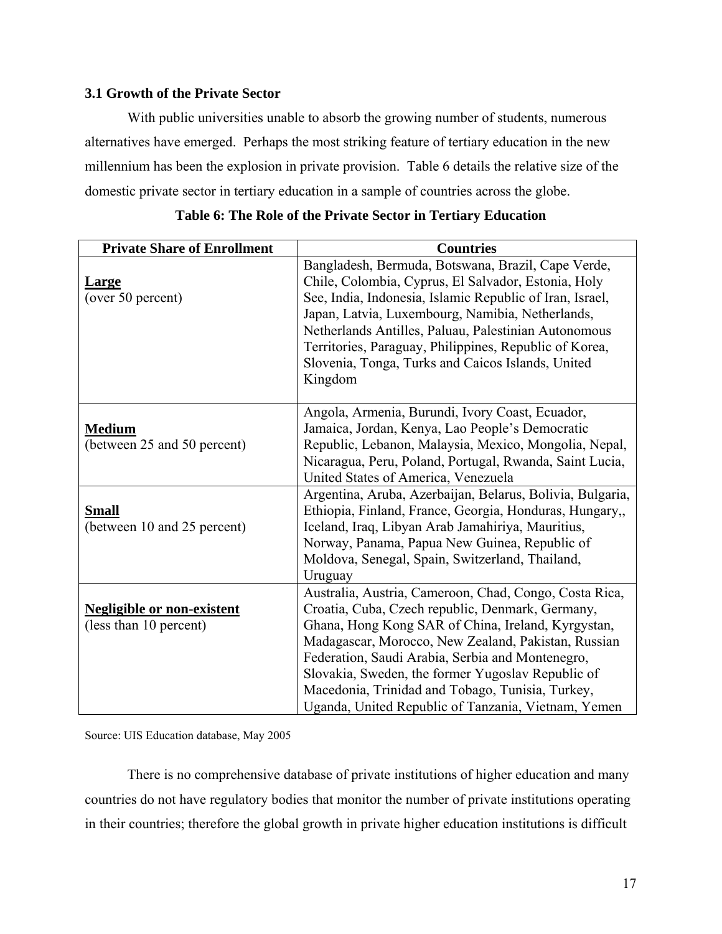# **3.1 Growth of the Private Sector**

With public universities unable to absorb the growing number of students, numerous alternatives have emerged. Perhaps the most striking feature of tertiary education in the new millennium has been the explosion in private provision. Table 6 details the relative size of the domestic private sector in tertiary education in a sample of countries across the globe.

| <b>Private Share of Enrollment</b> | <b>Countries</b>                                          |
|------------------------------------|-----------------------------------------------------------|
|                                    | Bangladesh, Bermuda, Botswana, Brazil, Cape Verde,        |
| <b>Large</b>                       | Chile, Colombia, Cyprus, El Salvador, Estonia, Holy       |
| (over 50 percent)                  | See, India, Indonesia, Islamic Republic of Iran, Israel,  |
|                                    | Japan, Latvia, Luxembourg, Namibia, Netherlands,          |
|                                    | Netherlands Antilles, Paluau, Palestinian Autonomous      |
|                                    | Territories, Paraguay, Philippines, Republic of Korea,    |
|                                    | Slovenia, Tonga, Turks and Caicos Islands, United         |
|                                    | Kingdom                                                   |
|                                    |                                                           |
|                                    | Angola, Armenia, Burundi, Ivory Coast, Ecuador,           |
| <b>Medium</b>                      | Jamaica, Jordan, Kenya, Lao People's Democratic           |
| (between 25 and 50 percent)        | Republic, Lebanon, Malaysia, Mexico, Mongolia, Nepal,     |
|                                    | Nicaragua, Peru, Poland, Portugal, Rwanda, Saint Lucia,   |
|                                    | United States of America, Venezuela                       |
|                                    | Argentina, Aruba, Azerbaijan, Belarus, Bolivia, Bulgaria, |
| <b>Small</b>                       | Ethiopia, Finland, France, Georgia, Honduras, Hungary,,   |
| (between 10 and 25 percent)        | Iceland, Iraq, Libyan Arab Jamahiriya, Mauritius,         |
|                                    | Norway, Panama, Papua New Guinea, Republic of             |
|                                    | Moldova, Senegal, Spain, Switzerland, Thailand,           |
|                                    | Uruguay                                                   |
|                                    | Australia, Austria, Cameroon, Chad, Congo, Costa Rica,    |
| <b>Negligible or non-existent</b>  | Croatia, Cuba, Czech republic, Denmark, Germany,          |
| (less than 10 percent)             | Ghana, Hong Kong SAR of China, Ireland, Kyrgystan,        |
|                                    | Madagascar, Morocco, New Zealand, Pakistan, Russian       |
|                                    | Federation, Saudi Arabia, Serbia and Montenegro,          |
|                                    | Slovakia, Sweden, the former Yugoslav Republic of         |
|                                    | Macedonia, Trinidad and Tobago, Tunisia, Turkey,          |
|                                    | Uganda, United Republic of Tanzania, Vietnam, Yemen       |

|  |  | Table 6: The Role of the Private Sector in Tertiary Education |  |  |  |
|--|--|---------------------------------------------------------------|--|--|--|
|--|--|---------------------------------------------------------------|--|--|--|

Source: UIS Education database, May 2005

There is no comprehensive database of private institutions of higher education and many countries do not have regulatory bodies that monitor the number of private institutions operating in their countries; therefore the global growth in private higher education institutions is difficult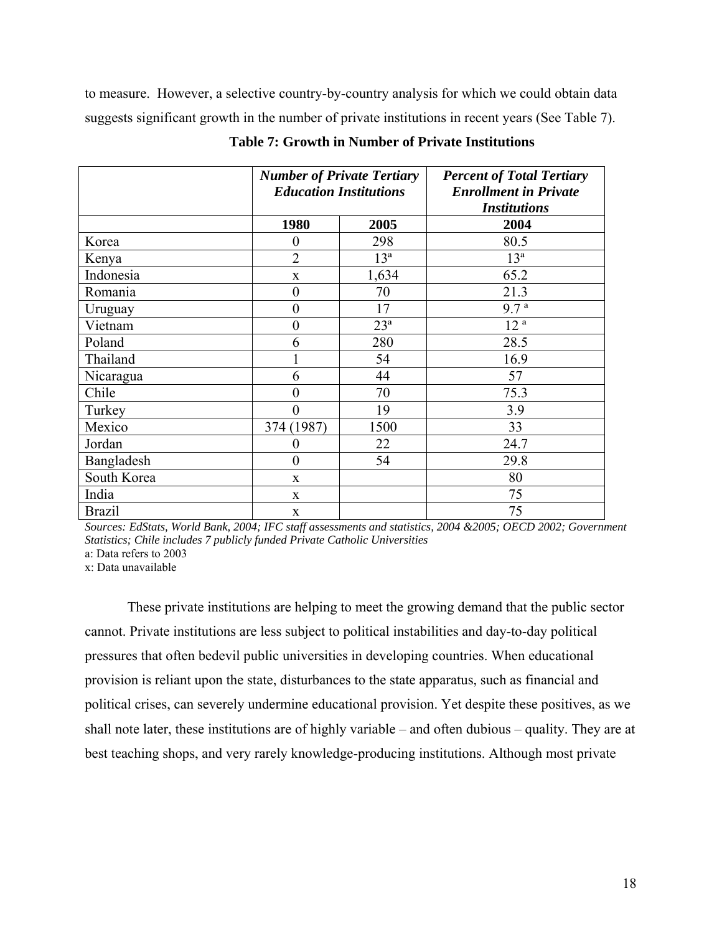to measure. However, a selective country-by-country analysis for which we could obtain data suggests significant growth in the number of private institutions in recent years (See Table 7).

|               | <b>Number of Private Tertiary</b><br><b>Education Institutions</b> |                 | <b>Percent of Total Tertiary</b><br><b>Enrollment in Private</b><br><b>Institutions</b> |
|---------------|--------------------------------------------------------------------|-----------------|-----------------------------------------------------------------------------------------|
|               | 1980                                                               | 2005            | 2004                                                                                    |
| Korea         | $\boldsymbol{0}$                                                   | 298             | 80.5                                                                                    |
| Kenya         | $\overline{2}$                                                     | 13 <sup>a</sup> | 13 <sup>a</sup>                                                                         |
| Indonesia     | X                                                                  | 1,634           | 65.2                                                                                    |
| Romania       | $\boldsymbol{0}$                                                   | 70              | 21.3                                                                                    |
| Uruguay       | $\boldsymbol{0}$                                                   | 17              | 9.7 <sup>a</sup>                                                                        |
| Vietnam       | $\boldsymbol{0}$                                                   | 23 <sup>a</sup> | 12 <sup>a</sup>                                                                         |
| Poland        | 6                                                                  | 280             | 28.5                                                                                    |
| Thailand      |                                                                    | 54              | 16.9                                                                                    |
| Nicaragua     | 6                                                                  | 44              | 57                                                                                      |
| Chile         | $\overline{0}$                                                     | 70              | 75.3                                                                                    |
| Turkey        | $\overline{0}$                                                     | 19              | 3.9                                                                                     |
| Mexico        | 374 (1987)                                                         | 1500            | 33                                                                                      |
| Jordan        | $\theta$                                                           | 22              | 24.7                                                                                    |
| Bangladesh    | $\overline{0}$                                                     | 54              | 29.8                                                                                    |
| South Korea   | X                                                                  |                 | 80                                                                                      |
| India         | X                                                                  |                 | 75                                                                                      |
| <b>Brazil</b> | X                                                                  |                 | 75                                                                                      |

| <b>Table 7: Growth in Number of Private Institutions</b> |  |
|----------------------------------------------------------|--|
|----------------------------------------------------------|--|

*Sources: EdStats, World Bank, 2004; IFC staff assessments and statistics, 2004 &2005; OECD 2002; Government Statistics; Chile includes 7 publicly funded Private Catholic Universities*

a: Data refers to 2003

x: Data unavailable

These private institutions are helping to meet the growing demand that the public sector cannot. Private institutions are less subject to political instabilities and day-to-day political pressures that often bedevil public universities in developing countries. When educational provision is reliant upon the state, disturbances to the state apparatus, such as financial and political crises, can severely undermine educational provision. Yet despite these positives, as we shall note later, these institutions are of highly variable – and often dubious – quality. They are at best teaching shops, and very rarely knowledge-producing institutions. Although most private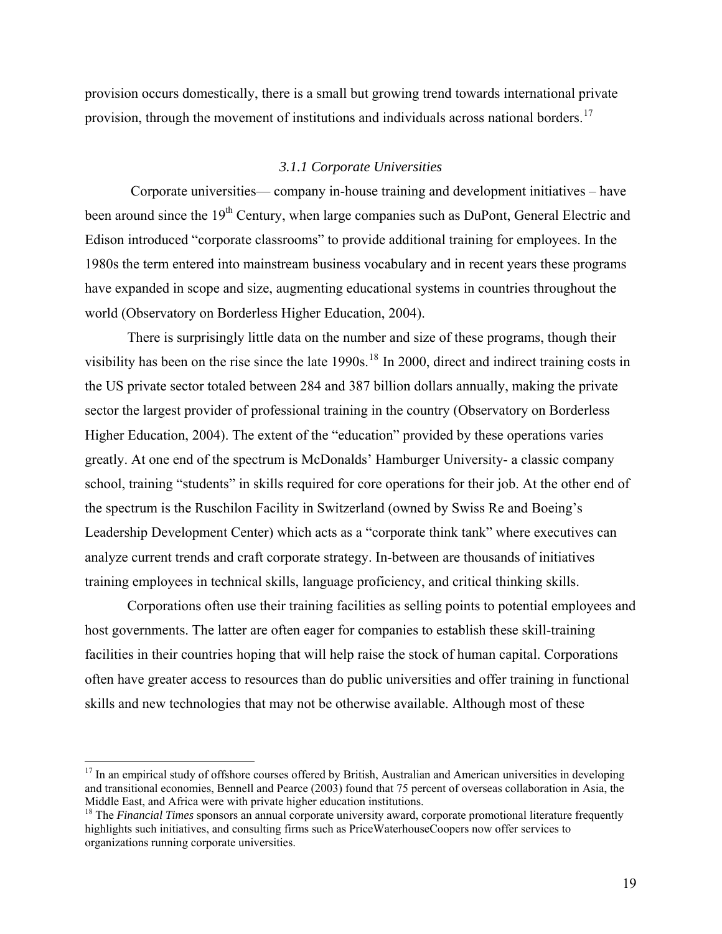provision occurs domestically, there is a small but growing trend towards international private provision, through the movement of institutions and individuals across national borders.<sup>[17](#page-19-0)</sup>

### *3.1.1 Corporate Universities*

 Corporate universities— company in-house training and development initiatives – have been around since the 19<sup>th</sup> Century, when large companies such as DuPont, General Electric and Edison introduced "corporate classrooms" to provide additional training for employees. In the 1980s the term entered into mainstream business vocabulary and in recent years these programs have expanded in scope and size, augmenting educational systems in countries throughout the world (Observatory on Borderless Higher Education, 2004).

 There is surprisingly little data on the number and size of these programs, though their visibility has been on the rise since the late  $1990s$ .<sup>[18](#page-19-1)</sup> In 2000, direct and indirect training costs in the US private sector totaled between 284 and 387 billion dollars annually, making the private sector the largest provider of professional training in the country (Observatory on Borderless Higher Education, 2004). The extent of the "education" provided by these operations varies greatly. At one end of the spectrum is McDonalds' Hamburger University- a classic company school, training "students" in skills required for core operations for their job. At the other end of the spectrum is the Ruschilon Facility in Switzerland (owned by Swiss Re and Boeing's Leadership Development Center) which acts as a "corporate think tank" where executives can analyze current trends and craft corporate strategy. In-between are thousands of initiatives training employees in technical skills, language proficiency, and critical thinking skills.

Corporations often use their training facilities as selling points to potential employees and host governments. The latter are often eager for companies to establish these skill-training facilities in their countries hoping that will help raise the stock of human capital. Corporations often have greater access to resources than do public universities and offer training in functional skills and new technologies that may not be otherwise available. Although most of these

<span id="page-19-0"></span> $17$  In an empirical study of offshore courses offered by British, Australian and American universities in developing and transitional economies, Bennell and Pearce (2003) found that 75 percent of overseas collaboration in Asia, the Middle East, and Africa were with private higher education institutions.

<span id="page-19-1"></span><sup>&</sup>lt;sup>18</sup> The *Financial Times* sponsors an annual corporate university award, corporate promotional literature frequently highlights such initiatives, and consulting firms such as PriceWaterhouseCoopers now offer services to organizations running corporate universities.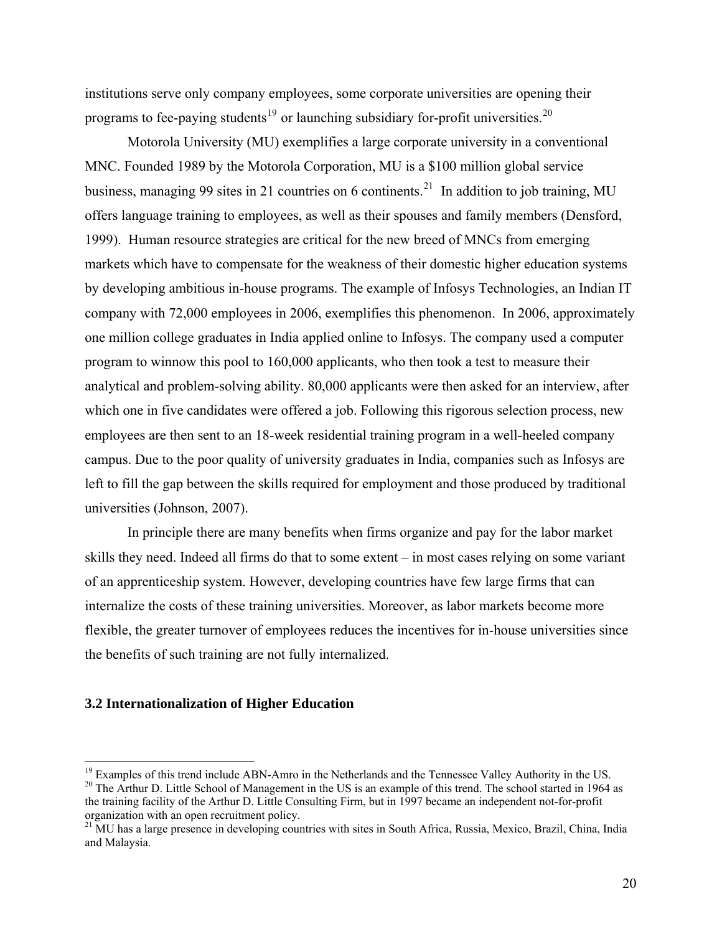institutions serve only company employees, some corporate universities are opening their programs to fee-paying students<sup>[19](#page-20-0)</sup> or launching subsidiary for-profit universities.<sup>20</sup>

Motorola University (MU) exemplifies a large corporate university in a conventional MNC. Founded 1989 by the Motorola Corporation, MU is a \$100 million global service business, managing 99 sites in [21](#page-20-2) countries on 6 continents.<sup>21</sup> In addition to job training, MU offers language training to employees, as well as their spouses and family members (Densford, 1999). Human resource strategies are critical for the new breed of MNCs from emerging markets which have to compensate for the weakness of their domestic higher education systems by developing ambitious in-house programs. The example of Infosys Technologies, an Indian IT company with 72,000 employees in 2006, exemplifies this phenomenon. In 2006, approximately one million college graduates in India applied online to Infosys. The company used a computer program to winnow this pool to 160,000 applicants, who then took a test to measure their analytical and problem-solving ability. 80,000 applicants were then asked for an interview, after which one in five candidates were offered a job. Following this rigorous selection process, new employees are then sent to an 18-week residential training program in a well-heeled company campus. Due to the poor quality of university graduates in India, companies such as Infosys are left to fill the gap between the skills required for employment and those produced by traditional universities (Johnson, 2007).

In principle there are many benefits when firms organize and pay for the labor market skills they need. Indeed all firms do that to some extent – in most cases relying on some variant of an apprenticeship system. However, developing countries have few large firms that can internalize the costs of these training universities. Moreover, as labor markets become more flexible, the greater turnover of employees reduces the incentives for in-house universities since the benefits of such training are not fully internalized.

### **3.2 Internationalization of Higher Education**

<span id="page-20-0"></span><sup>&</sup>lt;sup>19</sup> Examples of this trend include ABN-Amro in the Netherlands and the Tennessee Valley Authority in the US.

<span id="page-20-1"></span> $10^{20}$  The Arthur D. Little School of Management in the US is an example of this trend. The school started in 1964 as the training facility of the Arthur D. Little Consulting Firm, but in 1997 became an independent not-for-profit organization with an open recruitment policy.

<span id="page-20-2"></span><sup>&</sup>lt;sup>21</sup> MU has a large presence in developing countries with sites in South Africa, Russia, Mexico, Brazil, China, India and Malaysia.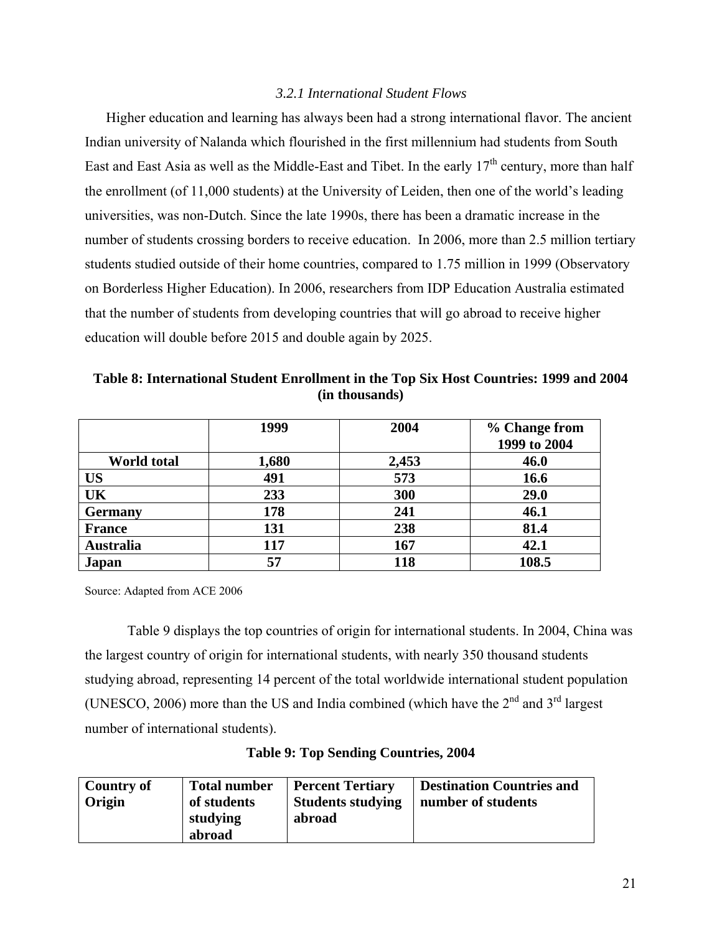### *3.2.1 International Student Flows*

Higher education and learning has always been had a strong international flavor. The ancient Indian university of Nalanda which flourished in the first millennium had students from South East and East Asia as well as the Middle-East and Tibet. In the early  $17<sup>th</sup>$  century, more than half the enrollment (of 11,000 students) at the University of Leiden, then one of the world's leading universities, was non-Dutch. Since the late 1990s, there has been a dramatic increase in the number of students crossing borders to receive education. In 2006, more than 2.5 million tertiary students studied outside of their home countries, compared to 1.75 million in 1999 (Observatory on Borderless Higher Education). In 2006, researchers from IDP Education Australia estimated that the number of students from developing countries that will go abroad to receive higher education will double before 2015 and double again by 2025.

| Table 8: International Student Enrollment in the Top Six Host Countries: 1999 and 2004 |
|----------------------------------------------------------------------------------------|
| (in thousands)                                                                         |

|                    | 1999  | 2004  | % Change from<br>1999 to 2004 |
|--------------------|-------|-------|-------------------------------|
| <b>World total</b> | 1,680 | 2,453 | 46.0                          |
| <b>US</b>          | 491   | 573   | 16.6                          |
| UK                 | 233   | 300   | 29.0                          |
| <b>Germany</b>     | 178   | 241   | 46.1                          |
| <b>France</b>      | 131   | 238   | 81.4                          |
| <b>Australia</b>   | 117   | 167   | 42.1                          |
| Japan              | 57    | 118   | 108.5                         |

Source: Adapted from ACE 2006

Table 9 displays the top countries of origin for international students. In 2004, China was the largest country of origin for international students, with nearly 350 thousand students studying abroad, representing 14 percent of the total worldwide international student population (UNESCO, 2006) more than the US and India combined (which have the  $2<sup>nd</sup>$  and  $3<sup>rd</sup>$  largest number of international students).

| <b>Country of</b><br>Origin | <b>Total number</b><br>of students<br>studying | <b>Percent Tertiary</b><br><b>Students studying</b><br>abroad | <b>Destination Countries and</b><br>number of students |
|-----------------------------|------------------------------------------------|---------------------------------------------------------------|--------------------------------------------------------|
|                             | abroad                                         |                                                               |                                                        |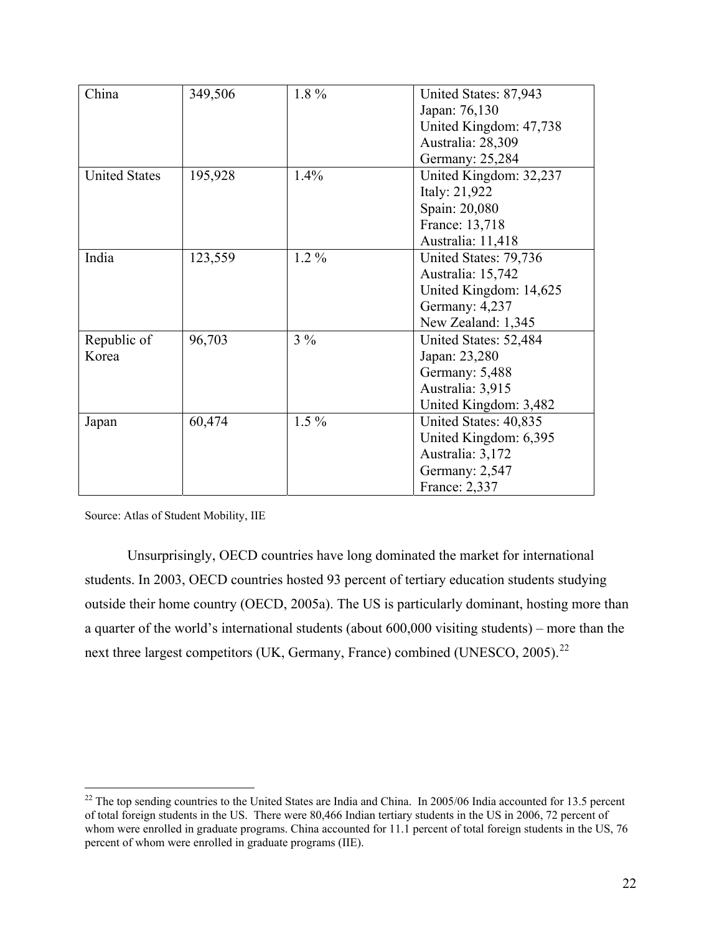| China                | 349,506 | 1.8%    | United States: 87,943  |
|----------------------|---------|---------|------------------------|
|                      |         |         | Japan: 76,130          |
|                      |         |         | United Kingdom: 47,738 |
|                      |         |         | Australia: 28,309      |
|                      |         |         | Germany: 25,284        |
| <b>United States</b> | 195,928 | 1.4%    | United Kingdom: 32,237 |
|                      |         |         | Italy: 21,922          |
|                      |         |         | Spain: 20,080          |
|                      |         |         | France: 13,718         |
|                      |         |         | Australia: 11,418      |
| India                | 123,559 | $1.2\%$ | United States: 79,736  |
|                      |         |         | Australia: 15,742      |
|                      |         |         | United Kingdom: 14,625 |
|                      |         |         | Germany: 4,237         |
|                      |         |         | New Zealand: 1,345     |
| Republic of          | 96,703  | $3\%$   | United States: 52,484  |
| Korea                |         |         | Japan: 23,280          |
|                      |         |         | Germany: 5,488         |
|                      |         |         | Australia: 3,915       |
|                      |         |         | United Kingdom: 3,482  |
| Japan                | 60,474  | $1.5\%$ | United States: 40,835  |
|                      |         |         | United Kingdom: 6,395  |
|                      |         |         | Australia: 3,172       |
|                      |         |         | Germany: 2,547         |
|                      |         |         | France: 2,337          |

Source: Atlas of Student Mobility, IIE

 $\overline{a}$ 

Unsurprisingly, OECD countries have long dominated the market for international students. In 2003, OECD countries hosted 93 percent of tertiary education students studying outside their home country (OECD, 2005a). The US is particularly dominant, hosting more than a quarter of the world's international students (about 600,000 visiting students) – more than the next three largest competitors (UK, Germany, France) combined (UNESCO, 2005).<sup>[22](#page-22-0)</sup>

<span id="page-22-0"></span> $^{22}$  The top sending countries to the United States are India and China. In 2005/06 India accounted for 13.5 percent of total foreign students in the US. There were 80,466 Indian tertiary students in the US in 2006, 72 percent of whom were enrolled in graduate programs. China accounted for 11.1 percent of total foreign students in the US, 76 percent of whom were enrolled in graduate programs (IIE).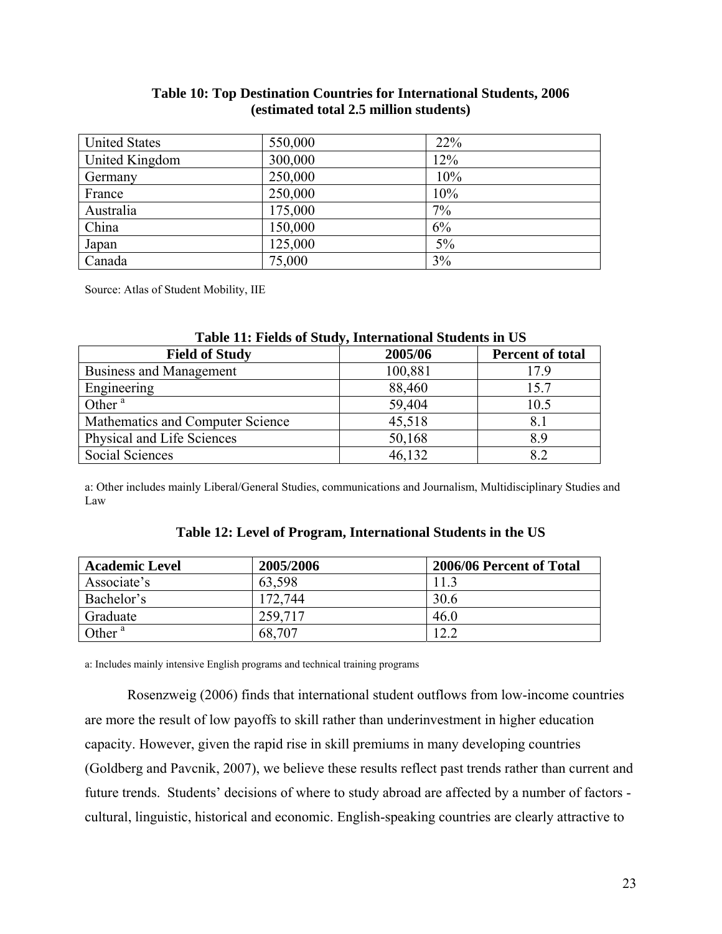## **Table 10: Top Destination Countries for International Students, 2006 (estimated total 2.5 million students)**

| <b>United States</b> | 550,000 | 22% |
|----------------------|---------|-----|
| United Kingdom       | 300,000 | 12% |
| Germany              | 250,000 | 10% |
| France               | 250,000 | 10% |
| Australia            | 175,000 | 7%  |
| China                | 150,000 | 6%  |
| Japan                | 125,000 | 5%  |
| Canada               | 75,000  | 3%  |

Source: Atlas of Student Mobility, IIE

| <b>Field of Study</b>            | 2005/06 | <b>Percent of total</b> |  |  |
|----------------------------------|---------|-------------------------|--|--|
| <b>Business and Management</b>   | 100,881 | 17.9                    |  |  |
| Engineering                      | 88,460  | 15.7                    |  |  |
| Other $a$                        | 59,404  | 10.5                    |  |  |
| Mathematics and Computer Science | 45,518  |                         |  |  |
| Physical and Life Sciences       | 50,168  | 8.9                     |  |  |
| Social Sciences                  | 46,132  | 8.2                     |  |  |

## **Table 11: Fields of Study, International Students in US**

a: Other includes mainly Liberal/General Studies, communications and Journalism, Multidisciplinary Studies and Law

| <b>Academic Level</b> | 2005/2006 | 2006/06 Percent of Total |
|-----------------------|-----------|--------------------------|
| Associate's           | 63,598    | 113                      |
| Bachelor's            | 172,744   | 30.6                     |
| Graduate              | 259,717   | 46.0                     |
| Other $a$             | 68,707    | 12.2                     |

a: Includes mainly intensive English programs and technical training programs

Rosenzweig (2006) finds that international student outflows from low-income countries are more the result of low payoffs to skill rather than underinvestment in higher education capacity. However, given the rapid rise in skill premiums in many developing countries (Goldberg and Pavcnik, 2007), we believe these results reflect past trends rather than current and future trends. Students' decisions of where to study abroad are affected by a number of factors cultural, linguistic, historical and economic. English-speaking countries are clearly attractive to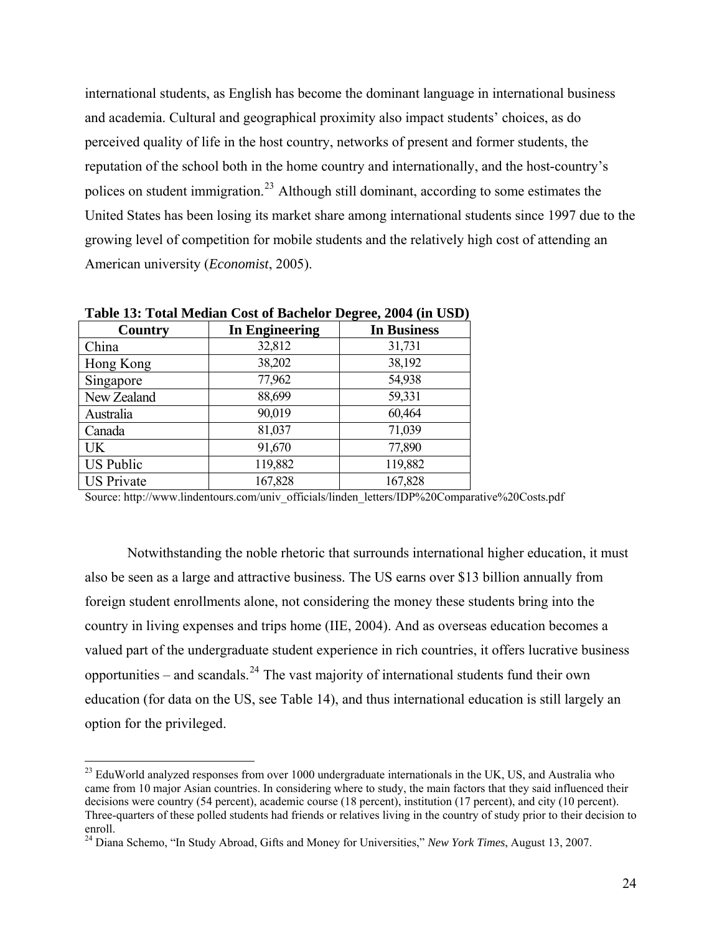international students, as English has become the dominant language in international business and academia. Cultural and geographical proximity also impact students' choices, as do perceived quality of life in the host country, networks of present and former students, the reputation of the school both in the home country and internationally, and the host-country's polices on student immigration.<sup>[23](#page-24-0)</sup> Although still dominant, according to some estimates the United States has been losing its market share among international students since 1997 due to the growing level of competition for mobile students and the relatively high cost of attending an American university (*Economist*, 2005).

| Table 15. Fotal biculari Cost of Dachelof Degree, 2004 (iii CSD) |                       |                    |  |  |
|------------------------------------------------------------------|-----------------------|--------------------|--|--|
| Country                                                          | <b>In Engineering</b> | <b>In Business</b> |  |  |
| China                                                            | 32,812                | 31,731             |  |  |
| Hong Kong                                                        | 38,202                | 38,192             |  |  |
| Singapore                                                        | 77,962                | 54,938             |  |  |
| New Zealand                                                      | 88,699                | 59,331             |  |  |
| Australia                                                        | 90,019                | 60,464             |  |  |
| Canada                                                           | 81,037                | 71,039             |  |  |
| <b>UK</b>                                                        | 91,670                | 77,890             |  |  |
| <b>US Public</b>                                                 | 119,882               | 119,882            |  |  |
| <b>US Private</b>                                                | 167,828               | 167,828            |  |  |

 $\overline{a}$ 

**Table 13: Total Median Cost of Bachelor Degree, 2004 (in USD)**

Source: http://www.lindentours.com/univ\_officials/linden\_letters/IDP%20Comparative%20Costs.pdf

Notwithstanding the noble rhetoric that surrounds international higher education, it must also be seen as a large and attractive business. The US earns over \$13 billion annually from foreign student enrollments alone, not considering the money these students bring into the country in living expenses and trips home (IIE, 2004). And as overseas education becomes a valued part of the undergraduate student experience in rich countries, it offers lucrative business opportunities – and scandals.<sup>[24](#page-24-1)</sup> The vast majority of international students fund their own education (for data on the US, see Table 14), and thus international education is still largely an option for the privileged.

<span id="page-24-0"></span><sup>&</sup>lt;sup>23</sup> EduWorld analyzed responses from over 1000 undergraduate internationals in the UK, US, and Australia who came from 10 major Asian countries. In considering where to study, the main factors that they said influenced their decisions were country (54 percent), academic course (18 percent), institution (17 percent), and city (10 percent). Three-quarters of these polled students had friends or relatives living in the country of study prior to their decision to enroll.

<span id="page-24-1"></span><sup>24</sup> Diana Schemo, "In Study Abroad, Gifts and Money for Universities," *New York Times*, August 13, 2007.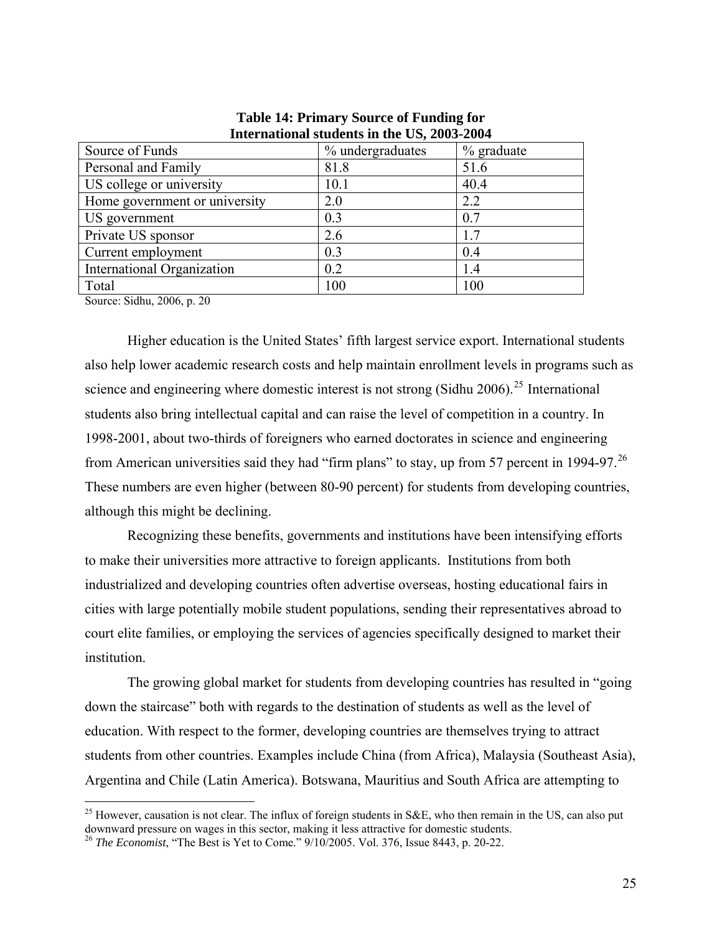| Source of Funds               | % undergraduates | $%$ graduate |
|-------------------------------|------------------|--------------|
| Personal and Family           | 81.8             | 51.6         |
| US college or university      | 10.1             | 40.4         |
| Home government or university | 2.0              | 2.2          |
| US government                 | 0.3              | 0.7          |
| Private US sponsor            | 2.6              | 1.7          |
| Current employment            | 0.3              | 0.4          |
| International Organization    | 0.2              | 1.4          |
| Total                         | 100              | 100          |

**Table 14: Primary Source of Funding for International students in the US, 2003-2004** 

Source: Sidhu, 2006, p. 20

1

Higher education is the United States' fifth largest service export. International students also help lower academic research costs and help maintain enrollment levels in programs such as science and engineering where domestic interest is not strong (Sidhu 2006).<sup>[25](#page-25-0)</sup> International students also bring intellectual capital and can raise the level of competition in a country. In 1998-2001, about two-thirds of foreigners who earned doctorates in science and engineering from American universities said they had "firm plans" to stay, up from 57 percent in 1994-97.<sup>[26](#page-25-1)</sup> These numbers are even higher (between 80-90 percent) for students from developing countries, although this might be declining.

Recognizing these benefits, governments and institutions have been intensifying efforts to make their universities more attractive to foreign applicants. Institutions from both industrialized and developing countries often advertise overseas, hosting educational fairs in cities with large potentially mobile student populations, sending their representatives abroad to court elite families, or employing the services of agencies specifically designed to market their institution.

The growing global market for students from developing countries has resulted in "going down the staircase" both with regards to the destination of students as well as the level of education. With respect to the former, developing countries are themselves trying to attract students from other countries. Examples include China (from Africa), Malaysia (Southeast Asia), Argentina and Chile (Latin America). Botswana, Mauritius and South Africa are attempting to

<span id="page-25-0"></span><sup>&</sup>lt;sup>25</sup> However, causation is not clear. The influx of foreign students in  $S\&E$ , who then remain in the US, can also put downward pressure on wages in this sector, making it less attractive for domestic students.

<span id="page-25-1"></span><sup>&</sup>lt;sup>26</sup> The Economist, "The Best is Yet to Come."  $9/10/2005$ . Vol. 376, Issue 8443, p. 20-22.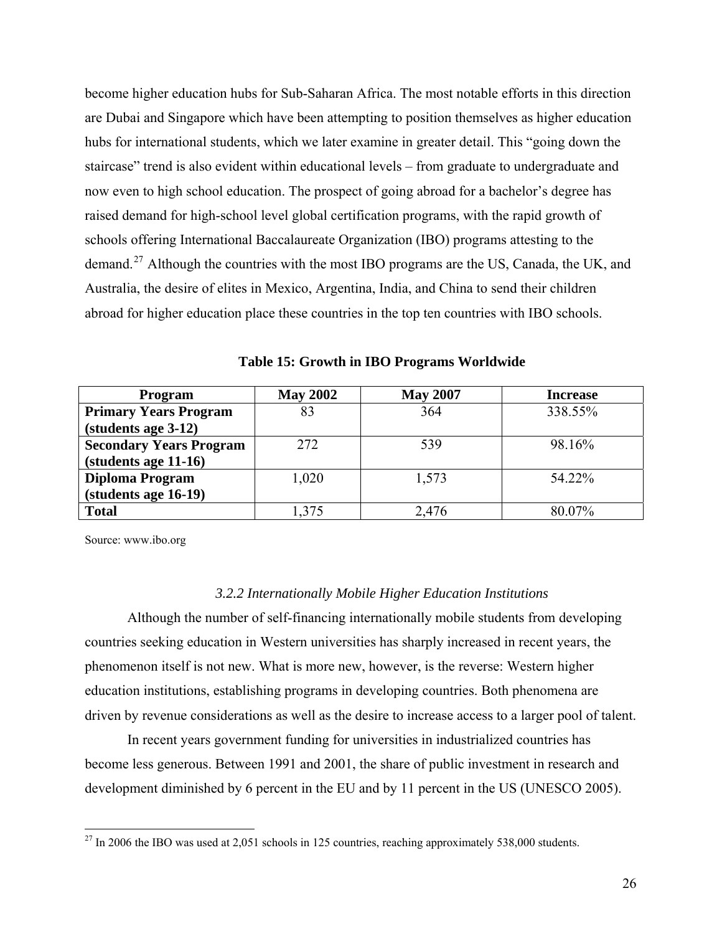become higher education hubs for Sub-Saharan Africa. The most notable efforts in this direction are Dubai and Singapore which have been attempting to position themselves as higher education hubs for international students, which we later examine in greater detail. This "going down the staircase" trend is also evident within educational levels – from graduate to undergraduate and now even to high school education. The prospect of going abroad for a bachelor's degree has raised demand for high-school level global certification programs, with the rapid growth of schools offering International Baccalaureate Organization (IBO) programs attesting to the demand.[27](#page-26-0) Although the countries with the most IBO programs are the US, Canada, the UK, and Australia, the desire of elites in Mexico, Argentina, India, and China to send their children abroad for higher education place these countries in the top ten countries with IBO schools.

| <b>Program</b>                 | <b>May 2002</b> | <b>May 2007</b> | <b>Increase</b> |
|--------------------------------|-----------------|-----------------|-----------------|
| <b>Primary Years Program</b>   | 83              | 364             | 338.55%         |
| (students age 3-12)            |                 |                 |                 |
| <b>Secondary Years Program</b> | 272             | 539             | 98.16%          |
| $(statedents age 11-16)$       |                 |                 |                 |
| Diploma Program                | 1,020           | 1,573           | 54.22%          |
| (students age 16-19)           |                 |                 |                 |
| <b>Total</b>                   |                 | 2,476           | 80.07%          |

**Table 15: Growth in IBO Programs Worldwide** 

Source: www.ibo.org

 $\overline{a}$ 

### *3.2.2 Internationally Mobile Higher Education Institutions*

Although the number of self-financing internationally mobile students from developing countries seeking education in Western universities has sharply increased in recent years, the phenomenon itself is not new. What is more new, however, is the reverse: Western higher education institutions, establishing programs in developing countries. Both phenomena are driven by revenue considerations as well as the desire to increase access to a larger pool of talent.

In recent years government funding for universities in industrialized countries has become less generous. Between 1991 and 2001, the share of public investment in research and development diminished by 6 percent in the EU and by 11 percent in the US (UNESCO 2005).

<span id="page-26-0"></span> $^{27}$  In 2006 the IBO was used at 2,051 schools in 125 countries, reaching approximately 538,000 students.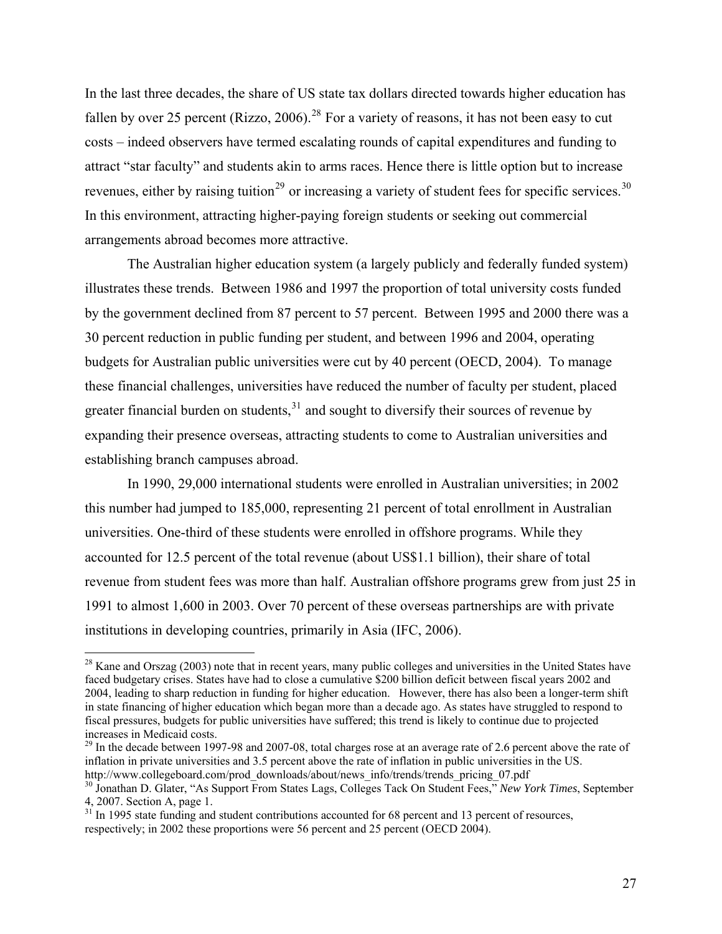In the last three decades, the share of US state tax dollars directed towards higher education has fallen by over 25 percent (Rizzo, 2006).<sup>[28](#page-27-0)</sup> For a variety of reasons, it has not been easy to cut costs – indeed observers have termed escalating rounds of capital expenditures and funding to attract "star faculty" and students akin to arms races. Hence there is little option but to increase revenues, either by raising tuition<sup>[29](#page-27-1)</sup> or increasing a variety of student fees for specific services.<sup>[30](#page-27-2)</sup> In this environment, attracting higher-paying foreign students or seeking out commercial arrangements abroad becomes more attractive.

The Australian higher education system (a largely publicly and federally funded system) illustrates these trends. Between 1986 and 1997 the proportion of total university costs funded by the government declined from 87 percent to 57 percent. Between 1995 and 2000 there was a 30 percent reduction in public funding per student, and between 1996 and 2004, operating budgets for Australian public universities were cut by 40 percent (OECD, 2004). To manage these financial challenges, universities have reduced the number of faculty per student, placed greater financial burden on students, $31$  and sought to diversify their sources of revenue by expanding their presence overseas, attracting students to come to Australian universities and establishing branch campuses abroad.

In 1990, 29,000 international students were enrolled in Australian universities; in 2002 this number had jumped to 185,000, representing 21 percent of total enrollment in Australian universities. One-third of these students were enrolled in offshore programs. While they accounted for 12.5 percent of the total revenue (about US\$1.1 billion), their share of total revenue from student fees was more than half. Australian offshore programs grew from just 25 in 1991 to almost 1,600 in 2003. Over 70 percent of these overseas partnerships are with private institutions in developing countries, primarily in Asia (IFC, 2006).

<span id="page-27-0"></span> $28$  Kane and Orszag (2003) note that in recent years, many public colleges and universities in the United States have faced budgetary crises. States have had to close a cumulative \$200 billion deficit between fiscal years 2002 and 2004, leading to sharp reduction in funding for higher education. However, there has also been a longer-term shift in state financing of higher education which began more than a decade ago. As states have struggled to respond to fiscal pressures, budgets for public universities have suffered; this trend is likely to continue due to projected increases in Medicaid costs.

<span id="page-27-1"></span> $29$  In the decade between 1997-98 and 2007-08, total charges rose at an average rate of 2.6 percent above the rate of inflation in private universities and 3.5 percent above the rate of inflation in public universities in the US.<br>http://www.collegeboard.com/prod\_downloads/about/news\_info/trends/trends\_pricing\_07.pdf

<span id="page-27-2"></span><sup>&</sup>lt;sup>30</sup> Jonathan D. Glater, "As Support From States Lags, Colleges Tack On Student Fees," *New York Times*, September 4, 2007. Section A, page 1.

<span id="page-27-3"></span><sup>&</sup>lt;sup>31</sup> In 1995 state funding and student contributions accounted for 68 percent and 13 percent of resources, respectively; in 2002 these proportions were 56 percent and 25 percent (OECD 2004).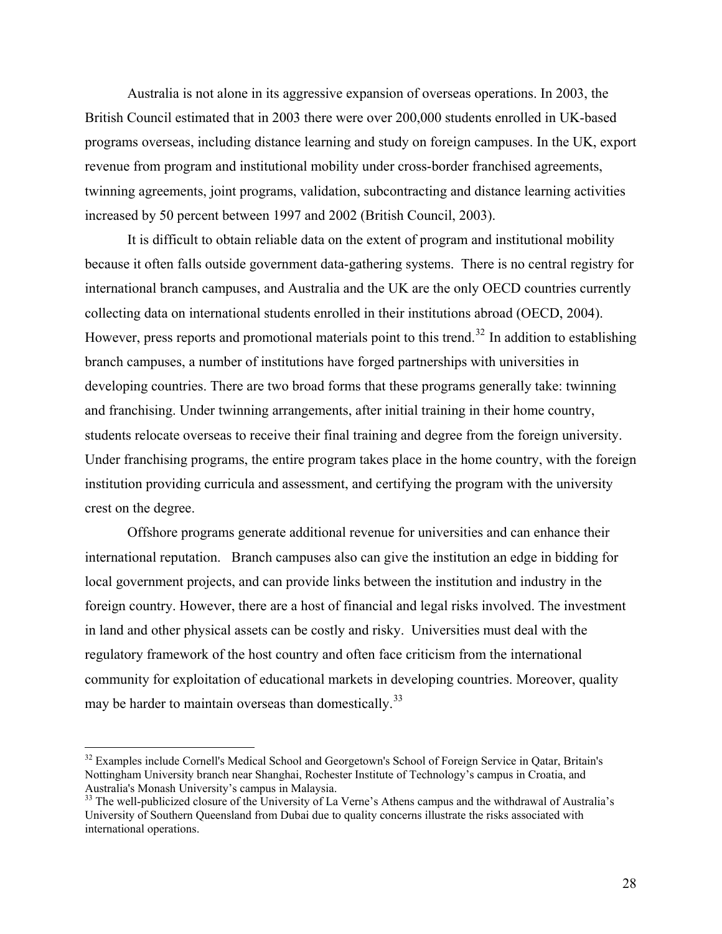Australia is not alone in its aggressive expansion of overseas operations. In 2003, the British Council estimated that in 2003 there were over 200,000 students enrolled in UK-based programs overseas, including distance learning and study on foreign campuses. In the UK, export revenue from program and institutional mobility under cross-border franchised agreements, twinning agreements, joint programs, validation, subcontracting and distance learning activities increased by 50 percent between 1997 and 2002 (British Council, 2003).

It is difficult to obtain reliable data on the extent of program and institutional mobility because it often falls outside government data-gathering systems. There is no central registry for international branch campuses, and Australia and the UK are the only OECD countries currently collecting data on international students enrolled in their institutions abroad (OECD, 2004). However, press reports and promotional materials point to this trend.<sup>[32](#page-28-0)</sup> In addition to establishing branch campuses, a number of institutions have forged partnerships with universities in developing countries. There are two broad forms that these programs generally take: twinning and franchising. Under twinning arrangements, after initial training in their home country, students relocate overseas to receive their final training and degree from the foreign university. Under franchising programs, the entire program takes place in the home country, with the foreign institution providing curricula and assessment, and certifying the program with the university crest on the degree.

Offshore programs generate additional revenue for universities and can enhance their international reputation. Branch campuses also can give the institution an edge in bidding for local government projects, and can provide links between the institution and industry in the foreign country. However, there are a host of financial and legal risks involved. The investment in land and other physical assets can be costly and risky. Universities must deal with the regulatory framework of the host country and often face criticism from the international community for exploitation of educational markets in developing countries. Moreover, quality may be harder to maintain overseas than domestically.<sup>[33](#page-28-1)</sup>

<span id="page-28-0"></span><sup>&</sup>lt;sup>32</sup> Examples include Cornell's Medical School and Georgetown's School of Foreign Service in Qatar, Britain's Nottingham University branch near Shanghai, Rochester Institute of Technology's campus in Croatia, and Australia's Monash University's campus in Malaysia.

<span id="page-28-1"></span><sup>&</sup>lt;sup>33</sup> The well-publicized closure of the University of La Verne's Athens campus and the withdrawal of Australia's University of Southern Queensland from Dubai due to quality concerns illustrate the risks associated with international operations.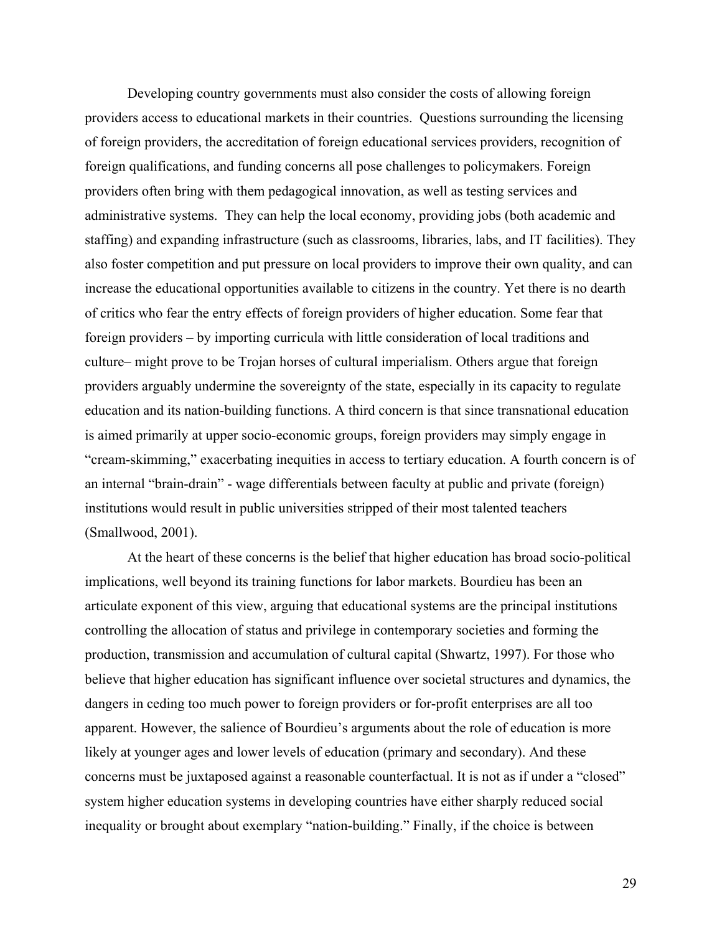Developing country governments must also consider the costs of allowing foreign providers access to educational markets in their countries. Questions surrounding the licensing of foreign providers, the accreditation of foreign educational services providers, recognition of foreign qualifications, and funding concerns all pose challenges to policymakers. Foreign providers often bring with them pedagogical innovation, as well as testing services and administrative systems. They can help the local economy, providing jobs (both academic and staffing) and expanding infrastructure (such as classrooms, libraries, labs, and IT facilities). They also foster competition and put pressure on local providers to improve their own quality, and can increase the educational opportunities available to citizens in the country. Yet there is no dearth of critics who fear the entry effects of foreign providers of higher education. Some fear that foreign providers – by importing curricula with little consideration of local traditions and culture– might prove to be Trojan horses of cultural imperialism. Others argue that foreign providers arguably undermine the sovereignty of the state, especially in its capacity to regulate education and its nation-building functions. A third concern is that since transnational education is aimed primarily at upper socio-economic groups, foreign providers may simply engage in "cream-skimming," exacerbating inequities in access to tertiary education. A fourth concern is of an internal "brain-drain" - wage differentials between faculty at public and private (foreign) institutions would result in public universities stripped of their most talented teachers (Smallwood, 2001).

At the heart of these concerns is the belief that higher education has broad socio-political implications, well beyond its training functions for labor markets. Bourdieu has been an articulate exponent of this view, arguing that educational systems are the principal institutions controlling the allocation of status and privilege in contemporary societies and forming the production, transmission and accumulation of cultural capital (Shwartz, 1997). For those who believe that higher education has significant influence over societal structures and dynamics, the dangers in ceding too much power to foreign providers or for-profit enterprises are all too apparent. However, the salience of Bourdieu's arguments about the role of education is more likely at younger ages and lower levels of education (primary and secondary). And these concerns must be juxtaposed against a reasonable counterfactual. It is not as if under a "closed" system higher education systems in developing countries have either sharply reduced social inequality or brought about exemplary "nation-building." Finally, if the choice is between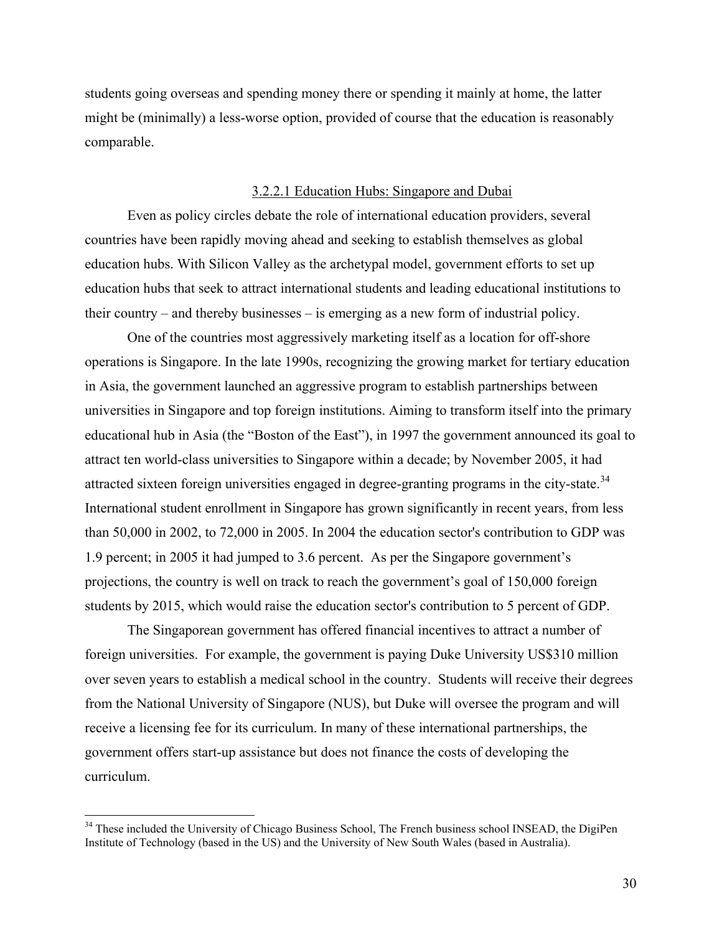students going overseas and spending money there or spending it mainly at home, the latter might be (minimally) a less-worse option, provided of course that the education is reasonably comparable.

#### 3.2.2.1 Education Hubs: Singapore and Dubai

Even as policy circles debate the role of international education providers, several countries have been rapidly moving ahead and seeking to establish themselves as global education hubs. With Silicon Valley as the archetypal model, government efforts to set up education hubs that seek to attract international students and leading educational institutions to their country – and thereby businesses – is emerging as a new form of industrial policy.

One of the countries most aggressively marketing itself as a location for off-shore operations is Singapore. In the late 1990s, recognizing the growing market for tertiary education in Asia, the government launched an aggressive program to establish partnerships between universities in Singapore and top foreign institutions. Aiming to transform itself into the primary educational hub in Asia (the "Boston of the East"), in 1997 the government announced its goal to attract ten world-class universities to Singapore within a decade; by November 2005, it had attracted sixteen foreign universities engaged in degree-granting programs in the city-state.<sup>[34](#page-30-0)</sup> International student enrollment in Singapore has grown significantly in recent years, from less than 50,000 in 2002, to 72,000 in 2005. In 2004 the education sector's contribution to GDP was 1.9 percent; in 2005 it had jumped to 3.6 percent. As per the Singapore government's projections, the country is well on track to reach the government's goal of 150,000 foreign students by 2015, which would raise the education sector's contribution to 5 percent of GDP.

The Singaporean government has offered financial incentives to attract a number of foreign universities. For example, the government is paying Duke University US\$310 million over seven years to establish a medical school in the country. Students will receive their degrees from the National University of Singapore (NUS), but Duke will oversee the program and will receive a licensing fee for its curriculum. In many of these international partnerships, the government offers start-up assistance but does not finance the costs of developing the curriculum.

1

<span id="page-30-0"></span><sup>&</sup>lt;sup>34</sup> These included the University of Chicago Business School, The French business school INSEAD, the DigiPen Institute of Technology (based in the US) and the University of New South Wales (based in Australia).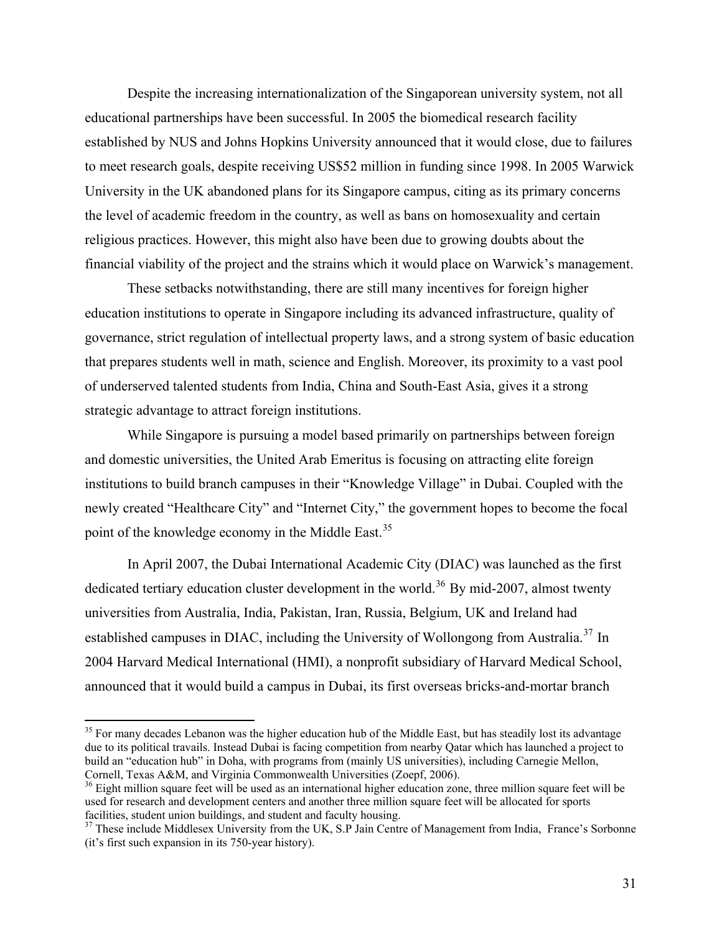Despite the increasing internationalization of the Singaporean university system, not all educational partnerships have been successful. In 2005 the biomedical research facility established by NUS and Johns Hopkins University announced that it would close, due to failures to meet research goals, despite receiving US\$52 million in funding since 1998. In 2005 Warwick University in the UK abandoned plans for its Singapore campus, citing as its primary concerns the level of academic freedom in the country, as well as bans on homosexuality and certain religious practices. However, this might also have been due to growing doubts about the financial viability of the project and the strains which it would place on Warwick's management.

 These setbacks notwithstanding, there are still many incentives for foreign higher education institutions to operate in Singapore including its advanced infrastructure, quality of governance, strict regulation of intellectual property laws, and a strong system of basic education that prepares students well in math, science and English. Moreover, its proximity to a vast pool of underserved talented students from India, China and South-East Asia, gives it a strong strategic advantage to attract foreign institutions.

While Singapore is pursuing a model based primarily on partnerships between foreign and domestic universities, the United Arab Emeritus is focusing on attracting elite foreign institutions to build branch campuses in their "Knowledge Village" in Dubai. Coupled with the newly created "Healthcare City" and "Internet City," the government hopes to become the focal point of the knowledge economy in the Middle East.<sup>[35](#page-31-0)</sup>

In April 2007, the Dubai International Academic City (DIAC) was launched as the first dedicated tertiary education cluster development in the world.<sup>[36](#page-31-1)</sup> By mid-2007, almost twenty universities from Australia, India, Pakistan, Iran, Russia, Belgium, UK and Ireland had established campuses in DIAC, including the University of Wollongong from Australia.<sup>[37](#page-31-2)</sup> In 2004 Harvard Medical International (HMI), a nonprofit subsidiary of Harvard Medical School, announced that it would build a campus in Dubai, its first overseas bricks-and-mortar branch

<span id="page-31-0"></span><sup>&</sup>lt;sup>35</sup> For many decades Lebanon was the higher education hub of the Middle East, but has steadily lost its advantage due to its political travails. Instead Dubai is facing competition from nearby Qatar which has launched a project to build an "education hub" in Doha, with programs from (mainly US universities), including Carnegie Mellon, Cornell, Texas A&M, and Virginia Commonwealth Universities (Zoepf, 2006).

<span id="page-31-1"></span><sup>&</sup>lt;sup>36</sup> Eight million square feet will be used as an international higher education zone, three million square feet will be used for research and development centers and another three million square feet will be allocated for sports facilities, student union buildings, and student and faculty housing.

<span id="page-31-2"></span><sup>&</sup>lt;sup>37</sup> These include Middlesex University from the UK, S.P Jain Centre of Management from India, France's Sorbonne (it's first such expansion in its 750-year history).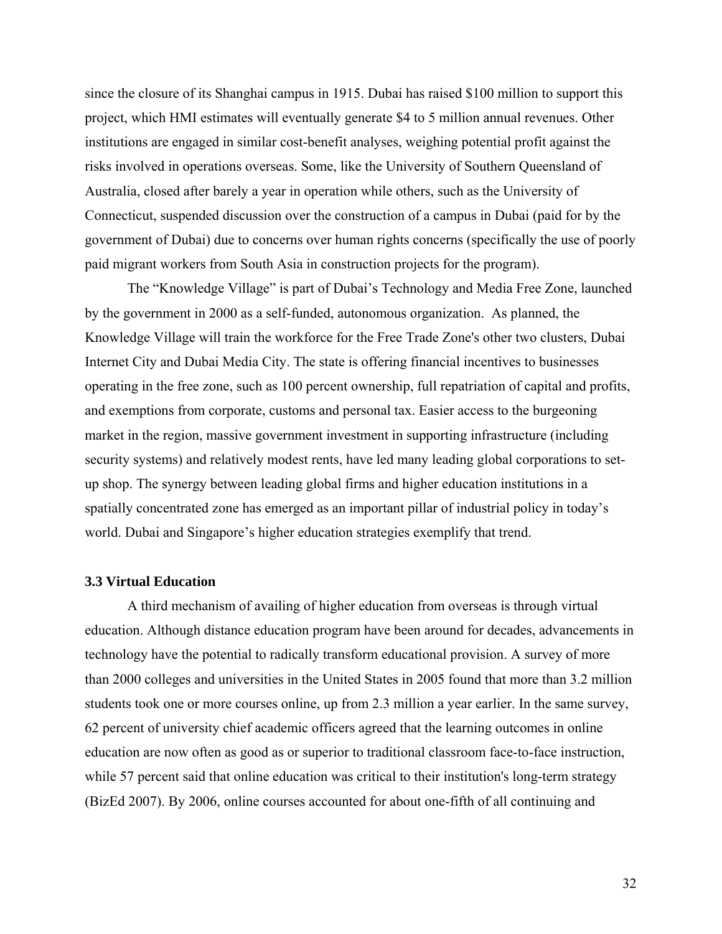since the closure of its Shanghai campus in 1915. Dubai has raised \$100 million to support this project, which HMI estimates will eventually generate \$4 to 5 million annual revenues. Other institutions are engaged in similar cost-benefit analyses, weighing potential profit against the risks involved in operations overseas. Some, like the University of Southern Queensland of Australia, closed after barely a year in operation while others, such as the University of Connecticut, suspended discussion over the construction of a campus in Dubai (paid for by the government of Dubai) due to concerns over human rights concerns (specifically the use of poorly paid migrant workers from South Asia in construction projects for the program).

The "Knowledge Village" is part of Dubai's Technology and Media Free Zone, launched by the government in 2000 as a self-funded, autonomous organization. As planned, the Knowledge Village will train the workforce for the Free Trade Zone's other two clusters, Dubai Internet City and Dubai Media City. The state is offering financial incentives to businesses operating in the free zone, such as 100 percent ownership, full repatriation of capital and profits, and exemptions from corporate, customs and personal tax. Easier access to the burgeoning market in the region, massive government investment in supporting infrastructure (including security systems) and relatively modest rents, have led many leading global corporations to setup shop. The synergy between leading global firms and higher education institutions in a spatially concentrated zone has emerged as an important pillar of industrial policy in today's world. Dubai and Singapore's higher education strategies exemplify that trend.

#### **3.3 Virtual Education**

A third mechanism of availing of higher education from overseas is through virtual education. Although distance education program have been around for decades, advancements in technology have the potential to radically transform educational provision. A survey of more than 2000 colleges and universities in the United States in 2005 found that more than 3.2 million students took one or more courses online, up from 2.3 million a year earlier. In the same survey, 62 percent of university chief academic officers agreed that the learning outcomes in online education are now often as good as or superior to traditional classroom face-to-face instruction, while 57 percent said that online education was critical to their institution's long-term strategy (BizEd 2007). By 2006, online courses accounted for about one-fifth of all continuing and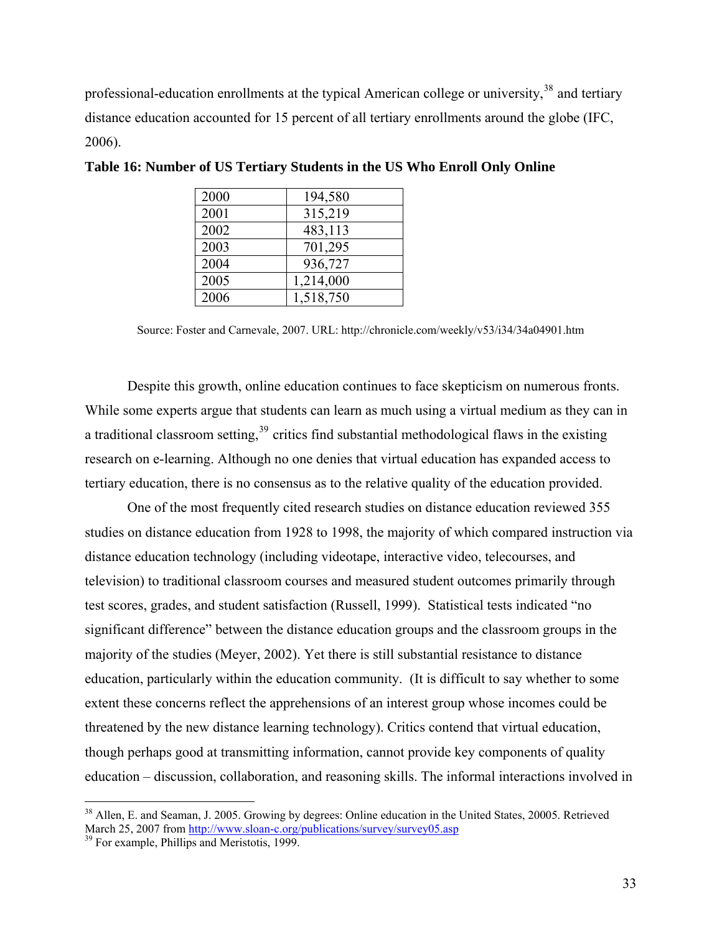professional-education enrollments at the typical American college or university,<sup>[38](#page-33-0)</sup> and tertiary distance education accounted for 15 percent of all tertiary enrollments around the globe (IFC, 2006).

| 2000 | 194,580   |
|------|-----------|
| 2001 | 315,219   |
| 2002 | 483,113   |
| 2003 | 701,295   |
| 2004 | 936,727   |
| 2005 | 1,214,000 |
| 2006 | 1,518,750 |
|      |           |

**Table 16: Number of US Tertiary Students in the US Who Enroll Only Online** 

Despite this growth, online education continues to face skepticism on numerous fronts. While some experts argue that students can learn as much using a virtual medium as they can in a traditional classroom setting, $39$  critics find substantial methodological flaws in the existing research on e-learning. Although no one denies that virtual education has expanded access to tertiary education, there is no consensus as to the relative quality of the education provided.

One of the most frequently cited research studies on distance education reviewed 355 studies on distance education from 1928 to 1998, the majority of which compared instruction via distance education technology (including videotape, interactive video, telecourses, and television) to traditional classroom courses and measured student outcomes primarily through test scores, grades, and student satisfaction (Russell, 1999). Statistical tests indicated "no significant difference" between the distance education groups and the classroom groups in the majority of the studies (Meyer, 2002). Yet there is still substantial resistance to distance education, particularly within the education community. (It is difficult to say whether to some extent these concerns reflect the apprehensions of an interest group whose incomes could be threatened by the new distance learning technology). Critics contend that virtual education, though perhaps good at transmitting information, cannot provide key components of quality education – discussion, collaboration, and reasoning skills. The informal interactions involved in

Source: Foster and Carnevale, 2007. URL: http://chronicle.com/weekly/v53/i34/34a04901.htm

<span id="page-33-0"></span><sup>&</sup>lt;sup>38</sup> Allen, E. and Seaman, J. 2005. Growing by degrees: Online education in the United States, 20005. Retrieved March 25, 2007 from <http://www.sloan-c.org/publications/survey/survey05.asp> <sup>39</sup> For example, Phillips and Meristotis, 1999.

<span id="page-33-1"></span>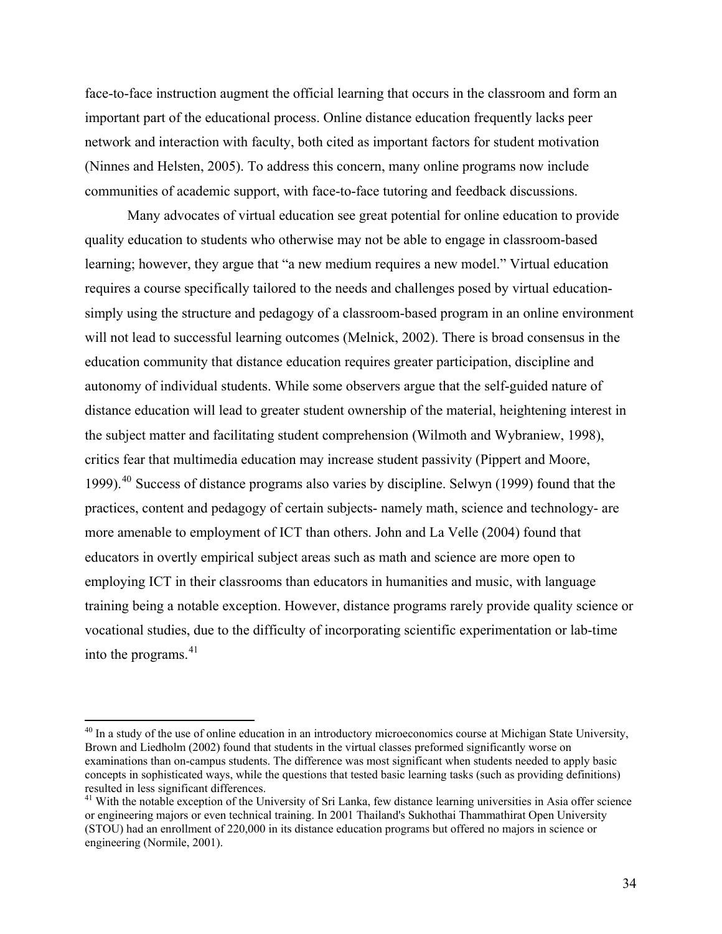face-to-face instruction augment the official learning that occurs in the classroom and form an important part of the educational process. Online distance education frequently lacks peer network and interaction with faculty, both cited as important factors for student motivation (Ninnes and Helsten, 2005). To address this concern, many online programs now include communities of academic support, with face-to-face tutoring and feedback discussions.

Many advocates of virtual education see great potential for online education to provide quality education to students who otherwise may not be able to engage in classroom-based learning; however, they argue that "a new medium requires a new model." Virtual education requires a course specifically tailored to the needs and challenges posed by virtual educationsimply using the structure and pedagogy of a classroom-based program in an online environment will not lead to successful learning outcomes (Melnick, 2002). There is broad consensus in the education community that distance education requires greater participation, discipline and autonomy of individual students. While some observers argue that the self-guided nature of distance education will lead to greater student ownership of the material, heightening interest in the subject matter and facilitating student comprehension (Wilmoth and Wybraniew, 1998), critics fear that multimedia education may increase student passivity (Pippert and Moore, 1999).<sup>[40](#page-34-0)</sup> Success of distance programs also varies by discipline. Selwyn (1999) found that the practices, content and pedagogy of certain subjects- namely math, science and technology- are more amenable to employment of ICT than others. John and La Velle (2004) found that educators in overtly empirical subject areas such as math and science are more open to employing ICT in their classrooms than educators in humanities and music, with language training being a notable exception. However, distance programs rarely provide quality science or vocational studies, due to the difficulty of incorporating scientific experimentation or lab-time into the programs.  $41$ 

<span id="page-34-0"></span><sup>&</sup>lt;sup>40</sup> In a study of the use of online education in an introductory microeconomics course at Michigan State University, Brown and Liedholm (2002) found that students in the virtual classes preformed significantly worse on examinations than on-campus students. The difference was most significant when students needed to apply basic concepts in sophisticated ways, while the questions that tested basic learning tasks (such as providing definitions) resulted in less significant differences.

<span id="page-34-1"></span> $41$  With the notable exception of the University of Sri Lanka, few distance learning universities in Asia offer science or engineering majors or even technical training. In 2001 Thailand's Sukhothai Thammathirat Open University (STOU) had an enrollment of 220,000 in its distance education programs but offered no majors in science or engineering (Normile, 2001).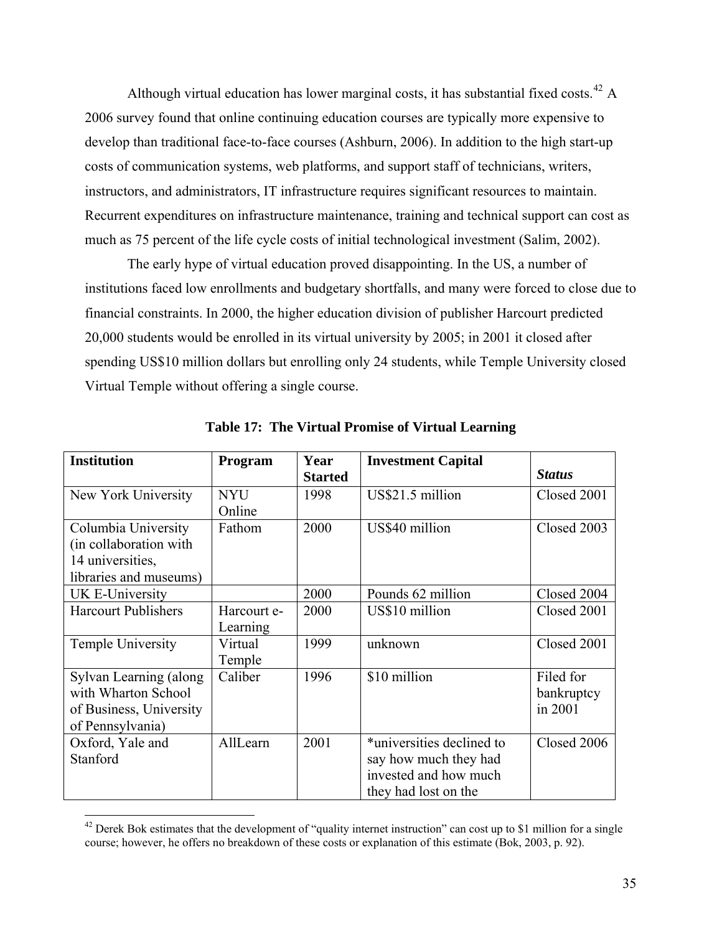Although virtual education has lower marginal costs, it has substantial fixed costs.<sup>[42](#page-35-0)</sup> A 2006 survey found that online continuing education courses are typically more expensive to develop than traditional face-to-face courses (Ashburn, 2006). In addition to the high start-up costs of communication systems, web platforms, and support staff of technicians, writers, instructors, and administrators, IT infrastructure requires significant resources to maintain. Recurrent expenditures on infrastructure maintenance, training and technical support can cost as much as 75 percent of the life cycle costs of initial technological investment (Salim, 2002).

The early hype of virtual education proved disappointing. In the US, a number of institutions faced low enrollments and budgetary shortfalls, and many were forced to close due to financial constraints. In 2000, the higher education division of publisher Harcourt predicted 20,000 students would be enrolled in its virtual university by 2005; in 2001 it closed after spending US\$10 million dollars but enrolling only 24 students, while Temple University closed Virtual Temple without offering a single course.

| <b>Institution</b>         | Program     | Year           | <b>Investment Capital</b> |               |
|----------------------------|-------------|----------------|---------------------------|---------------|
|                            |             | <b>Started</b> |                           | <b>Status</b> |
| New York University        | <b>NYU</b>  | 1998           | US\$21.5 million          | Closed 2001   |
|                            | Online      |                |                           |               |
| Columbia University        | Fathom      | 2000           | US\$40 million            | Closed 2003   |
| (in collaboration with     |             |                |                           |               |
| 14 universities,           |             |                |                           |               |
| libraries and museums)     |             |                |                           |               |
| UK E-University            |             | 2000           | Pounds 62 million         | Closed 2004   |
| <b>Harcourt Publishers</b> | Harcourt e- | 2000           | US\$10 million            | Closed 2001   |
|                            | Learning    |                |                           |               |
| <b>Temple University</b>   | Virtual     | 1999           | unknown                   | Closed 2001   |
|                            | Temple      |                |                           |               |
| Sylvan Learning (along     | Caliber     | 1996           | \$10 million              | Filed for     |
| with Wharton School        |             |                |                           | bankruptcy    |
| of Business, University    |             |                |                           | in 2001       |
| of Pennsylvania)           |             |                |                           |               |
| Oxford, Yale and           | AllLearn    | 2001           | *universities declined to | Closed 2006   |
| Stanford                   |             |                | say how much they had     |               |
|                            |             |                | invested and how much     |               |
|                            |             |                | they had lost on the      |               |

**Table 17: The Virtual Promise of Virtual Learning** 

<span id="page-35-0"></span> $42$  Derek Bok estimates that the development of "quality internet instruction" can cost up to \$1 million for a single course; however, he offers no breakdown of these costs or explanation of this estimate (Bok, 2003, p. 92).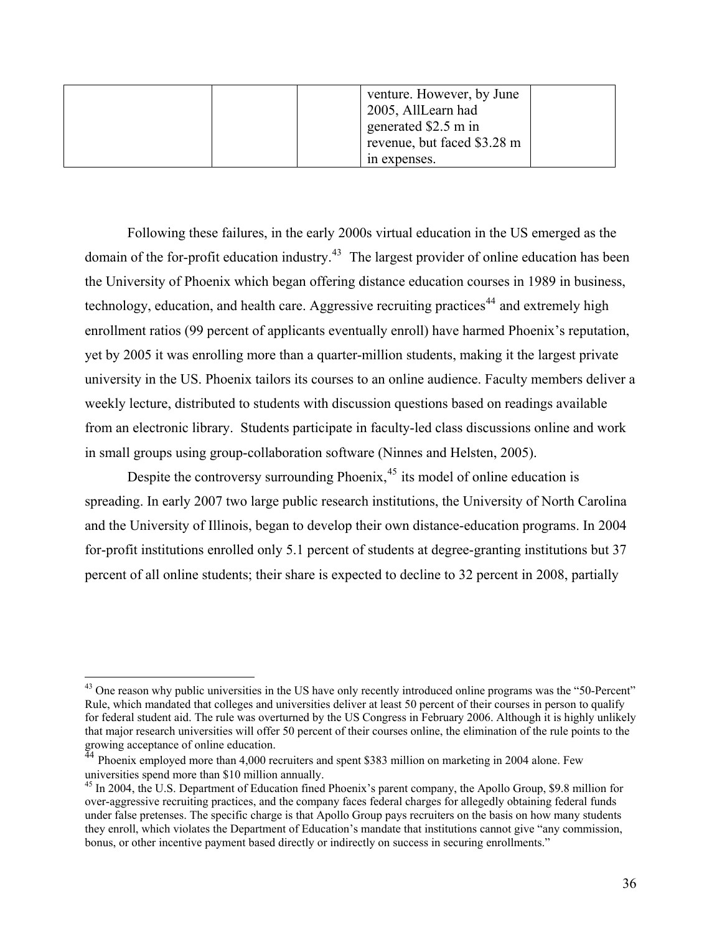| venture. However, by June<br>2005, AllLearn had<br>generated \$2.5 m in<br>revenue, but faced \$3.28 m |
|--------------------------------------------------------------------------------------------------------|
| in expenses.                                                                                           |

Following these failures, in the early 2000s virtual education in the US emerged as the domain of the for-profit education industry.[43](#page-36-0) The largest provider of online education has been the University of Phoenix which began offering distance education courses in 1989 in business, technology, education, and health care. Aggressive recruiting practices<sup>[44](#page-36-1)</sup> and extremely high enrollment ratios (99 percent of applicants eventually enroll) have harmed Phoenix's reputation, yet by 2005 it was enrolling more than a quarter-million students, making it the largest private university in the US. Phoenix tailors its courses to an online audience. Faculty members deliver a weekly lecture, distributed to students with discussion questions based on readings available from an electronic library. Students participate in faculty-led class discussions online and work in small groups using group-collaboration software (Ninnes and Helsten, 2005).

Despite the controversy surrounding Phoenix,  $45$  its model of online education is spreading. In early 2007 two large public research institutions, the University of North Carolina and the University of Illinois, began to develop their own distance-education programs. In 2004 for-profit institutions enrolled only 5.1 percent of students at degree-granting institutions but 37 percent of all online students; their share is expected to decline to 32 percent in 2008, partially

<span id="page-36-0"></span><sup>&</sup>lt;sup>43</sup> One reason why public universities in the US have only recently introduced online programs was the "50-Percent" Rule, which mandated that colleges and universities deliver at least 50 percent of their courses in person to qualify for federal student aid. The rule was overturned by the US Congress in February 2006. Although it is highly unlikely that major research universities will offer 50 percent of their courses online, the elimination of the rule points to the growing acceptance of online education.

<span id="page-36-1"></span> $\frac{44}{14}$  Phoenix employed more than 4,000 recruiters and spent \$383 million on marketing in 2004 alone. Few universities spend more than \$10 million annually.

<span id="page-36-2"></span><sup>&</sup>lt;sup>45</sup> In 2004, the U.S. Department of Education fined Phoenix's parent company, the Apollo Group, \$9.8 million for over-aggressive recruiting practices, and the company faces federal charges for allegedly obtaining federal funds under false pretenses. The specific charge is that Apollo Group pays recruiters on the basis on how many students they enroll, which violates the Department of Education's mandate that institutions cannot give "any commission, bonus, or other incentive payment based directly or indirectly on success in securing enrollments."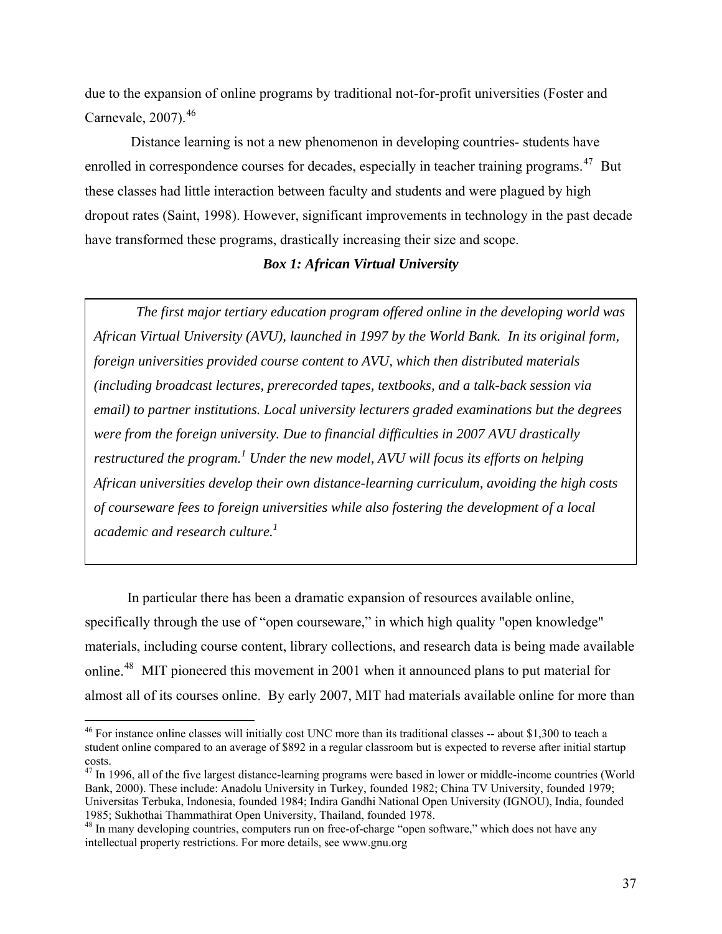due to the expansion of online programs by traditional not-for-profit universities (Foster and Carnevale, 2007).[46](#page-37-0)

 Distance learning is not a new phenomenon in developing countries- students have enrolled in correspondence courses for decades, especially in teacher training programs.<sup>[47](#page-37-1)</sup> But these classes had little interaction between faculty and students and were plagued by high dropout rates (Saint, 1998). However, significant improvements in technology in the past decade have transformed these programs, drastically increasing their size and scope.

### *Box 1: African Virtual University*

*The first major tertiary education program offered online in the developing world was African Virtual University (AVU), launched in 1997 by the World Bank. In its original form, foreign universities provided course content to AVU, which then distributed materials (including broadcast lectures, prerecorded tapes, textbooks, and a talk-back session via email) to partner institutions. Local university lecturers graded examinations but the degrees were from the foreign university. Due to financial difficulties in 2007 AVU drastically*  restructured the program.<sup>1</sup> Under the new model, AVU will focus its efforts on helping *African universities develop their own distance-learning curriculum, avoiding the high costs of courseware fees to foreign universities while also fostering the development of a local academic and research culture.1* 

In particular there has been a dramatic expansion of resources available online, specifically through the use of "open courseware," in which high quality "open knowledge" materials, including course content, library collections, and research data is being made available online.<sup>[48](#page-37-2)</sup> MIT pioneered this movement in 2001 when it announced plans to put material for almost all of its courses online. By early 2007, MIT had materials available online for more than

<span id="page-37-0"></span> $46$  For instance online classes will initially cost UNC more than its traditional classes  $-$  about \$1,300 to teach a student online compared to an average of \$892 in a regular classroom but is expected to reverse after initial startup costs.

<span id="page-37-1"></span> $47$  In 1996, all of the five largest distance-learning programs were based in lower or middle-income countries (World Bank, 2000). These include: Anadolu University in Turkey, founded 1982; China TV University, founded 1979; Universitas Terbuka, Indonesia, founded 1984; Indira Gandhi National Open University (IGNOU), India, founded 1985; Sukhothai Thammathirat Open University, Thailand, founded 1978.

<span id="page-37-2"></span><sup>&</sup>lt;sup>48</sup> In many developing countries, computers run on free-of-charge "open software," which does not have any intellectual property restrictions. For more details, see www.gnu.org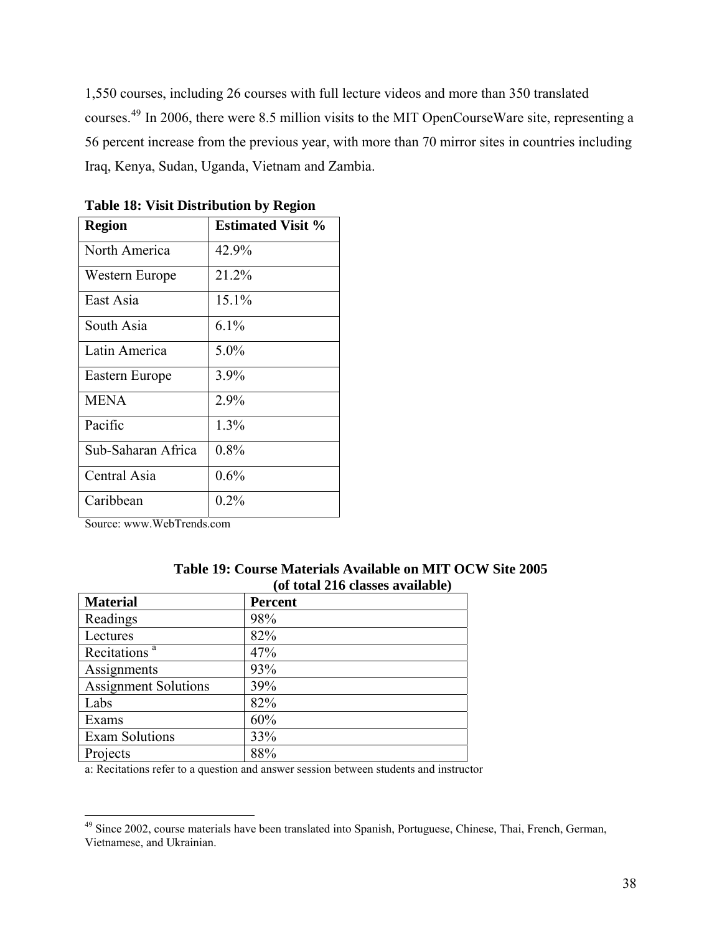1,550 courses, including 26 courses with full lecture videos and more than 350 translated courses.[49](#page-38-0) In 2006, there were 8.5 million visits to the MIT OpenCourseWare site, representing a 56 percent increase from the previous year, with more than 70 mirror sites in countries including Iraq, Kenya, Sudan, Uganda, Vietnam and Zambia.

| <b>Region</b>      | <b>Estimated Visit %</b> |
|--------------------|--------------------------|
| North America      | 42.9%                    |
| Western Europe     | 21.2%                    |
| East Asia          | 15.1%                    |
| South Asia         | $6.1\%$                  |
| Latin America      | $5.0\%$                  |
| Eastern Europe     | 3.9%                     |
| <b>MENA</b>        | 2.9%                     |
| Pacific            | 1.3%                     |
| Sub-Saharan Africa | $0.8\%$                  |
| Central Asia       | $0.6\%$                  |
| Caribbean          | $0.2\%$                  |

**Table 18: Visit Distribution by Region** 

Source: www.WebTrends.com

 $\overline{a}$ 

|                             | $(91 \text{ total} \pm 10 \text{ cm})$ |
|-----------------------------|----------------------------------------|
| <b>Material</b>             | <b>Percent</b>                         |
| Readings                    | 98%                                    |
| Lectures                    | 82%                                    |
| Recitations <sup>a</sup>    | 47%                                    |
| Assignments                 | 93%                                    |
| <b>Assignment Solutions</b> | 39%                                    |
| Labs                        | 82%                                    |
| Exams                       | 60%                                    |
| <b>Exam Solutions</b>       | 33%                                    |
| Projects                    | 88%                                    |

## **Table 19: Course Materials Available on MIT OCW Site 2005 (of total 216 classes available)**

a: Recitations refer to a question and answer session between students and instructor

<span id="page-38-0"></span><sup>&</sup>lt;sup>49</sup> Since 2002, course materials have been translated into Spanish, Portuguese, Chinese, Thai, French, German, Vietnamese, and Ukrainian.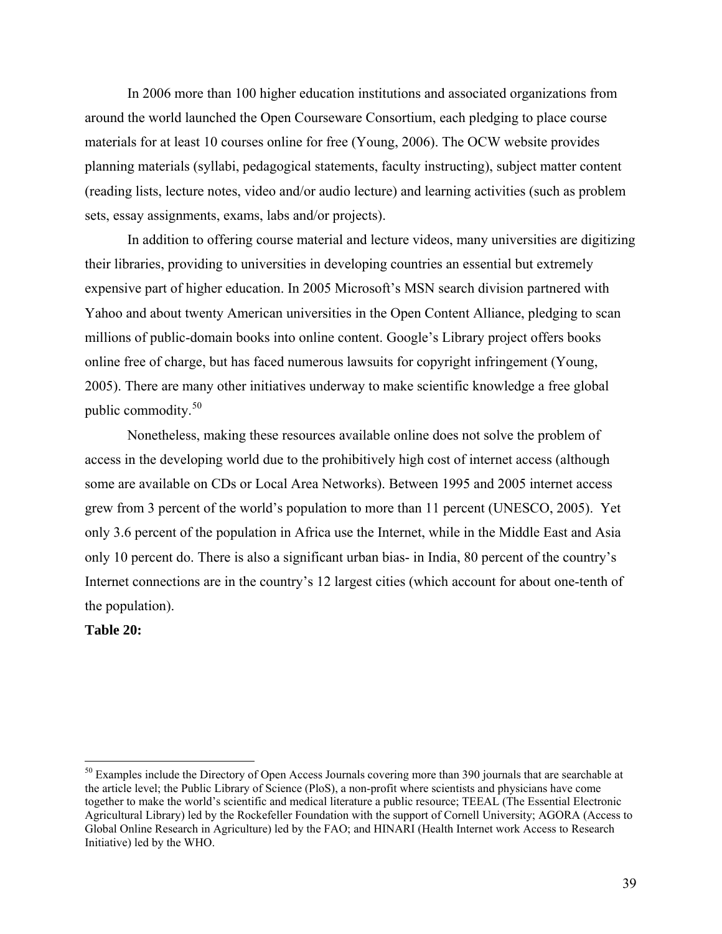In 2006 more than 100 higher education institutions and associated organizations from around the world launched the Open Courseware Consortium, each pledging to place course materials for at least 10 courses online for free (Young, 2006). The OCW website provides planning materials (syllabi, pedagogical statements, faculty instructing), subject matter content (reading lists, lecture notes, video and/or audio lecture) and learning activities (such as problem sets, essay assignments, exams, labs and/or projects).

 In addition to offering course material and lecture videos, many universities are digitizing their libraries, providing to universities in developing countries an essential but extremely expensive part of higher education. In 2005 Microsoft's MSN search division partnered with Yahoo and about twenty American universities in the Open Content Alliance, pledging to scan millions of public-domain books into online content. Google's Library project offers books online free of charge, but has faced numerous lawsuits for copyright infringement (Young, 2005). There are many other initiatives underway to make scientific knowledge a free global public commodity.<sup>[50](#page-39-0)</sup>

Nonetheless, making these resources available online does not solve the problem of access in the developing world due to the prohibitively high cost of internet access (although some are available on CDs or Local Area Networks). Between 1995 and 2005 internet access grew from 3 percent of the world's population to more than 11 percent (UNESCO, 2005). Yet only 3.6 percent of the population in Africa use the Internet, while in the Middle East and Asia only 10 percent do. There is also a significant urban bias- in India, 80 percent of the country's Internet connections are in the country's 12 largest cities (which account for about one-tenth of the population).

# **Table 20:**

<span id="page-39-0"></span> $50$  Examples include the Directory of Open Access Journals covering more than 390 journals that are searchable at the article level; the Public Library of Science (PloS), a non-profit where scientists and physicians have come together to make the world's scientific and medical literature a public resource; TEEAL (The Essential Electronic Agricultural Library) led by the Rockefeller Foundation with the support of Cornell University; AGORA (Access to Global Online Research in Agriculture) led by the FAO; and HINARI (Health Internet work Access to Research Initiative) led by the WHO.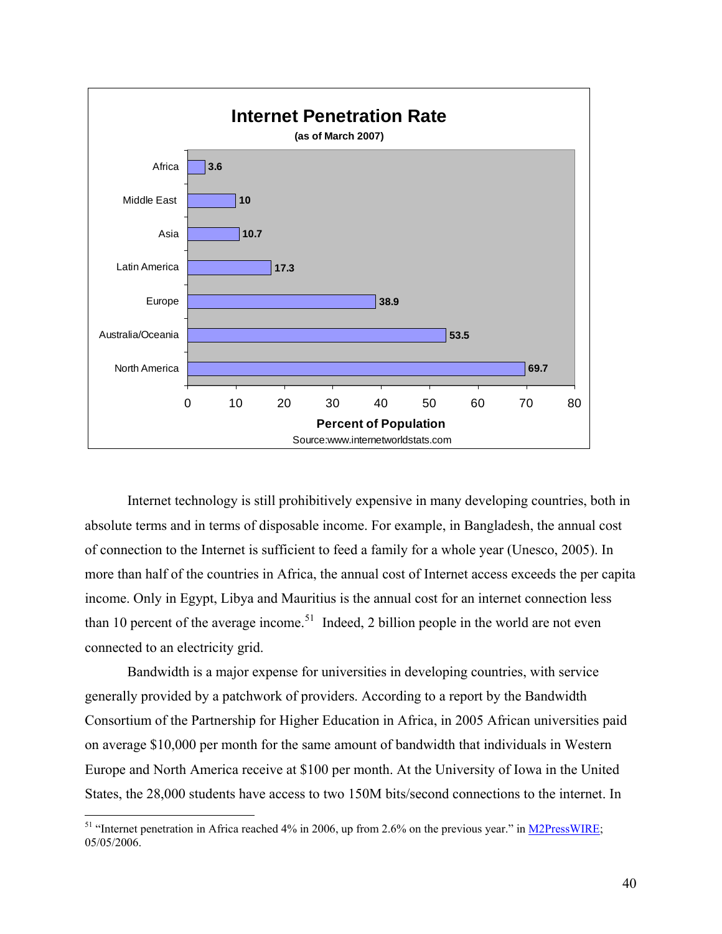

Internet technology is still prohibitively expensive in many developing countries, both in absolute terms and in terms of disposable income. For example, in Bangladesh, the annual cost of connection to the Internet is sufficient to feed a family for a whole year (Unesco, 2005). In more than half of the countries in Africa, the annual cost of Internet access exceeds the per capita income. Only in Egypt, Libya and Mauritius is the annual cost for an internet connection less than 10 percent of the average income.<sup>[51](#page-40-0)</sup> Indeed, 2 billion people in the world are not even connected to an electricity grid.

Bandwidth is a major expense for universities in developing countries, with service generally provided by a patchwork of providers. According to a report by the Bandwidth Consortium of the Partnership for Higher Education in Africa, in 2005 African universities paid on average \$10,000 per month for the same amount of bandwidth that individuals in Western Europe and North America receive at \$100 per month. At the University of Iowa in the United States, the 28,000 students have access to two 150M bits/second connections to the internet. In

<span id="page-40-0"></span><sup>&</sup>lt;sup>51</sup> "Internet penetration in Africa reached 4% in 2006, up from 2.6% on the previous year." in  $M2PressWIRE$ ; 05/05/2006.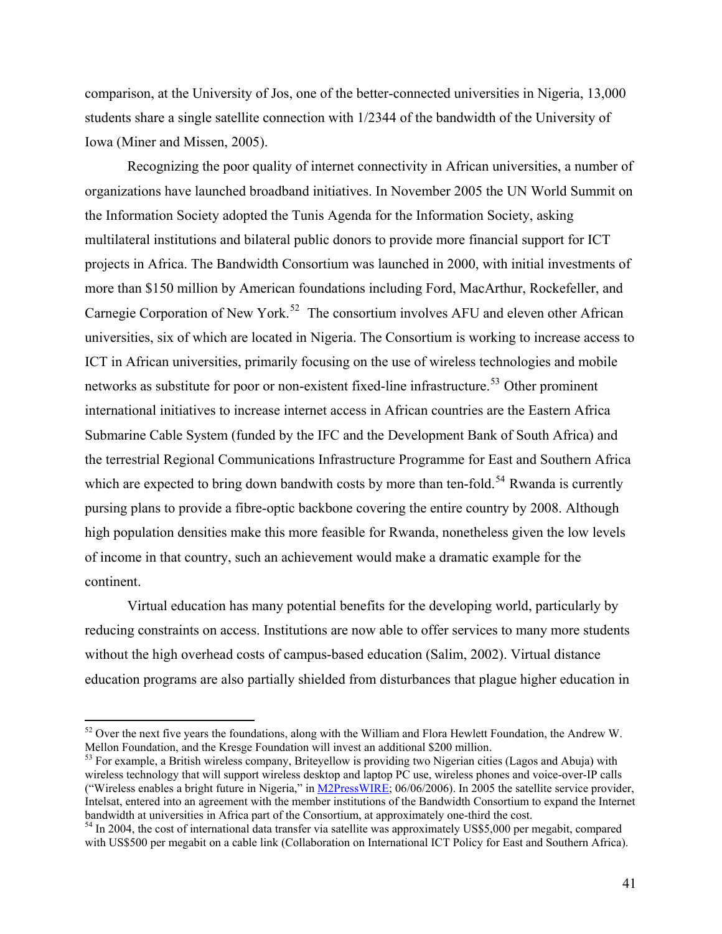comparison, at the University of Jos, one of the better-connected universities in Nigeria, 13,000 students share a single satellite connection with 1/2344 of the bandwidth of the University of Iowa (Miner and Missen, 2005).

Recognizing the poor quality of internet connectivity in African universities, a number of organizations have launched broadband initiatives. In November 2005 the UN World Summit on the Information Society adopted the Tunis Agenda for the Information Society, asking multilateral institutions and bilateral public donors to provide more financial support for ICT projects in Africa. The Bandwidth Consortium was launched in 2000, with initial investments of more than \$150 million by American foundations including Ford, MacArthur, Rockefeller, and Carnegie Corporation of New York.<sup>[52](#page-41-0)</sup> The consortium involves AFU and eleven other African universities, six of which are located in Nigeria. The Consortium is working to increase access to ICT in African universities, primarily focusing on the use of wireless technologies and mobile networks as substitute for poor or non-existent fixed-line infrastructure.<sup>[53](#page-41-1)</sup> Other prominent international initiatives to increase internet access in African countries are the Eastern Africa Submarine Cable System (funded by the IFC and the Development Bank of South Africa) and the terrestrial Regional Communications Infrastructure Programme for East and Southern Africa which are expected to bring down bandwith costs by more than ten-fold.<sup>[54](#page-41-2)</sup> Rwanda is currently pursing plans to provide a fibre-optic backbone covering the entire country by 2008. Although high population densities make this more feasible for Rwanda, nonetheless given the low levels of income in that country, such an achievement would make a dramatic example for the continent.

Virtual education has many potential benefits for the developing world, particularly by reducing constraints on access. Institutions are now able to offer services to many more students without the high overhead costs of campus-based education (Salim, 2002). Virtual distance education programs are also partially shielded from disturbances that plague higher education in

<span id="page-41-0"></span> $52$  Over the next five years the foundations, along with the William and Flora Hewlett Foundation, the Andrew W. Mellon Foundation, and the Kresge Foundation will invest an additional \$200 million.

<span id="page-41-1"></span> $53$  For example, a British wireless company, Briteyellow is providing two Nigerian cities (Lagos and Abuja) with wireless technology that will support wireless desktop and laptop PC use, wireless phones and voice-over-IP calls ("Wireless enables a bright future in Nigeria," in M2PressWIRE; 06/06/2006). In 2005 the satellite service provider, Intelsat, entered into an agreement with the member institutions of the Bandwidth Consortium to expand the Internet bandwidth at universities in Africa part of the Consortium, at approximately one-third the cost.

<span id="page-41-2"></span><sup>&</sup>lt;sup>54</sup> In 2004, the cost of international data transfer via satellite was approximately US\$5,000 per megabit, compared with US\$500 per megabit on a cable link (Collaboration on International ICT Policy for East and Southern Africa).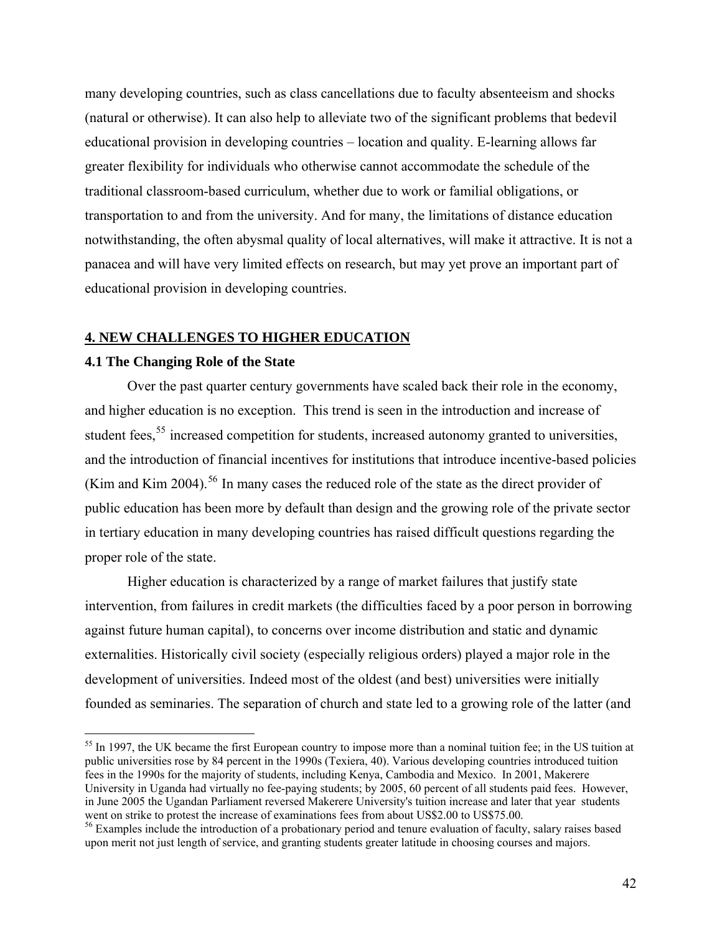many developing countries, such as class cancellations due to faculty absenteeism and shocks (natural or otherwise). It can also help to alleviate two of the significant problems that bedevil educational provision in developing countries – location and quality. E-learning allows far greater flexibility for individuals who otherwise cannot accommodate the schedule of the traditional classroom-based curriculum, whether due to work or familial obligations, or transportation to and from the university. And for many, the limitations of distance education notwithstanding, the often abysmal quality of local alternatives, will make it attractive. It is not a panacea and will have very limited effects on research, but may yet prove an important part of educational provision in developing countries.

## **4. NEW CHALLENGES TO HIGHER EDUCATION**

#### **4.1 The Changing Role of the State**

 $\overline{a}$ 

Over the past quarter century governments have scaled back their role in the economy, and higher education is no exception. This trend is seen in the introduction and increase of student fees,<sup>[55](#page-42-0)</sup> increased competition for students, increased autonomy granted to universities, and the introduction of financial incentives for institutions that introduce incentive-based policies (Kim and Kim 2004).<sup>[56](#page-42-1)</sup> In many cases the reduced role of the state as the direct provider of public education has been more by default than design and the growing role of the private sector in tertiary education in many developing countries has raised difficult questions regarding the proper role of the state.

Higher education is characterized by a range of market failures that justify state intervention, from failures in credit markets (the difficulties faced by a poor person in borrowing against future human capital), to concerns over income distribution and static and dynamic externalities. Historically civil society (especially religious orders) played a major role in the development of universities. Indeed most of the oldest (and best) universities were initially founded as seminaries. The separation of church and state led to a growing role of the latter (and

<span id="page-42-0"></span><sup>&</sup>lt;sup>55</sup> In 1997, the UK became the first European country to impose more than a nominal tuition fee; in the US tuition at public universities rose by 84 percent in the 1990s (Texiera, 40). Various developing countries introduced tuition fees in the 1990s for the majority of students, including Kenya, Cambodia and Mexico. In 2001, Makerere University in Uganda had virtually no fee-paying students; by 2005, 60 percent of all students paid fees. However, in June 2005 the Ugandan Parliament reversed Makerere University's tuition increase and later that year students went on strike to protest the increase of examinations fees from about US\$2.00 to US\$75.00.

<span id="page-42-1"></span><sup>&</sup>lt;sup>56</sup> Examples include the introduction of a probationary period and tenure evaluation of faculty, salary raises based upon merit not just length of service, and granting students greater latitude in choosing courses and majors.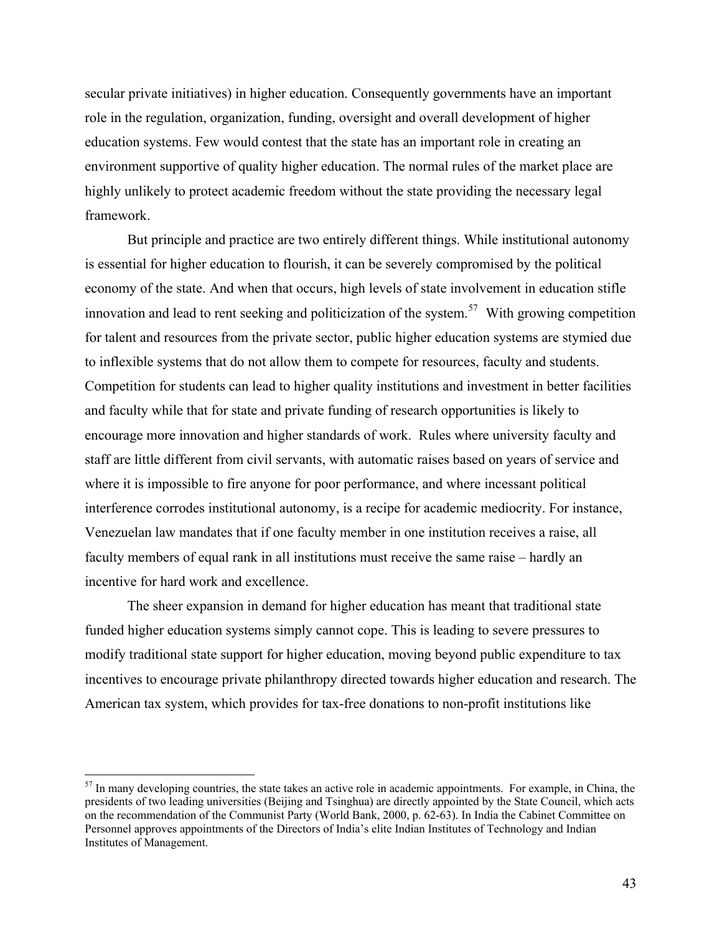secular private initiatives) in higher education. Consequently governments have an important role in the regulation, organization, funding, oversight and overall development of higher education systems. Few would contest that the state has an important role in creating an environment supportive of quality higher education. The normal rules of the market place are highly unlikely to protect academic freedom without the state providing the necessary legal framework.

But principle and practice are two entirely different things. While institutional autonomy is essential for higher education to flourish, it can be severely compromised by the political economy of the state. And when that occurs, high levels of state involvement in education stifle innovation and lead to rent seeking and politicization of the system.<sup>[57](#page-43-0)</sup> With growing competition for talent and resources from the private sector, public higher education systems are stymied due to inflexible systems that do not allow them to compete for resources, faculty and students. Competition for students can lead to higher quality institutions and investment in better facilities and faculty while that for state and private funding of research opportunities is likely to encourage more innovation and higher standards of work. Rules where university faculty and staff are little different from civil servants, with automatic raises based on years of service and where it is impossible to fire anyone for poor performance, and where incessant political interference corrodes institutional autonomy, is a recipe for academic mediocrity. For instance, Venezuelan law mandates that if one faculty member in one institution receives a raise, all faculty members of equal rank in all institutions must receive the same raise – hardly an incentive for hard work and excellence.

The sheer expansion in demand for higher education has meant that traditional state funded higher education systems simply cannot cope. This is leading to severe pressures to modify traditional state support for higher education, moving beyond public expenditure to tax incentives to encourage private philanthropy directed towards higher education and research. The American tax system, which provides for tax-free donations to non-profit institutions like

<span id="page-43-0"></span><sup>&</sup>lt;sup>57</sup> In many developing countries, the state takes an active role in academic appointments. For example, in China, the presidents of two leading universities (Beijing and Tsinghua) are directly appointed by the State Council, which acts on the recommendation of the Communist Party (World Bank, 2000, p. 62-63). In India the Cabinet Committee on Personnel approves appointments of the Directors of India's elite Indian Institutes of Technology and Indian Institutes of Management.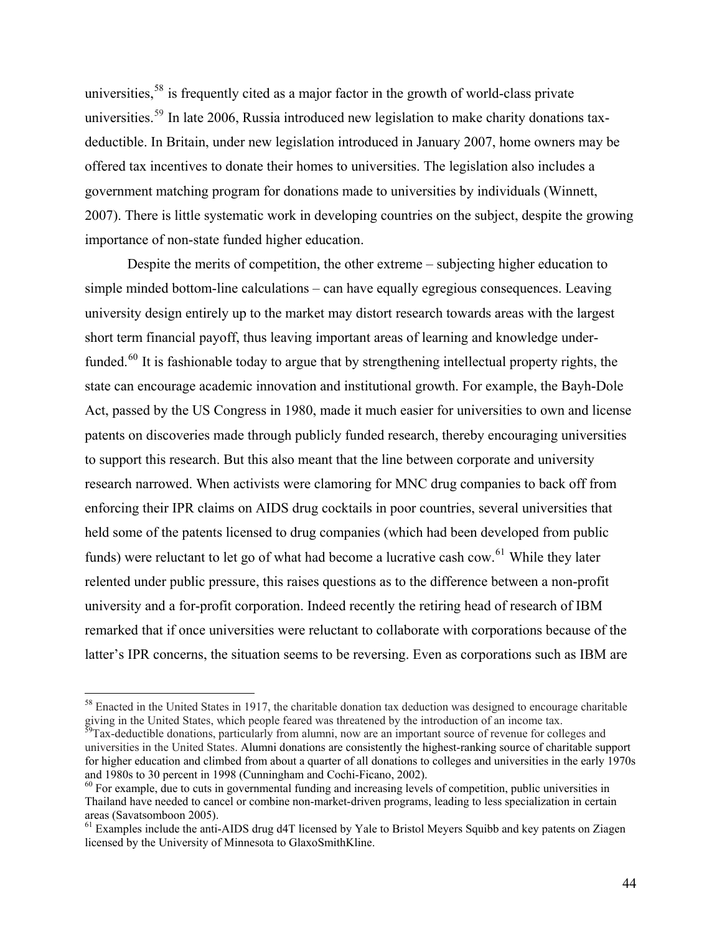universities,<sup>[58](#page-44-0)</sup> is frequently cited as a major factor in the growth of world-class private universities.<sup>[59](#page-44-1)</sup> In late 2006, Russia introduced new legislation to make charity donations taxdeductible. In Britain, under new legislation introduced in January 2007, home owners may be offered tax incentives to donate their homes to universities. The legislation also includes a government matching program for donations made to universities by individuals (Winnett, 2007). There is little systematic work in developing countries on the subject, despite the growing importance of non-state funded higher education.

Despite the merits of competition, the other extreme – subjecting higher education to simple minded bottom-line calculations – can have equally egregious consequences. Leaving university design entirely up to the market may distort research towards areas with the largest short term financial payoff, thus leaving important areas of learning and knowledge under-funded.<sup>[60](#page-44-2)</sup> It is fashionable today to argue that by strengthening intellectual property rights, the state can encourage academic innovation and institutional growth. For example, the Bayh-Dole Act, passed by the US Congress in 1980, made it much easier for universities to own and license patents on discoveries made through publicly funded research, thereby encouraging universities to support this research. But this also meant that the line between corporate and university research narrowed. When activists were clamoring for MNC drug companies to back off from enforcing their IPR claims on AIDS drug cocktails in poor countries, several universities that held some of the patents licensed to drug companies (which had been developed from public funds) were reluctant to let go of what had become a lucrative cash cow.<sup>[61](#page-44-3)</sup> While they later relented under public pressure, this raises questions as to the difference between a non-profit university and a for-profit corporation. Indeed recently the retiring head of research of IBM remarked that if once universities were reluctant to collaborate with corporations because of the latter's IPR concerns, the situation seems to be reversing. Even as corporations such as IBM are

<span id="page-44-0"></span><sup>&</sup>lt;sup>58</sup> Enacted in the United States in 1917, the charitable donation tax deduction was designed to encourage charitable giving in the United States, which people feared was threatened by the introduction of an income tax.

<span id="page-44-1"></span><sup>&</sup>lt;sup>59</sup>Tax-deductible donations, particularly from alumni, now are an important source of revenue for colleges and universities in the United States. Alumni donations are consistently the highest-ranking source of charitable support for higher education and climbed from about a quarter of all donations to colleges and universities in the early 1970s and 1980s to 30 percent in 1998 (Cunningham and Cochi-Ficano, 2002).

<span id="page-44-2"></span><sup>&</sup>lt;sup>60</sup> For example, due to cuts in governmental funding and increasing levels of competition, public universities in Thailand have needed to cancel or combine non-market-driven programs, leading to less specialization in certain areas (Savatsomboon 2005).

<span id="page-44-3"></span><sup>&</sup>lt;sup>61</sup> Examples include the anti-AIDS drug d4T licensed by Yale to Bristol Meyers Squibb and key patents on Ziagen licensed by the University of Minnesota to GlaxoSmithKline.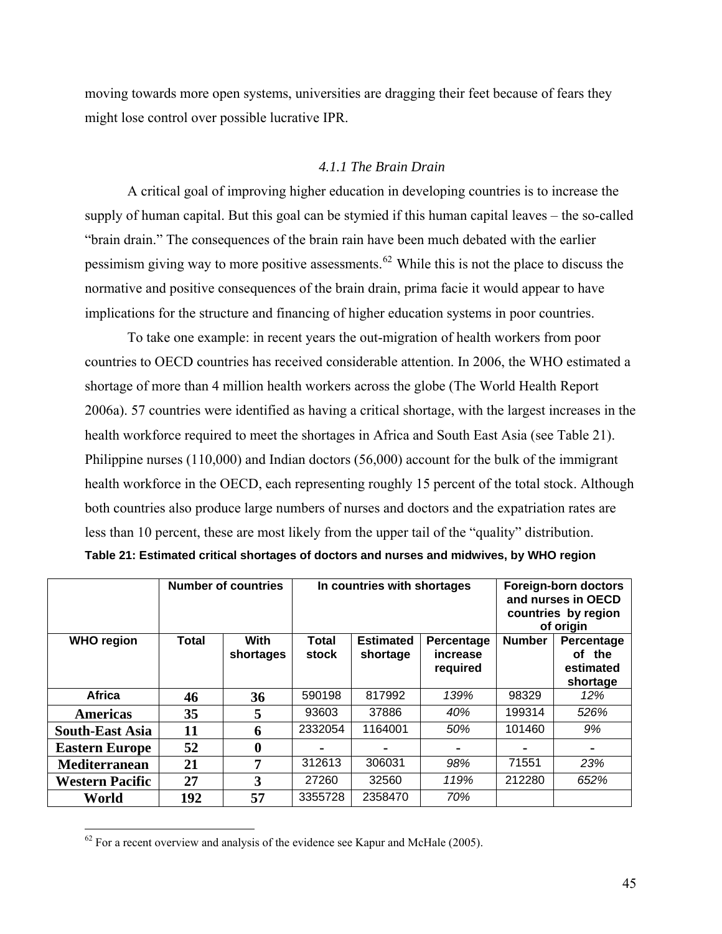moving towards more open systems, universities are dragging their feet because of fears they might lose control over possible lucrative IPR.

### *4.1.1 The Brain Drain*

A critical goal of improving higher education in developing countries is to increase the supply of human capital. But this goal can be stymied if this human capital leaves – the so-called "brain drain." The consequences of the brain rain have been much debated with the earlier pessimism giving way to more positive assessments.[62](#page-45-0) While this is not the place to discuss the normative and positive consequences of the brain drain, prima facie it would appear to have implications for the structure and financing of higher education systems in poor countries.

To take one example: in recent years the out-migration of health workers from poor countries to OECD countries has received considerable attention. In 2006, the WHO estimated a shortage of more than 4 million health workers across the globe (The World Health Report 2006a). 57 countries were identified as having a critical shortage, with the largest increases in the health workforce required to meet the shortages in Africa and South East Asia (see Table 21). Philippine nurses (110,000) and Indian doctors (56,000) account for the bulk of the immigrant health workforce in the OECD, each representing roughly 15 percent of the total stock. Although both countries also produce large numbers of nurses and doctors and the expatriation rates are less than 10 percent, these are most likely from the upper tail of the "quality" distribution. **Table 21: Estimated critical shortages of doctors and nurses and midwives, by WHO region** 

|                        | <b>Number of countries</b> |                          | In countries with shortages |                              |                                    | Foreign-born doctors<br>and nurses in OECD<br>countries by region<br>of origin |                                               |
|------------------------|----------------------------|--------------------------|-----------------------------|------------------------------|------------------------------------|--------------------------------------------------------------------------------|-----------------------------------------------|
| <b>WHO region</b>      | Total                      | <b>With</b><br>shortages | <b>Total</b><br>stock       | <b>Estimated</b><br>shortage | Percentage<br>increase<br>required | <b>Number</b>                                                                  | Percentage<br>of the<br>estimated<br>shortage |
| <b>Africa</b>          | 46                         | 36                       | 590198                      | 817992                       | 139%                               | 98329                                                                          | 12%                                           |
| <b>Americas</b>        | 35                         | 5                        | 93603                       | 37886                        | 40%                                | 199314                                                                         | 526%                                          |
| <b>South-East Asia</b> | 11                         | 6                        | 2332054                     | 1164001                      | 50%                                | 101460                                                                         | 9%                                            |
| <b>Eastern Europe</b>  | 52                         | $\bf{0}$                 |                             |                              | ٠                                  |                                                                                | $\blacksquare$                                |
| <b>Mediterranean</b>   | 21                         | 7                        | 312613                      | 306031                       | 98%                                | 71551                                                                          | 23%                                           |
| <b>Western Pacific</b> | 27                         | 3                        | 27260                       | 32560                        | 119%                               | 212280                                                                         | 652%                                          |
| World                  | 192                        | 57                       | 3355728                     | 2358470                      | 70%                                |                                                                                |                                               |

<span id="page-45-0"></span> $62$  For a recent overview and analysis of the evidence see Kapur and McHale (2005).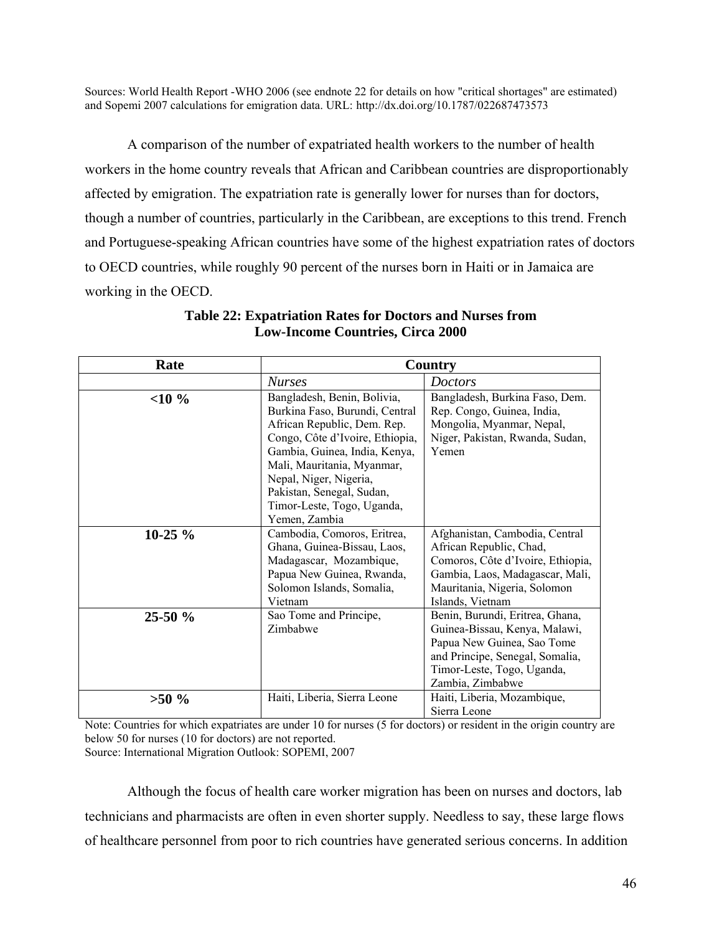Sources: World Health Report -WHO 2006 (see endnote 22 for details on how "critical shortages" are estimated) and Sopemi 2007 calculations for emigration data. URL: http://dx.doi.org/10.1787/022687473573

A comparison of the number of expatriated health workers to the number of health workers in the home country reveals that African and Caribbean countries are disproportionably affected by emigration. The expatriation rate is generally lower for nurses than for doctors, though a number of countries, particularly in the Caribbean, are exceptions to this trend. French and Portuguese-speaking African countries have some of the highest expatriation rates of doctors to OECD countries, while roughly 90 percent of the nurses born in Haiti or in Jamaica are working in the OECD.

| Rate         | Country                         |                                   |  |
|--------------|---------------------------------|-----------------------------------|--|
|              | <b>Nurses</b>                   | <i>Doctors</i>                    |  |
| $<$ 10 %     | Bangladesh, Benin, Bolivia,     | Bangladesh, Burkina Faso, Dem.    |  |
|              | Burkina Faso, Burundi, Central  | Rep. Congo, Guinea, India,        |  |
|              | African Republic, Dem. Rep.     | Mongolia, Myanmar, Nepal,         |  |
|              | Congo, Côte d'Ivoire, Ethiopia, | Niger, Pakistan, Rwanda, Sudan,   |  |
|              | Gambia, Guinea, India, Kenya,   | Yemen                             |  |
|              | Mali, Mauritania, Myanmar,      |                                   |  |
|              | Nepal, Niger, Nigeria,          |                                   |  |
|              | Pakistan, Senegal, Sudan,       |                                   |  |
|              | Timor-Leste, Togo, Uganda,      |                                   |  |
|              | Yemen, Zambia                   |                                   |  |
| $10-25%$     | Cambodia, Comoros, Eritrea,     | Afghanistan, Cambodia, Central    |  |
|              | Ghana, Guinea-Bissau, Laos,     | African Republic, Chad,           |  |
|              | Madagascar, Mozambique,         | Comoros, Côte d'Ivoire, Ethiopia, |  |
|              | Papua New Guinea, Rwanda,       | Gambia, Laos, Madagascar, Mali,   |  |
|              | Solomon Islands, Somalia,       | Mauritania, Nigeria, Solomon      |  |
|              | Vietnam                         | Islands, Vietnam                  |  |
| $25 - 50 \%$ | Sao Tome and Principe,          | Benin, Burundi, Eritrea, Ghana,   |  |
|              | Zimbabwe                        | Guinea-Bissau, Kenya, Malawi,     |  |
|              |                                 | Papua New Guinea, Sao Tome        |  |
|              |                                 | and Principe, Senegal, Somalia,   |  |
|              |                                 | Timor-Leste, Togo, Uganda,        |  |
|              |                                 | Zambia, Zimbabwe                  |  |
| $>50\%$      | Haiti, Liberia, Sierra Leone    | Haiti, Liberia, Mozambique,       |  |
|              |                                 | Sierra Leone                      |  |

# **Table 22: Expatriation Rates for Doctors and Nurses from Low-Income Countries, Circa 2000**

Note: Countries for which expatriates are under 10 for nurses (5 for doctors) or resident in the origin country are below 50 for nurses (10 for doctors) are not reported. Source: International Migration Outlook: SOPEMI, 2007

Although the focus of health care worker migration has been on nurses and doctors, lab technicians and pharmacists are often in even shorter supply. Needless to say, these large flows of healthcare personnel from poor to rich countries have generated serious concerns. In addition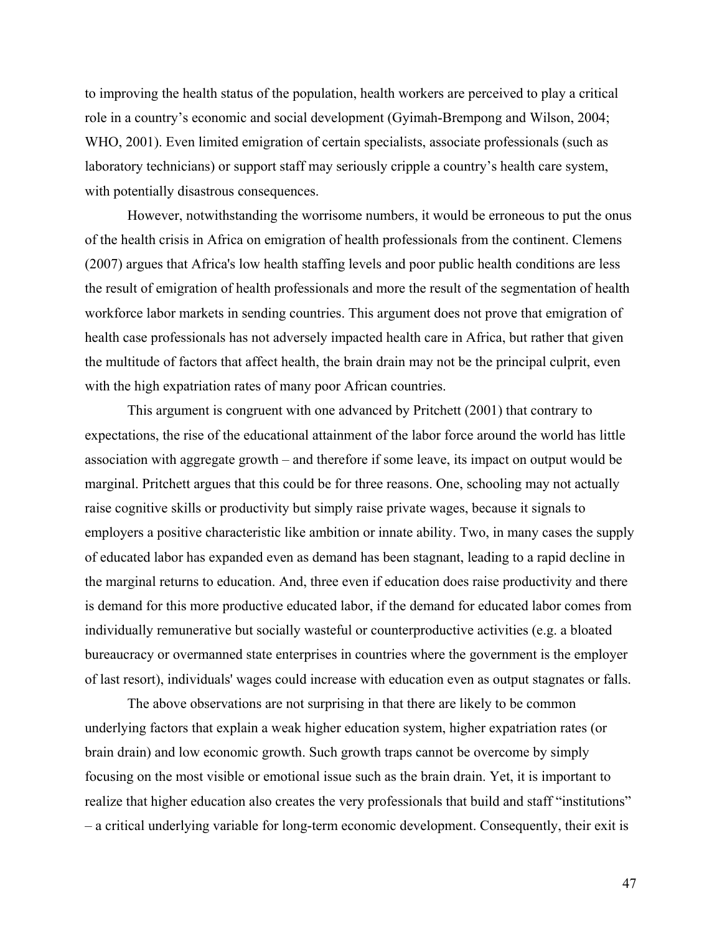to improving the health status of the population, health workers are perceived to play a critical role in a country's economic and social development (Gyimah-Brempong and Wilson, 2004; WHO, 2001). Even limited emigration of certain specialists, associate professionals (such as laboratory technicians) or support staff may seriously cripple a country's health care system, with potentially disastrous consequences.

However, notwithstanding the worrisome numbers, it would be erroneous to put the onus of the health crisis in Africa on emigration of health professionals from the continent. Clemens (2007) argues that Africa's low health staffing levels and poor public health conditions are less the result of emigration of health professionals and more the result of the segmentation of health workforce labor markets in sending countries. This argument does not prove that emigration of health case professionals has not adversely impacted health care in Africa, but rather that given the multitude of factors that affect health, the brain drain may not be the principal culprit, even with the high expatriation rates of many poor African countries.

This argument is congruent with one advanced by Pritchett (2001) that contrary to expectations, the rise of the educational attainment of the labor force around the world has little association with aggregate growth – and therefore if some leave, its impact on output would be marginal. Pritchett argues that this could be for three reasons. One, schooling may not actually raise cognitive skills or productivity but simply raise private wages, because it signals to employers a positive characteristic like ambition or innate ability. Two, in many cases the supply of educated labor has expanded even as demand has been stagnant, leading to a rapid decline in the marginal returns to education. And, three even if education does raise productivity and there is demand for this more productive educated labor, if the demand for educated labor comes from individually remunerative but socially wasteful or counterproductive activities (e.g. a bloated bureaucracy or overmanned state enterprises in countries where the government is the employer of last resort), individuals' wages could increase with education even as output stagnates or falls.

The above observations are not surprising in that there are likely to be common underlying factors that explain a weak higher education system, higher expatriation rates (or brain drain) and low economic growth. Such growth traps cannot be overcome by simply focusing on the most visible or emotional issue such as the brain drain. Yet, it is important to realize that higher education also creates the very professionals that build and staff "institutions" – a critical underlying variable for long-term economic development. Consequently, their exit is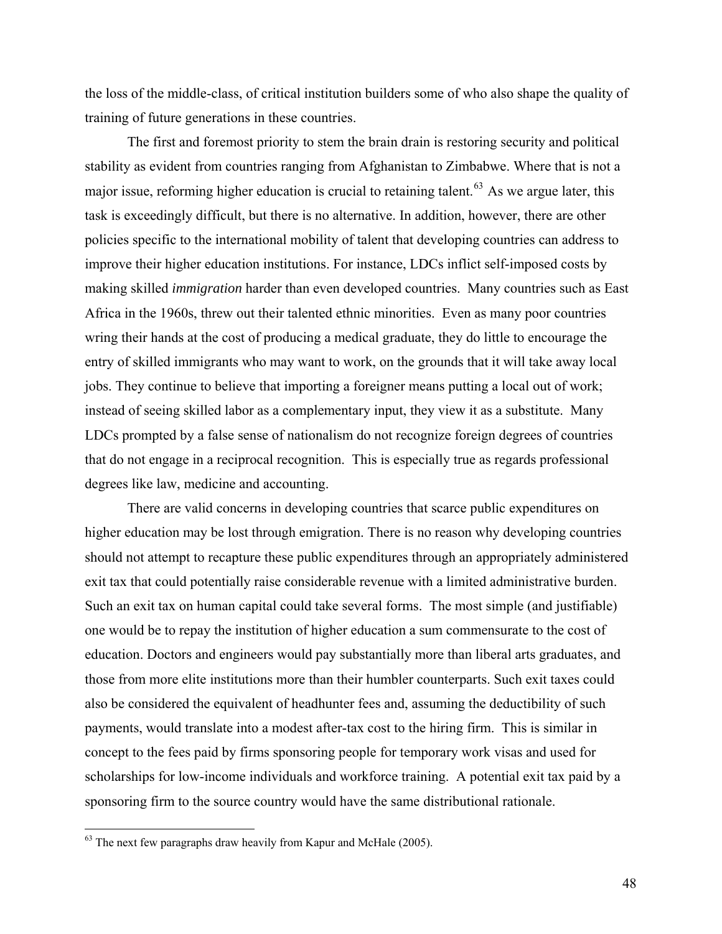the loss of the middle-class, of critical institution builders some of who also shape the quality of training of future generations in these countries.

The first and foremost priority to stem the brain drain is restoring security and political stability as evident from countries ranging from Afghanistan to Zimbabwe. Where that is not a major issue, reforming higher education is crucial to retaining talent.<sup>[63](#page-48-0)</sup> As we argue later, this task is exceedingly difficult, but there is no alternative. In addition, however, there are other policies specific to the international mobility of talent that developing countries can address to improve their higher education institutions. For instance, LDCs inflict self-imposed costs by making skilled *immigration* harder than even developed countries. Many countries such as East Africa in the 1960s, threw out their talented ethnic minorities. Even as many poor countries wring their hands at the cost of producing a medical graduate, they do little to encourage the entry of skilled immigrants who may want to work, on the grounds that it will take away local jobs. They continue to believe that importing a foreigner means putting a local out of work; instead of seeing skilled labor as a complementary input, they view it as a substitute. Many LDCs prompted by a false sense of nationalism do not recognize foreign degrees of countries that do not engage in a reciprocal recognition. This is especially true as regards professional degrees like law, medicine and accounting.

There are valid concerns in developing countries that scarce public expenditures on higher education may be lost through emigration. There is no reason why developing countries should not attempt to recapture these public expenditures through an appropriately administered exit tax that could potentially raise considerable revenue with a limited administrative burden. Such an exit tax on human capital could take several forms. The most simple (and justifiable) one would be to repay the institution of higher education a sum commensurate to the cost of education. Doctors and engineers would pay substantially more than liberal arts graduates, and those from more elite institutions more than their humbler counterparts. Such exit taxes could also be considered the equivalent of headhunter fees and, assuming the deductibility of such payments, would translate into a modest after-tax cost to the hiring firm. This is similar in concept to the fees paid by firms sponsoring people for temporary work visas and used for scholarships for low-income individuals and workforce training. A potential exit tax paid by a sponsoring firm to the source country would have the same distributional rationale.

<span id="page-48-0"></span> $63$  The next few paragraphs draw heavily from Kapur and McHale (2005).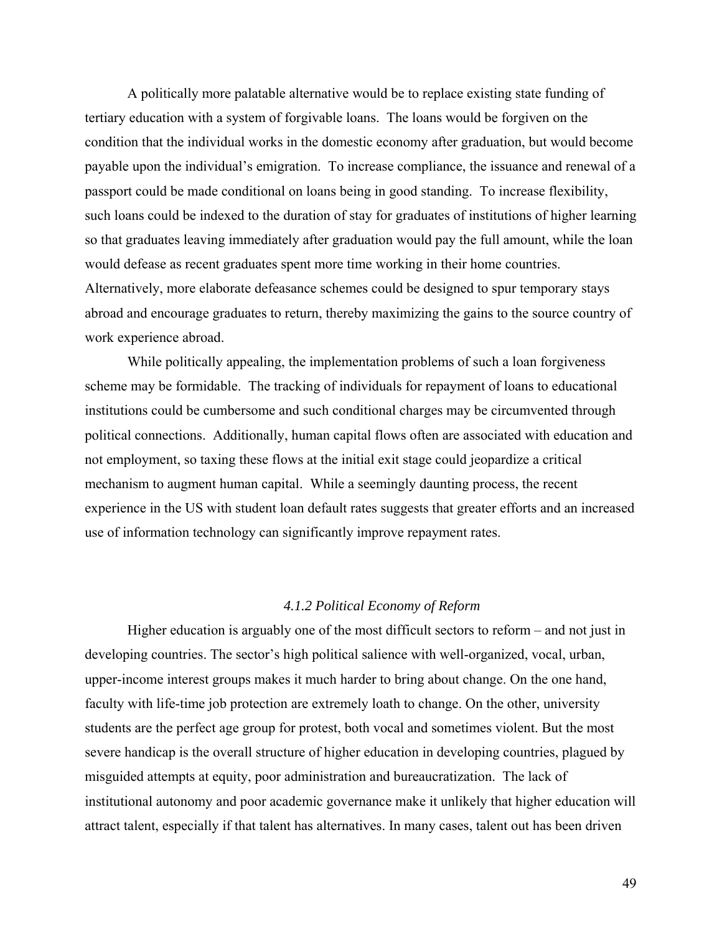A politically more palatable alternative would be to replace existing state funding of tertiary education with a system of forgivable loans. The loans would be forgiven on the condition that the individual works in the domestic economy after graduation, but would become payable upon the individual's emigration. To increase compliance, the issuance and renewal of a passport could be made conditional on loans being in good standing. To increase flexibility, such loans could be indexed to the duration of stay for graduates of institutions of higher learning so that graduates leaving immediately after graduation would pay the full amount, while the loan would defease as recent graduates spent more time working in their home countries. Alternatively, more elaborate defeasance schemes could be designed to spur temporary stays abroad and encourage graduates to return, thereby maximizing the gains to the source country of work experience abroad.

While politically appealing, the implementation problems of such a loan forgiveness scheme may be formidable. The tracking of individuals for repayment of loans to educational institutions could be cumbersome and such conditional charges may be circumvented through political connections. Additionally, human capital flows often are associated with education and not employment, so taxing these flows at the initial exit stage could jeopardize a critical mechanism to augment human capital. While a seemingly daunting process, the recent experience in the US with student loan default rates suggests that greater efforts and an increased use of information technology can significantly improve repayment rates.

# *4.1.2 Political Economy of Reform*

Higher education is arguably one of the most difficult sectors to reform – and not just in developing countries. The sector's high political salience with well-organized, vocal, urban, upper-income interest groups makes it much harder to bring about change. On the one hand, faculty with life-time job protection are extremely loath to change. On the other, university students are the perfect age group for protest, both vocal and sometimes violent. But the most severe handicap is the overall structure of higher education in developing countries, plagued by misguided attempts at equity, poor administration and bureaucratization. The lack of institutional autonomy and poor academic governance make it unlikely that higher education will attract talent, especially if that talent has alternatives. In many cases, talent out has been driven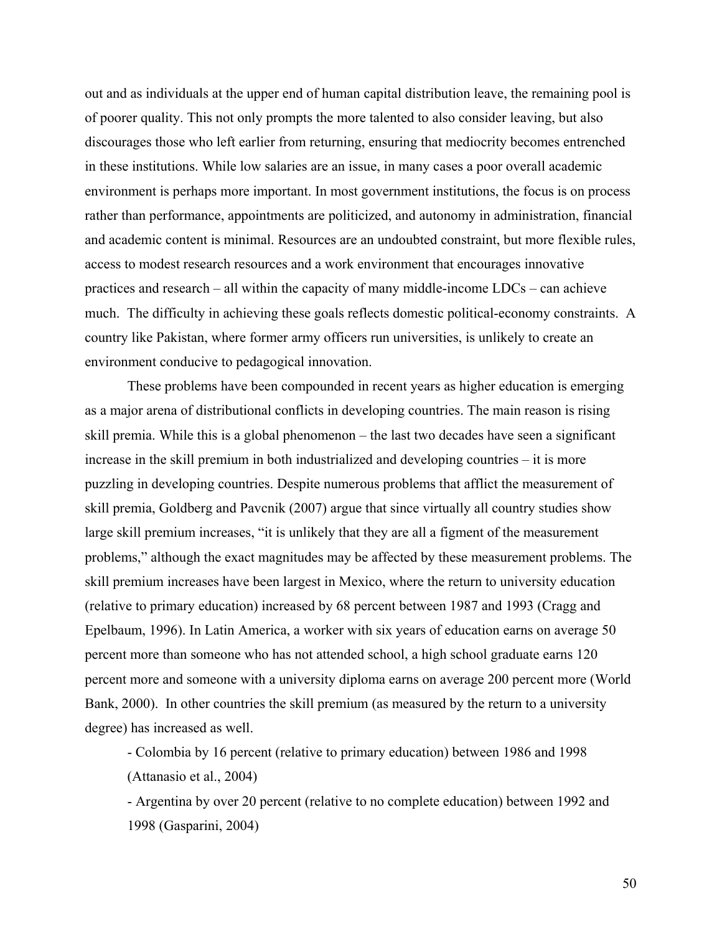out and as individuals at the upper end of human capital distribution leave, the remaining pool is of poorer quality. This not only prompts the more talented to also consider leaving, but also discourages those who left earlier from returning, ensuring that mediocrity becomes entrenched in these institutions. While low salaries are an issue, in many cases a poor overall academic environment is perhaps more important. In most government institutions, the focus is on process rather than performance, appointments are politicized, and autonomy in administration, financial and academic content is minimal. Resources are an undoubted constraint, but more flexible rules, access to modest research resources and a work environment that encourages innovative practices and research – all within the capacity of many middle-income LDCs – can achieve much. The difficulty in achieving these goals reflects domestic political-economy constraints. A country like Pakistan, where former army officers run universities, is unlikely to create an environment conducive to pedagogical innovation.

 These problems have been compounded in recent years as higher education is emerging as a major arena of distributional conflicts in developing countries. The main reason is rising skill premia. While this is a global phenomenon – the last two decades have seen a significant increase in the skill premium in both industrialized and developing countries – it is more puzzling in developing countries. Despite numerous problems that afflict the measurement of skill premia, Goldberg and Pavcnik (2007) argue that since virtually all country studies show large skill premium increases, "it is unlikely that they are all a figment of the measurement problems," although the exact magnitudes may be affected by these measurement problems. The skill premium increases have been largest in Mexico, where the return to university education (relative to primary education) increased by 68 percent between 1987 and 1993 (Cragg and Epelbaum, 1996). In Latin America, a worker with six years of education earns on average 50 percent more than someone who has not attended school, a high school graduate earns 120 percent more and someone with a university diploma earns on average 200 percent more (World Bank, 2000). In other countries the skill premium (as measured by the return to a university degree) has increased as well.

- Colombia by 16 percent (relative to primary education) between 1986 and 1998 (Attanasio et al., 2004)

- Argentina by over 20 percent (relative to no complete education) between 1992 and 1998 (Gasparini, 2004)

50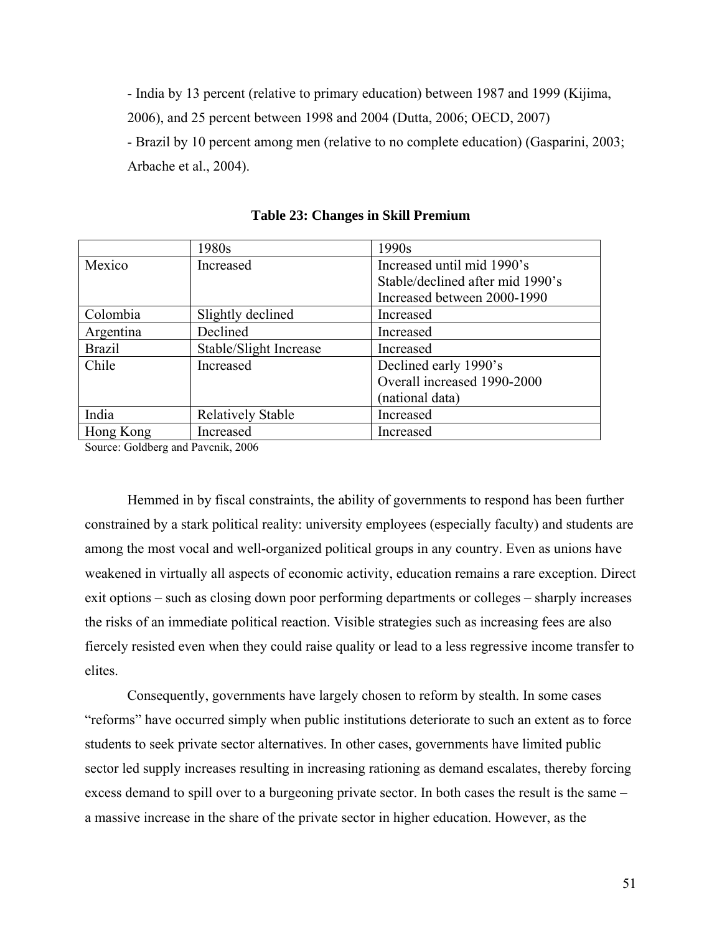- India by 13 percent (relative to primary education) between 1987 and 1999 (Kijima,

2006), and 25 percent between 1998 and 2004 (Dutta, 2006; OECD, 2007)

- Brazil by 10 percent among men (relative to no complete education) (Gasparini, 2003; Arbache et al., 2004).

|               | 1980s                    | 1990s                            |
|---------------|--------------------------|----------------------------------|
| Mexico        | Increased                | Increased until mid 1990's       |
|               |                          | Stable/declined after mid 1990's |
|               |                          | Increased between 2000-1990      |
| Colombia      | Slightly declined        | Increased                        |
| Argentina     | Declined                 | Increased                        |
| <b>Brazil</b> | Stable/Slight Increase   | Increased                        |
| Chile         | Increased                | Declined early 1990's            |
|               |                          | Overall increased 1990-2000      |
|               |                          | (national data)                  |
| India         | <b>Relatively Stable</b> | Increased                        |
| Hong Kong     | Increased                | Increased                        |

**Table 23: Changes in Skill Premium** 

Source: Goldberg and Pavcnik, 2006

 Hemmed in by fiscal constraints, the ability of governments to respond has been further constrained by a stark political reality: university employees (especially faculty) and students are among the most vocal and well-organized political groups in any country. Even as unions have weakened in virtually all aspects of economic activity, education remains a rare exception. Direct exit options – such as closing down poor performing departments or colleges – sharply increases the risks of an immediate political reaction. Visible strategies such as increasing fees are also fiercely resisted even when they could raise quality or lead to a less regressive income transfer to elites.

 Consequently, governments have largely chosen to reform by stealth. In some cases "reforms" have occurred simply when public institutions deteriorate to such an extent as to force students to seek private sector alternatives. In other cases, governments have limited public sector led supply increases resulting in increasing rationing as demand escalates, thereby forcing excess demand to spill over to a burgeoning private sector. In both cases the result is the same – a massive increase in the share of the private sector in higher education. However, as the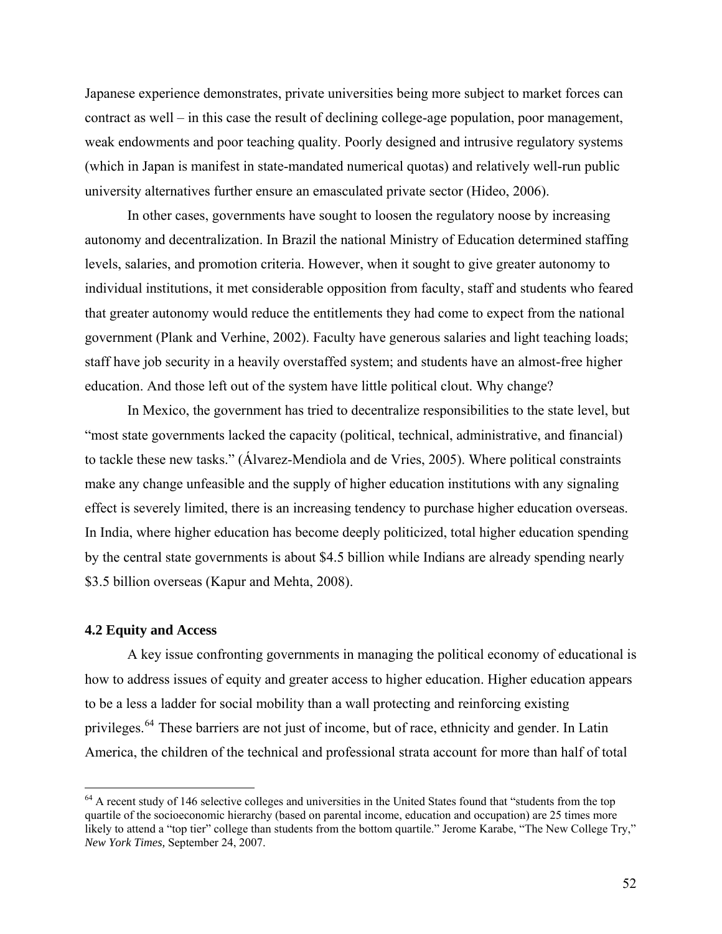Japanese experience demonstrates, private universities being more subject to market forces can contract as well – in this case the result of declining college-age population, poor management, weak endowments and poor teaching quality. Poorly designed and intrusive regulatory systems (which in Japan is manifest in state-mandated numerical quotas) and relatively well-run public university alternatives further ensure an emasculated private sector (Hideo, 2006).

In other cases, governments have sought to loosen the regulatory noose by increasing autonomy and decentralization. In Brazil the national Ministry of Education determined staffing levels, salaries, and promotion criteria. However, when it sought to give greater autonomy to individual institutions, it met considerable opposition from faculty, staff and students who feared that greater autonomy would reduce the entitlements they had come to expect from the national government (Plank and Verhine, 2002). Faculty have generous salaries and light teaching loads; staff have job security in a heavily overstaffed system; and students have an almost-free higher education. And those left out of the system have little political clout. Why change?

In Mexico, the government has tried to decentralize responsibilities to the state level, but "most state governments lacked the capacity (political, technical, administrative, and financial) to tackle these new tasks." (Álvarez-Mendiola and de Vries, 2005). Where political constraints make any change unfeasible and the supply of higher education institutions with any signaling effect is severely limited, there is an increasing tendency to purchase higher education overseas. In India, where higher education has become deeply politicized, total higher education spending by the central state governments is about \$4.5 billion while Indians are already spending nearly \$3.5 billion overseas (Kapur and Mehta, 2008).

## **4.2 Equity and Access**

 $\overline{a}$ 

A key issue confronting governments in managing the political economy of educational is how to address issues of equity and greater access to higher education. Higher education appears to be a less a ladder for social mobility than a wall protecting and reinforcing existing privileges.[64](#page-52-0) These barriers are not just of income, but of race, ethnicity and gender. In Latin America, the children of the technical and professional strata account for more than half of total

<span id="page-52-0"></span> $64$  A recent study of 146 selective colleges and universities in the United States found that "students from the top quartile of the socioeconomic hierarchy (based on parental income, education and occupation) are 25 times more likely to attend a "top tier" college than students from the bottom quartile." Jerome Karabe, "The New College Try," *New York Times,* September 24, 2007.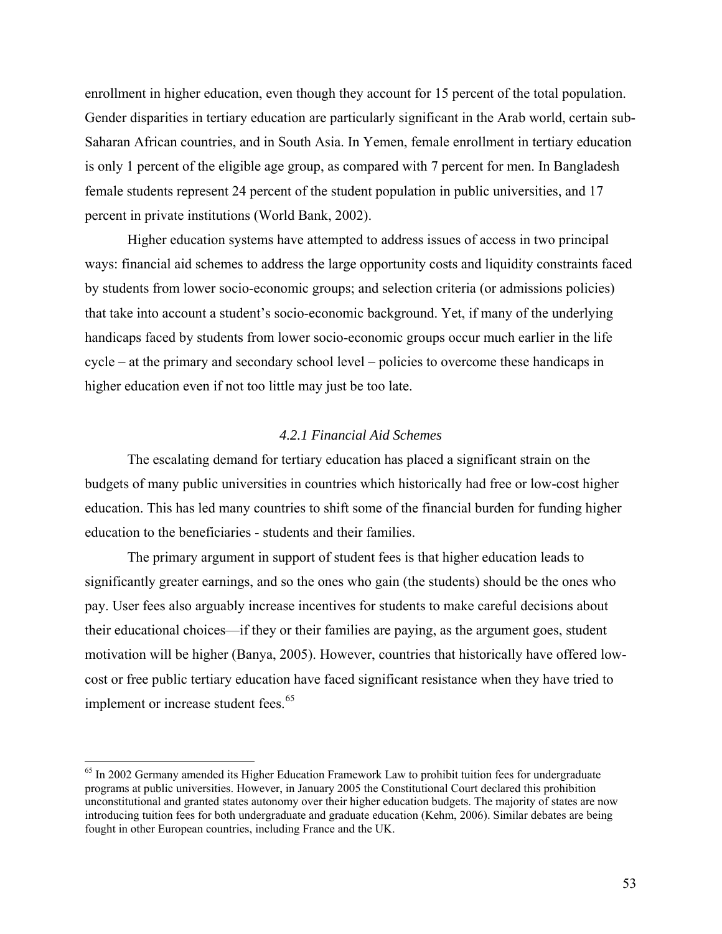enrollment in higher education, even though they account for 15 percent of the total population. Gender disparities in tertiary education are particularly significant in the Arab world, certain sub-Saharan African countries, and in South Asia. In Yemen, female enrollment in tertiary education is only 1 percent of the eligible age group, as compared with 7 percent for men. In Bangladesh female students represent 24 percent of the student population in public universities, and 17 percent in private institutions (World Bank, 2002).

Higher education systems have attempted to address issues of access in two principal ways: financial aid schemes to address the large opportunity costs and liquidity constraints faced by students from lower socio-economic groups; and selection criteria (or admissions policies) that take into account a student's socio-economic background. Yet, if many of the underlying handicaps faced by students from lower socio-economic groups occur much earlier in the life cycle – at the primary and secondary school level – policies to overcome these handicaps in higher education even if not too little may just be too late.

## *4.2.1 Financial Aid Schemes*

The escalating demand for tertiary education has placed a significant strain on the budgets of many public universities in countries which historically had free or low-cost higher education. This has led many countries to shift some of the financial burden for funding higher education to the beneficiaries - students and their families.

The primary argument in support of student fees is that higher education leads to significantly greater earnings, and so the ones who gain (the students) should be the ones who pay. User fees also arguably increase incentives for students to make careful decisions about their educational choices—if they or their families are paying, as the argument goes, student motivation will be higher (Banya, 2005). However, countries that historically have offered lowcost or free public tertiary education have faced significant resistance when they have tried to implement or increase student fees.<sup>[65](#page-53-0)</sup>

<span id="page-53-0"></span><sup>&</sup>lt;sup>65</sup> In 2002 Germany amended its Higher Education Framework Law to prohibit tuition fees for undergraduate programs at public universities. However, in January 2005 the Constitutional Court declared this prohibition unconstitutional and granted states autonomy over their higher education budgets. The majority of states are now introducing tuition fees for both undergraduate and graduate education (Kehm, 2006). Similar debates are being fought in other European countries, including France and the UK.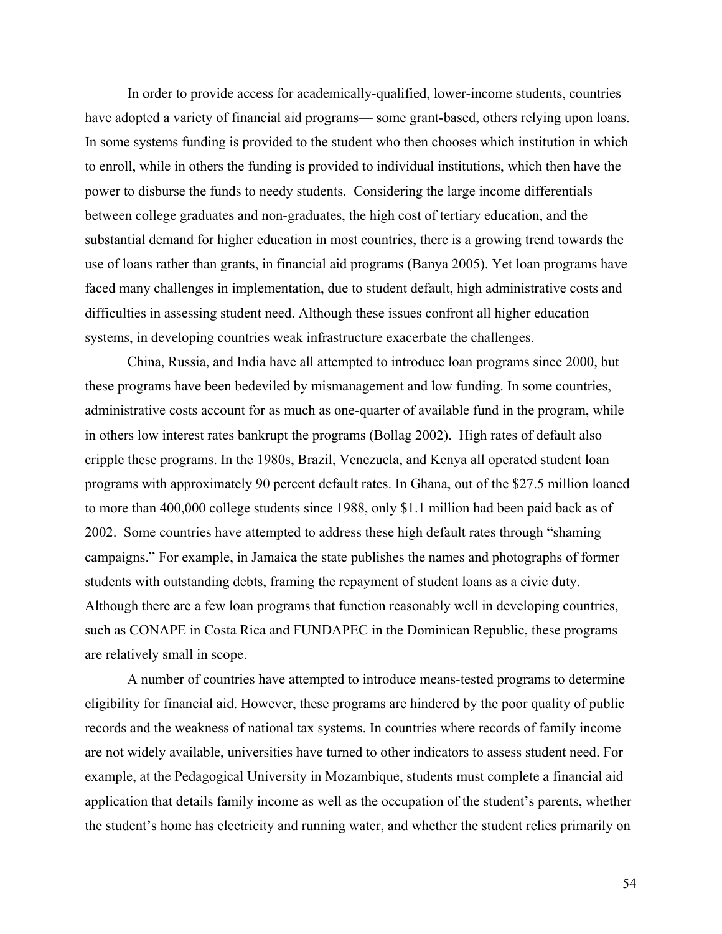In order to provide access for academically-qualified, lower-income students, countries have adopted a variety of financial aid programs— some grant-based, others relying upon loans. In some systems funding is provided to the student who then chooses which institution in which to enroll, while in others the funding is provided to individual institutions, which then have the power to disburse the funds to needy students. Considering the large income differentials between college graduates and non-graduates, the high cost of tertiary education, and the substantial demand for higher education in most countries, there is a growing trend towards the use of loans rather than grants, in financial aid programs (Banya 2005). Yet loan programs have faced many challenges in implementation, due to student default, high administrative costs and difficulties in assessing student need. Although these issues confront all higher education systems, in developing countries weak infrastructure exacerbate the challenges.

China, Russia, and India have all attempted to introduce loan programs since 2000, but these programs have been bedeviled by mismanagement and low funding. In some countries, administrative costs account for as much as one-quarter of available fund in the program, while in others low interest rates bankrupt the programs (Bollag 2002). High rates of default also cripple these programs. In the 1980s, Brazil, Venezuela, and Kenya all operated student loan programs with approximately 90 percent default rates. In Ghana, out of the \$27.5 million loaned to more than 400,000 college students since 1988, only \$1.1 million had been paid back as of 2002. Some countries have attempted to address these high default rates through "shaming campaigns." For example, in Jamaica the state publishes the names and photographs of former students with outstanding debts, framing the repayment of student loans as a civic duty. Although there are a few loan programs that function reasonably well in developing countries, such as CONAPE in Costa Rica and FUNDAPEC in the Dominican Republic, these programs are relatively small in scope.

A number of countries have attempted to introduce means-tested programs to determine eligibility for financial aid. However, these programs are hindered by the poor quality of public records and the weakness of national tax systems. In countries where records of family income are not widely available, universities have turned to other indicators to assess student need. For example, at the Pedagogical University in Mozambique, students must complete a financial aid application that details family income as well as the occupation of the student's parents, whether the student's home has electricity and running water, and whether the student relies primarily on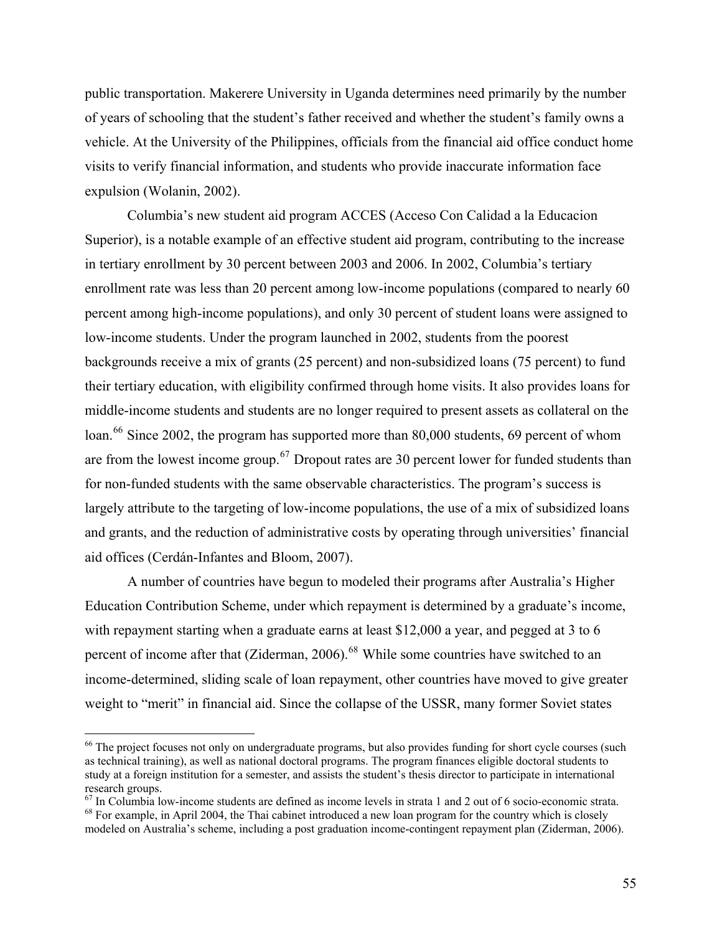public transportation. Makerere University in Uganda determines need primarily by the number of years of schooling that the student's father received and whether the student's family owns a vehicle. At the University of the Philippines, officials from the financial aid office conduct home visits to verify financial information, and students who provide inaccurate information face expulsion (Wolanin, 2002).

Columbia's new student aid program ACCES (Acceso Con Calidad a la Educacion Superior), is a notable example of an effective student aid program, contributing to the increase in tertiary enrollment by 30 percent between 2003 and 2006. In 2002, Columbia's tertiary enrollment rate was less than 20 percent among low-income populations (compared to nearly 60 percent among high-income populations), and only 30 percent of student loans were assigned to low-income students. Under the program launched in 2002, students from the poorest backgrounds receive a mix of grants (25 percent) and non-subsidized loans (75 percent) to fund their tertiary education, with eligibility confirmed through home visits. It also provides loans for middle-income students and students are no longer required to present assets as collateral on the loan.<sup>[66](#page-55-0)</sup> Since 2002, the program has supported more than 80,000 students, 69 percent of whom are from the lowest income group.<sup>[67](#page-55-1)</sup> Dropout rates are 30 percent lower for funded students than for non-funded students with the same observable characteristics. The program's success is largely attribute to the targeting of low-income populations, the use of a mix of subsidized loans and grants, and the reduction of administrative costs by operating through universities' financial aid offices (Cerdán-Infantes and Bloom, 2007).

A number of countries have begun to modeled their programs after Australia's Higher Education Contribution Scheme, under which repayment is determined by a graduate's income, with repayment starting when a graduate earns at least \$12,000 a year, and pegged at 3 to 6 percent of income after that (Ziderman, 2006).<sup>[68](#page-55-2)</sup> While some countries have switched to an income-determined, sliding scale of loan repayment, other countries have moved to give greater weight to "merit" in financial aid. Since the collapse of the USSR, many former Soviet states

<span id="page-55-0"></span><sup>&</sup>lt;sup>66</sup> The project focuses not only on undergraduate programs, but also provides funding for short cycle courses (such as technical training), as well as national doctoral programs. The program finances eligible doctoral students to study at a foreign institution for a semester, and assists the student's thesis director to participate in international research groups.

<span id="page-55-1"></span> $67$  In Columbia low-income students are defined as income levels in strata 1 and 2 out of 6 socio-economic strata. <sup>68</sup> For example, in April 2004, the Thai cabinet introduced a new loan program for the country which is closely

<span id="page-55-2"></span>modeled on Australia's scheme, including a post graduation income-contingent repayment plan (Ziderman, 2006).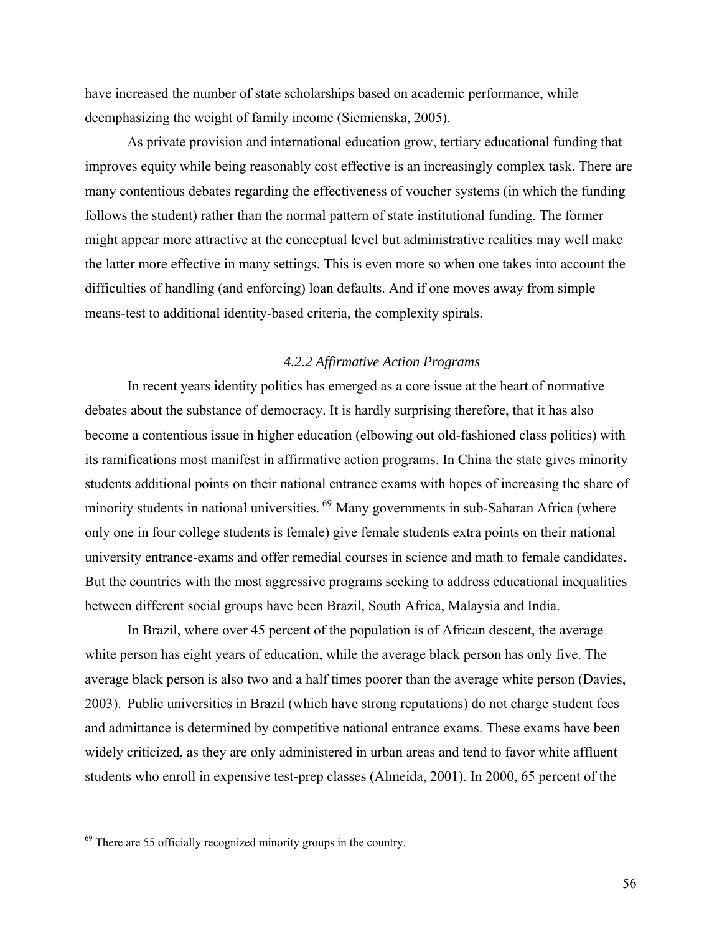have increased the number of state scholarships based on academic performance, while deemphasizing the weight of family income (Siemienska, 2005).

As private provision and international education grow, tertiary educational funding that improves equity while being reasonably cost effective is an increasingly complex task. There are many contentious debates regarding the effectiveness of voucher systems (in which the funding follows the student) rather than the normal pattern of state institutional funding. The former might appear more attractive at the conceptual level but administrative realities may well make the latter more effective in many settings. This is even more so when one takes into account the difficulties of handling (and enforcing) loan defaults. And if one moves away from simple means-test to additional identity-based criteria, the complexity spirals.

### *4.2.2 Affirmative Action Programs*

In recent years identity politics has emerged as a core issue at the heart of normative debates about the substance of democracy. It is hardly surprising therefore, that it has also become a contentious issue in higher education (elbowing out old-fashioned class politics) with its ramifications most manifest in affirmative action programs. In China the state gives minority students additional points on their national entrance exams with hopes of increasing the share of minority students in national universities. <sup>[69](#page-56-0)</sup> Many governments in sub-Saharan Africa (where only one in four college students is female) give female students extra points on their national university entrance-exams and offer remedial courses in science and math to female candidates. But the countries with the most aggressive programs seeking to address educational inequalities between different social groups have been Brazil, South Africa, Malaysia and India.

In Brazil, where over 45 percent of the population is of African descent, the average white person has eight years of education, while the average black person has only five. The average black person is also two and a half times poorer than the average white person (Davies, 2003). Public universities in Brazil (which have strong reputations) do not charge student fees and admittance is determined by competitive national entrance exams. These exams have been widely criticized, as they are only administered in urban areas and tend to favor white affluent students who enroll in expensive test-prep classes (Almeida, 2001). In 2000, 65 percent of the

<span id="page-56-0"></span> $69$  There are 55 officially recognized minority groups in the country.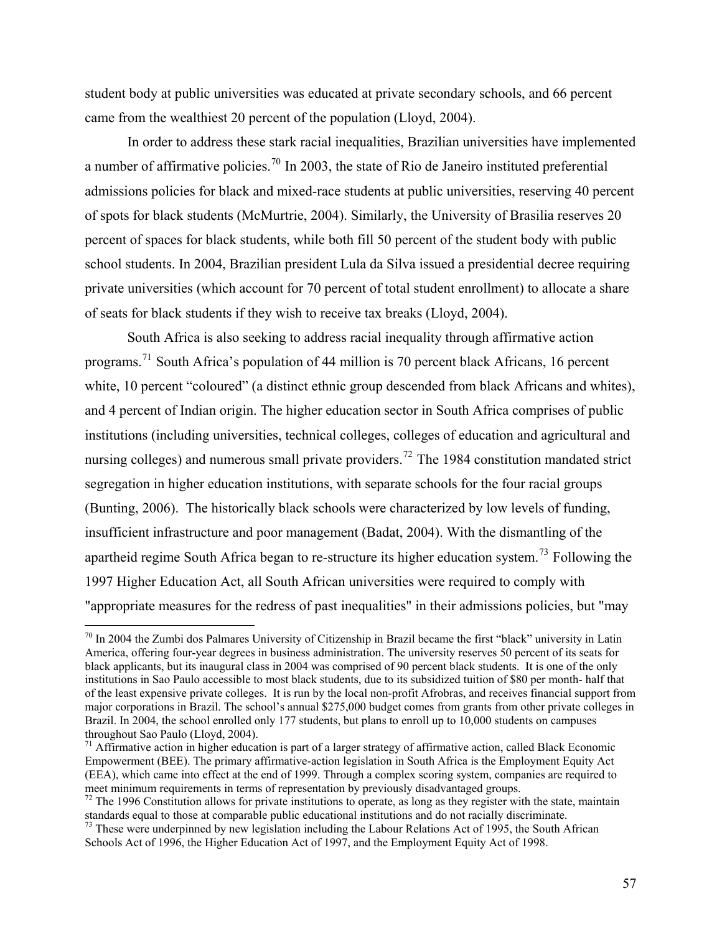student body at public universities was educated at private secondary schools, and 66 percent came from the wealthiest 20 percent of the population (Lloyd, 2004).

In order to address these stark racial inequalities, Brazilian universities have implemented a number of affirmative policies.<sup>[70](#page-57-0)</sup> In 2003, the state of Rio de Janeiro instituted preferential admissions policies for black and mixed-race students at public universities, reserving 40 percent of spots for black students (McMurtrie, 2004). Similarly, the University of Brasilia reserves 20 percent of spaces for black students, while both fill 50 percent of the student body with public school students. In 2004, Brazilian president Lula da Silva issued a presidential decree requiring private universities (which account for 70 percent of total student enrollment) to allocate a share of seats for black students if they wish to receive tax breaks (Lloyd, 2004).

South Africa is also seeking to address racial inequality through affirmative action programs.[71](#page-57-1) South Africa's population of 44 million is 70 percent black Africans, 16 percent white, 10 percent "coloured" (a distinct ethnic group descended from black Africans and whites), and 4 percent of Indian origin. The higher education sector in South Africa comprises of public institutions (including universities, technical colleges, colleges of education and agricultural and nursing colleges) and numerous small private providers.<sup>[72](#page-57-2)</sup> The 1984 constitution mandated strict segregation in higher education institutions, with separate schools for the four racial groups (Bunting, 2006). The historically black schools were characterized by low levels of funding, insufficient infrastructure and poor management (Badat, 2004). With the dismantling of the apartheid regime South Africa began to re-structure its higher education system.<sup>[73](#page-57-3)</sup> Following the 1997 Higher Education Act, all South African universities were required to comply with "appropriate measures for the redress of past inequalities" in their admissions policies, but "may

<span id="page-57-0"></span> $70$  In 2004 the Zumbi dos Palmares University of Citizenship in Brazil became the first "black" university in Latin America, offering four-year degrees in business administration. The university reserves 50 percent of its seats for black applicants, but its inaugural class in 2004 was comprised of 90 percent black students. It is one of the only institutions in Sao Paulo accessible to most black students, due to its subsidized tuition of \$80 per month- half that of the least expensive private colleges. It is run by the local non-profit Afrobras, and receives financial support from major corporations in Brazil. The school's annual \$275,000 budget comes from grants from other private colleges in Brazil. In 2004, the school enrolled only 177 students, but plans to enroll up to 10,000 students on campuses throughout Sao Paulo (Lloyd, 2004).

<span id="page-57-1"></span> $<sup>71</sup>$  Affirmative action in higher education is part of a larger strategy of affirmative action, called Black Economic</sup> Empowerment (BEE). The primary affirmative-action legislation in South Africa is the Employment Equity Act (EEA), which came into effect at the end of 1999. Through a complex scoring system, companies are required to meet minimum requirements in terms of representation by previously disadvantaged groups.

<span id="page-57-2"></span> $^{72}$  The 1996 Constitution allows for private institutions to operate, as long as they register with the state, maintain standards equal to those at comparable public educational institutions and do not racially discriminate.

<span id="page-57-3"></span> $73$  These were underpinned by new legislation including the Labour Relations Act of 1995, the South African Schools Act of 1996, the Higher Education Act of 1997, and the Employment Equity Act of 1998.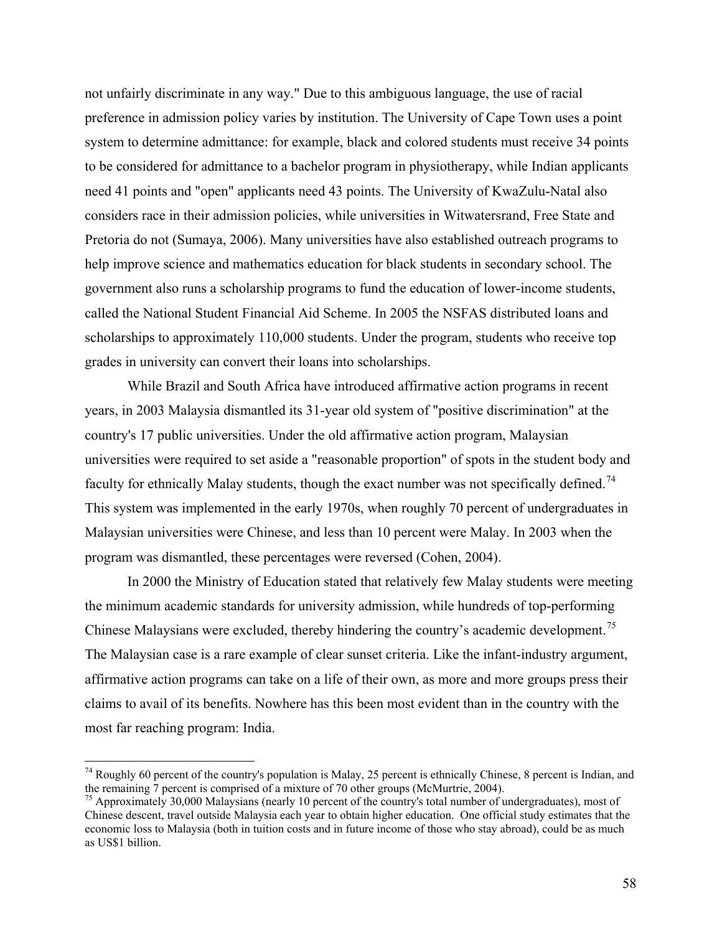not unfairly discriminate in any way." Due to this ambiguous language, the use of racial preference in admission policy varies by institution. The University of Cape Town uses a point system to determine admittance: for example, black and colored students must receive 34 points to be considered for admittance to a bachelor program in physiotherapy, while Indian applicants need 41 points and "open" applicants need 43 points. The University of KwaZulu-Natal also considers race in their admission policies, while universities in Witwatersrand, Free State and Pretoria do not (Sumaya, 2006). Many universities have also established outreach programs to help improve science and mathematics education for black students in secondary school. The government also runs a scholarship programs to fund the education of lower-income students, called the National Student Financial Aid Scheme. In 2005 the NSFAS distributed loans and scholarships to approximately 110,000 students. Under the program, students who receive top grades in university can convert their loans into scholarships.

While Brazil and South Africa have introduced affirmative action programs in recent years, in 2003 Malaysia dismantled its 31-year old system of "positive discrimination" at the country's 17 public universities. Under the old affirmative action program, Malaysian universities were required to set aside a "reasonable proportion" of spots in the student body and faculty for ethnically Malay students, though the exact number was not specifically defined.<sup>[74](#page-58-0)</sup> This system was implemented in the early 1970s, when roughly 70 percent of undergraduates in Malaysian universities were Chinese, and less than 10 percent were Malay. In 2003 when the program was dismantled, these percentages were reversed (Cohen, 2004).

In 2000 the Ministry of Education stated that relatively few Malay students were meeting the minimum academic standards for university admission, while hundreds of top-performing Chinese Malaysians were excluded, thereby hindering the country's academic development.<sup>[75](#page-58-1)</sup> The Malaysian case is a rare example of clear sunset criteria. Like the infant-industry argument, affirmative action programs can take on a life of their own, as more and more groups press their claims to avail of its benefits. Nowhere has this been most evident than in the country with the most far reaching program: India.

1

<span id="page-58-0"></span> $74$  Roughly 60 percent of the country's population is Malay, 25 percent is ethnically Chinese, 8 percent is Indian, and the remaining 7 percent is comprised of a mixture of 70 other groups (McMurtrie, 2004).

<span id="page-58-1"></span><sup>&</sup>lt;sup>75</sup> Approximately 30,000 Malaysians (nearly 10 percent of the country's total number of undergraduates), most of Chinese descent, travel outside Malaysia each year to obtain higher education. One official study estimates that the economic loss to Malaysia (both in tuition costs and in future income of those who stay abroad), could be as much as US\$1 billion.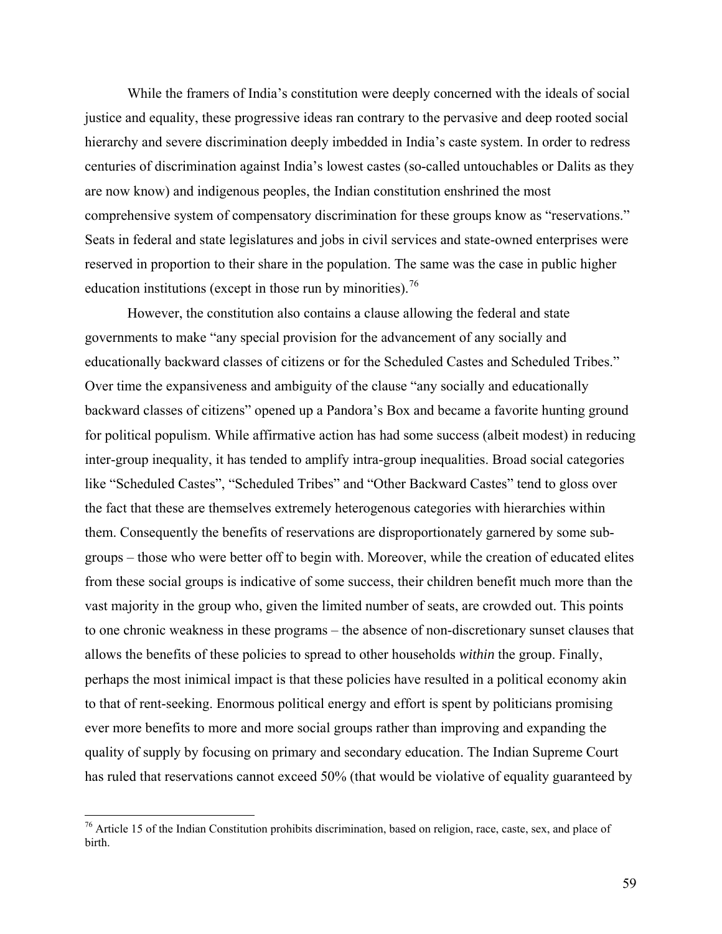While the framers of India's constitution were deeply concerned with the ideals of social justice and equality, these progressive ideas ran contrary to the pervasive and deep rooted social hierarchy and severe discrimination deeply imbedded in India's caste system. In order to redress centuries of discrimination against India's lowest castes (so-called untouchables or Dalits as they are now know) and indigenous peoples, the Indian constitution enshrined the most comprehensive system of compensatory discrimination for these groups know as "reservations." Seats in federal and state legislatures and jobs in civil services and state-owned enterprises were reserved in proportion to their share in the population. The same was the case in public higher education institutions (except in those run by minorities).<sup>[76](#page-59-0)</sup>

However, the constitution also contains a clause allowing the federal and state governments to make "any special provision for the advancement of any socially and educationally backward classes of citizens or for the Scheduled Castes and Scheduled Tribes." Over time the expansiveness and ambiguity of the clause "any socially and educationally backward classes of citizens" opened up a Pandora's Box and became a favorite hunting ground for political populism. While affirmative action has had some success (albeit modest) in reducing inter-group inequality, it has tended to amplify intra-group inequalities. Broad social categories like "Scheduled Castes", "Scheduled Tribes" and "Other Backward Castes" tend to gloss over the fact that these are themselves extremely heterogenous categories with hierarchies within them. Consequently the benefits of reservations are disproportionately garnered by some subgroups – those who were better off to begin with. Moreover, while the creation of educated elites from these social groups is indicative of some success, their children benefit much more than the vast majority in the group who, given the limited number of seats, are crowded out. This points to one chronic weakness in these programs – the absence of non-discretionary sunset clauses that allows the benefits of these policies to spread to other households *within* the group. Finally, perhaps the most inimical impact is that these policies have resulted in a political economy akin to that of rent-seeking. Enormous political energy and effort is spent by politicians promising ever more benefits to more and more social groups rather than improving and expanding the quality of supply by focusing on primary and secondary education. The Indian Supreme Court has ruled that reservations cannot exceed 50% (that would be violative of equality guaranteed by

<span id="page-59-0"></span> $76$  Article 15 of the Indian Constitution prohibits discrimination, based on religion, race, caste, sex, and place of birth.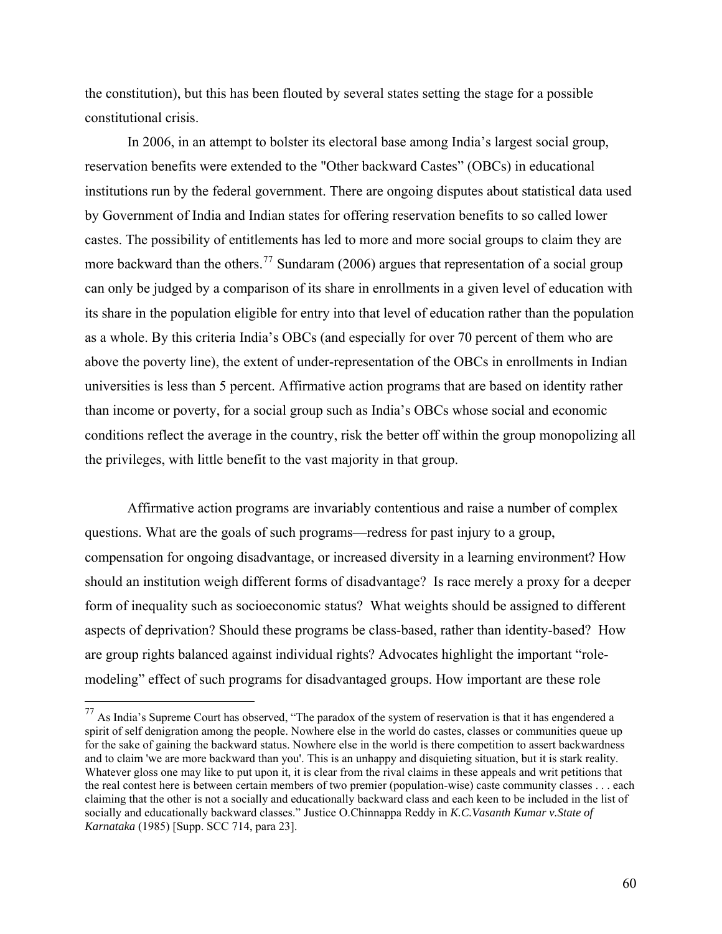the constitution), but this has been flouted by several states setting the stage for a possible constitutional crisis.

In 2006, in an attempt to bolster its electoral base among India's largest social group, reservation benefits were extended to the "[Other backward Castes](http://en.wikipedia.org/wiki/Other_Backward_Castes)" (OBCs) in educational institutions run by the federal government. There are ongoing disputes about statistical data used by Government of India and Indian states for offering reservation benefits to so called lower castes. The possibility of entitlements has led to more and more social groups to claim they are more backward than the others.<sup>[77](#page-60-0)</sup> Sundaram (2006) argues that representation of a social group can only be judged by a comparison of its share in enrollments in a given level of education with its share in the population eligible for entry into that level of education rather than the population as a whole. By this criteria India's OBCs (and especially for over 70 percent of them who are above the poverty line), the extent of under-representation of the OBCs in enrollments in Indian universities is less than 5 percent. Affirmative action programs that are based on identity rather than income or poverty, for a social group such as India's OBCs whose social and economic conditions reflect the average in the country, risk the better off within the group monopolizing all the privileges, with little benefit to the vast majority in that group.

Affirmative action programs are invariably contentious and raise a number of complex questions. What are the goals of such programs—redress for past injury to a group, compensation for ongoing disadvantage, or increased diversity in a learning environment? How should an institution weigh different forms of disadvantage? Is race merely a proxy for a deeper form of inequality such as socioeconomic status? What weights should be assigned to different aspects of deprivation? Should these programs be class-based, rather than identity-based? How are group rights balanced against individual rights? Advocates highlight the important "rolemodeling" effect of such programs for disadvantaged groups. How important are these role

<span id="page-60-0"></span> $^{77}$  As India's Supreme Court has observed, "The paradox of the system of reservation is that it has engendered a spirit of self denigration among the people. Nowhere else in the world do castes, classes or communities queue up for the sake of gaining the backward status. Nowhere else in the world is there competition to assert backwardness and to claim 'we are more backward than you'. This is an unhappy and disquieting situation, but it is stark reality. Whatever gloss one may like to put upon it, it is clear from the rival claims in these appeals and writ petitions that the real contest here is between certain members of two premier (population-wise) caste community classes . . . each claiming that the other is not a socially and educationally backward class and each keen to be included in the list of socially and educationally backward classes." Justice O.Chinnappa Reddy in *K.C.Vasanth Kumar v.State of Karnataka* (1985) [Supp. SCC 714, para 23].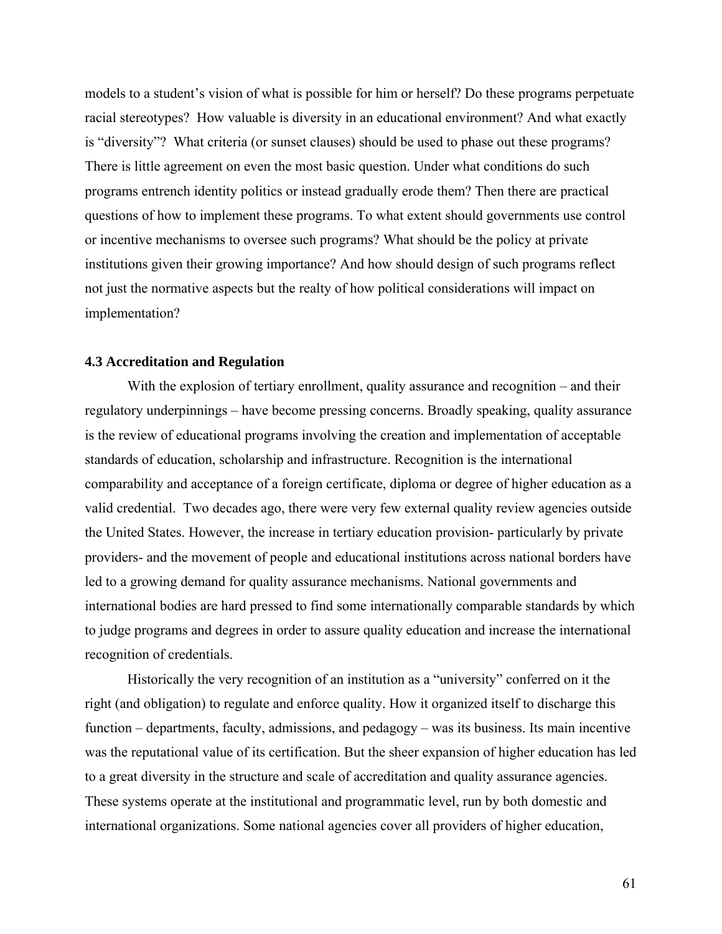models to a student's vision of what is possible for him or herself? Do these programs perpetuate racial stereotypes? How valuable is diversity in an educational environment? And what exactly is "diversity"? What criteria (or sunset clauses) should be used to phase out these programs? There is little agreement on even the most basic question. Under what conditions do such programs entrench identity politics or instead gradually erode them? Then there are practical questions of how to implement these programs. To what extent should governments use control or incentive mechanisms to oversee such programs? What should be the policy at private institutions given their growing importance? And how should design of such programs reflect not just the normative aspects but the realty of how political considerations will impact on implementation?

### **4.3 Accreditation and Regulation**

With the explosion of tertiary enrollment, quality assurance and recognition – and their regulatory underpinnings – have become pressing concerns. Broadly speaking, quality assurance is the review of educational programs involving the creation and implementation of acceptable standards of education, scholarship and infrastructure. Recognition is the international comparability and acceptance of a foreign certificate, diploma or degree of higher education as a valid credential. Two decades ago, there were very few external quality review agencies outside the United States. However, the increase in tertiary education provision- particularly by private providers- and the movement of people and educational institutions across national borders have led to a growing demand for quality assurance mechanisms. National governments and international bodies are hard pressed to find some internationally comparable standards by which to judge programs and degrees in order to assure quality education and increase the international recognition of credentials.

Historically the very recognition of an institution as a "university" conferred on it the right (and obligation) to regulate and enforce quality. How it organized itself to discharge this function – departments, faculty, admissions, and pedagogy – was its business. Its main incentive was the reputational value of its certification. But the sheer expansion of higher education has led to a great diversity in the structure and scale of accreditation and quality assurance agencies. These systems operate at the institutional and programmatic level, run by both domestic and international organizations. Some national agencies cover all providers of higher education,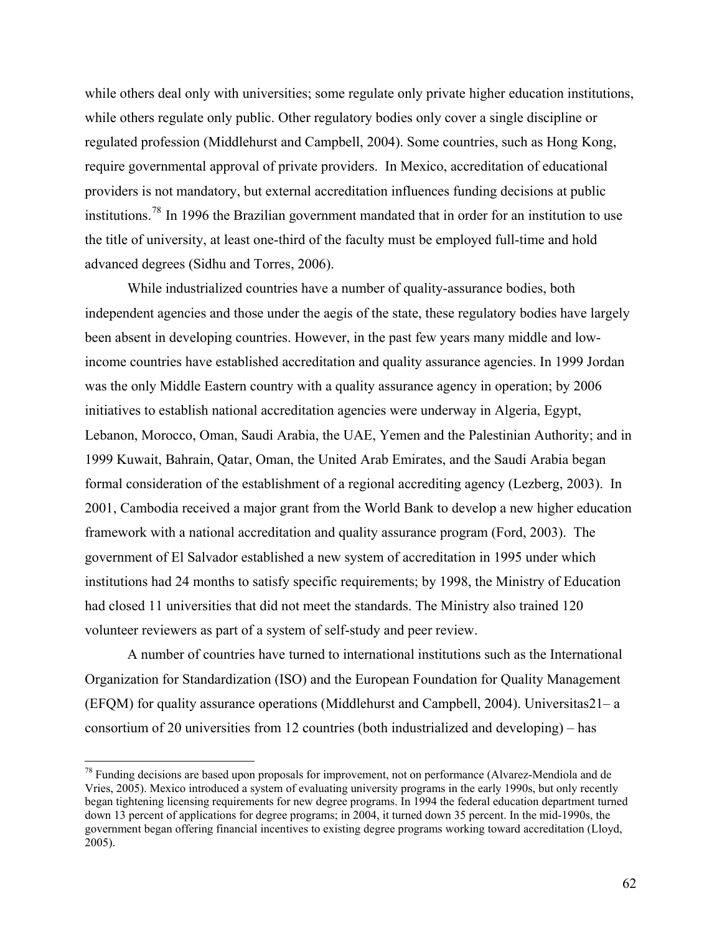while others deal only with universities; some regulate only private higher education institutions, while others regulate only public. Other regulatory bodies only cover a single discipline or regulated profession (Middlehurst and Campbell, 2004). Some countries, such as Hong Kong, require governmental approval of private providers. In Mexico, accreditation of educational providers is not mandatory, but external accreditation influences funding decisions at public institutions.[78](#page-62-0) In 1996 the Brazilian government mandated that in order for an institution to use the title of university, at least one-third of the faculty must be employed full-time and hold advanced degrees (Sidhu and Torres, 2006).

While industrialized countries have a number of quality-assurance bodies, both independent agencies and those under the aegis of the state, these regulatory bodies have largely been absent in developing countries. However, in the past few years many middle and lowincome countries have established accreditation and quality assurance agencies. In 1999 Jordan was the only Middle Eastern country with a quality assurance agency in operation; by 2006 initiatives to establish national accreditation agencies were underway in Algeria, Egypt, Lebanon, Morocco, Oman, Saudi Arabia, the UAE, Yemen and the Palestinian Authority; and in 1999 Kuwait, Bahrain, Qatar, Oman, the United Arab Emirates, and the Saudi Arabia began formal consideration of the establishment of a regional accrediting agency (Lezberg, 2003). In 2001, Cambodia received a major grant from the World Bank to develop a new higher education framework with a national accreditation and quality assurance program (Ford, 2003). The government of El Salvador established a new system of accreditation in 1995 under which institutions had 24 months to satisfy specific requirements; by 1998, the Ministry of Education had closed 11 universities that did not meet the standards. The Ministry also trained 120 volunteer reviewers as part of a system of self-study and peer review.

A number of countries have turned to international institutions such as the International Organization for Standardization (ISO) and the European Foundation for Quality Management (EFQM) for quality assurance operations (Middlehurst and Campbell, 2004). Universitas21– a consortium of 20 universities from 12 countries (both industrialized and developing) – has

<span id="page-62-0"></span> $78$  Funding decisions are based upon proposals for improvement, not on performance (Alvarez-Mendiola and de Vries, 2005). Mexico introduced a system of evaluating university programs in the early 1990s, but only recently began tightening licensing requirements for new degree programs. In 1994 the federal education department turned down 13 percent of applications for degree programs; in 2004, it turned down 35 percent. In the mid-1990s, the government began offering financial incentives to existing degree programs working toward accreditation (Lloyd, 2005).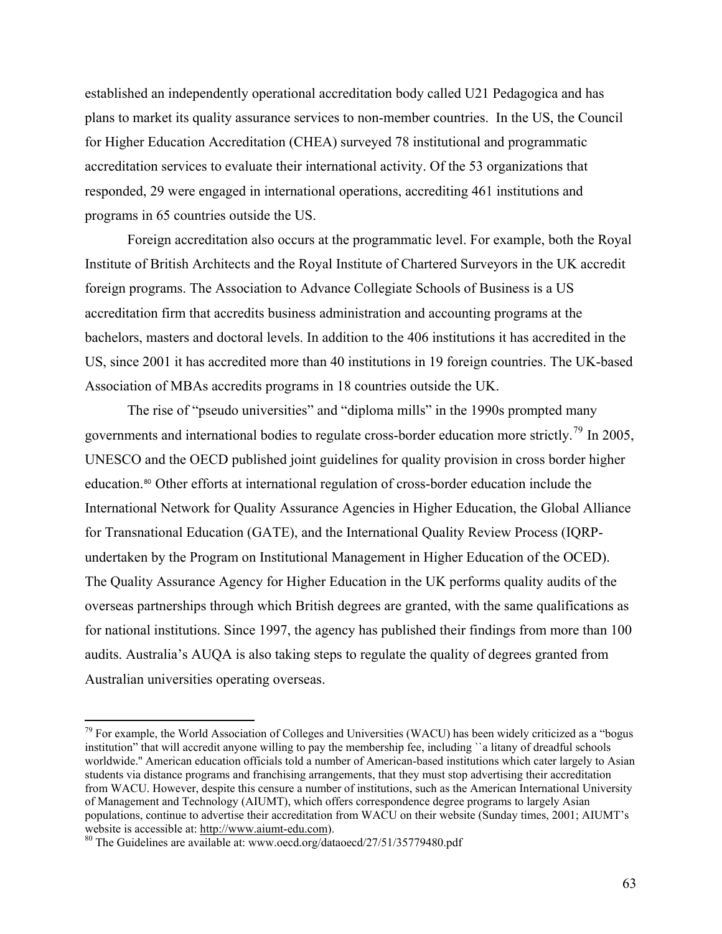established an independently operational accreditation body called U21 Pedagogica and has plans to market its quality assurance services to non-member countries. In the US, the Council for Higher Education Accreditation (CHEA) surveyed 78 institutional and programmatic accreditation services to evaluate their international activity. Of the 53 organizations that responded, 29 were engaged in international operations, accrediting 461 institutions and programs in 65 countries outside the US.

Foreign accreditation also occurs at the programmatic level. For example, both the Royal Institute of British Architects and the Royal Institute of Chartered Surveyors in the UK accredit foreign programs. The Association to Advance Collegiate Schools of Business is a US accreditation firm that accredits business administration and accounting programs at the bachelors, masters and doctoral levels. In addition to the 406 institutions it has accredited in the US, since 2001 it has accredited more than 40 institutions in 19 foreign countries. The UK-based Association of MBAs accredits programs in 18 countries outside the UK.

The rise of "pseudo universities" and "diploma mills" in the 1990s prompted many governments and international bodies to regulate cross-border education more strictly.<sup>[79](#page-63-0)</sup> In 2005, UNESCO and the OECD published joint guidelines for quality provision in cross border higher education.[80](#page-63-1) Other efforts at international regulation of cross-border education include the International Network for Quality Assurance Agencies in Higher Education, the Global Alliance for Transnational Education (GATE), and the International Quality Review Process (IQRPundertaken by the Program on Institutional Management in Higher Education of the OCED). The Quality Assurance Agency for Higher Education in the UK performs quality audits of the overseas partnerships through which British degrees are granted, with the same qualifications as for national institutions. Since 1997, the agency has published their findings from more than 100 audits. Australia's AUQA is also taking steps to regulate the quality of degrees granted from Australian universities operating overseas.

<span id="page-63-0"></span> $79$  For example, the World Association of Colleges and Universities (WACU) has been widely criticized as a "bogus institution" that will accredit anyone willing to pay the membership fee, including ``a litany of dreadful schools worldwide.'' American education officials told a number of American-based institutions which cater largely to Asian students via distance programs and franchising arrangements, that they must stop advertising their accreditation from WACU. However, despite this censure a number of institutions, such as the American International University of Management and Technology (AIUMT), which offers correspondence degree programs to largely Asian populations, continue to advertise their accreditation from WACU on their website (Sunday times, 2001; AIUMT's website is accessible at: [http://www.aiumt-edu.com](http://www.aiumt-edu.com/)).<br><sup>80</sup> The Guidelines are available at: www.oecd.org/dataoecd/27/51/35779480.pdf

<span id="page-63-1"></span>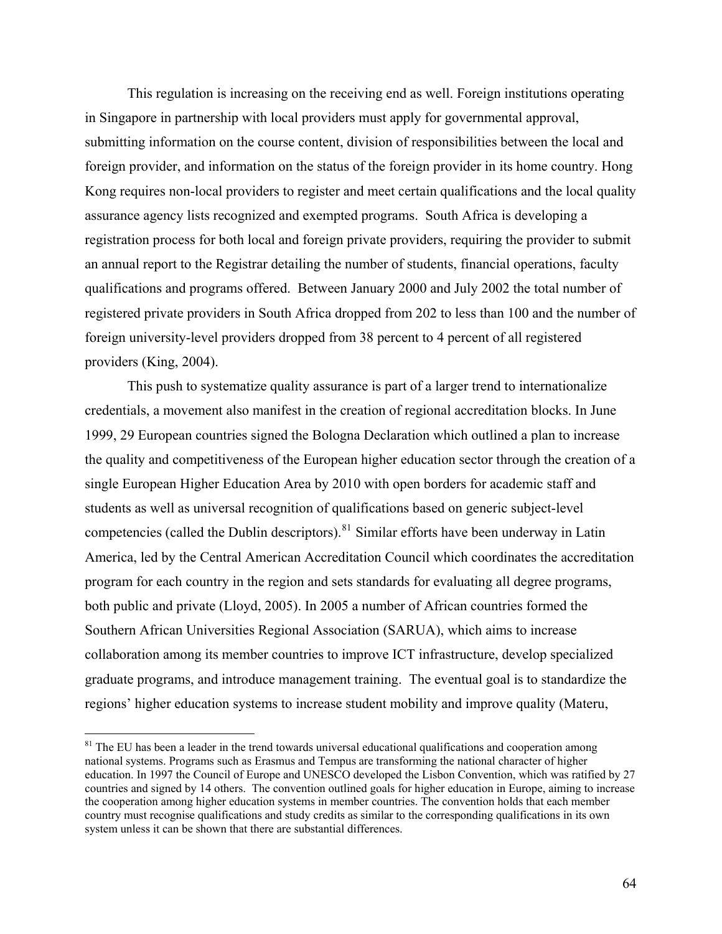This regulation is increasing on the receiving end as well. Foreign institutions operating in Singapore in partnership with local providers must apply for governmental approval, submitting information on the course content, division of responsibilities between the local and foreign provider, and information on the status of the foreign provider in its home country. Hong Kong requires non-local providers to register and meet certain qualifications and the local quality assurance agency lists recognized and exempted programs. South Africa is developing a registration process for both local and foreign private providers, requiring the provider to submit an annual report to the Registrar detailing the number of students, financial operations, faculty qualifications and programs offered. Between January 2000 and July 2002 the total number of registered private providers in South Africa dropped from 202 to less than 100 and the number of foreign university-level providers dropped from 38 percent to 4 percent of all registered providers (King, 2004).

This push to systematize quality assurance is part of a larger trend to internationalize credentials, a movement also manifest in the creation of regional accreditation blocks. In June 1999, 29 European countries signed the Bologna Declaration which outlined a plan to increase the quality and competitiveness of the European higher education sector through the creation of a single European Higher Education Area by 2010 with open borders for academic staff and students as well as universal recognition of qualifications based on generic subject-level competencies (called the Dublin descriptors).[81](#page-64-0) Similar efforts have been underway in Latin America, led by the Central American Accreditation Council which coordinates the accreditation program for each country in the region and sets standards for evaluating all degree programs, both public and private (Lloyd, 2005). In 2005 a number of African countries formed the Southern African Universities Regional Association (SARUA), which aims to increase collaboration among its member countries to improve ICT infrastructure, develop specialized graduate programs, and introduce management training. The eventual goal is to standardize the regions' higher education systems to increase student mobility and improve quality (Materu,

<span id="page-64-0"></span><sup>&</sup>lt;sup>81</sup> The EU has been a leader in the trend towards universal educational qualifications and cooperation among national systems. Programs such as Erasmus and Tempus are transforming the national character of higher education. In 1997 the Council of Europe and UNESCO developed the Lisbon Convention, which was ratified by 27 countries and signed by 14 others. The convention outlined goals for higher education in Europe, aiming to increase the cooperation among higher education systems in member countries. The convention holds that each member country must recognise qualifications and study credits as similar to the corresponding qualifications in its own system unless it can be shown that there are substantial differences.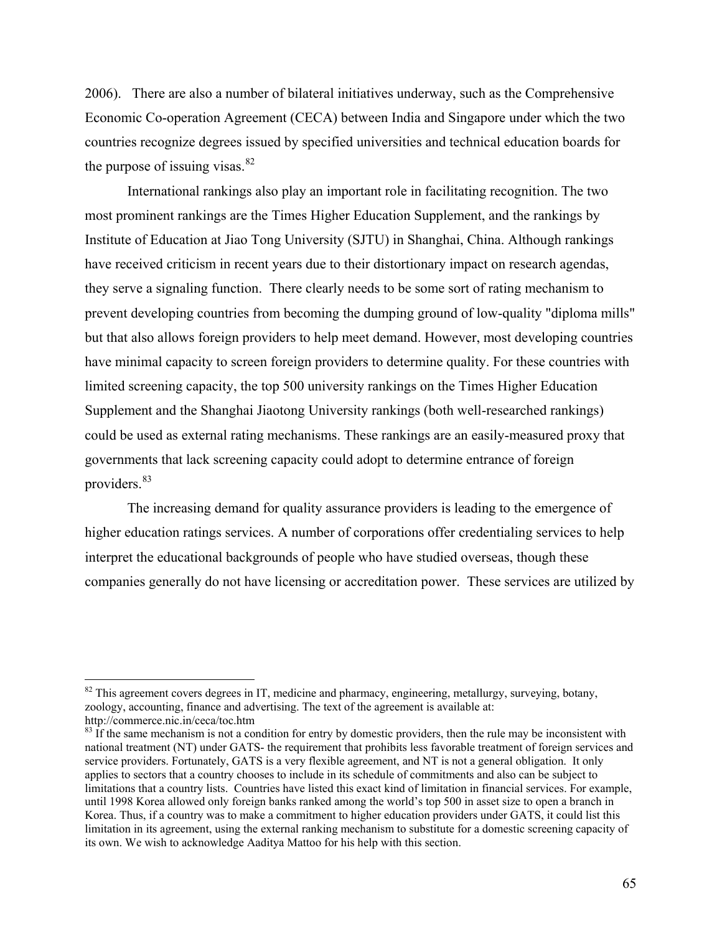2006). There are also a number of bilateral initiatives underway, such as the Comprehensive Economic Co-operation Agreement (CECA) between India and Singapore under which the two countries recognize degrees issued by specified universities and technical education boards for the purpose of issuing visas. $82$ 

International rankings also play an important role in facilitating recognition. The two most prominent rankings are the Times Higher Education Supplement, and the rankings by Institute of Education at Jiao Tong University (SJTU) in Shanghai, China. Although rankings have received criticism in recent years due to their distortionary impact on research agendas, they serve a signaling function. There clearly needs to be some sort of rating mechanism to prevent developing countries from becoming the dumping ground of low-quality "diploma mills" but that also allows foreign providers to help meet demand. However, most developing countries have minimal capacity to screen foreign providers to determine quality. For these countries with limited screening capacity, the top 500 university rankings on the Times Higher Education Supplement and the Shanghai Jiaotong University rankings (both well-researched rankings) could be used as external rating mechanisms. These rankings are an easily-measured proxy that governments that lack screening capacity could adopt to determine entrance of foreign providers.<sup>[83](#page-65-1)</sup>

The increasing demand for quality assurance providers is leading to the emergence of higher education ratings services. A number of corporations offer credentialing services to help interpret the educational backgrounds of people who have studied overseas, though these companies generally do not have licensing or accreditation power. These services are utilized by

<span id="page-65-0"></span> $82$  This agreement covers degrees in IT, medicine and pharmacy, engineering, metallurgy, surveying, botany, zoology, accounting, finance and advertising. The text of the agreement is available at:<br>http://commerce.nic.in/ceca/toc.htm

<span id="page-65-1"></span> $83$  If the same mechanism is not a condition for entry by domestic providers, then the rule may be inconsistent with national treatment (NT) under GATS- the requirement that prohibits less favorable treatment of foreign services and service providers. Fortunately, GATS is a very flexible agreement, and NT is not a general obligation. It only applies to sectors that a country chooses to include in its schedule of commitments and also can be subject to limitations that a country lists. Countries have listed this exact kind of limitation in financial services. For example, until 1998 Korea allowed only foreign banks ranked among the world's top 500 in asset size to open a branch in Korea. Thus, if a country was to make a commitment to higher education providers under GATS, it could list this limitation in its agreement, using the external ranking mechanism to substitute for a domestic screening capacity of its own. We wish to acknowledge Aaditya Mattoo for his help with this section.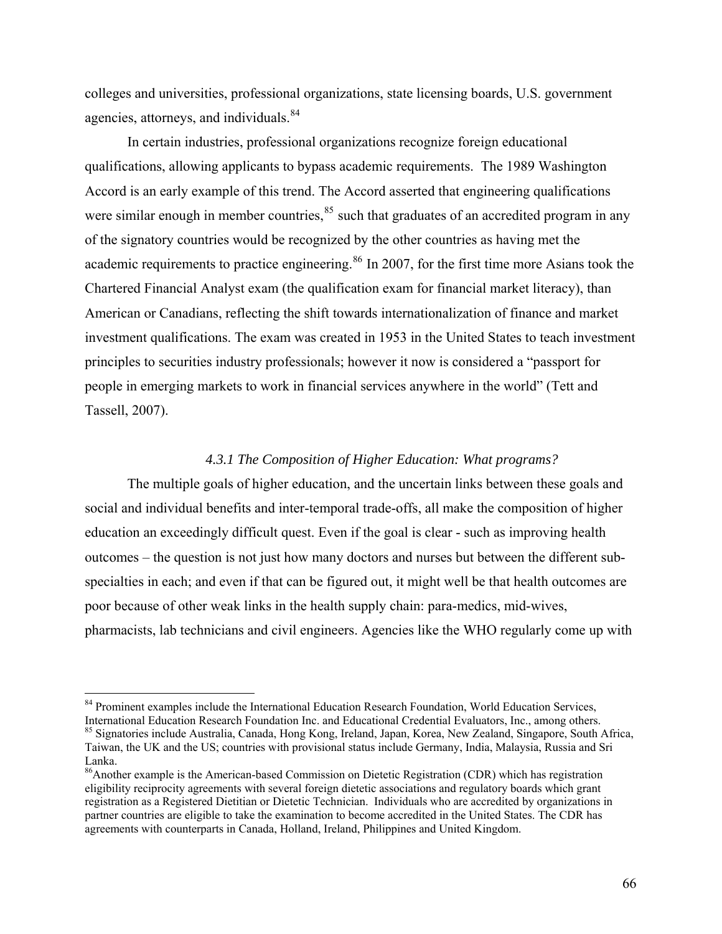colleges and universities, professional organizations, state licensing boards, U.S. government agencies, attorneys, and individuals.<sup>[84](#page-66-0)</sup>

In certain industries, professional organizations recognize foreign educational qualifications, allowing applicants to bypass academic requirements. The 1989 Washington Accord is an early example of this trend. The Accord asserted that engineering qualifications were similar enough in member countries,  $85$  such that graduates of an accredited program in any of the signatory countries would be recognized by the other countries as having met the academic requirements to practice engineering.<sup>[86](#page-66-2)</sup> In 2007, for the first time more Asians took the Chartered Financial Analyst exam (the qualification exam for financial market literacy), than American or Canadians, reflecting the shift towards internationalization of finance and market investment qualifications. The exam was created in 1953 in the United States to teach investment principles to securities industry professionals; however it now is considered a "passport for people in emerging markets to work in financial services anywhere in the world" (Tett and Tassell, 2007).

## *4.3.1 The Composition of Higher Education: What programs?*

The multiple goals of higher education, and the uncertain links between these goals and social and individual benefits and inter-temporal trade-offs, all make the composition of higher education an exceedingly difficult quest. Even if the goal is clear - such as improving health outcomes – the question is not just how many doctors and nurses but between the different subspecialties in each; and even if that can be figured out, it might well be that health outcomes are poor because of other weak links in the health supply chain: para-medics, mid-wives, pharmacists, lab technicians and civil engineers. Agencies like the WHO regularly come up with

<span id="page-66-0"></span><sup>&</sup>lt;sup>84</sup> Prominent examples include the International Education Research Foundation, World Education Services, International Education Research Foundation Inc. and Educational Credential Evaluators, Inc., among others.

<span id="page-66-1"></span><sup>&</sup>lt;sup>85</sup> Signatories include Australia, Canada, Hong Kong, Ireland, Japan, Korea, New Zealand, Singapore, South Africa, Taiwan, the UK and the US; countries with provisional status include Germany, India, Malaysia, Russia and Sri Lanka.

<span id="page-66-2"></span><sup>&</sup>lt;sup>86</sup>Another example is the American-based Commission on Dietetic Registration (CDR) which has registration eligibility reciprocity agreements with several foreign dietetic associations and regulatory boards which grant registration as a Registered Dietitian or Dietetic Technician. Individuals who are accredited by organizations in partner countries are eligible to take the examination to become accredited in the United States. The CDR has agreements with counterparts in Canada, Holland, Ireland, Philippines and United Kingdom.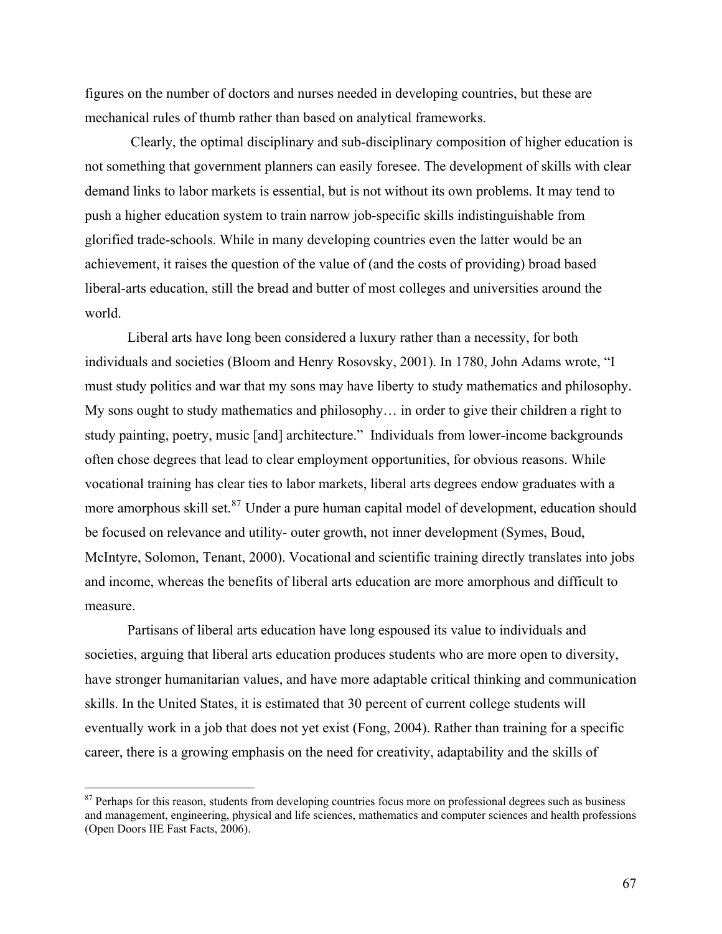figures on the number of doctors and nurses needed in developing countries, but these are mechanical rules of thumb rather than based on analytical frameworks.

 Clearly, the optimal disciplinary and sub-disciplinary composition of higher education is not something that government planners can easily foresee. The development of skills with clear demand links to labor markets is essential, but is not without its own problems. It may tend to push a higher education system to train narrow job-specific skills indistinguishable from glorified trade-schools. While in many developing countries even the latter would be an achievement, it raises the question of the value of (and the costs of providing) broad based liberal-arts education, still the bread and butter of most colleges and universities around the world.

Liberal arts have long been considered a luxury rather than a necessity, for both individuals and societies (Bloom and Henry Rosovsky, 2001). In 1780, John Adams wrote, "I must study politics and war that my sons may have liberty to study mathematics and philosophy. My sons ought to study mathematics and philosophy… in order to give their children a right to study painting, poetry, music [and] architecture." Individuals from lower-income backgrounds often chose degrees that lead to clear employment opportunities, for obvious reasons. While vocational training has clear ties to labor markets, liberal arts degrees endow graduates with a more amorphous skill set.<sup>[87](#page-67-0)</sup> Under a pure human capital model of development, education should be focused on relevance and utility- outer growth, not inner development (Symes, Boud, McIntyre, Solomon, Tenant, 2000). Vocational and scientific training directly translates into jobs and income, whereas the benefits of liberal arts education are more amorphous and difficult to measure.

Partisans of liberal arts education have long espoused its value to individuals and societies, arguing that liberal arts education produces students who are more open to diversity, have stronger humanitarian values, and have more adaptable critical thinking and communication skills. In the United States, it is estimated that 30 percent of current college students will eventually work in a job that does not yet exist (Fong, 2004). Rather than training for a specific career, there is a growing emphasis on the need for creativity, adaptability and the skills of

<span id="page-67-0"></span><sup>&</sup>lt;sup>87</sup> Perhaps for this reason, students from developing countries focus more on professional degrees such as business and management, engineering, physical and life sciences, mathematics and computer sciences and health professions (Open Doors IIE Fast Facts, 2006).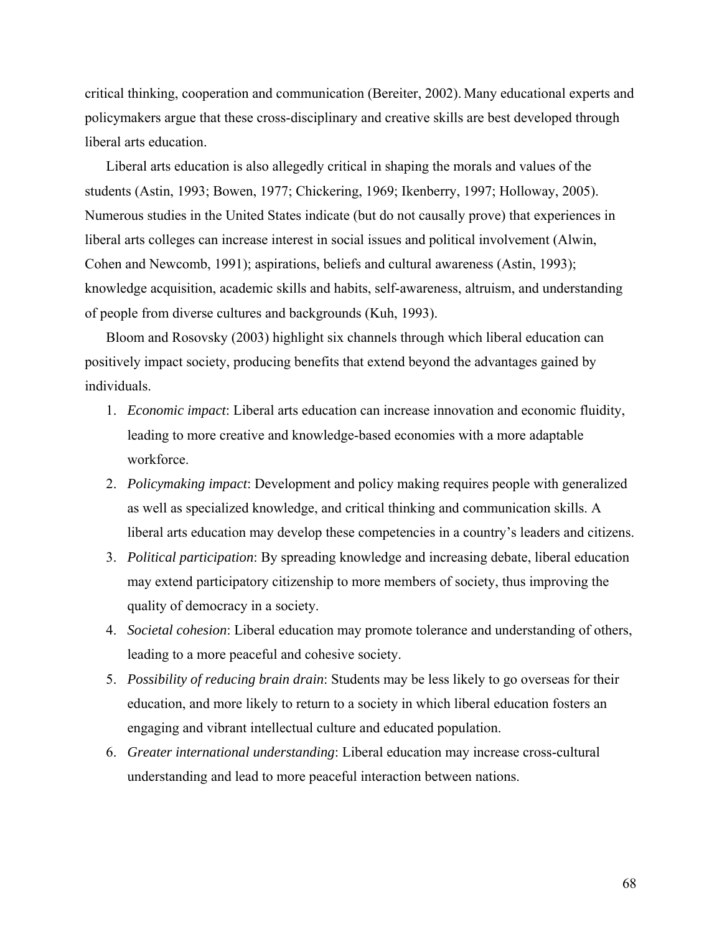critical thinking, cooperation and communication (Bereiter, 2002). Many educational experts and policymakers argue that these cross-disciplinary and creative skills are best developed through liberal arts education.

Liberal arts education is also allegedly critical in shaping the morals and values of the students (Astin, 1993; Bowen, 1977; Chickering, 1969; Ikenberry, 1997; Holloway, 2005). Numerous studies in the United States indicate (but do not causally prove) that experiences in liberal arts colleges can increase interest in social issues and political involvement (Alwin, Cohen and Newcomb, 1991); aspirations, beliefs and cultural awareness (Astin, 1993); knowledge acquisition, academic skills and habits, self-awareness, altruism, and understanding of people from diverse cultures and backgrounds (Kuh, 1993).

Bloom and Rosovsky (2003) highlight six channels through which liberal education can positively impact society, producing benefits that extend beyond the advantages gained by individuals.

- 1. *Economic impact*: Liberal arts education can increase innovation and economic fluidity, leading to more creative and knowledge-based economies with a more adaptable workforce.
- 2. *Policymaking impact*: Development and policy making requires people with generalized as well as specialized knowledge, and critical thinking and communication skills. A liberal arts education may develop these competencies in a country's leaders and citizens.
- 3. *Political participation*: By spreading knowledge and increasing debate, liberal education may extend participatory citizenship to more members of society, thus improving the quality of democracy in a society.
- 4. *Societal cohesion*: Liberal education may promote tolerance and understanding of others, leading to a more peaceful and cohesive society.
- 5. *Possibility of reducing brain drain*: Students may be less likely to go overseas for their education, and more likely to return to a society in which liberal education fosters an engaging and vibrant intellectual culture and educated population.
- 6. *Greater international understanding*: Liberal education may increase cross-cultural understanding and lead to more peaceful interaction between nations.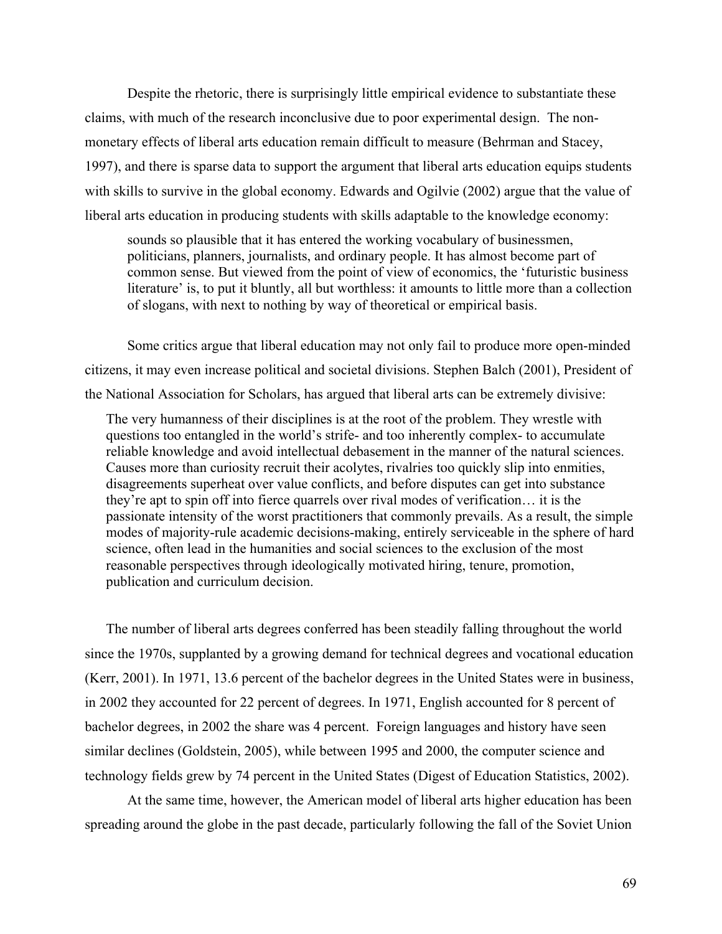Despite the rhetoric, there is surprisingly little empirical evidence to substantiate these claims, with much of the research inconclusive due to poor experimental design. The nonmonetary effects of liberal arts education remain difficult to measure (Behrman and Stacey, 1997), and there is sparse data to support the argument that liberal arts education equips students with skills to survive in the global economy. Edwards and Ogilvie (2002) argue that the value of liberal arts education in producing students with skills adaptable to the knowledge economy:

sounds so plausible that it has entered the working vocabulary of businessmen, politicians, planners, journalists, and ordinary people. It has almost become part of common sense. But viewed from the point of view of economics, the 'futuristic business literature' is, to put it bluntly, all but worthless: it amounts to little more than a collection of slogans, with next to nothing by way of theoretical or empirical basis.

Some critics argue that liberal education may not only fail to produce more open-minded citizens, it may even increase political and societal divisions. Stephen Balch (2001), President of the National Association for Scholars, has argued that liberal arts can be extremely divisive:

The very humanness of their disciplines is at the root of the problem. They wrestle with questions too entangled in the world's strife- and too inherently complex- to accumulate reliable knowledge and avoid intellectual debasement in the manner of the natural sciences. Causes more than curiosity recruit their acolytes, rivalries too quickly slip into enmities, disagreements superheat over value conflicts, and before disputes can get into substance they're apt to spin off into fierce quarrels over rival modes of verification… it is the passionate intensity of the worst practitioners that commonly prevails. As a result, the simple modes of majority-rule academic decisions-making, entirely serviceable in the sphere of hard science, often lead in the humanities and social sciences to the exclusion of the most reasonable perspectives through ideologically motivated hiring, tenure, promotion, publication and curriculum decision.

The number of liberal arts degrees conferred has been steadily falling throughout the world since the 1970s, supplanted by a growing demand for technical degrees and vocational education (Kerr, 2001). In 1971, 13.6 percent of the bachelor degrees in the United States were in business, in 2002 they accounted for 22 percent of degrees. In 1971, English accounted for 8 percent of bachelor degrees, in 2002 the share was 4 percent. Foreign languages and history have seen similar declines (Goldstein, 2005), while between 1995 and 2000, the computer science and technology fields grew by 74 percent in the United States (Digest of Education Statistics, 2002).

At the same time, however, the American model of liberal arts higher education has been spreading around the globe in the past decade, particularly following the fall of the Soviet Union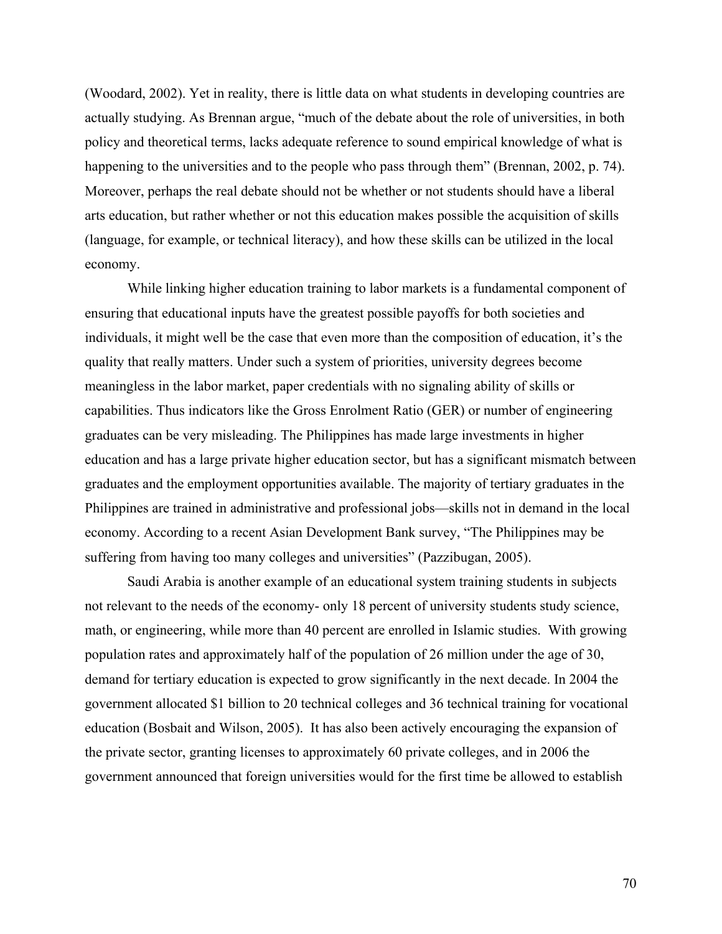(Woodard, 2002). Yet in reality, there is little data on what students in developing countries are actually studying. As Brennan argue, "much of the debate about the role of universities, in both policy and theoretical terms, lacks adequate reference to sound empirical knowledge of what is happening to the universities and to the people who pass through them" (Brennan, 2002, p. 74). Moreover, perhaps the real debate should not be whether or not students should have a liberal arts education, but rather whether or not this education makes possible the acquisition of skills (language, for example, or technical literacy), and how these skills can be utilized in the local economy.

While linking higher education training to labor markets is a fundamental component of ensuring that educational inputs have the greatest possible payoffs for both societies and individuals, it might well be the case that even more than the composition of education, it's the quality that really matters. Under such a system of priorities, university degrees become meaningless in the labor market, paper credentials with no signaling ability of skills or capabilities. Thus indicators like the Gross Enrolment Ratio (GER) or number of engineering graduates can be very misleading. The Philippines has made large investments in higher education and has a large private higher education sector, but has a significant mismatch between graduates and the employment opportunities available. The majority of tertiary graduates in the Philippines are trained in administrative and professional jobs—skills not in demand in the local economy. According to a recent Asian Development Bank survey, "The Philippines may be suffering from having too many colleges and universities" (Pazzibugan, 2005).

Saudi Arabia is another example of an educational system training students in subjects not relevant to the needs of the economy- only 18 percent of university students study science, math, or engineering, while more than 40 percent are enrolled in Islamic studies. With growing population rates and approximately half of the population of 26 million under the age of 30, demand for tertiary education is expected to grow significantly in the next decade. In 2004 the government allocated \$1 billion to 20 technical colleges and 36 technical training for vocational education (Bosbait and Wilson, 2005). It has also been actively encouraging the expansion of the private sector, granting licenses to approximately 60 private colleges, and in 2006 the government announced that foreign universities would for the first time be allowed to establish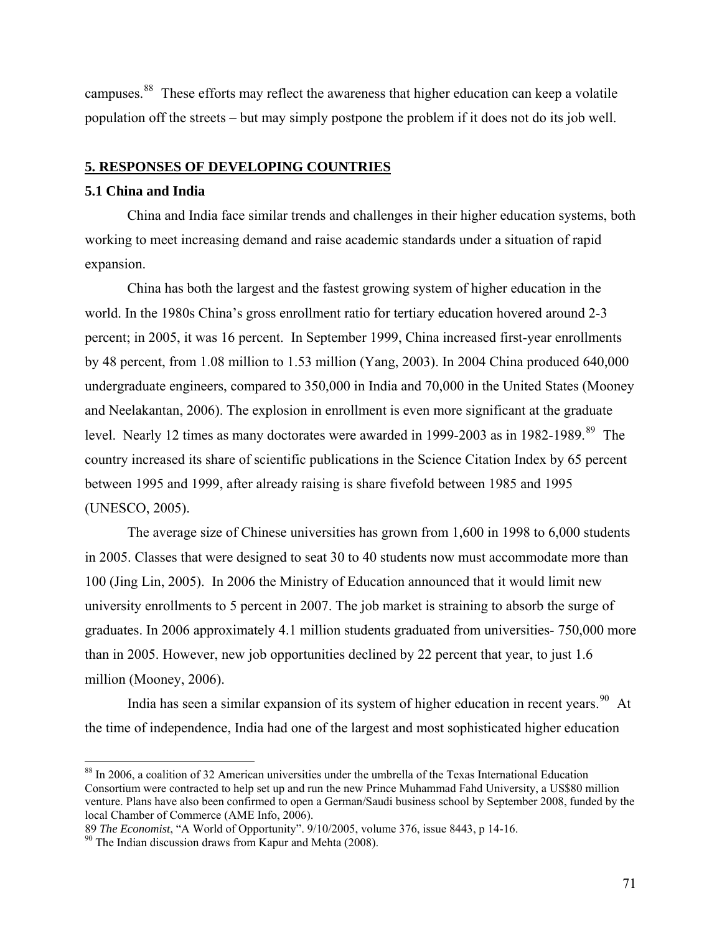campuses.[88](#page-71-0) These efforts may reflect the awareness that higher education can keep a volatile population off the streets – but may simply postpone the problem if it does not do its job well.

#### **5. RESPONSES OF DEVELOPING COUNTRIES**

### **5.1 China and India**

China and India face similar trends and challenges in their higher education systems, both working to meet increasing demand and raise academic standards under a situation of rapid expansion.

China has both the largest and the fastest growing system of higher education in the world. In the 1980s China's gross enrollment ratio for tertiary education hovered around 2-3 percent; in 2005, it was 16 percent. In September 1999, China increased first-year enrollments by 48 percent, from 1.08 million to 1.53 million (Yang, 2003). In 2004 China produced 640,000 undergraduate engineers, compared to 350,000 in India and 70,000 in the United States (Mooney and Neelakantan, 2006). The explosion in enrollment is even more significant at the graduate level. Nearly 12 times as many doctorates were awarded in 1999-2003 as in 1982-19[89](#page-71-1).<sup>89</sup> The country increased its share of scientific publications in the Science Citation Index by 65 percent between 1995 and 1999, after already raising is share fivefold between 1985 and 1995 (UNESCO, 2005).

The average size of Chinese universities has grown from 1,600 in 1998 to 6,000 students in 2005. Classes that were designed to seat 30 to 40 students now must accommodate more than 100 (Jing Lin, 2005). In 2006 the Ministry of Education announced that it would limit new university enrollments to 5 percent in 2007. The job market is straining to absorb the surge of graduates. In 2006 approximately 4.1 million students graduated from universities- 750,000 more than in 2005. However, new job opportunities declined by 22 percent that year, to just 1.6 million (Mooney, 2006).

India has seen a similar expansion of its system of higher education in recent years.<sup>[90](#page-71-2)</sup> At the time of independence, India had one of the largest and most sophisticated higher education

1

<span id="page-71-0"></span><sup>&</sup>lt;sup>88</sup> In 2006, a coalition of 32 American universities under the umbrella of the Texas International Education Consortium were contracted to help set up and run the new Prince Muhammad Fahd University, a US\$80 million venture. Plans have also been confirmed to open a German/Saudi business school by September 2008, funded by the local Chamber of Commerce (AME Info, 2006).

<span id="page-71-1"></span><sup>89</sup> *The Economist*, "A World of Opportunity". 9/10/2005, volume 376, issue 8443, p 14-16.<br><sup>90</sup> The Indian discussion draws from Kapur and Mehta (2008).

<span id="page-71-2"></span>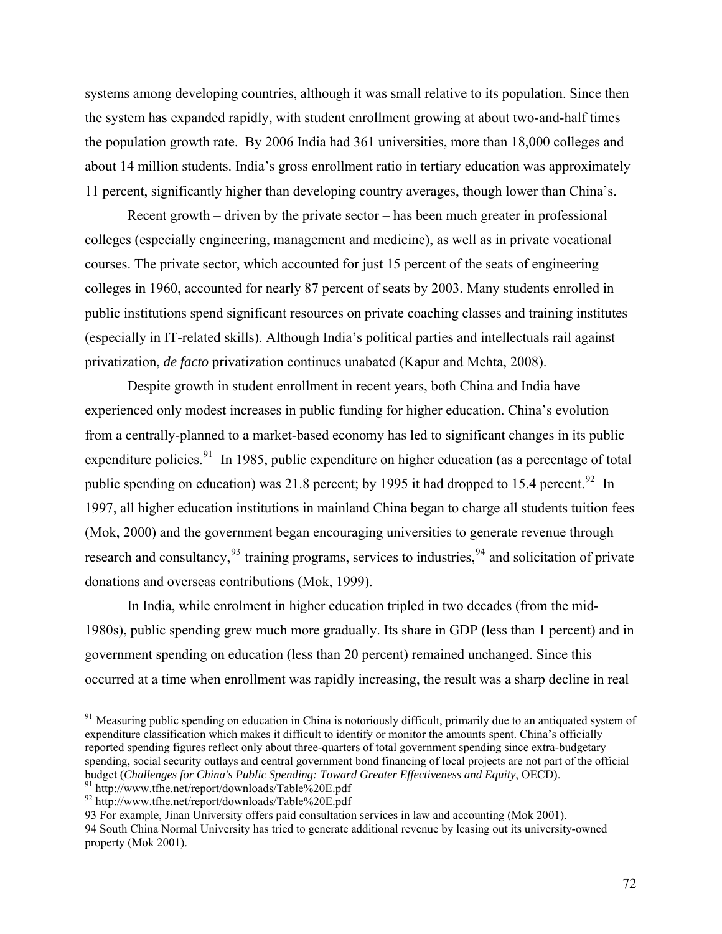systems among developing countries, although it was small relative to its population. Since then the system has expanded rapidly, with student enrollment growing at about two-and-half times the population growth rate. By 2006 India had 361 universities, more than 18,000 colleges and about 14 million students. India's gross enrollment ratio in tertiary education was approximately 11 percent, significantly higher than developing country averages, though lower than China's.

Recent growth – driven by the private sector – has been much greater in professional colleges (especially engineering, management and medicine), as well as in private vocational courses. The private sector, which accounted for just 15 percent of the seats of engineering colleges in 1960, accounted for nearly 87 percent of seats by 2003. Many students enrolled in public institutions spend significant resources on private coaching classes and training institutes (especially in IT-related skills). Although India's political parties and intellectuals rail against privatization, *de facto* privatization continues unabated (Kapur and Mehta, 2008).

Despite growth in student enrollment in recent years, both China and India have experienced only modest increases in public funding for higher education. China's evolution from a centrally-planned to a market-based economy has led to significant changes in its public expenditure policies.<sup>[91](#page-72-0)</sup> In 1985, public expenditure on higher education (as a percentage of total public spending on education) was 21.8 percent; by 1995 it had dropped to 15.4 percent.<sup>[92](#page-72-1)</sup> In 1997, all higher education institutions in mainland China began to charge all students tuition fees (Mok, 2000) and the government began encouraging universities to generate revenue through research and consultancy,  $93$  training programs, services to industries,  $94$  and solicitation of private donations and overseas contributions (Mok, 1999).

In India, while enrolment in higher education tripled in two decades (from the mid-1980s), public spending grew much more gradually. Its share in GDP (less than 1 percent) and in government spending on education (less than 20 percent) remained unchanged. Since this occurred at a time when enrollment was rapidly increasing, the result was a sharp decline in real

 $\overline{a}$ 

<span id="page-72-0"></span> $91$  Measuring public spending on education in China is notoriously difficult, primarily due to an antiquated system of expenditure classification which makes it difficult to identify or monitor the amounts spent. China's officially reported spending figures reflect only about three-quarters of total government spending since extra-budgetary spending, social security outlays and central government bond financing of local projects are not part of the official budget (*Challenges for China's Public Spending: Toward Greater Effectiveness and Equity*, OECD). 91 http://www.tfhe.net/report/downloads/Table%20E.pdf

<span id="page-72-1"></span>

<sup>92</sup> http://www.tfhe.net/report/downloads/Table%20E.pdf 93 For example, Jinan University offers paid consultation services in law and accounting (Mok 2001).

<span id="page-72-3"></span><span id="page-72-2"></span><sup>94</sup> South China Normal University has tried to generate additional revenue by leasing out its university-owned property (Mok 2001).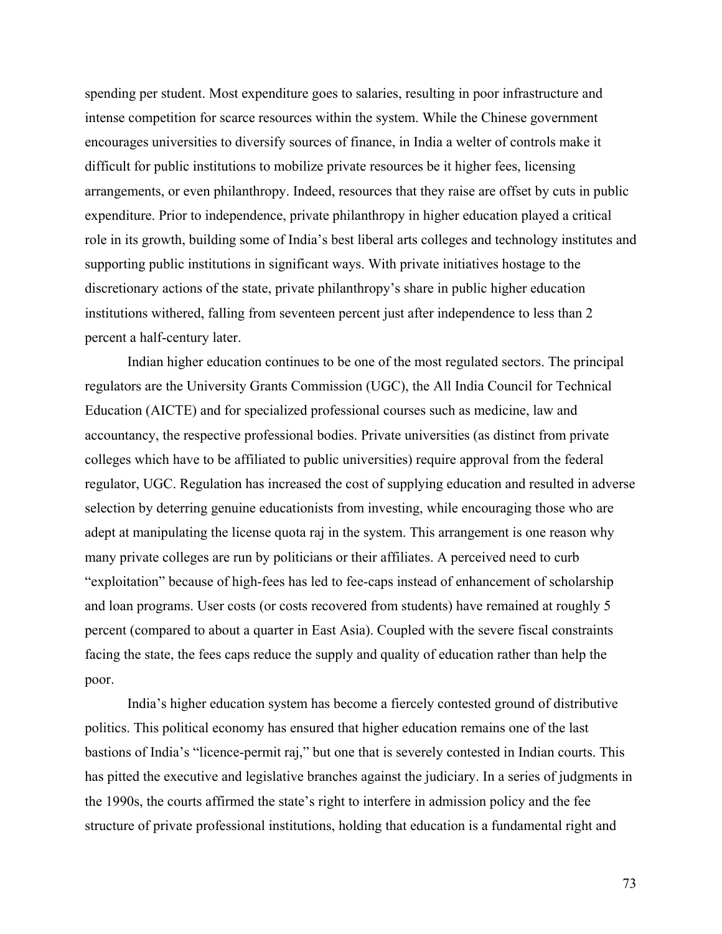spending per student. Most expenditure goes to salaries, resulting in poor infrastructure and intense competition for scarce resources within the system. While the Chinese government encourages universities to diversify sources of finance, in India a welter of controls make it difficult for public institutions to mobilize private resources be it higher fees, licensing arrangements, or even philanthropy. Indeed, resources that they raise are offset by cuts in public expenditure. Prior to independence, private philanthropy in higher education played a critical role in its growth, building some of India's best liberal arts colleges and technology institutes and supporting public institutions in significant ways. With private initiatives hostage to the discretionary actions of the state, private philanthropy's share in public higher education institutions withered, falling from seventeen percent just after independence to less than 2 percent a half-century later.

Indian higher education continues to be one of the most regulated sectors. The principal regulators are the University Grants Commission (UGC), the All India Council for Technical Education (AICTE) and for specialized professional courses such as medicine, law and accountancy, the respective professional bodies. Private universities (as distinct from private colleges which have to be affiliated to public universities) require approval from the federal regulator, UGC. Regulation has increased the cost of supplying education and resulted in adverse selection by deterring genuine educationists from investing, while encouraging those who are adept at manipulating the license quota raj in the system. This arrangement is one reason why many private colleges are run by politicians or their affiliates. A perceived need to curb "exploitation" because of high-fees has led to fee-caps instead of enhancement of scholarship and loan programs. User costs (or costs recovered from students) have remained at roughly 5 percent (compared to about a quarter in East Asia). Coupled with the severe fiscal constraints facing the state, the fees caps reduce the supply and quality of education rather than help the poor.

India's higher education system has become a fiercely contested ground of distributive politics. This political economy has ensured that higher education remains one of the last bastions of India's "licence-permit raj," but one that is severely contested in Indian courts. This has pitted the executive and legislative branches against the judiciary. In a series of judgments in the 1990s, the courts affirmed the state's right to interfere in admission policy and the fee structure of private professional institutions, holding that education is a fundamental right and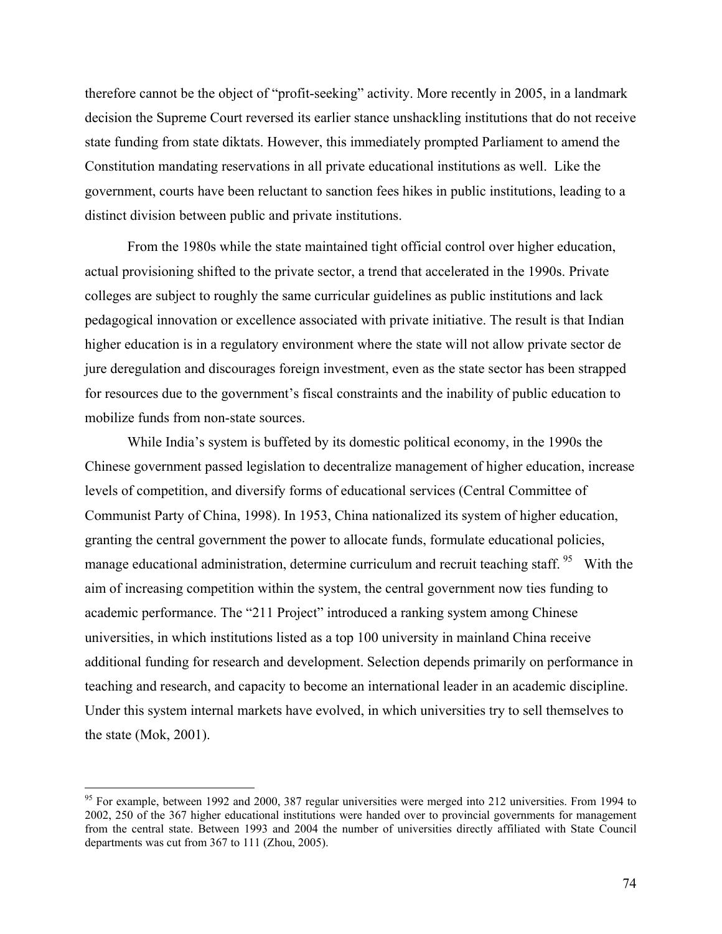therefore cannot be the object of "profit-seeking" activity. More recently in 2005, in a landmark decision the Supreme Court reversed its earlier stance unshackling institutions that do not receive state funding from state diktats. However, this immediately prompted Parliament to amend the Constitution mandating reservations in all private educational institutions as well. Like the government, courts have been reluctant to sanction fees hikes in public institutions, leading to a distinct division between public and private institutions.

From the 1980s while the state maintained tight official control over higher education, actual provisioning shifted to the private sector, a trend that accelerated in the 1990s. Private colleges are subject to roughly the same curricular guidelines as public institutions and lack pedagogical innovation or excellence associated with private initiative. The result is that Indian higher education is in a regulatory environment where the state will not allow private sector de jure deregulation and discourages foreign investment, even as the state sector has been strapped for resources due to the government's fiscal constraints and the inability of public education to mobilize funds from non-state sources.

While India's system is buffeted by its domestic political economy, in the 1990s the Chinese government passed legislation to decentralize management of higher education, increase levels of competition, and diversify forms of educational services (Central Committee of Communist Party of China, 1998). In 1953, China nationalized its system of higher education, granting the central government the power to allocate funds, formulate educational policies, manage educational administration, determine curriculum and recruit teaching staff. <sup>[95](#page-74-0)</sup> With the aim of increasing competition within the system, the central government now ties funding to academic performance. The "211 Project" introduced a ranking system among Chinese universities, in which institutions listed as a top 100 university in mainland China receive additional funding for research and development. Selection depends primarily on performance in teaching and research, and capacity to become an international leader in an academic discipline. Under this system internal markets have evolved, in which universities try to sell themselves to the state (Mok, 2001).

 $\overline{a}$ 

<span id="page-74-0"></span> $95$  For example, between 1992 and 2000, 387 regular universities were merged into 212 universities. From 1994 to 2002, 250 of the 367 higher educational institutions were handed over to provincial governments for management from the central state. Between 1993 and 2004 the number of universities directly affiliated with State Council departments was cut from 367 to 111 (Zhou, 2005).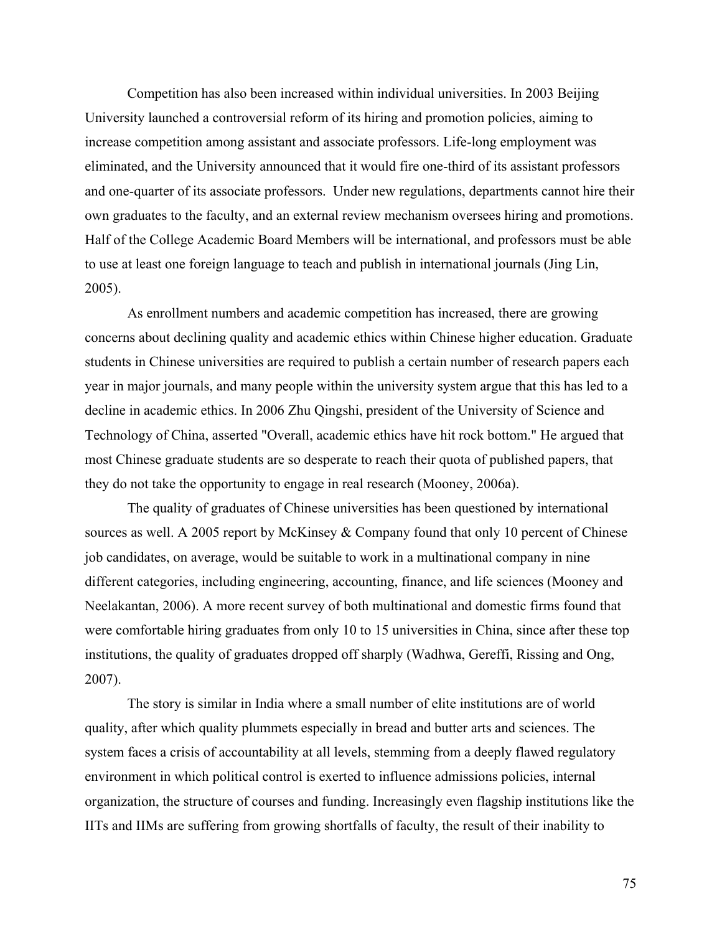Competition has also been increased within individual universities. In 2003 Beijing University launched a controversial reform of its hiring and promotion policies, aiming to increase competition among assistant and associate professors. Life-long employment was eliminated, and the University announced that it would fire one-third of its assistant professors and one-quarter of its associate professors. Under new regulations, departments cannot hire their own graduates to the faculty, and an external review mechanism oversees hiring and promotions. Half of the College Academic Board Members will be international, and professors must be able to use at least one foreign language to teach and publish in international journals (Jing Lin, 2005).

As enrollment numbers and academic competition has increased, there are growing concerns about declining quality and academic ethics within Chinese higher education. Graduate students in Chinese universities are required to publish a certain number of research papers each year in major journals, and many people within the university system argue that this has led to a decline in academic ethics. In 2006 Zhu Qingshi, president of the University of Science and Technology of China, asserted "Overall, academic ethics have hit rock bottom." He argued that most Chinese graduate students are so desperate to reach their quota of published papers, that they do not take the opportunity to engage in real research (Mooney, 2006a).

The quality of graduates of Chinese universities has been questioned by international sources as well. A 2005 report by McKinsey & Company found that only 10 percent of Chinese job candidates, on average, would be suitable to work in a multinational company in nine different categories, including engineering, accounting, finance, and life sciences (Mooney and Neelakantan, 2006). A more recent survey of both multinational and domestic firms found that were comfortable hiring graduates from only 10 to 15 universities in China, since after these top institutions, the quality of graduates dropped off sharply (Wadhwa, Gereffi, Rissing and Ong, 2007).

 The story is similar in India where a small number of elite institutions are of world quality, after which quality plummets especially in bread and butter arts and sciences. The system faces a crisis of accountability at all levels, stemming from a deeply flawed regulatory environment in which political control is exerted to influence admissions policies, internal organization, the structure of courses and funding. Increasingly even flagship institutions like the IITs and IIMs are suffering from growing shortfalls of faculty, the result of their inability to

75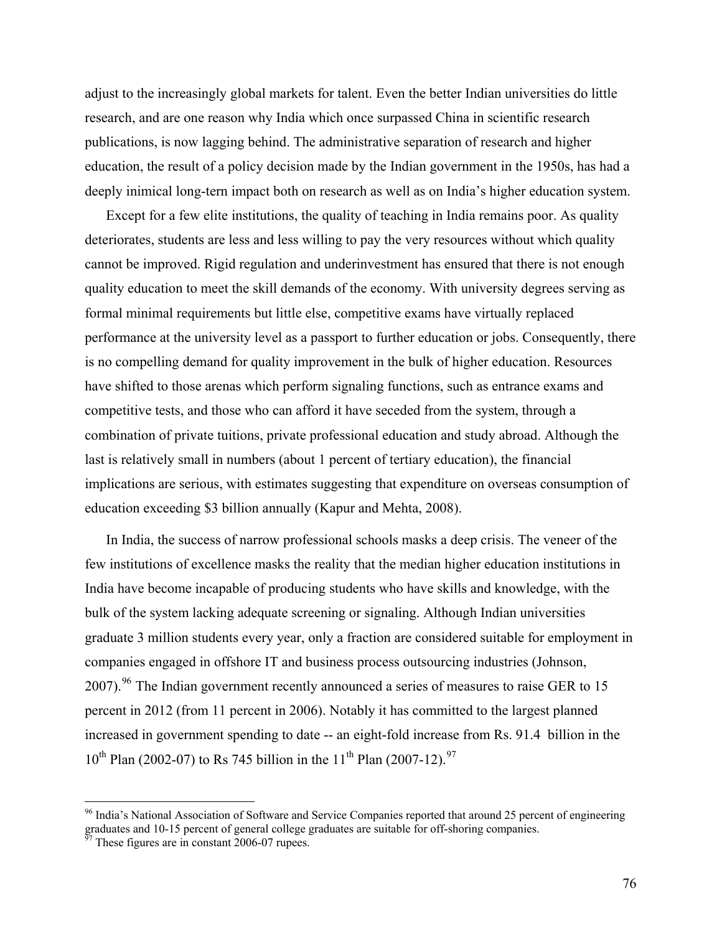adjust to the increasingly global markets for talent. Even the better Indian universities do little research, and are one reason why India which once surpassed China in scientific research publications, is now lagging behind. The administrative separation of research and higher education, the result of a policy decision made by the Indian government in the 1950s, has had a deeply inimical long-tern impact both on research as well as on India's higher education system.

Except for a few elite institutions, the quality of teaching in India remains poor. As quality deteriorates, students are less and less willing to pay the very resources without which quality cannot be improved. Rigid regulation and underinvestment has ensured that there is not enough quality education to meet the skill demands of the economy. With university degrees serving as formal minimal requirements but little else, competitive exams have virtually replaced performance at the university level as a passport to further education or jobs. Consequently, there is no compelling demand for quality improvement in the bulk of higher education. Resources have shifted to those arenas which perform signaling functions, such as entrance exams and competitive tests, and those who can afford it have seceded from the system, through a combination of private tuitions, private professional education and study abroad. Although the last is relatively small in numbers (about 1 percent of tertiary education), the financial implications are serious, with estimates suggesting that expenditure on overseas consumption of education exceeding \$3 billion annually (Kapur and Mehta, 2008).

In India, the success of narrow professional schools masks a deep crisis. The veneer of the few institutions of excellence masks the reality that the median higher education institutions in India have become incapable of producing students who have skills and knowledge, with the bulk of the system lacking adequate screening or signaling. Although Indian universities graduate 3 million students every year, only a fraction are considered suitable for employment in companies engaged in offshore IT and business process outsourcing industries (Johnson,  $2007$ .<sup>[96](#page-76-0)</sup> The Indian government recently announced a series of measures to raise GER to 15 percent in 2012 (from 11 percent in 2006). Notably it has committed to the largest planned increased in government spending to date -- an eight-fold increase from Rs. 91.4 billion in the  $10^{th}$  Plan (2002-07) to Rs 745 billion in the 11<sup>th</sup> Plan (2007-12).<sup>[97](#page-76-1)</sup>

 $\overline{a}$ 

<span id="page-76-0"></span><sup>&</sup>lt;sup>96</sup> India's National Association of Software and Service Companies reported that around 25 percent of engineering graduates and 10-15 percent of general college graduates are suitable for off-shoring companies.

<span id="page-76-1"></span>These figures are in constant 2006-07 rupees.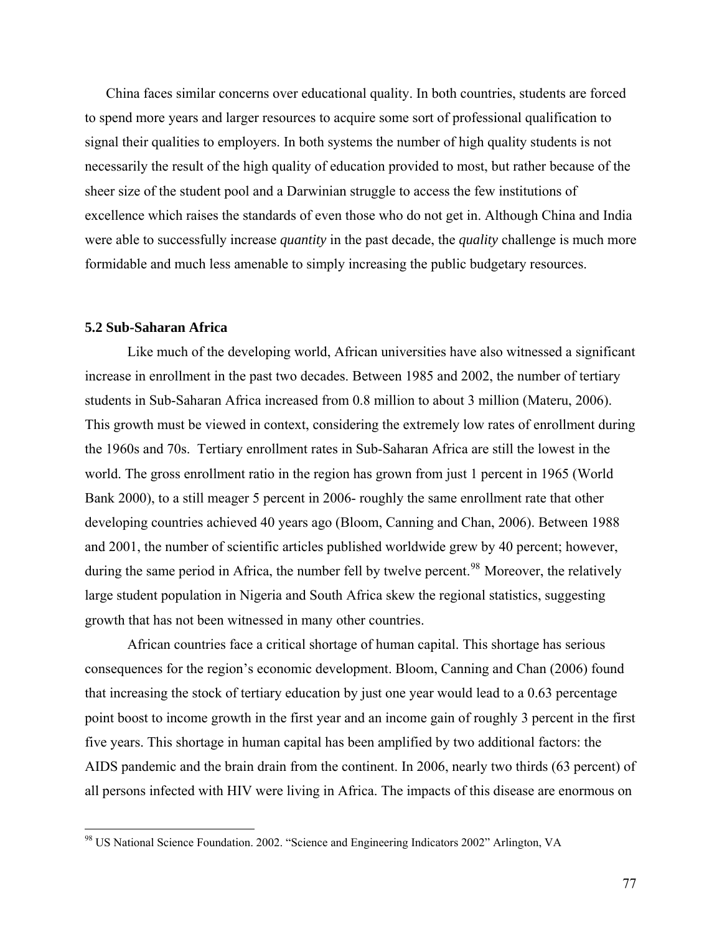China faces similar concerns over educational quality. In both countries, students are forced to spend more years and larger resources to acquire some sort of professional qualification to signal their qualities to employers. In both systems the number of high quality students is not necessarily the result of the high quality of education provided to most, but rather because of the sheer size of the student pool and a Darwinian struggle to access the few institutions of excellence which raises the standards of even those who do not get in. Although China and India were able to successfully increase *quantity* in the past decade, the *quality* challenge is much more formidable and much less amenable to simply increasing the public budgetary resources.

#### **5.2 Sub-Saharan Africa**

 $\overline{a}$ 

Like much of the developing world, African universities have also witnessed a significant increase in enrollment in the past two decades. Between 1985 and 2002, the number of tertiary students in Sub-Saharan Africa increased from 0.8 million to about 3 million (Materu, 2006). This growth must be viewed in context, considering the extremely low rates of enrollment during the 1960s and 70s. Tertiary enrollment rates in Sub-Saharan Africa are still the lowest in the world. The gross enrollment ratio in the region has grown from just 1 percent in 1965 (World Bank 2000), to a still meager 5 percent in 2006- roughly the same enrollment rate that other developing countries achieved 40 years ago (Bloom, Canning and Chan, 2006). Between 1988 and 2001, the number of scientific articles published worldwide grew by 40 percent; however, during the same period in Africa, the number fell by twelve percent.<sup>[98](#page-77-0)</sup> Moreover, the relatively large student population in Nigeria and South Africa skew the regional statistics, suggesting growth that has not been witnessed in many other countries.

African countries face a critical shortage of human capital. This shortage has serious consequences for the region's economic development. Bloom, Canning and Chan (2006) found that increasing the stock of tertiary education by just one year would lead to a 0.63 percentage point boost to income growth in the first year and an income gain of roughly 3 percent in the first five years. This shortage in human capital has been amplified by two additional factors: the AIDS pandemic and the brain drain from the continent. In 2006, nearly two thirds (63 percent) of all persons infected with HIV were living in Africa. The impacts of this disease are enormous on

<span id="page-77-0"></span><sup>98</sup> US National Science Foundation. 2002. "Science and Engineering Indicators 2002" Arlington, VA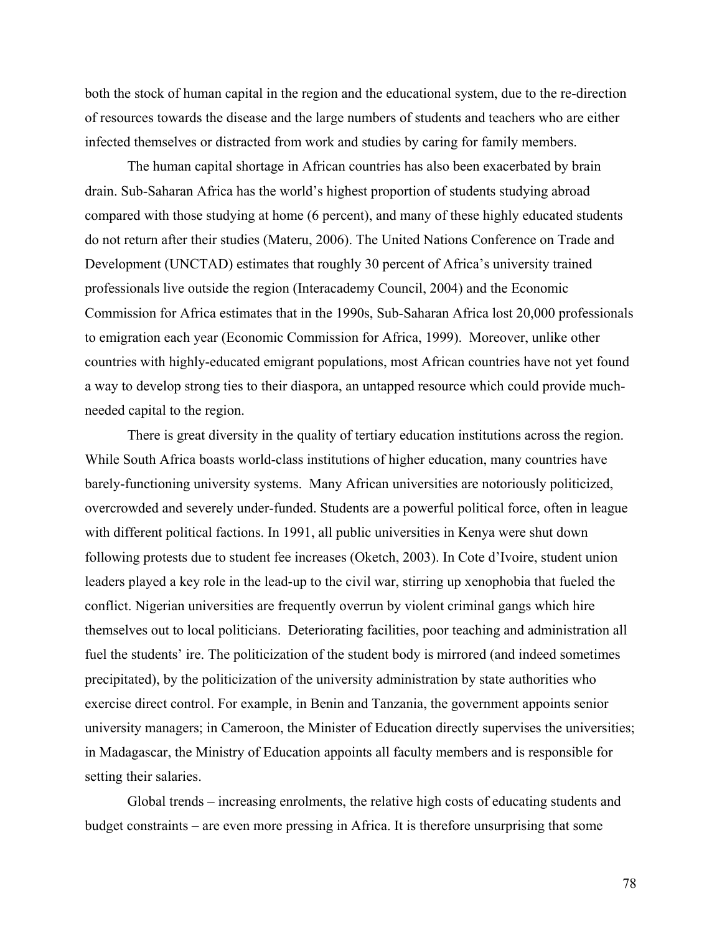both the stock of human capital in the region and the educational system, due to the re-direction of resources towards the disease and the large numbers of students and teachers who are either infected themselves or distracted from work and studies by caring for family members.

The human capital shortage in African countries has also been exacerbated by brain drain. Sub-Saharan Africa has the world's highest proportion of students studying abroad compared with those studying at home (6 percent), and many of these highly educated students do not return after their studies (Materu, 2006). The United Nations Conference on Trade and Development (UNCTAD) estimates that roughly 30 percent of Africa's university trained professionals live outside the region (Interacademy Council, 2004) and the Economic Commission for Africa estimates that in the 1990s, Sub-Saharan Africa lost 20,000 professionals to emigration each year (Economic Commission for Africa, 1999). Moreover, unlike other countries with highly-educated emigrant populations, most African countries have not yet found a way to develop strong ties to their diaspora, an untapped resource which could provide muchneeded capital to the region.

There is great diversity in the quality of tertiary education institutions across the region. While South Africa boasts world-class institutions of higher education, many countries have barely-functioning university systems. Many African universities are notoriously politicized, overcrowded and severely under-funded. Students are a powerful political force, often in league with different political factions. In 1991, all public universities in Kenya were shut down following protests due to student fee increases (Oketch, 2003). In Cote d'Ivoire, student union leaders played a key role in the lead-up to the civil war, stirring up xenophobia that fueled the conflict. Nigerian universities are frequently overrun by violent criminal gangs which hire themselves out to local politicians. Deteriorating facilities, poor teaching and administration all fuel the students' ire. The politicization of the student body is mirrored (and indeed sometimes precipitated), by the politicization of the university administration by state authorities who exercise direct control. For example, in Benin and Tanzania, the government appoints senior university managers; in Cameroon, the Minister of Education directly supervises the universities; in Madagascar, the Ministry of Education appoints all faculty members and is responsible for setting their salaries.

Global trends – increasing enrolments, the relative high costs of educating students and budget constraints – are even more pressing in Africa. It is therefore unsurprising that some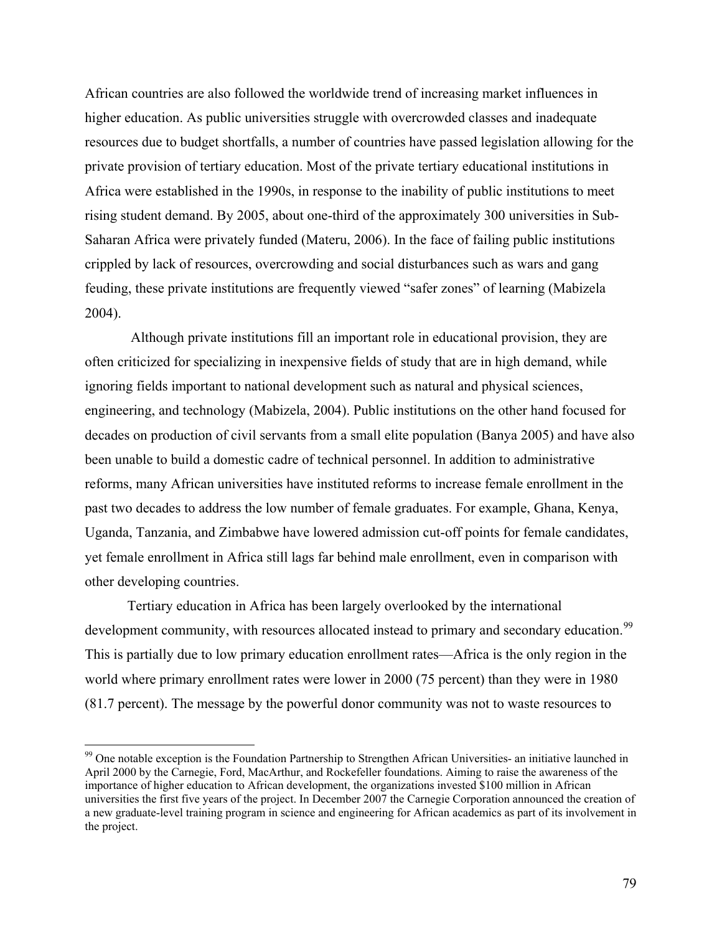African countries are also followed the worldwide trend of increasing market influences in higher education. As public universities struggle with overcrowded classes and inadequate resources due to budget shortfalls, a number of countries have passed legislation allowing for the private provision of tertiary education. Most of the private tertiary educational institutions in Africa were established in the 1990s, in response to the inability of public institutions to meet rising student demand. By 2005, about one-third of the approximately 300 universities in Sub-Saharan Africa were privately funded (Materu, 2006). In the face of failing public institutions crippled by lack of resources, overcrowding and social disturbances such as wars and gang feuding, these private institutions are frequently viewed "safer zones" of learning (Mabizela 2004).

 Although private institutions fill an important role in educational provision, they are often criticized for specializing in inexpensive fields of study that are in high demand, while ignoring fields important to national development such as natural and physical sciences, engineering, and technology (Mabizela, 2004). Public institutions on the other hand focused for decades on production of civil servants from a small elite population (Banya 2005) and have also been unable to build a domestic cadre of technical personnel. In addition to administrative reforms, many African universities have instituted reforms to increase female enrollment in the past two decades to address the low number of female graduates. For example, Ghana, Kenya, Uganda, Tanzania, and Zimbabwe have lowered admission cut-off points for female candidates, yet female enrollment in Africa still lags far behind male enrollment, even in comparison with other developing countries.

Tertiary education in Africa has been largely overlooked by the international development community, with resources allocated instead to primary and secondary education.<sup>[99](#page-79-0)</sup> This is partially due to low primary education enrollment rates—Africa is the only region in the world where primary enrollment rates were lower in 2000 (75 percent) than they were in 1980 (81.7 percent). The message by the powerful donor community was not to waste resources to

<u>.</u>

<span id="page-79-0"></span><sup>99</sup> One notable exception is the Foundation Partnership to Strengthen African Universities- an initiative launched in April 2000 by the Carnegie, Ford, MacArthur, and Rockefeller foundations. Aiming to raise the awareness of the importance of higher education to African development, the organizations invested \$100 million in African universities the first five years of the project. In December 2007 the Carnegie Corporation announced the creation of a new graduate-level training program in science and engineering for African academics as part of its involvement in the project.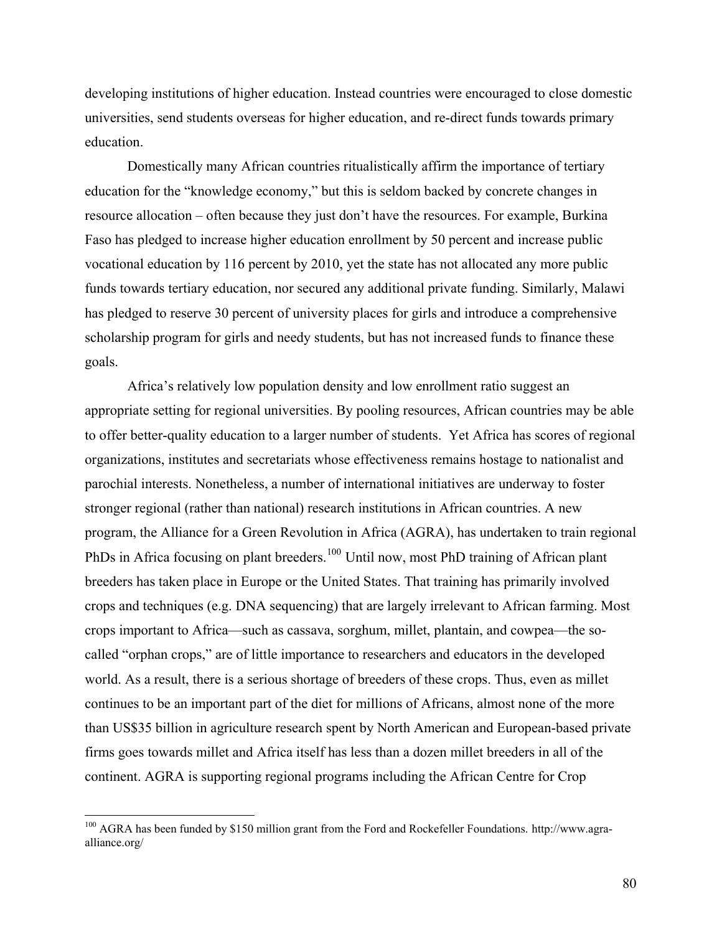developing institutions of higher education. Instead countries were encouraged to close domestic universities, send students overseas for higher education, and re-direct funds towards primary education.

Domestically many African countries ritualistically affirm the importance of tertiary education for the "knowledge economy," but this is seldom backed by concrete changes in resource allocation – often because they just don't have the resources. For example, Burkina Faso has pledged to increase higher education enrollment by 50 percent and increase public vocational education by 116 percent by 2010, yet the state has not allocated any more public funds towards tertiary education, nor secured any additional private funding. Similarly, Malawi has pledged to reserve 30 percent of university places for girls and introduce a comprehensive scholarship program for girls and needy students, but has not increased funds to finance these goals.

Africa's relatively low population density and low enrollment ratio suggest an appropriate setting for regional universities. By pooling resources, African countries may be able to offer better-quality education to a larger number of students. Yet Africa has scores of regional organizations, institutes and secretariats whose effectiveness remains hostage to nationalist and parochial interests. Nonetheless, a number of international initiatives are underway to foster stronger regional (rather than national) research institutions in African countries. A new program, the Alliance for a Green Revolution in Africa (AGRA), has undertaken to train regional PhDs in Africa focusing on plant breeders.<sup>[100](#page-80-0)</sup> Until now, most PhD training of African plant breeders has taken place in Europe or the United States. That training has primarily involved crops and techniques (e.g. DNA sequencing) that are largely irrelevant to African farming. Most crops important to Africa—such as cassava, sorghum, millet, plantain, and cowpea—the socalled "orphan crops," are of little importance to researchers and educators in the developed world. As a result, there is a serious shortage of breeders of these crops. Thus, even as millet continues to be an important part of the diet for millions of Africans, almost none of the more than US\$35 billion in agriculture research spent by North American and European-based private firms goes towards millet and Africa itself has less than a dozen millet breeders in all of the continent. AGRA is supporting regional programs including the African Centre for Crop

 $\overline{a}$ 

<span id="page-80-0"></span><sup>&</sup>lt;sup>100</sup> AGRA has been funded by \$150 million grant from the Ford and Rockefeller Foundations. http://www.agraalliance.org/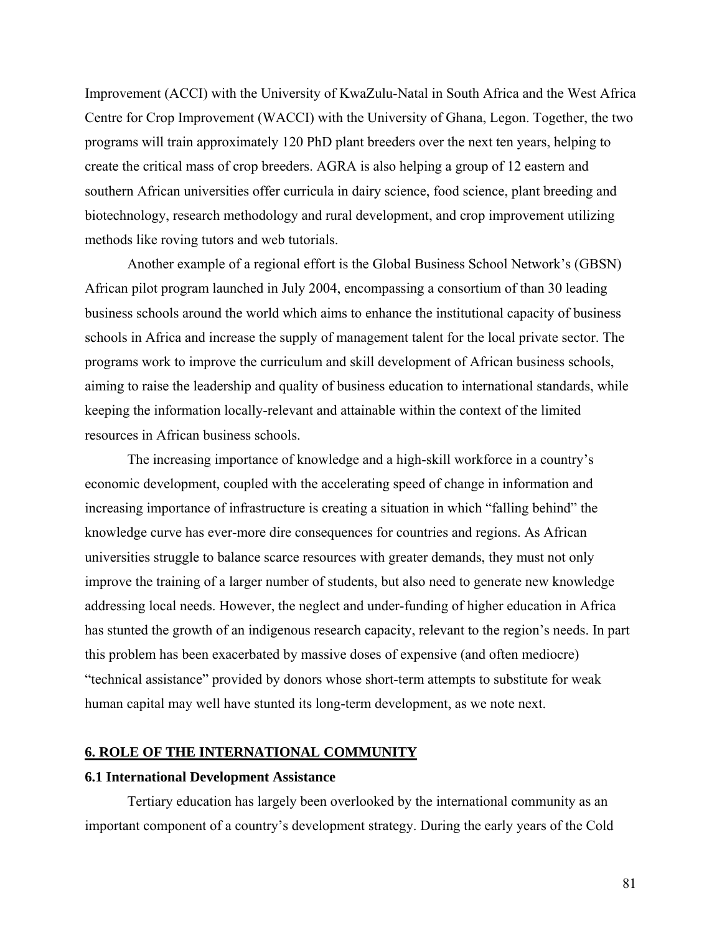Improvement (ACCI) with the University of KwaZulu-Natal in South Africa and the West Africa Centre for Crop Improvement (WACCI) with the University of Ghana, Legon. Together, the two programs will train approximately 120 PhD plant breeders over the next ten years, helping to create the critical mass of crop breeders. AGRA is also helping a group of 12 eastern and southern African universities offer curricula in dairy science, food science, plant breeding and biotechnology, research methodology and rural development, and crop improvement utilizing methods like roving tutors and web tutorials.

Another example of a regional effort is the Global Business School Network's (GBSN) African pilot program launched in July 2004, encompassing a consortium of than 30 leading business schools around the world which aims to enhance the institutional capacity of business schools in Africa and increase the supply of management talent for the local private sector. The programs work to improve the curriculum and skill development of African business schools, aiming to raise the leadership and quality of business education to international standards, while keeping the information locally-relevant and attainable within the context of the limited resources in African business schools.

The increasing importance of knowledge and a high-skill workforce in a country's economic development, coupled with the accelerating speed of change in information and increasing importance of infrastructure is creating a situation in which "falling behind" the knowledge curve has ever-more dire consequences for countries and regions. As African universities struggle to balance scarce resources with greater demands, they must not only improve the training of a larger number of students, but also need to generate new knowledge addressing local needs. However, the neglect and under-funding of higher education in Africa has stunted the growth of an indigenous research capacity, relevant to the region's needs. In part this problem has been exacerbated by massive doses of expensive (and often mediocre) "technical assistance" provided by donors whose short-term attempts to substitute for weak human capital may well have stunted its long-term development, as we note next.

## **6. ROLE OF THE INTERNATIONAL COMMUNITY**

## **6.1 International Development Assistance**

Tertiary education has largely been overlooked by the international community as an important component of a country's development strategy. During the early years of the Cold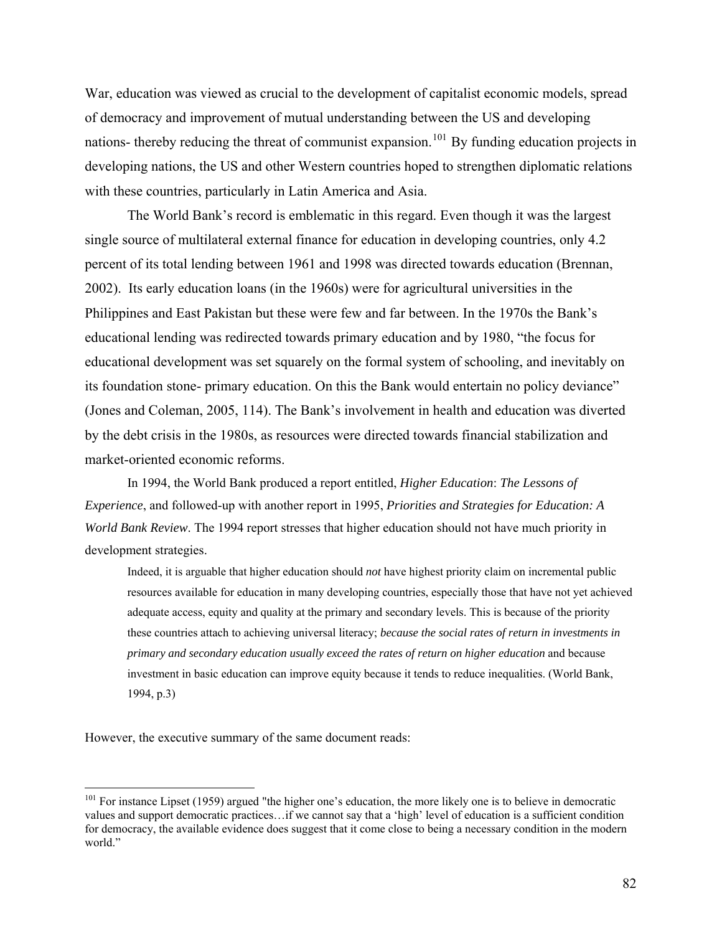War, education was viewed as crucial to the development of capitalist economic models, spread of democracy and improvement of mutual understanding between the US and developing nations- thereby reducing the threat of communist expansion.<sup>[101](#page-82-0)</sup> By funding education projects in developing nations, the US and other Western countries hoped to strengthen diplomatic relations with these countries, particularly in Latin America and Asia.

The World Bank's record is emblematic in this regard. Even though it was the largest single source of multilateral external finance for education in developing countries, only 4.2 percent of its total lending between 1961 and 1998 was directed towards education (Brennan, 2002). Its early education loans (in the 1960s) were for agricultural universities in the Philippines and East Pakistan but these were few and far between. In the 1970s the Bank's educational lending was redirected towards primary education and by 1980, "the focus for educational development was set squarely on the formal system of schooling, and inevitably on its foundation stone- primary education. On this the Bank would entertain no policy deviance" (Jones and Coleman, 2005, 114). The Bank's involvement in health and education was diverted by the debt crisis in the 1980s, as resources were directed towards financial stabilization and market-oriented economic reforms.

In 1994, the World Bank produced a report entitled, *Higher Education*: *The Lessons of Experience*, and followed-up with another report in 1995, *Priorities and Strategies for Education: A World Bank Review*. The 1994 report stresses that higher education should not have much priority in development strategies.

Indeed, it is arguable that higher education should *not* have highest priority claim on incremental public resources available for education in many developing countries, especially those that have not yet achieved adequate access, equity and quality at the primary and secondary levels. This is because of the priority these countries attach to achieving universal literacy; *because the social rates of return in investments in primary and secondary education usually exceed the rates of return on higher education* and because investment in basic education can improve equity because it tends to reduce inequalities. (World Bank, 1994, p.3)

However, the executive summary of the same document reads:

 $\overline{a}$ 

<span id="page-82-0"></span> $101$  For instance Lipset (1959) argued "the higher one's education, the more likely one is to believe in democratic values and support democratic practices…if we cannot say that a 'high' level of education is a sufficient condition for democracy, the available evidence does suggest that it come close to being a necessary condition in the modern world."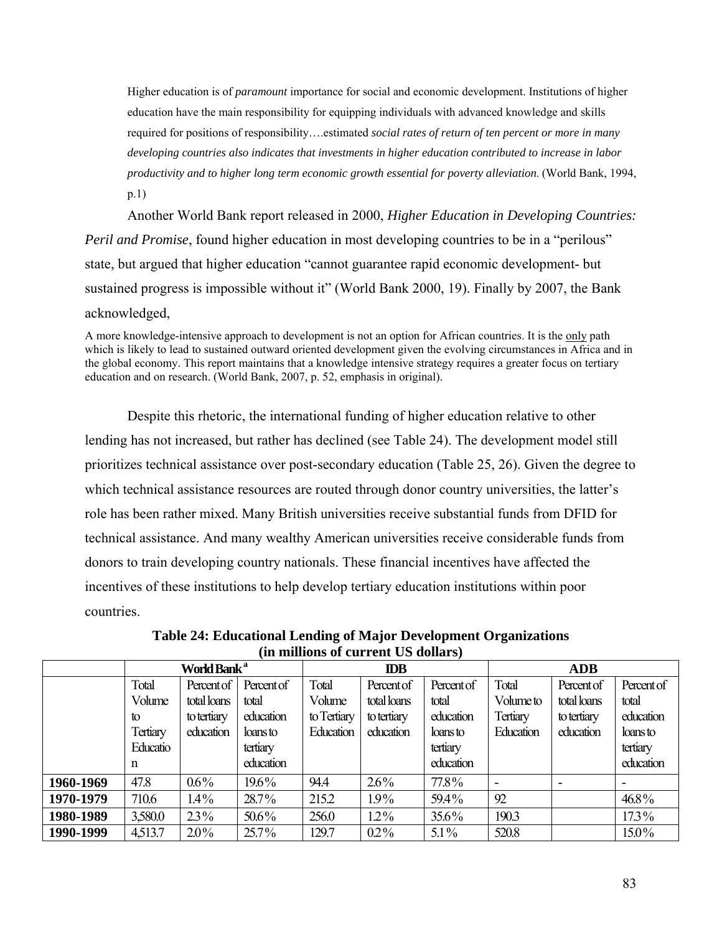Higher education is of *paramount* importance for social and economic development. Institutions of higher education have the main responsibility for equipping individuals with advanced knowledge and skills required for positions of responsibility….estimated *social rates of return of ten percent or more in many developing countries also indicates that investments in higher education contributed to increase in labor productivity and to higher long term economic growth essential for poverty alleviation*. (World Bank, 1994, p.1)

Another World Bank report released in 2000, *Higher Education in Developing Countries: Peril and Promise*, found higher education in most developing countries to be in a "perilous" state, but argued that higher education "cannot guarantee rapid economic development- but sustained progress is impossible without it" (World Bank 2000, 19). Finally by 2007, the Bank acknowledged,

A more knowledge-intensive approach to development is not an option for African countries. It is the only path which is likely to lead to sustained outward oriented development given the evolving circumstances in Africa and in the global economy. This report maintains that a knowledge intensive strategy requires a greater focus on tertiary education and on research. (World Bank, 2007, p. 52, emphasis in original).

Despite this rhetoric, the international funding of higher education relative to other lending has not increased, but rather has declined (see Table 24). The development model still prioritizes technical assistance over post-secondary education (Table 25, 26). Given the degree to which technical assistance resources are routed through donor country universities, the latter's role has been rather mixed. Many British universities receive substantial funds from DFID for technical assistance. And many wealthy American universities receive considerable funds from donors to train developing country nationals. These financial incentives have affected the incentives of these institutions to help develop tertiary education institutions within poor countries.

|           | World Bank <sup>a</sup> |             |            | $\mathbf{IDB}$ |             |            | <b>ADB</b>       |                          |            |
|-----------|-------------------------|-------------|------------|----------------|-------------|------------|------------------|--------------------------|------------|
|           | Total                   | Percent of  | Percent of | Total          | Percent of  | Percent of | Total            | Percent of               | Percent of |
|           | Volume                  | total loans | total      | Volume         | total loans | total      | <b>Volume</b> to | total loans              | total      |
|           | to                      | to tertiary | education  | to Tertiary    | to tertiary | education  | Tertiary         | to tertiary              | education  |
|           | Tertiary                | education   | loans to   | Education      | education   | loans to   | Education        | education                | loans to   |
|           | Educatio                |             | tertiary   |                |             | tertiary   |                  |                          | tertiary   |
|           | n                       |             | education  |                |             | education  |                  |                          | education  |
| 1960-1969 | 47.8                    | $0.6\%$     | $19.6\%$   | 94.4           | $2.6\%$     | 77.8%      | $\blacksquare$   | $\overline{\phantom{a}}$ |            |
| 1970-1979 | 710.6                   | $1.4\%$     | 28.7%      | 215.2          | 1.9%        | 59.4%      | 92               |                          | 46.8%      |
| 1980-1989 | 3,580.0                 | $2.3\%$     | $50.6\%$   | 256.0          | $1.2\%$     | 35.6%      | 190.3            |                          | $17.3\%$   |
| 1990-1999 | 4,513.7                 | $2.0\%$     | 25.7%      | 129.7          | $0.2\%$     | $5.1\%$    | 520.8            |                          | 15.0%      |

**Table 24: Educational Lending of Major Development Organizations (in millions of current US dollars)**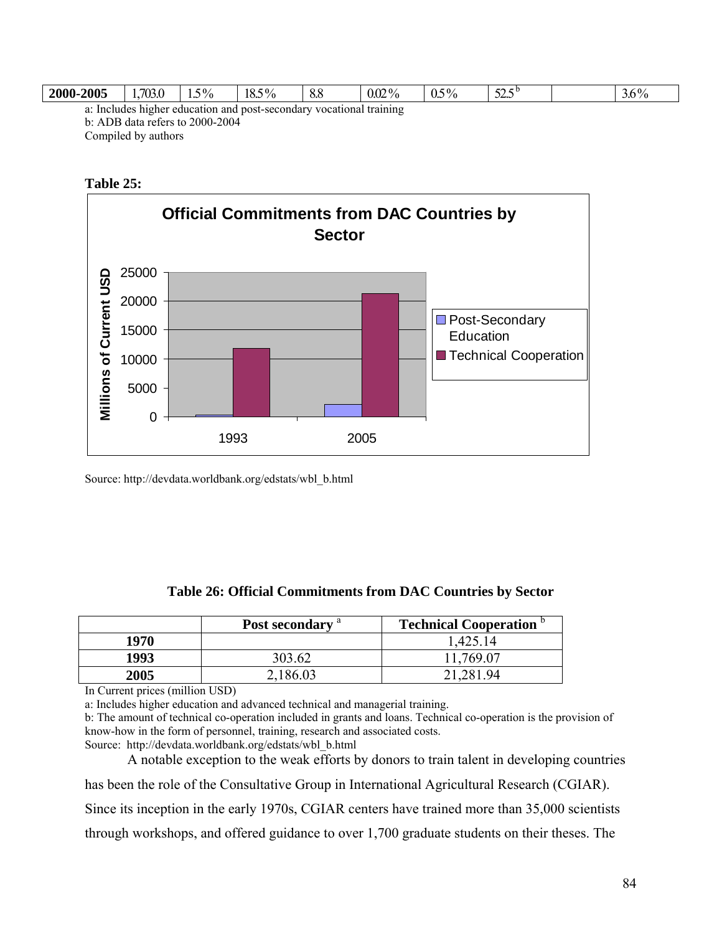| 2005<br>2000<br>11. | ,703.0<br> | $5\%$<br>. | $\zeta$ 0<br>ıΩ<br>10.J<br>70 | 8.8 | $0.02\%$ | $5\%$<br>$U_{\infty}$ | $\sim$<br>ىس<br>__ |  | 60<br>3.0<br>- 0 |
|---------------------|------------|------------|-------------------------------|-----|----------|-----------------------|--------------------|--|------------------|
|                     |            |            |                               |     |          |                       |                    |  |                  |

a: Includes higher education and post-secondary vocational training b: ADB data refers to 2000-2004 Compiled by authors

# **Table 25:**



Source: http://devdata.worldbank.org/edstats/wbl\_b.html

|      | Post secondary <sup>a</sup> | <b>Technical Cooperation</b> |  |  |
|------|-----------------------------|------------------------------|--|--|
| 1970 |                             | 1,425.14                     |  |  |
| 1993 | 303.62                      | 11,769.07                    |  |  |
| 2005 | 2,186.03                    | 21.281.94                    |  |  |

| Table 26: Official Commitments from DAC Countries by Sector |  |
|-------------------------------------------------------------|--|
|-------------------------------------------------------------|--|

In Current prices (million USD)

a: Includes higher education and advanced technical and managerial training.

b: The amount of technical co-operation included in grants and loans. Technical co-operation is the provision of know-how in the form of personnel, training, research and associated costs.

Source: http://devdata.worldbank.org/edstats/wbl\_b.html

A notable exception to the weak efforts by donors to train talent in developing countries has been the role of the Consultative Group in International Agricultural Research (CGIAR). Since its inception in the early 1970s, CGIAR centers have trained more than 35,000 scientists through workshops, and offered guidance to over 1,700 graduate students on their theses. The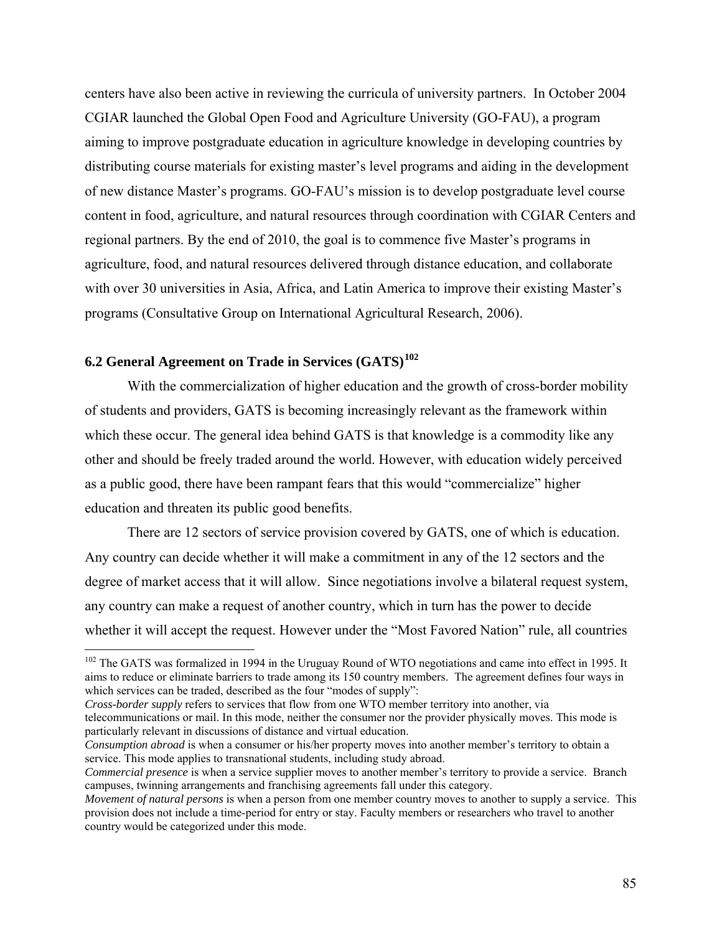centers have also been active in reviewing the curricula of university partners. In October 2004 CGIAR launched the Global Open Food and Agriculture University (GO-FAU), a program aiming to improve postgraduate education in agriculture knowledge in developing countries by distributing course materials for existing master's level programs and aiding in the development of new distance Master's programs. GO-FAU's mission is to develop postgraduate level course content in food, agriculture, and natural resources through coordination with CGIAR Centers and regional partners. By the end of 2010, the goal is to commence five Master's programs in agriculture, food, and natural resources delivered through distance education, and collaborate with over 30 universities in Asia, Africa, and Latin America to improve their existing Master's programs (Consultative Group on International Agricultural Research, 2006).

# **6.2 General Agreement on Trade in Services (GATS)[102](#page-85-0)**

 $\overline{a}$ 

With the commercialization of higher education and the growth of cross-border mobility of students and providers, GATS is becoming increasingly relevant as the framework within which these occur. The general idea behind GATS is that knowledge is a commodity like any other and should be freely traded around the world. However, with education widely perceived as a public good, there have been rampant fears that this would "commercialize" higher education and threaten its public good benefits.

There are 12 sectors of service provision covered by GATS, one of which is education. Any country can decide whether it will make a commitment in any of the 12 sectors and the degree of market access that it will allow. Since negotiations involve a bilateral request system, any country can make a request of another country, which in turn has the power to decide whether it will accept the request. However under the "Most Favored Nation" rule, all countries

<span id="page-85-0"></span><sup>&</sup>lt;sup>102</sup> The GATS was formalized in 1994 in the Uruguay Round of WTO negotiations and came into effect in 1995. It aims to reduce or eliminate barriers to trade among its 150 country members. The agreement defines four ways in which services can be traded, described as the four "modes of supply":

*Cross-border supply* refers to services that flow from one WTO member territory into another, via telecommunications or mail. In this mode, neither the consumer nor the provider physically moves. This mode is particularly relevant in discussions of distance and virtual education.

*Consumption abroad* is when a consumer or his/her property moves into another member's territory to obtain a service. This mode applies to transnational students, including study abroad.

*Commercial presence* is when a service supplier moves to another member's territory to provide a service. Branch campuses, twinning arrangements and franchising agreements fall under this category.

*Movement of natural persons* is when a person from one member country moves to another to supply a service. This provision does not include a time-period for entry or stay. Faculty members or researchers who travel to another country would be categorized under this mode.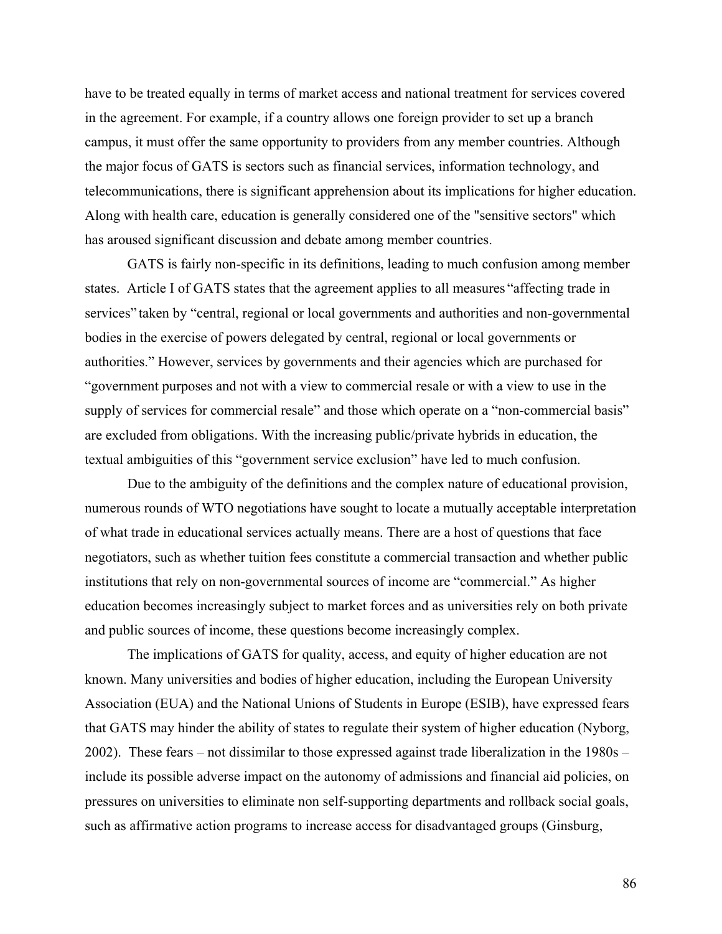have to be treated equally in terms of market access and national treatment for services covered in the agreement. For example, if a country allows one foreign provider to set up a branch campus, it must offer the same opportunity to providers from any member countries. Although the major focus of GATS is sectors such as financial services, information technology, and telecommunications, there is significant apprehension about its implications for higher education. Along with health care, education is generally considered one of the "sensitive sectors" which has aroused significant discussion and debate among member countries.

GATS is fairly non-specific in its definitions, leading to much confusion among member states. Article I of GATS states that the agreement applies to all measures "affecting trade in services" taken by "central, regional or local governments and authorities and non-governmental bodies in the exercise of powers delegated by central, regional or local governments or authorities." However, services by governments and their agencies which are purchased for "government purposes and not with a view to commercial resale or with a view to use in the supply of services for commercial resale" and those which operate on a "non-commercial basis" are excluded from obligations. With the increasing public/private hybrids in education, the textual ambiguities of this "government service exclusion" have led to much confusion.

Due to the ambiguity of the definitions and the complex nature of educational provision, numerous rounds of WTO negotiations have sought to locate a mutually acceptable interpretation of what trade in educational services actually means. There are a host of questions that face negotiators, such as whether tuition fees constitute a commercial transaction and whether public institutions that rely on non-governmental sources of income are "commercial." As higher education becomes increasingly subject to market forces and as universities rely on both private and public sources of income, these questions become increasingly complex.

The implications of GATS for quality, access, and equity of higher education are not known. Many universities and bodies of higher education, including the European University Association (EUA) and the National Unions of Students in Europe (ESIB), have expressed fears that GATS may hinder the ability of states to regulate their system of higher education (Nyborg, 2002). These fears – not dissimilar to those expressed against trade liberalization in the 1980s – include its possible adverse impact on the autonomy of admissions and financial aid policies, on pressures on universities to eliminate non self-supporting departments and rollback social goals, such as affirmative action programs to increase access for disadvantaged groups (Ginsburg,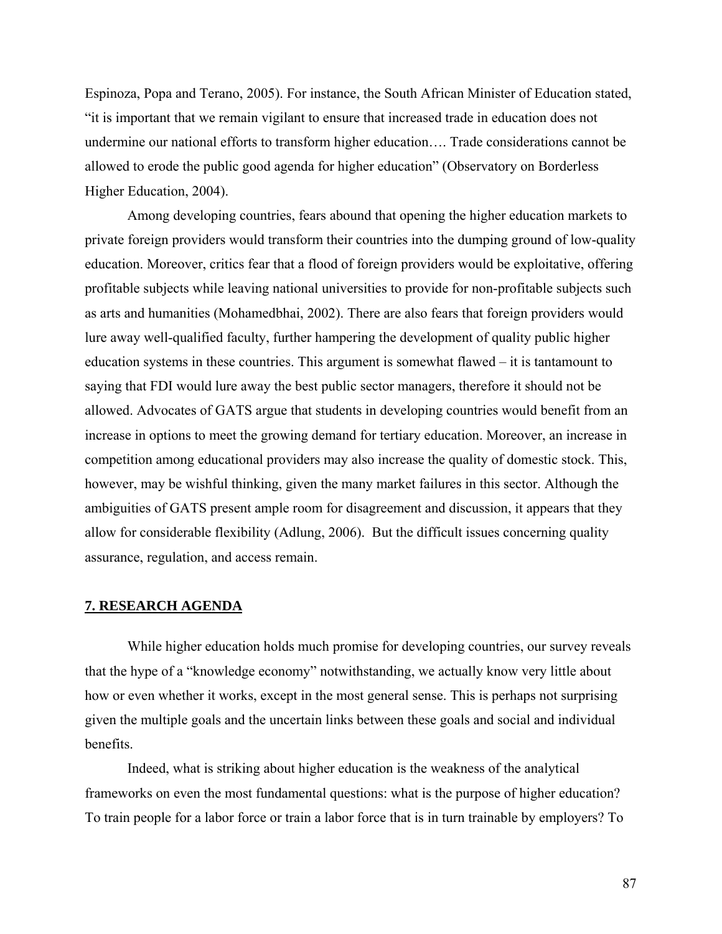Espinoza, Popa and Terano, 2005). For instance, the South African Minister of Education stated, "it is important that we remain vigilant to ensure that increased trade in education does not undermine our national efforts to transform higher education…. Trade considerations cannot be allowed to erode the public good agenda for higher education" (Observatory on Borderless Higher Education, 2004).

Among developing countries, fears abound that opening the higher education markets to private foreign providers would transform their countries into the dumping ground of low-quality education. Moreover, critics fear that a flood of foreign providers would be exploitative, offering profitable subjects while leaving national universities to provide for non-profitable subjects such as arts and humanities (Mohamedbhai, 2002). There are also fears that foreign providers would lure away well-qualified faculty, further hampering the development of quality public higher education systems in these countries. This argument is somewhat flawed – it is tantamount to saying that FDI would lure away the best public sector managers, therefore it should not be allowed. Advocates of GATS argue that students in developing countries would benefit from an increase in options to meet the growing demand for tertiary education. Moreover, an increase in competition among educational providers may also increase the quality of domestic stock. This, however, may be wishful thinking, given the many market failures in this sector. Although the ambiguities of GATS present ample room for disagreement and discussion, it appears that they allow for considerable flexibility (Adlung, 2006). But the difficult issues concerning quality assurance, regulation, and access remain.

### **7. RESEARCH AGENDA**

While higher education holds much promise for developing countries, our survey reveals that the hype of a "knowledge economy" notwithstanding, we actually know very little about how or even whether it works, except in the most general sense. This is perhaps not surprising given the multiple goals and the uncertain links between these goals and social and individual benefits.

Indeed, what is striking about higher education is the weakness of the analytical frameworks on even the most fundamental questions: what is the purpose of higher education? To train people for a labor force or train a labor force that is in turn trainable by employers? To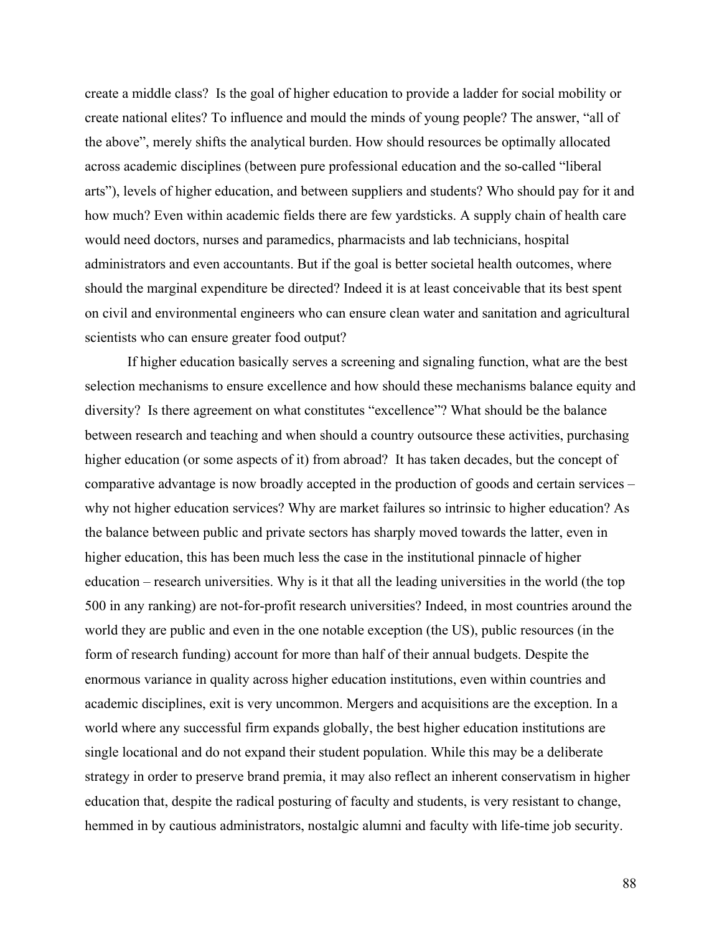create a middle class? Is the goal of higher education to provide a ladder for social mobility or create national elites? To influence and mould the minds of young people? The answer, "all of the above", merely shifts the analytical burden. How should resources be optimally allocated across academic disciplines (between pure professional education and the so-called "liberal arts"), levels of higher education, and between suppliers and students? Who should pay for it and how much? Even within academic fields there are few yardsticks. A supply chain of health care would need doctors, nurses and paramedics, pharmacists and lab technicians, hospital administrators and even accountants. But if the goal is better societal health outcomes, where should the marginal expenditure be directed? Indeed it is at least conceivable that its best spent on civil and environmental engineers who can ensure clean water and sanitation and agricultural scientists who can ensure greater food output?

If higher education basically serves a screening and signaling function, what are the best selection mechanisms to ensure excellence and how should these mechanisms balance equity and diversity? Is there agreement on what constitutes "excellence"? What should be the balance between research and teaching and when should a country outsource these activities, purchasing higher education (or some aspects of it) from abroad? It has taken decades, but the concept of comparative advantage is now broadly accepted in the production of goods and certain services – why not higher education services? Why are market failures so intrinsic to higher education? As the balance between public and private sectors has sharply moved towards the latter, even in higher education, this has been much less the case in the institutional pinnacle of higher education – research universities. Why is it that all the leading universities in the world (the top 500 in any ranking) are not-for-profit research universities? Indeed, in most countries around the world they are public and even in the one notable exception (the US), public resources (in the form of research funding) account for more than half of their annual budgets. Despite the enormous variance in quality across higher education institutions, even within countries and academic disciplines, exit is very uncommon. Mergers and acquisitions are the exception. In a world where any successful firm expands globally, the best higher education institutions are single locational and do not expand their student population. While this may be a deliberate strategy in order to preserve brand premia, it may also reflect an inherent conservatism in higher education that, despite the radical posturing of faculty and students, is very resistant to change, hemmed in by cautious administrators, nostalgic alumni and faculty with life-time job security.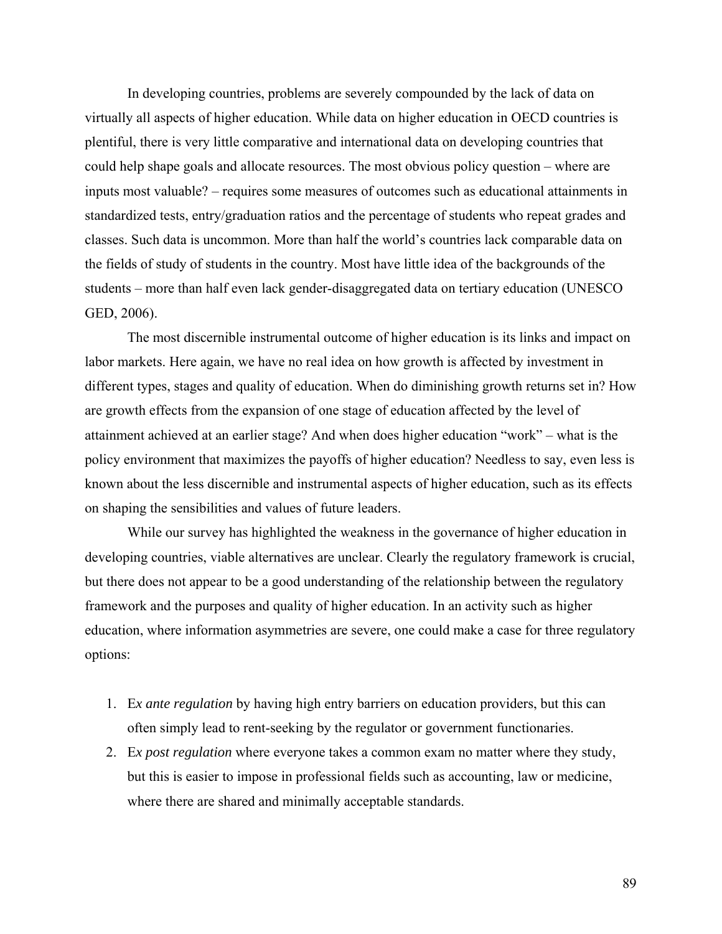In developing countries, problems are severely compounded by the lack of data on virtually all aspects of higher education. While data on higher education in OECD countries is plentiful, there is very little comparative and international data on developing countries that could help shape goals and allocate resources. The most obvious policy question – where are inputs most valuable? – requires some measures of outcomes such as educational attainments in standardized tests, entry/graduation ratios and the percentage of students who repeat grades and classes. Such data is uncommon. More than half the world's countries lack comparable data on the fields of study of students in the country. Most have little idea of the backgrounds of the students – more than half even lack gender-disaggregated data on tertiary education (UNESCO GED, 2006).

 The most discernible instrumental outcome of higher education is its links and impact on labor markets. Here again, we have no real idea on how growth is affected by investment in different types, stages and quality of education. When do diminishing growth returns set in? How are growth effects from the expansion of one stage of education affected by the level of attainment achieved at an earlier stage? And when does higher education "work" – what is the policy environment that maximizes the payoffs of higher education? Needless to say, even less is known about the less discernible and instrumental aspects of higher education, such as its effects on shaping the sensibilities and values of future leaders.

 While our survey has highlighted the weakness in the governance of higher education in developing countries, viable alternatives are unclear. Clearly the regulatory framework is crucial, but there does not appear to be a good understanding of the relationship between the regulatory framework and the purposes and quality of higher education. In an activity such as higher education, where information asymmetries are severe, one could make a case for three regulatory options:

- 1. E*x ante regulation* by having high entry barriers on education providers, but this can often simply lead to rent-seeking by the regulator or government functionaries.
- 2. E*x post regulation* where everyone takes a common exam no matter where they study, but this is easier to impose in professional fields such as accounting, law or medicine, where there are shared and minimally acceptable standards.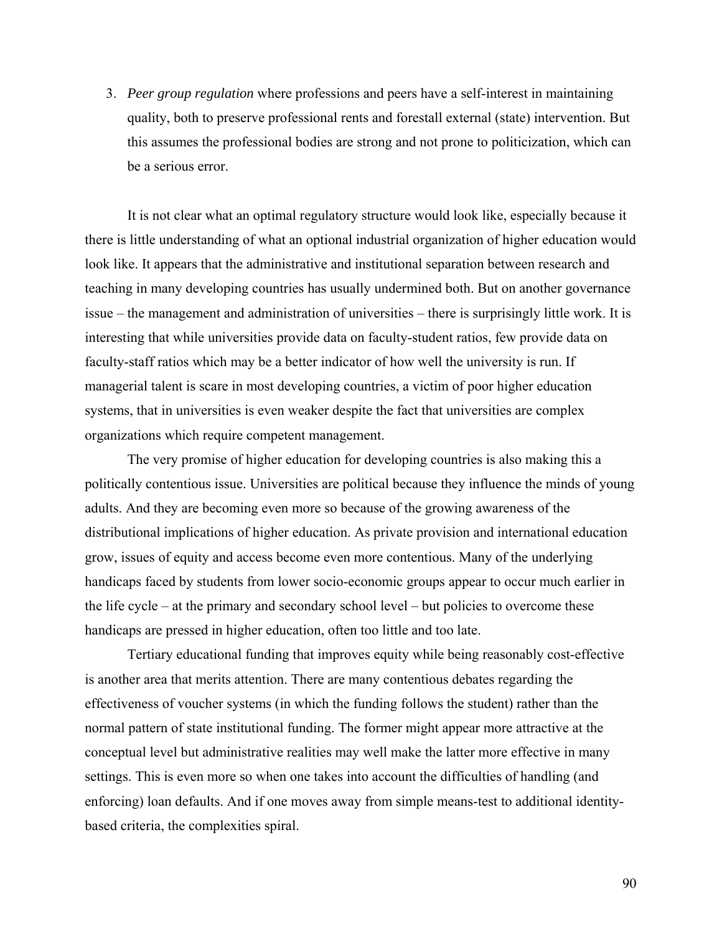3. *Peer group regulation* where professions and peers have a self-interest in maintaining quality, both to preserve professional rents and forestall external (state) intervention. But this assumes the professional bodies are strong and not prone to politicization, which can be a serious error.

 It is not clear what an optimal regulatory structure would look like, especially because it there is little understanding of what an optional industrial organization of higher education would look like. It appears that the administrative and institutional separation between research and teaching in many developing countries has usually undermined both. But on another governance issue – the management and administration of universities – there is surprisingly little work. It is interesting that while universities provide data on faculty-student ratios, few provide data on faculty-staff ratios which may be a better indicator of how well the university is run. If managerial talent is scare in most developing countries, a victim of poor higher education systems, that in universities is even weaker despite the fact that universities are complex organizations which require competent management.

The very promise of higher education for developing countries is also making this a politically contentious issue. Universities are political because they influence the minds of young adults. And they are becoming even more so because of the growing awareness of the distributional implications of higher education. As private provision and international education grow, issues of equity and access become even more contentious. Many of the underlying handicaps faced by students from lower socio-economic groups appear to occur much earlier in the life cycle – at the primary and secondary school level – but policies to overcome these handicaps are pressed in higher education, often too little and too late.

Tertiary educational funding that improves equity while being reasonably cost-effective is another area that merits attention. There are many contentious debates regarding the effectiveness of voucher systems (in which the funding follows the student) rather than the normal pattern of state institutional funding. The former might appear more attractive at the conceptual level but administrative realities may well make the latter more effective in many settings. This is even more so when one takes into account the difficulties of handling (and enforcing) loan defaults. And if one moves away from simple means-test to additional identitybased criteria, the complexities spiral.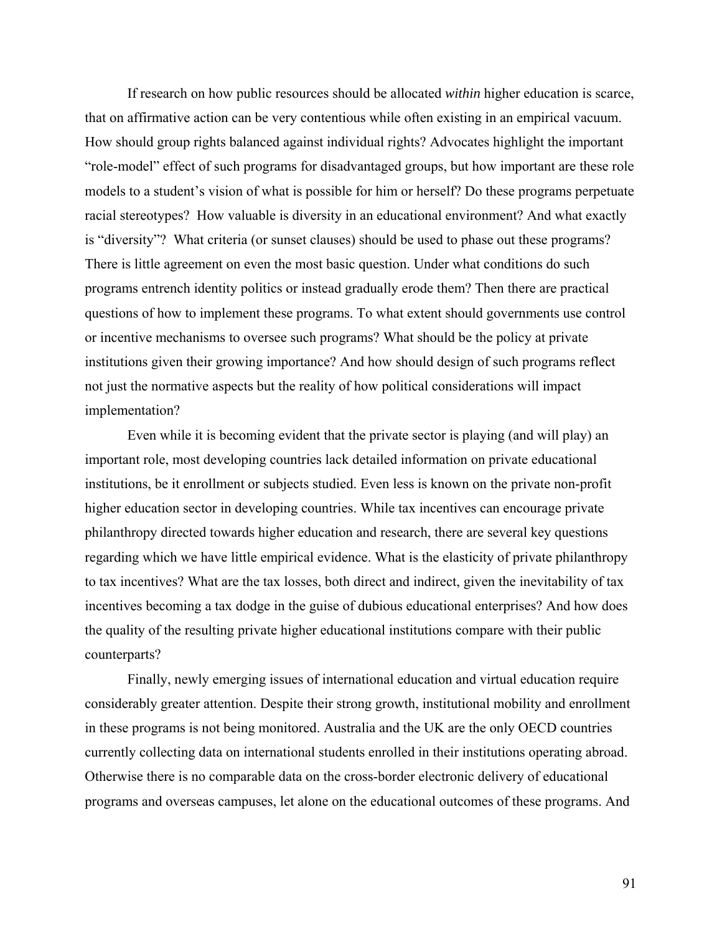If research on how public resources should be allocated *within* higher education is scarce, that on affirmative action can be very contentious while often existing in an empirical vacuum. How should group rights balanced against individual rights? Advocates highlight the important "role-model" effect of such programs for disadvantaged groups, but how important are these role models to a student's vision of what is possible for him or herself? Do these programs perpetuate racial stereotypes? How valuable is diversity in an educational environment? And what exactly is "diversity"? What criteria (or sunset clauses) should be used to phase out these programs? There is little agreement on even the most basic question. Under what conditions do such programs entrench identity politics or instead gradually erode them? Then there are practical questions of how to implement these programs. To what extent should governments use control or incentive mechanisms to oversee such programs? What should be the policy at private institutions given their growing importance? And how should design of such programs reflect not just the normative aspects but the reality of how political considerations will impact implementation?

Even while it is becoming evident that the private sector is playing (and will play) an important role, most developing countries lack detailed information on private educational institutions, be it enrollment or subjects studied. Even less is known on the private non-profit higher education sector in developing countries. While tax incentives can encourage private philanthropy directed towards higher education and research, there are several key questions regarding which we have little empirical evidence. What is the elasticity of private philanthropy to tax incentives? What are the tax losses, both direct and indirect, given the inevitability of tax incentives becoming a tax dodge in the guise of dubious educational enterprises? And how does the quality of the resulting private higher educational institutions compare with their public counterparts?

 Finally, newly emerging issues of international education and virtual education require considerably greater attention. Despite their strong growth, institutional mobility and enrollment in these programs is not being monitored. Australia and the UK are the only OECD countries currently collecting data on international students enrolled in their institutions operating abroad. Otherwise there is no comparable data on the cross-border electronic delivery of educational programs and overseas campuses, let alone on the educational outcomes of these programs. And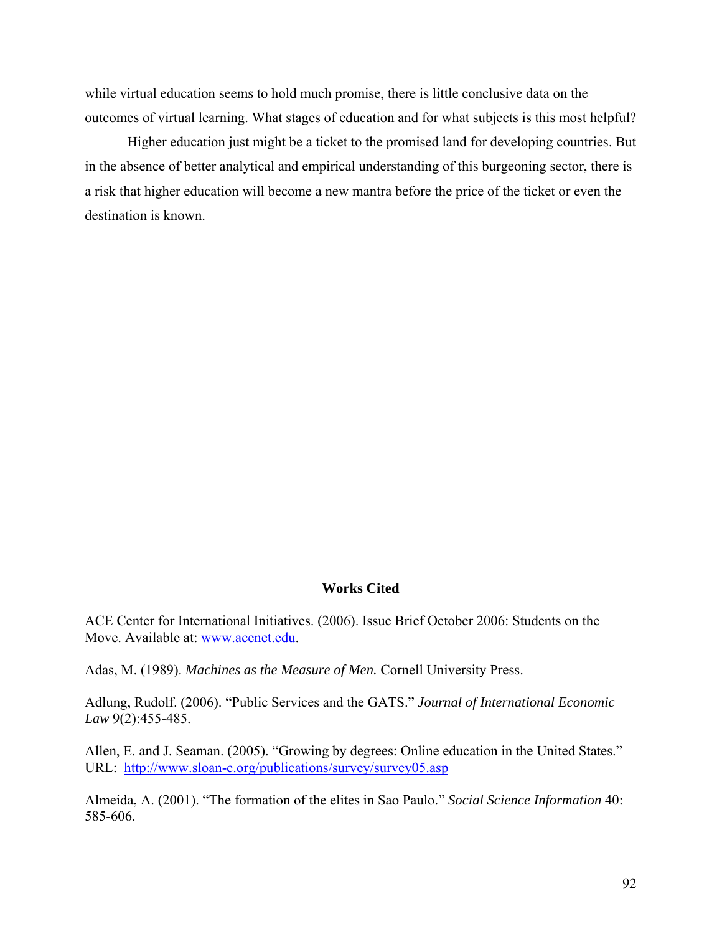while virtual education seems to hold much promise, there is little conclusive data on the outcomes of virtual learning. What stages of education and for what subjects is this most helpful?

Higher education just might be a ticket to the promised land for developing countries. But in the absence of better analytical and empirical understanding of this burgeoning sector, there is a risk that higher education will become a new mantra before the price of the ticket or even the destination is known.

#### **Works Cited**

ACE Center for International Initiatives. (2006). Issue Brief October 2006: Students on the Move. Available at: [www.acenet.edu.](http://www.acenet.edu/)

Adas, M. (1989). *Machines as the Measure of Men.* Cornell University Press.

Adlung, Rudolf. (2006). "Public Services and the GATS." *Journal of International Economic Law* 9(2):455-485.

Allen, E. and J. Seaman. (2005). "Growing by degrees: Online education in the United States." URL: <http://www.sloan-c.org/publications/survey/survey05.asp>

Almeida, A. (2001). "The formation of the elites in Sao Paulo." *Social Science Information* 40: 585-606.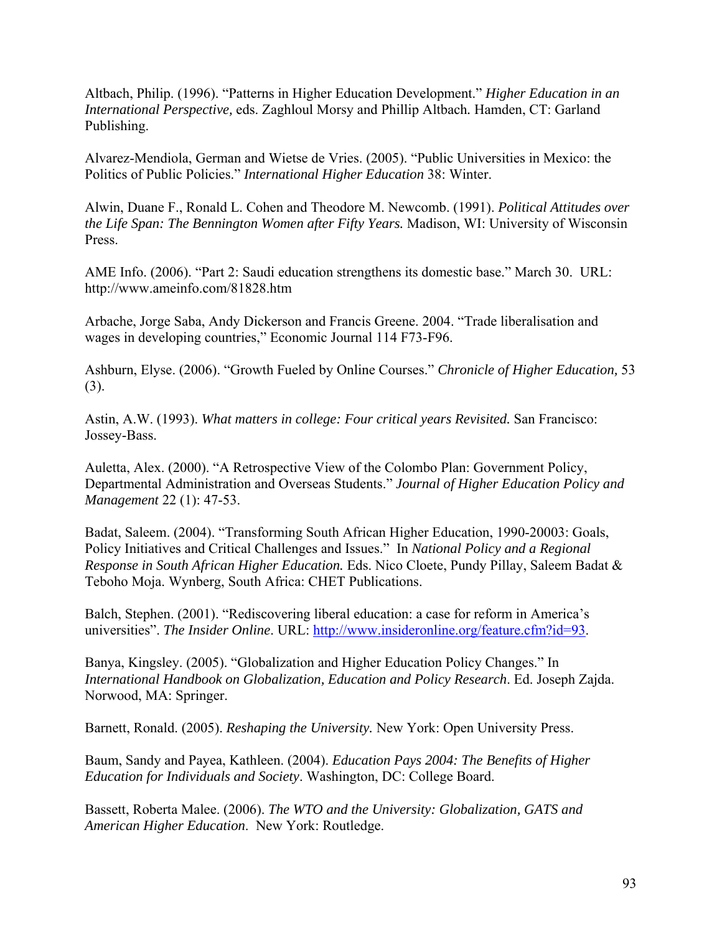Altbach, Philip. (1996). "Patterns in Higher Education Development." *Higher Education in an International Perspective,* eds. Zaghloul Morsy and Phillip Altbach*.* Hamden, CT: Garland Publishing.

Alvarez-Mendiola, German and Wietse de Vries. (2005). "Public Universities in Mexico: the Politics of Public Policies." *International Higher Education* 38: Winter.

Alwin, Duane F., Ronald L. Cohen and Theodore M. Newcomb. (1991). *Political Attitudes over the Life Span: The Bennington Women after Fifty Years. Madison, WI: University of Wisconsin* Press.

AME Info. (2006). "Part 2: Saudi education strengthens its domestic base." March 30. URL: http://www.ameinfo.com/81828.htm

Arbache, Jorge Saba, Andy Dickerson and Francis Greene. 2004. "Trade liberalisation and wages in developing countries," Economic Journal 114 F73-F96.

Ashburn, Elyse. (2006). "Growth Fueled by Online Courses." *Chronicle of Higher Education,* 53 (3).

Astin, A.W. (1993). *What matters in college: Four critical years Revisited.* San Francisco: Jossey-Bass.

Auletta, Alex. (2000). "A Retrospective View of the Colombo Plan: Government Policy, Departmental Administration and Overseas Students." *Journal of Higher Education Policy and Management* 22 (1): 47-53.

Badat, Saleem. (2004). "Transforming South African Higher Education, 1990-20003: Goals, Policy Initiatives and Critical Challenges and Issues." In *National Policy and a Regional Response in South African Higher Education.* Eds. Nico Cloete, Pundy Pillay, Saleem Badat & Teboho Moja. Wynberg, South Africa: CHET Publications.

Balch, Stephen. (2001). "Rediscovering liberal education: a case for reform in America's universities". *The Insider Online*. URL: [http://www.insideronline.org/feature.cfm?id=93.](http://www.insideronline.org/feature.cfm?id=93)

Banya, Kingsley. (2005). "Globalization and Higher Education Policy Changes." In *International Handbook on Globalization, Education and Policy Research*. Ed. Joseph Zajda. Norwood, MA: Springer.

Barnett, Ronald. (2005). *Reshaping the University.* New York: Open University Press.

Baum, Sandy and Payea, Kathleen. (2004). *Education Pays 2004: The Benefits of Higher Education for Individuals and Society*. Washington, DC: College Board.

Bassett, Roberta Malee. (2006). *The WTO and the University: Globalization, GATS and American Higher Education*. New York: Routledge.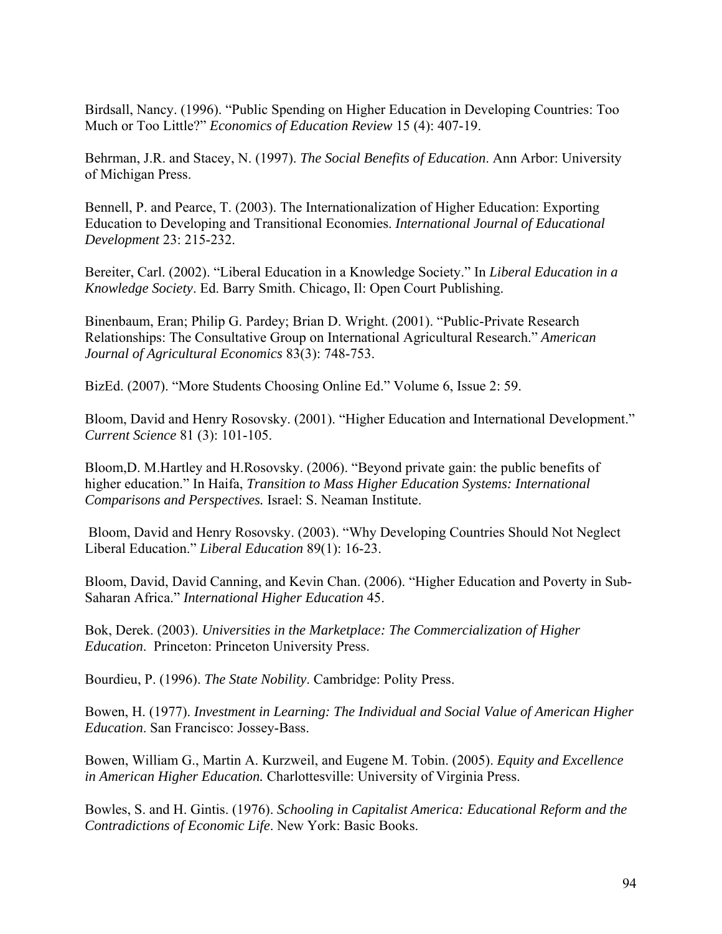Birdsall, Nancy. (1996). "Public Spending on Higher Education in Developing Countries: Too Much or Too Little?" *Economics of Education Review* 15 (4): 407-19.

Behrman, J.R. and Stacey, N. (1997). *The Social Benefits of Education*. Ann Arbor: University of Michigan Press.

Bennell, P. and Pearce, T. (2003). The Internationalization of Higher Education: Exporting Education to Developing and Transitional Economies. *International Journal of Educational Development* 23: 215-232.

Bereiter, Carl. (2002). "Liberal Education in a Knowledge Society." In *Liberal Education in a Knowledge Society*. Ed. Barry Smith. Chicago, Il: Open Court Publishing.

Binenbaum, Eran; Philip G. Pardey; Brian D. Wright. (2001). "Public-Private Research Relationships: The Consultative Group on International Agricultural Research." *American Journal of Agricultural Economics* 83(3): 748-753.

BizEd. (2007). "More Students Choosing Online Ed." Volume 6, Issue 2: 59.

Bloom, David and Henry Rosovsky. (2001). "Higher Education and International Development." *Current Science* 81 (3): 101-105.

Bloom,D. M.Hartley and H.Rosovsky. (2006). "Beyond private gain: the public benefits of higher education." In Haifa, *Transition to Mass Higher Education Systems: International Comparisons and Perspectives.* Israel: S. Neaman Institute.

 Bloom, David and Henry Rosovsky. (2003). "Why Developing Countries Should Not Neglect Liberal Education." *Liberal Education* 89(1): 16-23.

Bloom, David, David Canning, and Kevin Chan. (2006). "Higher Education and Poverty in Sub-Saharan Africa." *International Higher Education* 45.

Bok, Derek. (2003). *Universities in the Marketplace: The Commercialization of Higher Education*. Princeton: Princeton University Press.

Bourdieu, P. (1996). *The State Nobility*. Cambridge: Polity Press.

Bowen, H. (1977). *Investment in Learning: The Individual and Social Value of American Higher Education*. San Francisco: Jossey-Bass.

Bowen, William G., Martin A. Kurzweil, and Eugene M. Tobin. (2005). *Equity and Excellence in American Higher Education.* Charlottesville: University of Virginia Press.

Bowles, S. and H. Gintis. (1976). *Schooling in Capitalist America: Educational Reform and the Contradictions of Economic Life*. New York: Basic Books.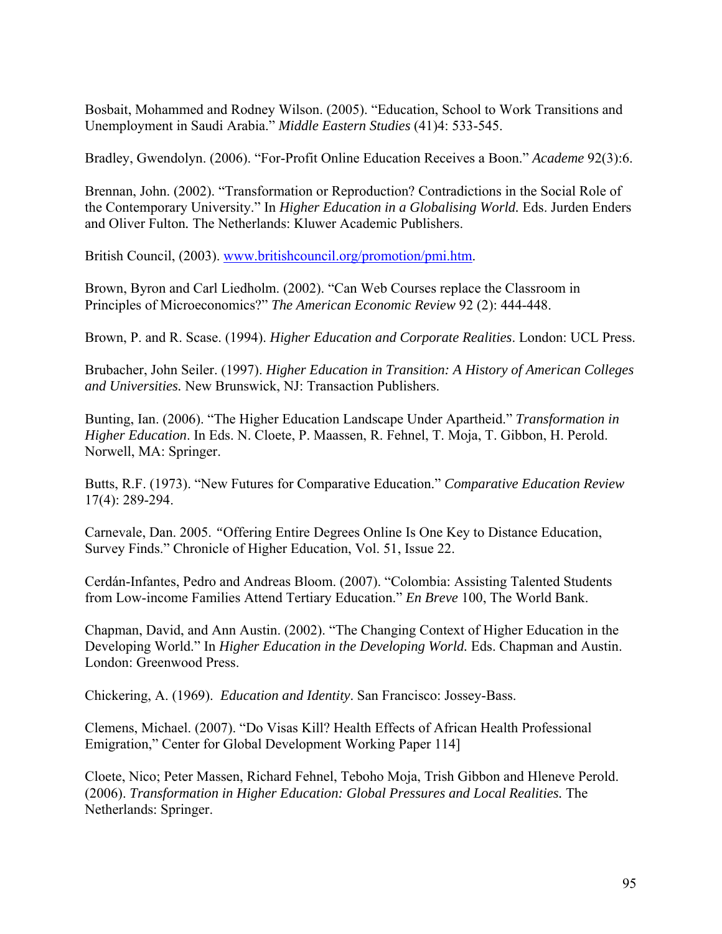Bosbait, Mohammed and Rodney Wilson. (2005). "Education, School to Work Transitions and Unemployment in Saudi Arabia." *Middle Eastern Studies* (41)4: 533-545.

Bradley, Gwendolyn. (2006). "For-Profit Online Education Receives a Boon." *Academe* 92(3):6.

Brennan, John. (2002). "Transformation or Reproduction? Contradictions in the Social Role of the Contemporary University." In *Higher Education in a Globalising World.* Eds. Jurden Enders and Oliver Fulton*.* The Netherlands: Kluwer Academic Publishers.

British Council, (2003). [www.britishcouncil.org/promotion/pmi.htm.](http://www.britishcouncil.org/promotion/pmi.htm)

Brown, Byron and Carl Liedholm. (2002). "Can Web Courses replace the Classroom in Principles of Microeconomics?" *The American Economic Review* 92 (2): 444-448.

Brown, P. and R. Scase. (1994). *Higher Education and Corporate Realities*. London: UCL Press.

Brubacher, John Seiler. (1997). *Higher Education in Transition: A History of American Colleges and Universities.* New Brunswick, NJ: Transaction Publishers.

Bunting, Ian. (2006). "The Higher Education Landscape Under Apartheid." *Transformation in Higher Education*. In Eds. N. Cloete, P. Maassen, R. Fehnel, T. Moja, T. Gibbon, H. Perold. Norwell, MA: Springer.

Butts, R.F. (1973). "New Futures for Comparative Education." *Comparative Education Review*  17(4): 289-294.

Carnevale, Dan. 2005. *"*Offering Entire Degrees Online Is One Key to Distance Education, Survey Finds." Chronicle of Higher Education, Vol. 51, Issue 22.

Cerdán-Infantes, Pedro and Andreas Bloom. (2007). "Colombia: Assisting Talented Students from Low-income Families Attend Tertiary Education." *En Breve* 100, The World Bank.

Chapman, David, and Ann Austin. (2002). "The Changing Context of Higher Education in the Developing World." In *Higher Education in the Developing World.* Eds. Chapman and Austin. London: Greenwood Press.

Chickering, A. (1969). *Education and Identity*. San Francisco: Jossey-Bass.

Clemens, Michael. (2007). "Do Visas Kill? Health Effects of African Health Professional Emigration," Center for Global Development Working Paper 114]

Cloete, Nico; Peter Massen, Richard Fehnel, Teboho Moja, Trish Gibbon and Hleneve Perold. (2006). *Transformation in Higher Education: Global Pressures and Local Realities.* The Netherlands: Springer.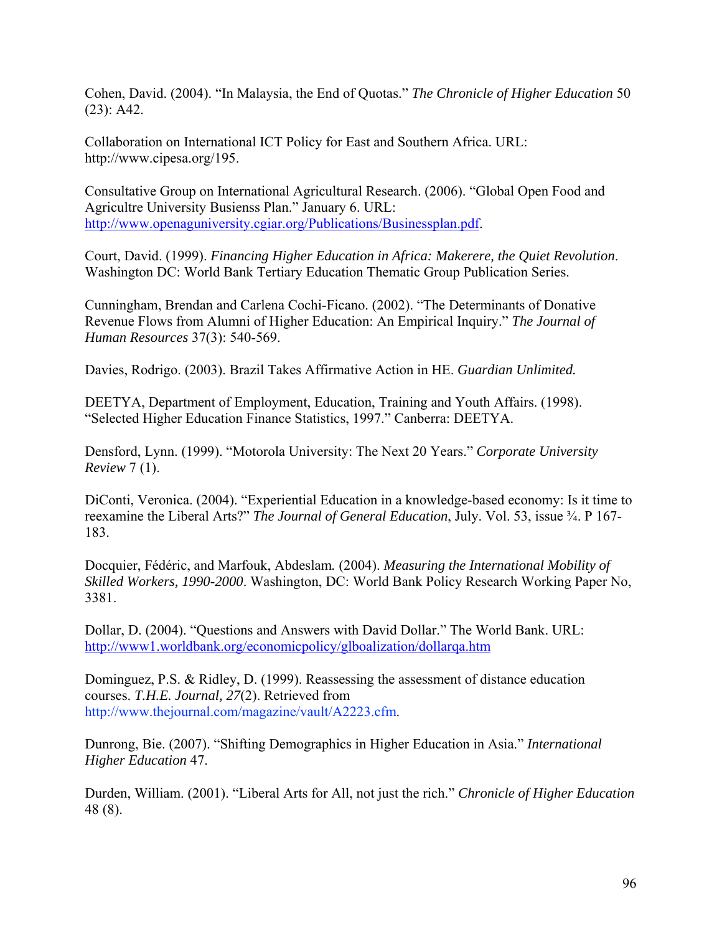Cohen, David. (2004). "In Malaysia, the End of Quotas." *The Chronicle of Higher Education* 50 (23): A42.

Collaboration on International ICT Policy for East and Southern Africa. URL: http://www.cipesa.org/195.

Consultative Group on International Agricultural Research. (2006). "Global Open Food and Agricultre University Busienss Plan." January 6. URL: [http://www.openaguniversity.cgiar.org/Publications/Businessplan.pdf.](http://www.openaguniversity.cgiar.org/Publications/Businessplan.pdf)

Court, David. (1999). *Financing Higher Education in Africa: Makerere, the Quiet Revolution*. Washington DC: World Bank Tertiary Education Thematic Group Publication Series.

Cunningham, Brendan and Carlena Cochi-Ficano. (2002). "The Determinants of Donative Revenue Flows from Alumni of Higher Education: An Empirical Inquiry." *The Journal of Human Resources* 37(3): 540-569.

Davies, Rodrigo. (2003). Brazil Takes Affirmative Action in HE. *Guardian Unlimited.*

DEETYA, Department of Employment, Education, Training and Youth Affairs. (1998). "Selected Higher Education Finance Statistics, 1997." Canberra: DEETYA.

Densford, Lynn. (1999). "Motorola University: The Next 20 Years." *Corporate University Review* 7 (1).

DiConti, Veronica. (2004). "Experiential Education in a knowledge-based economy: Is it time to reexamine the Liberal Arts?" *The Journal of General Education*, July. Vol. 53, issue <sup>3</sup>/<sub>4</sub>. P 167-183.

Docquier, Fédéric, and Marfouk, Abdeslam*.* (2004). *Measuring the International Mobility of Skilled Workers, 1990-2000*. Washington, DC: World Bank Policy Research Working Paper No, 3381.

Dollar, D. (2004). "Questions and Answers with David Dollar." The World Bank. URL: <http://www1.worldbank.org/economicpolicy/glboalization/dollarqa.htm>

Dominguez, P.S. & Ridley, D. (1999). Reassessing the assessment of distance education courses. *T.H.E. Journal, 27*(2). Retrieved from http://www.thejournal.com/magazine/vault/A2223.cfm.

Dunrong, Bie. (2007). "Shifting Demographics in Higher Education in Asia." *International Higher Education* 47.

Durden, William. (2001). "Liberal Arts for All, not just the rich." *Chronicle of Higher Education* 48 (8).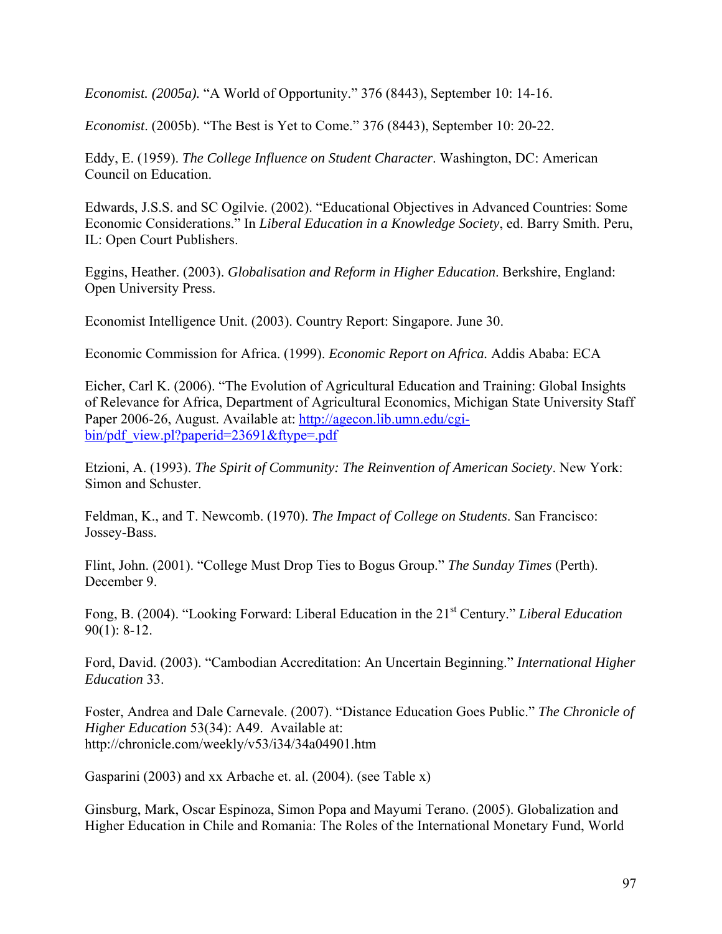*Economist. (2005a).* "A World of Opportunity." 376 (8443), September 10: 14-16.

*Economist*. (2005b). "The Best is Yet to Come." 376 (8443), September 10: 20-22.

Eddy, E. (1959). *The College Influence on Student Character*. Washington, DC: American Council on Education.

Edwards, J.S.S. and SC Ogilvie. (2002). "Educational Objectives in Advanced Countries: Some Economic Considerations." In *Liberal Education in a Knowledge Society*, ed. Barry Smith. Peru, IL: Open Court Publishers.

Eggins, Heather. (2003). *Globalisation and Reform in Higher Education*. Berkshire, England: Open University Press.

Economist Intelligence Unit. (2003). Country Report: Singapore. June 30.

Economic Commission for Africa. (1999). *Economic Report on Africa.* Addis Ababa: ECA

Eicher, Carl K. (2006). "The Evolution of Agricultural Education and Training: Global Insights of Relevance for Africa, Department of Agricultural Economics, Michigan State University Staff Paper 2006-26, August. Available at: [http://agecon.lib.umn.edu/cgi](http://agecon.lib.umn.edu/cgi-bin/pdf_view.pl?paperid=23691&ftype=.pdf)[bin/pdf\\_view.pl?paperid=23691&ftype=.pdf](http://agecon.lib.umn.edu/cgi-bin/pdf_view.pl?paperid=23691&ftype=.pdf)

Etzioni, A. (1993). *The Spirit of Community: The Reinvention of American Society*. New York: Simon and Schuster.

Feldman, K., and T. Newcomb. (1970). *The Impact of College on Students*. San Francisco: Jossey-Bass.

Flint, John. (2001). "College Must Drop Ties to Bogus Group." *The Sunday Times* (Perth). December 9.

Fong, B. (2004). "Looking Forward: Liberal Education in the 21st Century." *Liberal Education* 90(1): 8-12.

Ford, David. (2003). "Cambodian Accreditation: An Uncertain Beginning." *International Higher Education* 33.

Foster, Andrea and Dale Carnevale. (2007). "Distance Education Goes Public." *The Chronicle of Higher Education* 53(34): A49. Available at: http://chronicle.com/weekly/v53/i34/34a04901.htm

Gasparini (2003) and xx Arbache et. al. (2004). (see Table x)

Ginsburg, Mark, Oscar Espinoza, Simon Popa and Mayumi Terano. (2005). Globalization and Higher Education in Chile and Romania: The Roles of the International Monetary Fund, World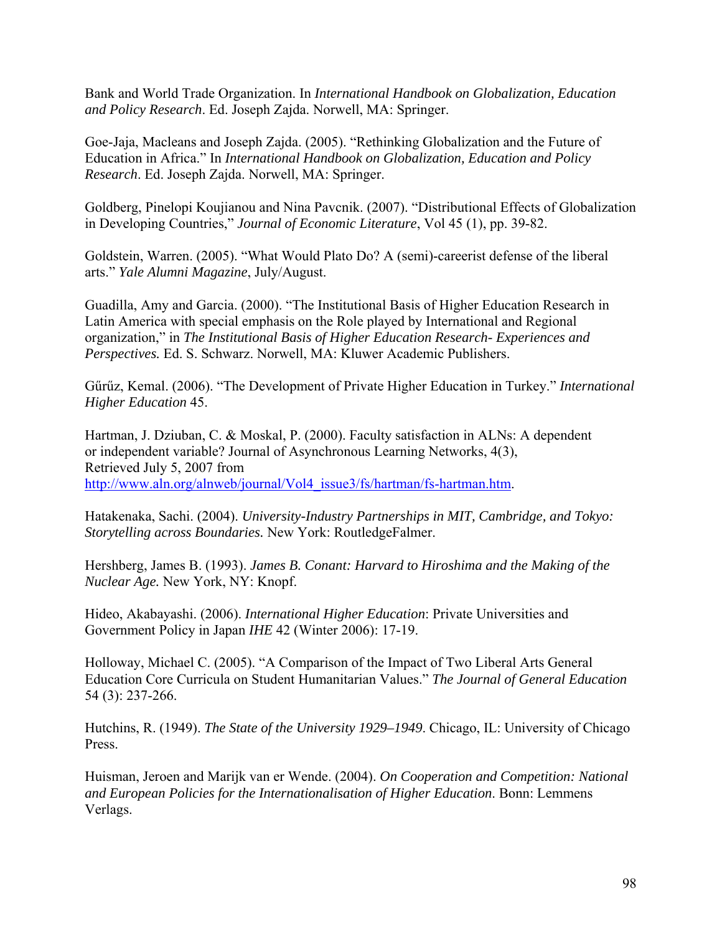Bank and World Trade Organization. In *International Handbook on Globalization, Education and Policy Research*. Ed. Joseph Zajda. Norwell, MA: Springer.

Goe-Jaja, Macleans and Joseph Zajda. (2005). "Rethinking Globalization and the Future of Education in Africa." In *International Handbook on Globalization, Education and Policy Research*. Ed. Joseph Zajda. Norwell, MA: Springer.

Goldberg, Pinelopi Koujianou and Nina Pavcnik. (2007). "Distributional Effects of Globalization in Developing Countries," *[Journal of Economic Literature](http://proxy.library.upenn.edu:5640/content/aea/jel)*, Vol 45 (1), pp. 39-82.

Goldstein, Warren. (2005). "What Would Plato Do? A (semi)-careerist defense of the liberal arts." *Yale Alumni Magazine*, July/August.

Guadilla, Amy and Garcia. (2000). "The Institutional Basis of Higher Education Research in Latin America with special emphasis on the Role played by International and Regional organization," in *The Institutional Basis of Higher Education Research- Experiences and Perspectives.* Ed. S. Schwarz. Norwell, MA: Kluwer Academic Publishers.

Gűrűz, Kemal. (2006). "The Development of Private Higher Education in Turkey." *International Higher Education* 45.

Hartman, J. Dziuban, C. & Moskal, P. (2000). Faculty satisfaction in ALNs: A dependent or independent variable? Journal of Asynchronous Learning Networks, 4(3), Retrieved July 5, 2007 from [http://www.aln.org/alnweb/journal/Vol4\\_issue3/fs/hartman/fs-hartman.htm.](http://www.aln.org/alnweb/journal/Vol4_issue3/fs/hartman/fs-hartman.htm)

Hatakenaka, Sachi. (2004). *University-Industry Partnerships in MIT, Cambridge, and Tokyo: Storytelling across Boundaries.* New York: RoutledgeFalmer.

Hershberg, James B. (1993). *James B. Conant: Harvard to Hiroshima and the Making of the Nuclear Age.* New York, NY: Knopf.

Hideo, Akabayashi. (2006). *International Higher Education*: Private Universities and Government Policy in Japan *IHE* 42 (Winter 2006): 17-19.

Holloway, Michael C. (2005). "A Comparison of the Impact of Two Liberal Arts General Education Core Curricula on Student Humanitarian Values." *The Journal of General Education* 54 (3): 237-266.

Hutchins, R. (1949). *The State of the University 1929–1949*. Chicago, IL: University of Chicago Press.

Huisman, Jeroen and Marijk van er Wende. (2004). *On Cooperation and Competition: National and European Policies for the Internationalisation of Higher Education*. Bonn: Lemmens Verlags.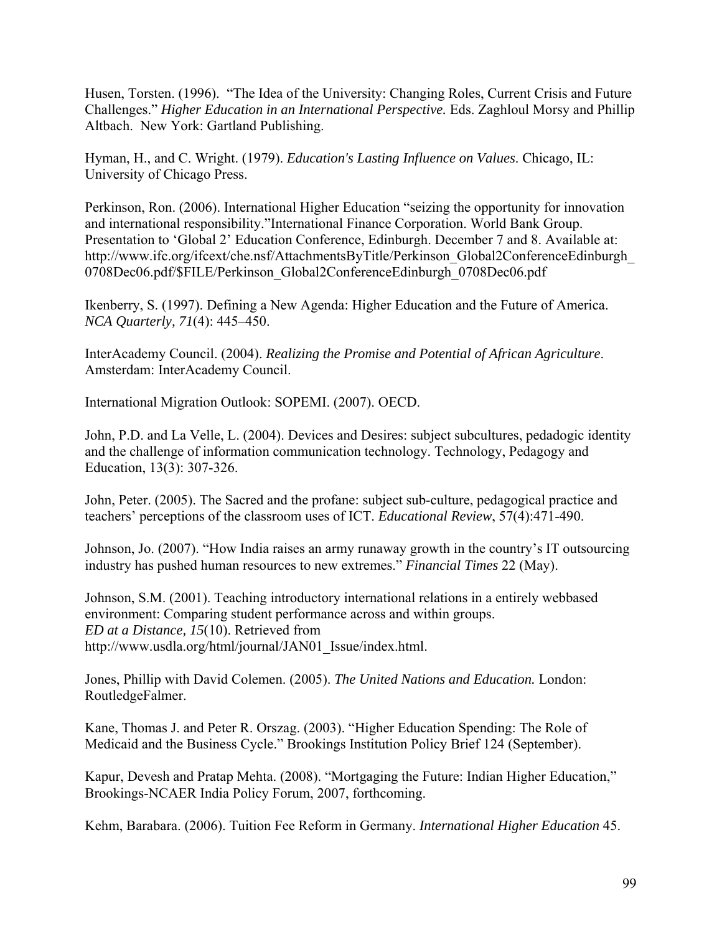Husen, Torsten. (1996). "The Idea of the University: Changing Roles, Current Crisis and Future Challenges." *Higher Education in an International Perspective.* Eds. Zaghloul Morsy and Phillip Altbach.New York: Gartland Publishing.

Hyman, H., and C. Wright. (1979). *Education's Lasting Influence on Values*. Chicago, IL: University of Chicago Press.

Perkinson, Ron. (2006). International Higher Education "seizing the opportunity for innovation and international responsibility."International Finance Corporation. World Bank Group. Presentation to 'Global 2' Education Conference, Edinburgh. December 7 and 8. Available at: http://www.ifc.org/ifcext/che.nsf/AttachmentsByTitle/Perkinson\_Global2ConferenceEdinburgh\_ 0708Dec06.pdf/\$FILE/Perkinson\_Global2ConferenceEdinburgh\_0708Dec06.pdf

Ikenberry, S. (1997). Defining a New Agenda: Higher Education and the Future of America. *NCA Quarterly, 71*(4): 445–450.

InterAcademy Council. (2004). *Realizing the Promise and Potential of African Agriculture*. Amsterdam: InterAcademy Council.

International Migration Outlook: SOPEMI. (2007). OECD.

John, P.D. and La Velle, L. (2004). Devices and Desires: subject subcultures, pedadogic identity and the challenge of information communication technology. Technology, Pedagogy and Education, 13(3): 307-326.

John, Peter. (2005). The Sacred and the profane: subject sub-culture, pedagogical practice and teachers' perceptions of the classroom uses of ICT. *Educational Review*, 57(4):471-490.

Johnson, Jo. (2007). "How India raises an army runaway growth in the country's IT outsourcing industry has pushed human resources to new extremes." *Financial Times* 22 (May).

Johnson, S.M. (2001). Teaching introductory international relations in a entirely webbased environment: Comparing student performance across and within groups. *ED at a Distance, 15*(10). Retrieved from http://www.usdla.org/html/journal/JAN01\_Issue/index.html.

Jones, Phillip with David Colemen. (2005). *The United Nations and Education.* London: RoutledgeFalmer.

Kane, Thomas J. and Peter R. Orszag. (2003). "Higher Education Spending: The Role of Medicaid and the Business Cycle." Brookings Institution Policy Brief 124 (September).

Kapur, Devesh and Pratap Mehta. (2008). "Mortgaging the Future: Indian Higher Education," Brookings-NCAER India Policy Forum, 2007, forthcoming.

Kehm, Barabara. (2006). Tuition Fee Reform in Germany. *International Higher Education* 45.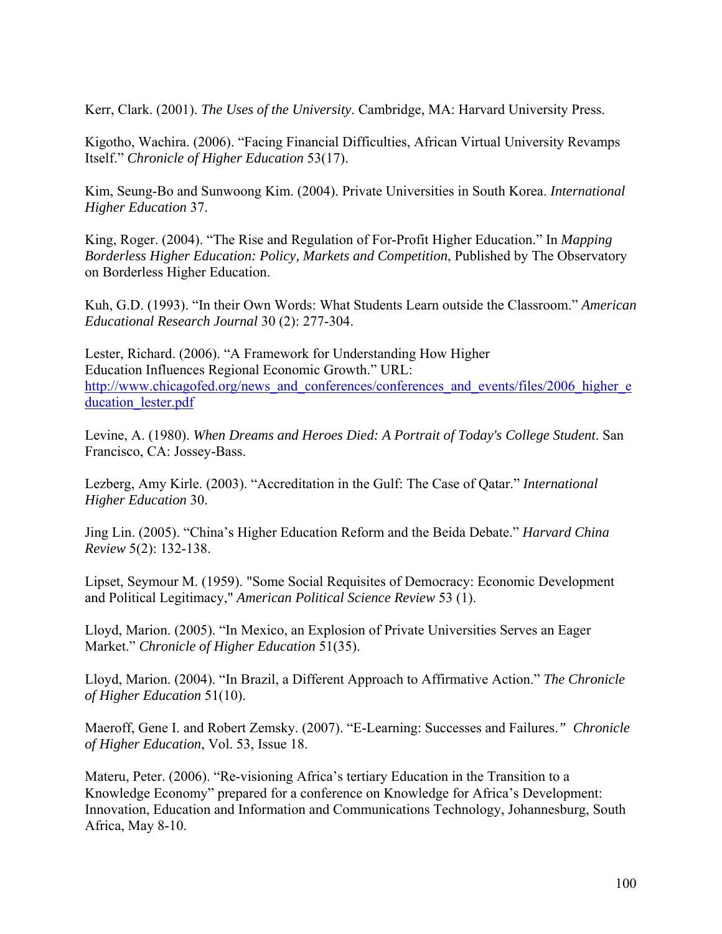Kerr, Clark. (2001). *The Uses of the University*. Cambridge, MA: Harvard University Press.

Kigotho, Wachira. (2006). "Facing Financial Difficulties, African Virtual University Revamps Itself." *Chronicle of Higher Education* 53(17).

Kim, Seung-Bo and Sunwoong Kim. (2004). Private Universities in South Korea. *International Higher Education* 37.

King, Roger. (2004). "The Rise and Regulation of For-Profit Higher Education." In *Mapping Borderless Higher Education: Policy, Markets and Competition*, Published by The Observatory on Borderless Higher Education.

Kuh, G.D. (1993). "In their Own Words: What Students Learn outside the Classroom." *American Educational Research Journal* 30 (2): 277-304.

Lester, Richard. (2006). "A Framework for Understanding How Higher Education Influences Regional Economic Growth." URL: [http://www.chicagofed.org/news\\_and\\_conferences/conferences\\_and\\_events/files/2006\\_higher\\_e](http://www.chicagofed.org/news_and_conferences/conferences_and_events/files/2006_higher_education_lester.pdf) [ducation\\_lester.pdf](http://www.chicagofed.org/news_and_conferences/conferences_and_events/files/2006_higher_education_lester.pdf)

Levine, A. (1980). *When Dreams and Heroes Died: A Portrait of Today's College Student*. San Francisco, CA: Jossey-Bass.

Lezberg, Amy Kirle. (2003). "Accreditation in the Gulf: The Case of Qatar." *International Higher Education* 30.

Jing Lin. (2005). "China's Higher Education Reform and the Beida Debate." *Harvard China Review* 5(2): 132-138.

Lipset, Seymour M. (1959). "Some Social Requisites of Democracy: Economic Development and Political Legitimacy," *American Political Science Review* 53 (1).

Lloyd, Marion. (2005). "In Mexico, an Explosion of Private Universities Serves an Eager Market." *Chronicle of Higher Education* 51(35).

Lloyd, Marion. (2004). "In Brazil, a Different Approach to Affirmative Action." *The Chronicle of Higher Education* 51(10).

Maeroff, Gene I. and Robert Zemsky. (2007). "E-Learning: Successes and Failures.*" Chronicle of Higher Education*, Vol. 53, Issue 18.

Materu, Peter. (2006). "Re-visioning Africa's tertiary Education in the Transition to a Knowledge Economy" prepared for a conference on Knowledge for Africa's Development: Innovation, Education and Information and Communications Technology, Johannesburg, South Africa, May 8-10.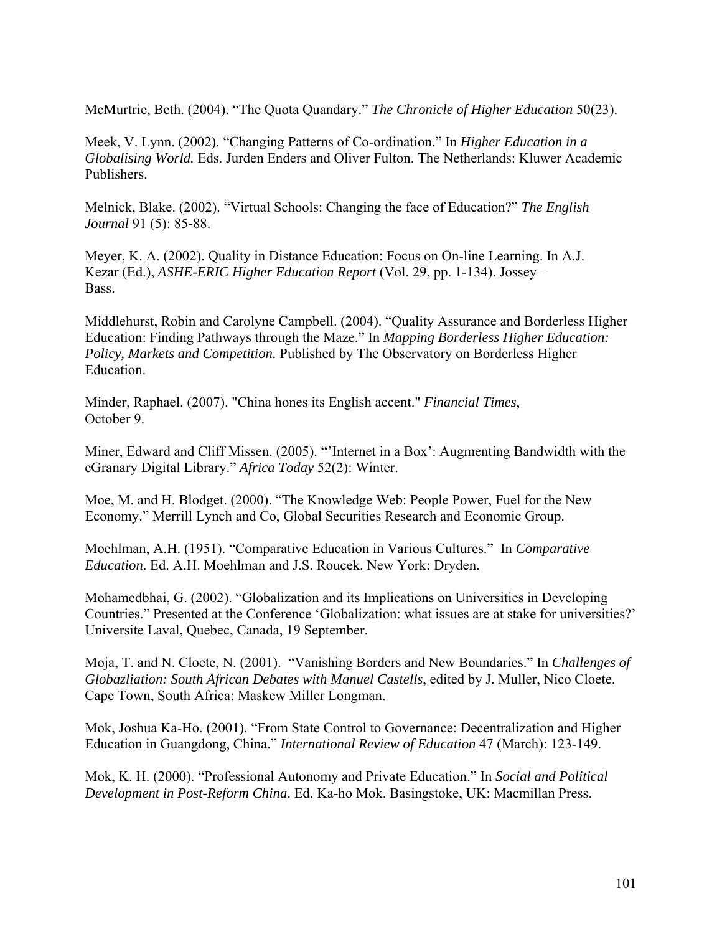McMurtrie, Beth. (2004). "The Quota Quandary." *The Chronicle of Higher Education* 50(23).

Meek, V. Lynn. (2002). "Changing Patterns of Co-ordination." In *Higher Education in a Globalising World.* Eds. Jurden Enders and Oliver Fulton. The Netherlands: Kluwer Academic Publishers.

Melnick, Blake. (2002). "Virtual Schools: Changing the face of Education?" *The English Journal* 91 (5): 85-88.

Meyer, K. A. (2002). Quality in Distance Education: Focus on On-line Learning. In A.J. Kezar (Ed.), *ASHE-ERIC Higher Education Report* (Vol. 29, pp. 1-134). Jossey – Bass.

Middlehurst, Robin and Carolyne Campbell. (2004). "Quality Assurance and Borderless Higher Education: Finding Pathways through the Maze." In *Mapping Borderless Higher Education: Policy, Markets and Competition.* Published by The Observatory on Borderless Higher Education.

Minder, Raphael. (2007). "China hones its English accent." *Financial Times*, October 9.

Miner, Edward and Cliff Missen. (2005). "'Internet in a Box': Augmenting Bandwidth with the eGranary Digital Library." *Africa Today* 52(2): Winter.

Moe, M. and H. Blodget. (2000). "The Knowledge Web: People Power, Fuel for the New Economy." Merrill Lynch and Co, Global Securities Research and Economic Group.

Moehlman, A.H. (1951). "Comparative Education in Various Cultures." In *Comparative Education*. Ed. A.H. Moehlman and J.S. Roucek. New York: Dryden.

Mohamedbhai, G. (2002). "Globalization and its Implications on Universities in Developing Countries." Presented at the Conference 'Globalization: what issues are at stake for universities?' Universite Laval, Quebec, Canada, 19 September.

Moja, T. and N. Cloete, N. (2001). "Vanishing Borders and New Boundaries." In *Challenges of Globazliation: South African Debates with Manuel Castells*, edited by J. Muller, Nico Cloete. Cape Town, South Africa: Maskew Miller Longman.

Mok, Joshua Ka-Ho. (2001). "From State Control to Governance: Decentralization and Higher Education in Guangdong, China." *International Review of Education* 47 (March): 123-149.

Mok, K. H. (2000). "Professional Autonomy and Private Education." In *Social and Political Development in Post-Reform China*. Ed. Ka-ho Mok. Basingstoke, UK: Macmillan Press.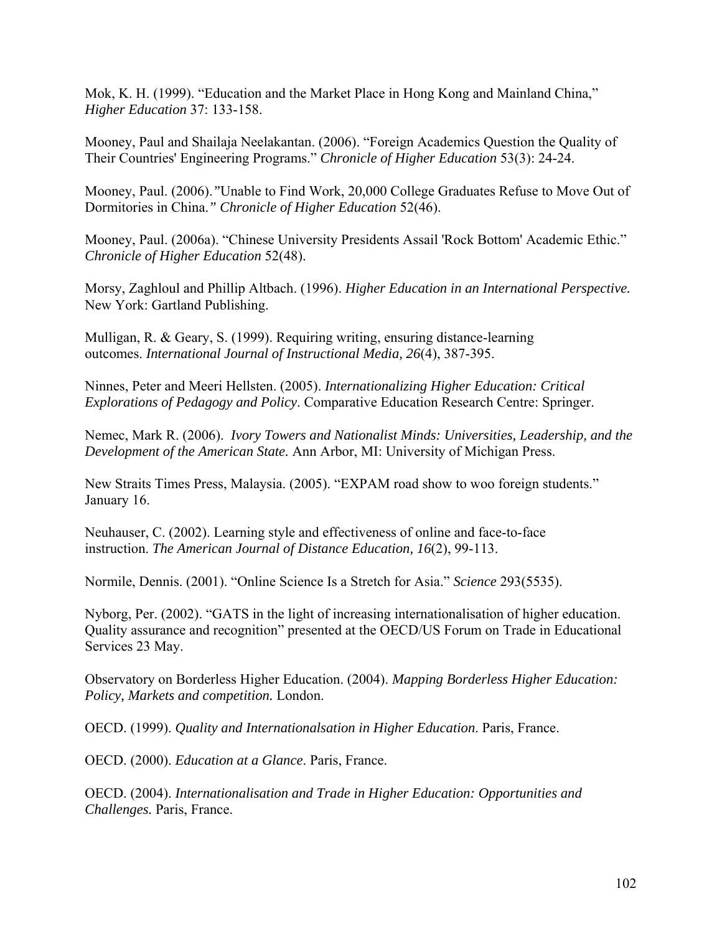Mok, K. H. (1999). "Education and the Market Place in Hong Kong and Mainland China," *Higher Education* 37: 133-158.

Mooney, Paul and Shailaja Neelakantan. (2006). "Foreign Academics Question the Quality of Their Countries' Engineering Programs." *Chronicle of Higher Education* 53(3): 24-24.

Mooney, Paul. (2006).*"*Unable to Find Work, 20,000 College Graduates Refuse to Move Out of Dormitories in China.*" Chronicle of Higher Education* 52(46).

Mooney, Paul. (2006a). "Chinese University Presidents Assail 'Rock Bottom' Academic Ethic." *Chronicle of Higher Education* 52(48).

Morsy, Zaghloul and Phillip Altbach. (1996). *Higher Education in an International Perspective.*  New York: Gartland Publishing.

Mulligan, R. & Geary, S. (1999). Requiring writing, ensuring distance-learning outcomes. *International Journal of Instructional Media, 26*(4), 387-395.

Ninnes, Peter and Meeri Hellsten. (2005). *Internationalizing Higher Education: Critical Explorations of Pedagogy and Policy*. Comparative Education Research Centre: Springer.

Nemec, Mark R. (2006). *Ivory Towers and Nationalist Minds: Universities, Leadership, and the Development of the American State.* Ann Arbor, MI: University of Michigan Press.

New Straits Times Press, Malaysia. (2005). "EXPAM road show to woo foreign students." January 16.

Neuhauser, C. (2002). Learning style and effectiveness of online and face-to-face instruction. *The American Journal of Distance Education, 16*(2), 99-113.

Normile, Dennis. (2001). "Online Science Is a Stretch for Asia." *Science* 293(5535).

Nyborg, Per. (2002). "GATS in the light of increasing internationalisation of higher education. Quality assurance and recognition" presented at the OECD/US Forum on Trade in Educational Services 23 May.

Observatory on Borderless Higher Education. (2004). *Mapping Borderless Higher Education: Policy, Markets and competition.* London.

OECD. (1999). *Quality and Internationalsation in Higher Education*. Paris, France.

OECD. (2000). *Education at a Glance*. Paris, France.

OECD. (2004). *Internationalisation and Trade in Higher Education: Opportunities and Challenges.* Paris, France.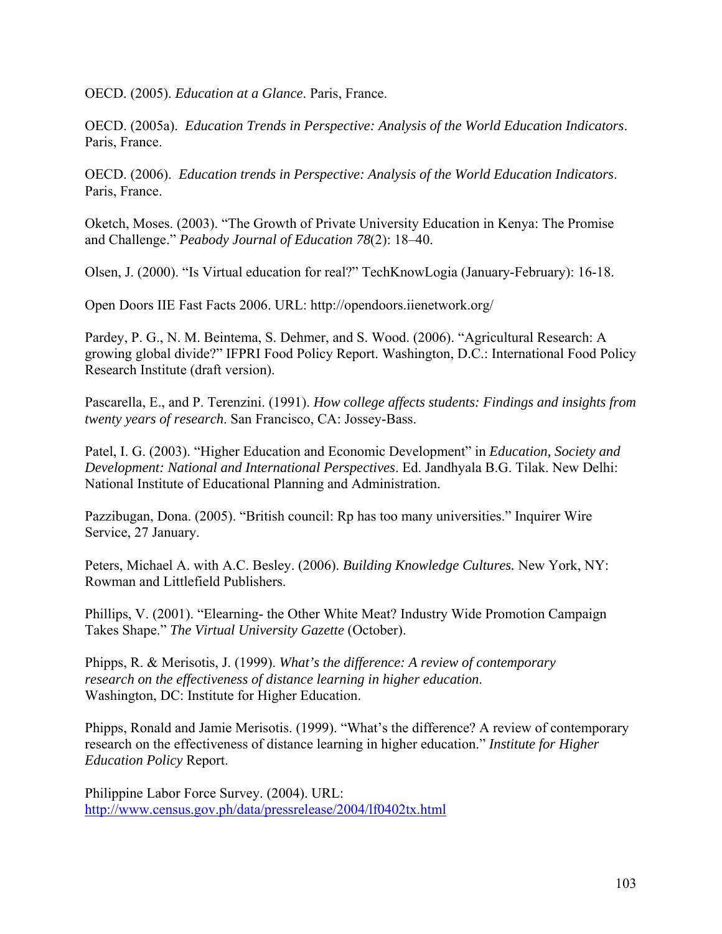OECD. (2005). *Education at a Glance*. Paris, France.

OECD. (2005a). *Education Trends in Perspective: Analysis of the World Education Indicators*. Paris, France.

OECD. (2006). *Education trends in Perspective: Analysis of the World Education Indicators*. Paris, France.

Oketch, Moses. (2003). "The Growth of Private University Education in Kenya: The Promise and Challenge." *Peabody Journal of Education 78*(2): 18–40.

Olsen, J. (2000). "Is Virtual education for real?" TechKnowLogia (January-February): 16-18.

Open Doors IIE Fast Facts 2006. URL: http://opendoors.iienetwork.org/

Pardey, P. G., N. M. Beintema, S. Dehmer, and S. Wood. (2006). "Agricultural Research: A growing global divide?" IFPRI Food Policy Report. Washington, D.C.: International Food Policy Research Institute (draft version).

Pascarella, E., and P. Terenzini. (1991). *How college affects students: Findings and insights from twenty years of research*. San Francisco, CA: Jossey-Bass.

Patel, I. G. (2003). "Higher Education and Economic Development" in *Education, Society and Development: National and International Perspectives*. Ed. Jandhyala B.G. Tilak. New Delhi: National Institute of Educational Planning and Administration.

Pazzibugan, Dona. (2005). "British council: Rp has too many universities." Inquirer Wire Service, 27 January.

Peters, Michael A. with A.C. Besley. (2006). *Building Knowledge Cultures.* New York, NY: Rowman and Littlefield Publishers.

Phillips, V. (2001). "Elearning- the Other White Meat? Industry Wide Promotion Campaign Takes Shape." *The Virtual University Gazette* (October).

Phipps, R. & Merisotis, J. (1999). *What's the difference: A review of contemporary research on the effectiveness of distance learning in higher education*. Washington, DC: Institute for Higher Education.

Phipps, Ronald and Jamie Merisotis. (1999). "What's the difference? A review of contemporary research on the effectiveness of distance learning in higher education." *Institute for Higher Education Policy* Report.

Philippine Labor Force Survey. (2004). URL: <http://www.census.gov.ph/data/pressrelease/2004/lf0402tx.html>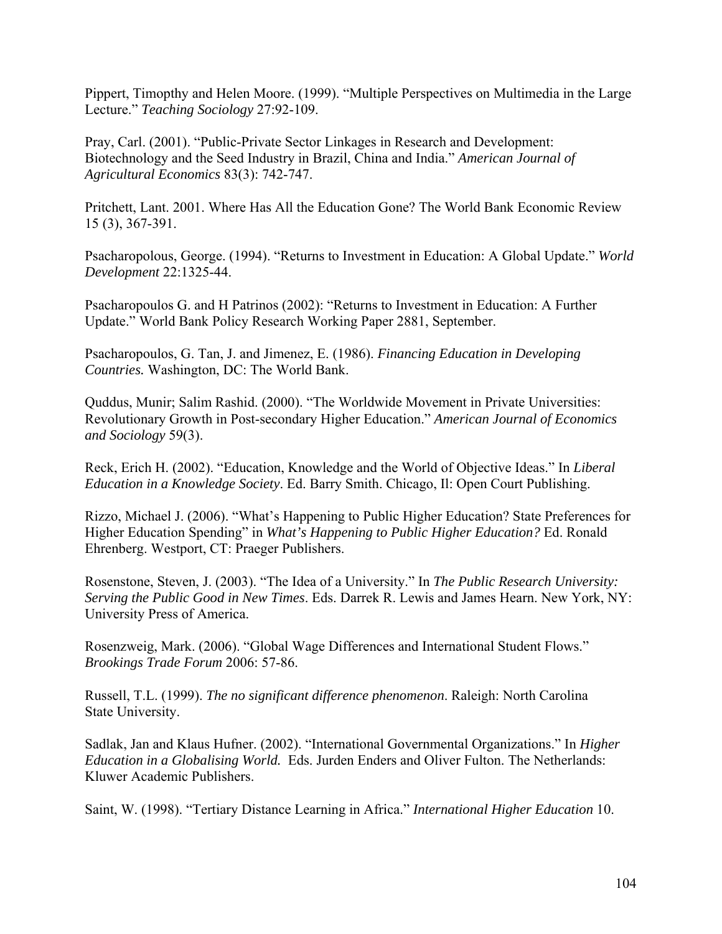Pippert, Timopthy and Helen Moore. (1999). "Multiple Perspectives on Multimedia in the Large Lecture." *Teaching Sociology* 27:92-109.

Pray, Carl. (2001). "Public-Private Sector Linkages in Research and Development: Biotechnology and the Seed Industry in Brazil, China and India." *American Journal of Agricultural Economics* 83(3): 742-747.

Pritchett, Lant. 2001. Where Has All the Education Gone? The World Bank Economic Review 15 (3), 367-391.

Psacharopolous, George. (1994). "Returns to Investment in Education: A Global Update." *World Development* 22:1325-44.

Psacharopoulos G. and H Patrinos (2002): "Returns to Investment in Education: A Further Update." World Bank Policy Research Working Paper 2881, September.

Psacharopoulos, G. Tan, J. and Jimenez, E. (1986). *Financing Education in Developing Countries.* Washington, DC: The World Bank.

Quddus, Munir; Salim Rashid. (2000). "The Worldwide Movement in Private Universities: Revolutionary Growth in Post-secondary Higher Education." *American Journal of Economics and Sociology* 59(3).

Reck, Erich H. (2002). "Education, Knowledge and the World of Objective Ideas." In *Liberal Education in a Knowledge Society*. Ed. Barry Smith. Chicago, Il: Open Court Publishing.

Rizzo, Michael J. (2006). "What's Happening to Public Higher Education? State Preferences for Higher Education Spending" in *What's Happening to Public Higher Education?* Ed. Ronald Ehrenberg. Westport, CT: Praeger Publishers.

Rosenstone, Steven, J. (2003). "The Idea of a University." In *The Public Research University: Serving the Public Good in New Times*. Eds. Darrek R. Lewis and James Hearn. New York, NY: University Press of America.

Rosenzweig, Mark. (2006). "Global Wage Differences and International Student Flows." *Brookings Trade Forum* 2006: 57-86.

Russell, T.L. (1999). *The no significant difference phenomenon*. Raleigh: North Carolina State University.

Sadlak, Jan and Klaus Hufner. (2002). "International Governmental Organizations." In *Higher Education in a Globalising World.* Eds. Jurden Enders and Oliver Fulton. The Netherlands: Kluwer Academic Publishers.

Saint, W. (1998). "Tertiary Distance Learning in Africa." *International Higher Education* 10.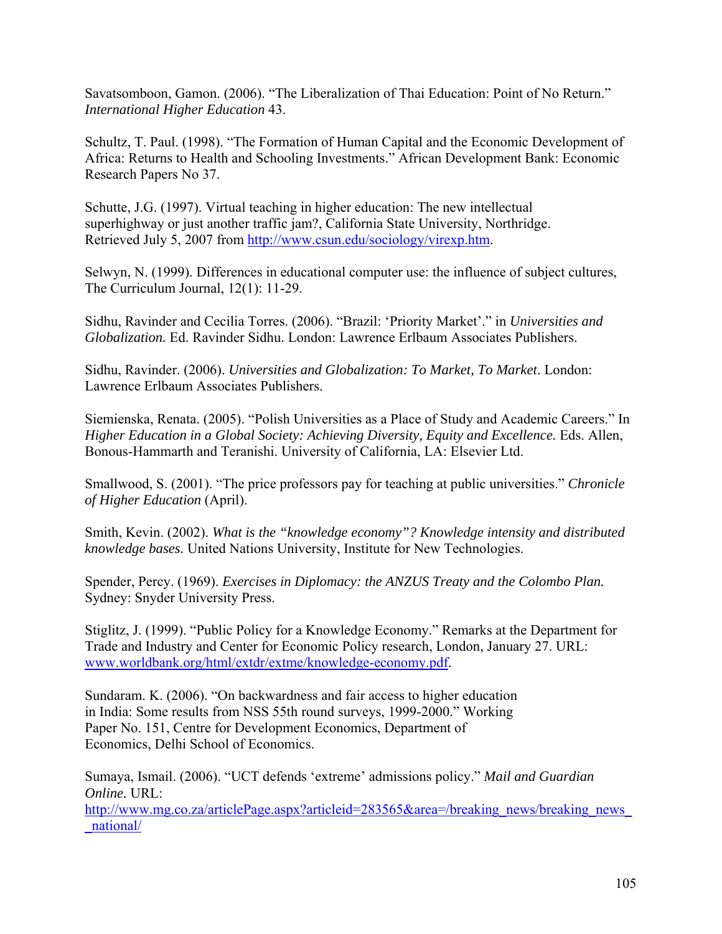Savatsomboon, Gamon. (2006). "The Liberalization of Thai Education: Point of No Return." *International Higher Education* 43.

Schultz, T. Paul. (1998). "The Formation of Human Capital and the Economic Development of Africa: Returns to Health and Schooling Investments." African Development Bank: Economic Research Papers No 37.

Schutte, J.G. (1997). Virtual teaching in higher education: The new intellectual superhighway or just another traffic jam?, California State University, Northridge. Retrieved July 5, 2007 from [http://www.csun.edu/sociology/virexp.htm.](http://www.csun.edu/sociology/virexp.htm)

Selwyn, N. (1999). Differences in educational computer use: the influence of subject cultures, The Curriculum Journal, 12(1): 11-29.

Sidhu, Ravinder and Cecilia Torres. (2006). "Brazil: 'Priority Market'." in *Universities and Globalization.* Ed. Ravinder Sidhu. London: Lawrence Erlbaum Associates Publishers.

Sidhu, Ravinder. (2006). *Universities and Globalization: To Market, To Market*. London: Lawrence Erlbaum Associates Publishers.

Siemienska, Renata. (2005). "Polish Universities as a Place of Study and Academic Careers." In *Higher Education in a Global Society: Achieving Diversity, Equity and Excellence. Eds. Allen,* Bonous-Hammarth and Teranishi. University of California, LA: Elsevier Ltd.

Smallwood, S. (2001). "The price professors pay for teaching at public universities." *Chronicle of Higher Education* (April).

Smith, Kevin. (2002). *What is the "knowledge economy"? Knowledge intensity and distributed knowledge bases.* United Nations University, Institute for New Technologies.

Spender, Percy. (1969). *Exercises in Diplomacy: the ANZUS Treaty and the Colombo Plan.* Sydney: Snyder University Press.

Stiglitz, J. (1999). "Public Policy for a Knowledge Economy." Remarks at the Department for Trade and Industry and Center for Economic Policy research, London, January 27. URL: [www.worldbank.org/html/extdr/extme/knowledge-economy.pdf](http://www.worldbank.org/html/extdr/extme/knowledge-economy.pdf).

Sundaram. K. (2006). "On backwardness and fair access to higher education in India: Some results from NSS 55th round surveys, 1999-2000." Working Paper No. 151, Centre for Development Economics, Department of Economics, Delhi School of Economics.

Sumaya, Ismail. (2006). "UCT defends 'extreme' admissions policy." *Mail and Guardian Online.* URL:

http://www.mg.co.za/articlePage.aspx?articleid=283565&area=/breaking\_news/breaking\_news [\\_national/](http://www.mg.co.za/articlePage.aspx?articleid=283565&area=/breaking_news/breaking_news__national/)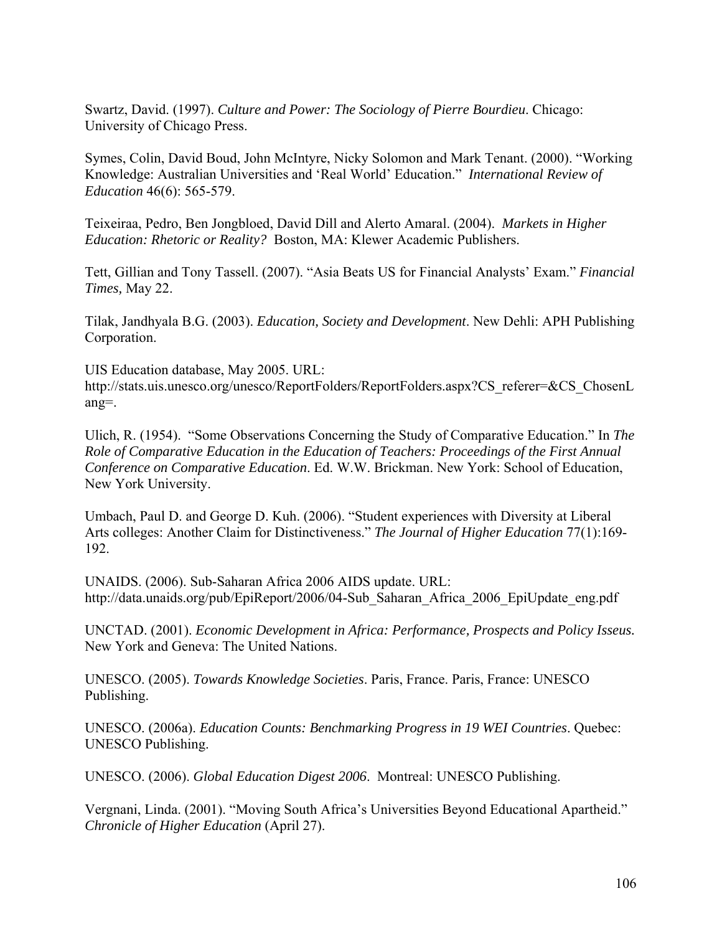Swartz, David. (1997). *Culture and Power: The Sociology of Pierre Bourdieu*. Chicago: University of Chicago Press.

Symes, Colin, David Boud, John McIntyre, Nicky Solomon and Mark Tenant. (2000). "Working Knowledge: Australian Universities and 'Real World' Education." *International Review of Education* 46(6): 565-579.

Teixeiraa, Pedro, Ben Jongbloed, David Dill and Alerto Amaral. (2004). *Markets in Higher Education: Rhetoric or Reality?* Boston, MA: Klewer Academic Publishers.

Tett, Gillian and Tony Tassell. (2007). "Asia Beats US for Financial Analysts' Exam." *Financial Times,* May 22.

Tilak, Jandhyala B.G. (2003). *Education, Society and Development*. New Dehli: APH Publishing Corporation.

UIS Education database, May 2005. URL:

http://stats.uis.unesco.org/unesco/ReportFolders/ReportFolders.aspx?CS\_referer=&CS\_ChosenL ang=.

Ulich, R. (1954). "Some Observations Concerning the Study of Comparative Education." In *The Role of Comparative Education in the Education of Teachers: Proceedings of the First Annual Conference on Comparative Education*. Ed. W.W. Brickman. New York: School of Education, New York University.

Umbach, Paul D. and George D. Kuh. (2006). "Student experiences with Diversity at Liberal Arts colleges: Another Claim for Distinctiveness." *The Journal of Higher Education* 77(1):169- 192.

UNAIDS. (2006). Sub-Saharan Africa 2006 AIDS update. URL: http://data.unaids.org/pub/EpiReport/2006/04-Sub\_Saharan\_Africa\_2006\_EpiUpdate\_eng.pdf

UNCTAD. (2001). *Economic Development in Africa: Performance, Prospects and Policy Isseus.* New York and Geneva: The United Nations.

UNESCO. (2005). *Towards Knowledge Societies*. Paris, France. Paris, France: UNESCO Publishing.

UNESCO. (2006a). *Education Counts: Benchmarking Progress in 19 WEI Countries*. Quebec: UNESCO Publishing.

UNESCO. (2006). *Global Education Digest 2006*. Montreal: UNESCO Publishing.

Vergnani, Linda. (2001). "Moving South Africa's Universities Beyond Educational Apartheid." *Chronicle of Higher Education* (April 27).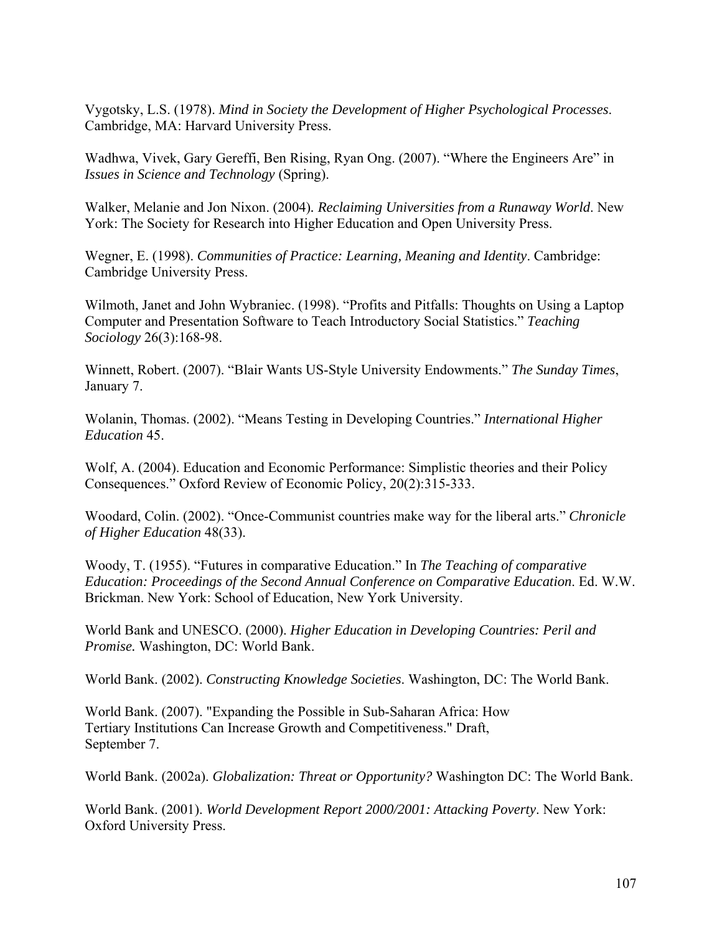Vygotsky, L.S. (1978). *Mind in Society the Development of Higher Psychological Processes*. Cambridge, MA: Harvard University Press.

Wadhwa, Vivek, Gary Gereffi, Ben Rising, Ryan Ong. (2007). "Where the Engineers Are" in *Issues in Science and Technology* (Spring).

Walker, Melanie and Jon Nixon. (2004)*. Reclaiming Universities from a Runaway World*. New York: The Society for Research into Higher Education and Open University Press.

Wegner, E. (1998). *Communities of Practice: Learning, Meaning and Identity*. Cambridge: Cambridge University Press.

Wilmoth, Janet and John Wybraniec. (1998). "Profits and Pitfalls: Thoughts on Using a Laptop Computer and Presentation Software to Teach Introductory Social Statistics." *Teaching Sociology* 26(3):168-98.

Winnett, Robert. (2007). "Blair Wants US-Style University Endowments." *The Sunday Times*, January 7.

Wolanin, Thomas. (2002). "Means Testing in Developing Countries." *International Higher Education* 45.

Wolf, A. (2004). Education and Economic Performance: Simplistic theories and their Policy Consequences." Oxford Review of Economic Policy, 20(2):315-333.

Woodard, Colin. (2002). "Once-Communist countries make way for the liberal arts." *Chronicle of Higher Education* 48(33).

Woody, T. (1955). "Futures in comparative Education." In *The Teaching of comparative Education: Proceedings of the Second Annual Conference on Comparative Education*. Ed. W.W. Brickman. New York: School of Education, New York University.

World Bank and UNESCO. (2000). *Higher Education in Developing Countries: Peril and Promise.* Washington, DC: World Bank.

World Bank. (2002). *Constructing Knowledge Societies*. Washington, DC: The World Bank.

World Bank. (2007). "Expanding the Possible in Sub-Saharan Africa: How Tertiary Institutions Can Increase Growth and Competitiveness." Draft, September 7.

World Bank. (2002a). *Globalization: Threat or Opportunity?* Washington DC: The World Bank.

World Bank. (2001). *World Development Report 2000/2001: Attacking Poverty*. New York: Oxford University Press.